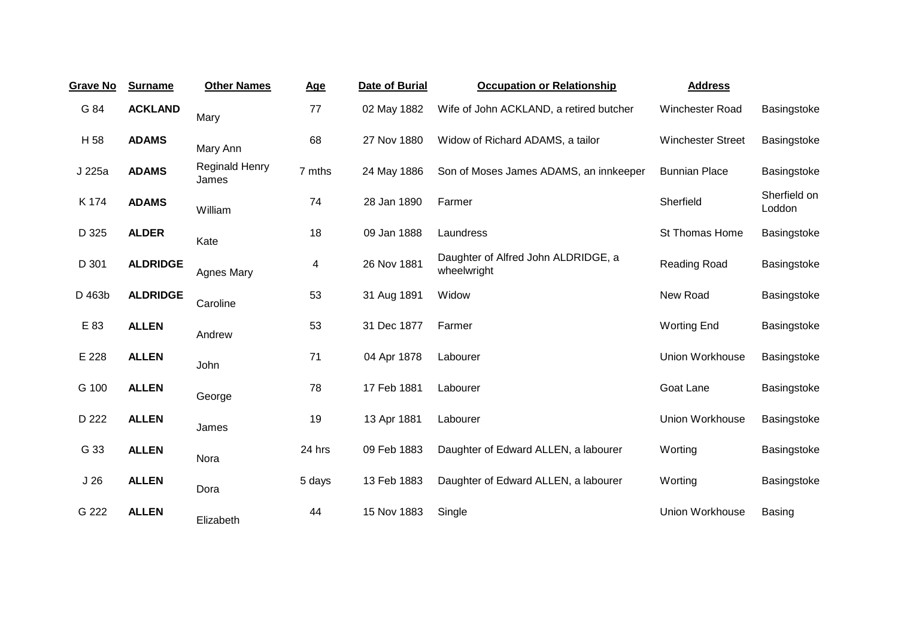| <b>Grave No</b> | <b>Surname</b>  | <b>Other Names</b>      | <b>Age</b>              | <b>Date of Burial</b> | <b>Occupation or Relationship</b>                  | <b>Address</b>           |                        |
|-----------------|-----------------|-------------------------|-------------------------|-----------------------|----------------------------------------------------|--------------------------|------------------------|
| G 84            | <b>ACKLAND</b>  | Mary                    | 77                      | 02 May 1882           | Wife of John ACKLAND, a retired butcher            | <b>Winchester Road</b>   | Basingstoke            |
| H 58            | <b>ADAMS</b>    | Mary Ann                | 68                      | 27 Nov 1880           | Widow of Richard ADAMS, a tailor                   | <b>Winchester Street</b> | Basingstoke            |
| J 225a          | <b>ADAMS</b>    | Reginald Henry<br>James | 7 mths                  | 24 May 1886           | Son of Moses James ADAMS, an innkeeper             | <b>Bunnian Place</b>     | Basingstoke            |
| K 174           | <b>ADAMS</b>    | William                 | 74                      | 28 Jan 1890           | Farmer                                             | Sherfield                | Sherfield on<br>Loddon |
| D 325           | <b>ALDER</b>    | Kate                    | 18                      | 09 Jan 1888           | Laundress                                          | St Thomas Home           | Basingstoke            |
| D 301           | <b>ALDRIDGE</b> | <b>Agnes Mary</b>       | $\overline{\mathbf{4}}$ | 26 Nov 1881           | Daughter of Alfred John ALDRIDGE, a<br>wheelwright | Reading Road             | Basingstoke            |
| D 463b          | <b>ALDRIDGE</b> | Caroline                | 53                      | 31 Aug 1891           | Widow                                              | New Road                 | Basingstoke            |
| E 83            | <b>ALLEN</b>    | Andrew                  | 53                      | 31 Dec 1877           | Farmer                                             | <b>Worting End</b>       | Basingstoke            |
| E 228           | <b>ALLEN</b>    | John                    | 71                      | 04 Apr 1878           | Labourer                                           | Union Workhouse          | Basingstoke            |
| G 100           | <b>ALLEN</b>    | George                  | 78                      | 17 Feb 1881           | Labourer                                           | Goat Lane                | Basingstoke            |
| D 222           | <b>ALLEN</b>    | James                   | 19                      | 13 Apr 1881           | Labourer                                           | Union Workhouse          | Basingstoke            |
| G 33            | <b>ALLEN</b>    | Nora                    | 24 hrs                  | 09 Feb 1883           | Daughter of Edward ALLEN, a labourer               | Worting                  | Basingstoke            |
| J <sub>26</sub> | <b>ALLEN</b>    | Dora                    | 5 days                  | 13 Feb 1883           | Daughter of Edward ALLEN, a labourer               | Worting                  | Basingstoke            |
| G 222           | <b>ALLEN</b>    | Elizabeth               | 44                      | 15 Nov 1883           | Single                                             | Union Workhouse          | <b>Basing</b>          |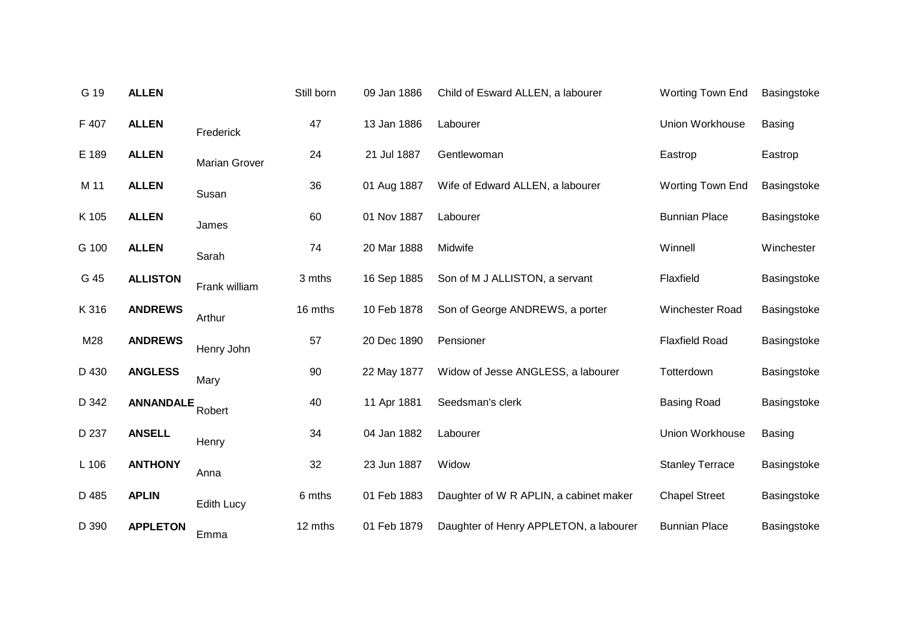| G 19  | <b>ALLEN</b>     |                      | Still born | 09 Jan 1886 | Child of Esward ALLEN, a labourer      | Worting Town End        | Basingstoke   |
|-------|------------------|----------------------|------------|-------------|----------------------------------------|-------------------------|---------------|
| F 407 | <b>ALLEN</b>     | Frederick            | 47         | 13 Jan 1886 | Labourer                               | <b>Union Workhouse</b>  | <b>Basing</b> |
| E 189 | <b>ALLEN</b>     | <b>Marian Grover</b> | 24         | 21 Jul 1887 | Gentlewoman                            | Eastrop                 | Eastrop       |
| M 11  | <b>ALLEN</b>     | Susan                | 36         | 01 Aug 1887 | Wife of Edward ALLEN, a labourer       | <b>Worting Town End</b> | Basingstoke   |
| K 105 | <b>ALLEN</b>     | James                | 60         | 01 Nov 1887 | Labourer                               | <b>Bunnian Place</b>    | Basingstoke   |
| G 100 | <b>ALLEN</b>     | Sarah                | 74         | 20 Mar 1888 | Midwife                                | Winnell                 | Winchester    |
| G 45  | <b>ALLISTON</b>  | Frank william        | 3 mths     | 16 Sep 1885 | Son of M J ALLISTON, a servant         | Flaxfield               | Basingstoke   |
| K 316 | <b>ANDREWS</b>   | Arthur               | 16 mths    | 10 Feb 1878 | Son of George ANDREWS, a porter        | Winchester Road         | Basingstoke   |
| M28   | <b>ANDREWS</b>   | Henry John           | 57         | 20 Dec 1890 | Pensioner                              | <b>Flaxfield Road</b>   | Basingstoke   |
| D 430 | <b>ANGLESS</b>   | Mary                 | 90         | 22 May 1877 | Widow of Jesse ANGLESS, a labourer     | Totterdown              | Basingstoke   |
| D 342 | <b>ANNANDALE</b> | Robert               | 40         | 11 Apr 1881 | Seedsman's clerk                       | <b>Basing Road</b>      | Basingstoke   |
| D 237 | <b>ANSELL</b>    | Henry                | 34         | 04 Jan 1882 | Labourer                               | Union Workhouse         | <b>Basing</b> |
| L 106 | <b>ANTHONY</b>   | Anna                 | 32         | 23 Jun 1887 | Widow                                  | <b>Stanley Terrace</b>  | Basingstoke   |
| D 485 | <b>APLIN</b>     | Edith Lucy           | 6 mths     | 01 Feb 1883 | Daughter of W R APLIN, a cabinet maker | <b>Chapel Street</b>    | Basingstoke   |
| D 390 | <b>APPLETON</b>  | Emma                 | 12 mths    | 01 Feb 1879 | Daughter of Henry APPLETON, a labourer | <b>Bunnian Place</b>    | Basingstoke   |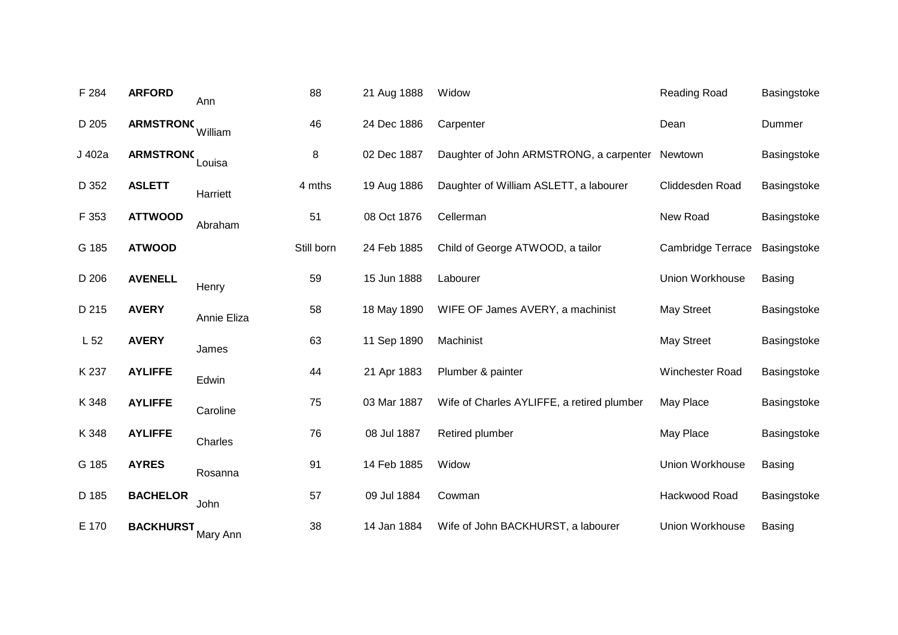| F 284           | <b>ARFORD</b>    | Ann         | 88         | 21 Aug 1888 | Widow                                      | Reading Road             | Basingstoke   |
|-----------------|------------------|-------------|------------|-------------|--------------------------------------------|--------------------------|---------------|
| D 205           | <b>ARMSTRONC</b> | William     | 46         | 24 Dec 1886 | Carpenter                                  | Dean                     | Dummer        |
| J 402a          | <b>ARMSTRONG</b> | Louisa      | 8          | 02 Dec 1887 | Daughter of John ARMSTRONG, a carpenter    | Newtown                  | Basingstoke   |
| D 352           | <b>ASLETT</b>    | Harriett    | 4 mths     | 19 Aug 1886 | Daughter of William ASLETT, a labourer     | Cliddesden Road          | Basingstoke   |
| F 353           | <b>ATTWOOD</b>   | Abraham     | 51         | 08 Oct 1876 | Cellerman                                  | New Road                 | Basingstoke   |
| G 185           | <b>ATWOOD</b>    |             | Still born | 24 Feb 1885 | Child of George ATWOOD, a tailor           | <b>Cambridge Terrace</b> | Basingstoke   |
| D 206           | <b>AVENELL</b>   | Henry       | 59         | 15 Jun 1888 | Labourer                                   | Union Workhouse          | <b>Basing</b> |
| D 215           | <b>AVERY</b>     | Annie Eliza | 58         | 18 May 1890 | WIFE OF James AVERY, a machinist           | <b>May Street</b>        | Basingstoke   |
| L <sub>52</sub> | <b>AVERY</b>     | James       | 63         | 11 Sep 1890 | Machinist                                  | <b>May Street</b>        | Basingstoke   |
| K 237           | <b>AYLIFFE</b>   | Edwin       | 44         | 21 Apr 1883 | Plumber & painter                          | Winchester Road          | Basingstoke   |
| K 348           | <b>AYLIFFE</b>   | Caroline    | 75         | 03 Mar 1887 | Wife of Charles AYLIFFE, a retired plumber | May Place                | Basingstoke   |
| K 348           | <b>AYLIFFE</b>   | Charles     | 76         | 08 Jul 1887 | Retired plumber                            | May Place                | Basingstoke   |
| G 185           | <b>AYRES</b>     | Rosanna     | 91         | 14 Feb 1885 | Widow                                      | <b>Union Workhouse</b>   | <b>Basing</b> |
| D 185           | <b>BACHELOR</b>  | John        | 57         | 09 Jul 1884 | Cowman                                     | Hackwood Road            | Basingstoke   |
| E 170           | <b>BACKHURST</b> | Mary Ann    | 38         | 14 Jan 1884 | Wife of John BACKHURST, a labourer         | <b>Union Workhouse</b>   | <b>Basing</b> |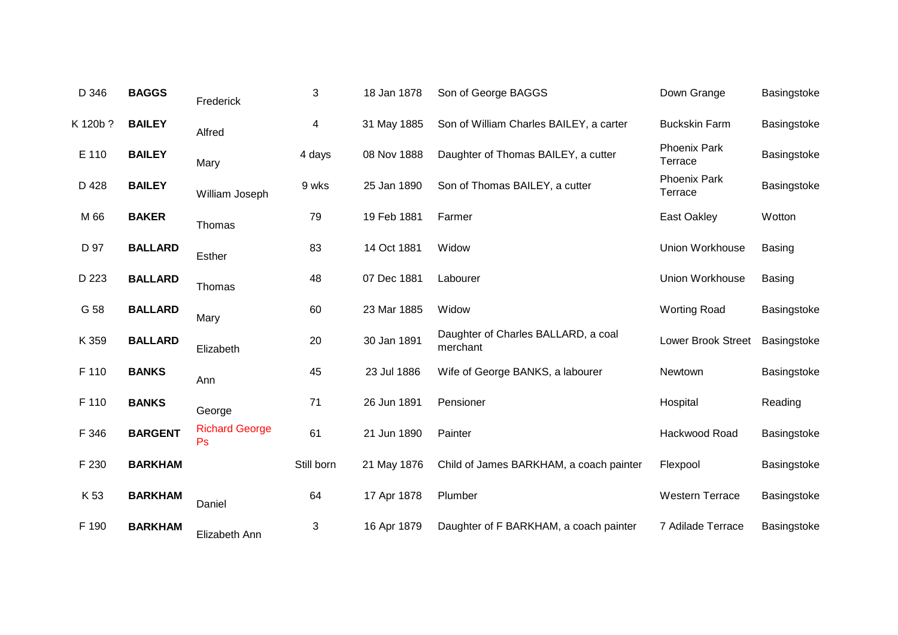| D 346    | <b>BAGGS</b>   | Frederick                   | 3          | 18 Jan 1878 | Son of George BAGGS                             | Down Grange                    | Basingstoke   |
|----------|----------------|-----------------------------|------------|-------------|-------------------------------------------------|--------------------------------|---------------|
| K 120b ? | <b>BAILEY</b>  | Alfred                      | 4          | 31 May 1885 | Son of William Charles BAILEY, a carter         | <b>Buckskin Farm</b>           | Basingstoke   |
| E 110    | <b>BAILEY</b>  | Mary                        | 4 days     | 08 Nov 1888 | Daughter of Thomas BAILEY, a cutter             | <b>Phoenix Park</b><br>Terrace | Basingstoke   |
| D 428    | <b>BAILEY</b>  | William Joseph              | 9 wks      | 25 Jan 1890 | Son of Thomas BAILEY, a cutter                  | <b>Phoenix Park</b><br>Terrace | Basingstoke   |
| M 66     | <b>BAKER</b>   | Thomas                      | 79         | 19 Feb 1881 | Farmer                                          | East Oakley                    | Wotton        |
| D 97     | <b>BALLARD</b> | Esther                      | 83         | 14 Oct 1881 | Widow                                           | <b>Union Workhouse</b>         | <b>Basing</b> |
| D 223    | <b>BALLARD</b> | Thomas                      | 48         | 07 Dec 1881 | Labourer                                        | Union Workhouse                | Basing        |
| G 58     | <b>BALLARD</b> | Mary                        | 60         | 23 Mar 1885 | Widow                                           | <b>Worting Road</b>            | Basingstoke   |
| K 359    | <b>BALLARD</b> | Elizabeth                   | 20         | 30 Jan 1891 | Daughter of Charles BALLARD, a coal<br>merchant | Lower Brook Street             | Basingstoke   |
| F 110    | <b>BANKS</b>   | Ann                         | 45         | 23 Jul 1886 | Wife of George BANKS, a labourer                | Newtown                        | Basingstoke   |
| F 110    | <b>BANKS</b>   | George                      | 71         | 26 Jun 1891 | Pensioner                                       | Hospital                       | Reading       |
| F 346    | <b>BARGENT</b> | <b>Richard George</b><br>Ps | 61         | 21 Jun 1890 | Painter                                         | Hackwood Road                  | Basingstoke   |
| F 230    | <b>BARKHAM</b> |                             | Still born | 21 May 1876 | Child of James BARKHAM, a coach painter         | Flexpool                       | Basingstoke   |
| K 53     | <b>BARKHAM</b> | Daniel                      | 64         | 17 Apr 1878 | Plumber                                         | <b>Western Terrace</b>         | Basingstoke   |
| F 190    | <b>BARKHAM</b> | Elizabeth Ann               | 3          | 16 Apr 1879 | Daughter of F BARKHAM, a coach painter          | 7 Adilade Terrace              | Basingstoke   |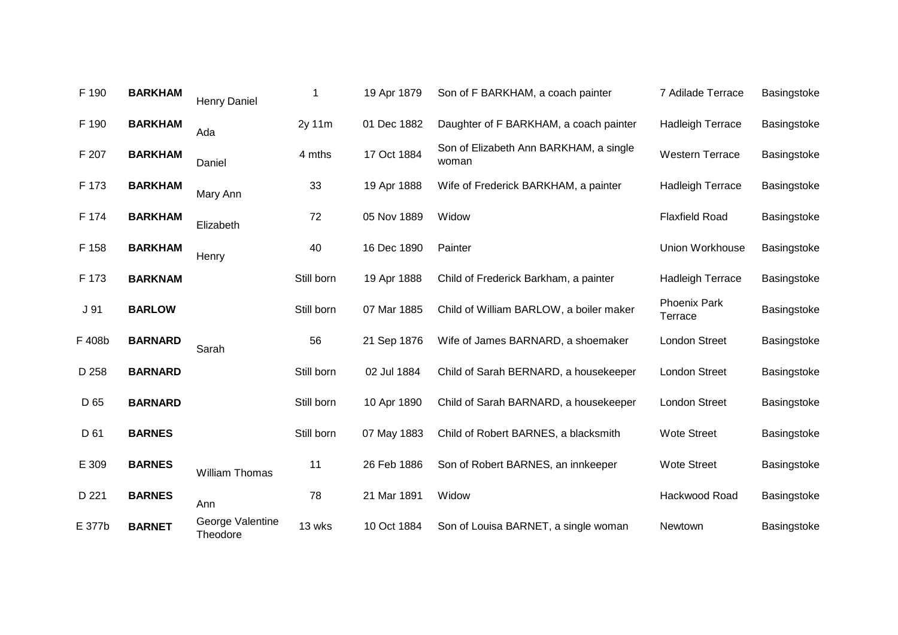| F 190  | <b>BARKHAM</b> | <b>Henry Daniel</b>          | 1          | 19 Apr 1879 | Son of F BARKHAM, a coach painter               | 7 Adilade Terrace              | Basingstoke |
|--------|----------------|------------------------------|------------|-------------|-------------------------------------------------|--------------------------------|-------------|
| F 190  | <b>BARKHAM</b> | Ada                          | 2y 11m     | 01 Dec 1882 | Daughter of F BARKHAM, a coach painter          | <b>Hadleigh Terrace</b>        | Basingstoke |
| F 207  | <b>BARKHAM</b> | Daniel                       | 4 mths     | 17 Oct 1884 | Son of Elizabeth Ann BARKHAM, a single<br>woman | <b>Western Terrace</b>         | Basingstoke |
| F 173  | <b>BARKHAM</b> | Mary Ann                     | 33         | 19 Apr 1888 | Wife of Frederick BARKHAM, a painter            | <b>Hadleigh Terrace</b>        | Basingstoke |
| F 174  | <b>BARKHAM</b> | Elizabeth                    | 72         | 05 Nov 1889 | Widow                                           | <b>Flaxfield Road</b>          | Basingstoke |
| F 158  | <b>BARKHAM</b> | Henry                        | 40         | 16 Dec 1890 | Painter                                         | Union Workhouse                | Basingstoke |
| F 173  | <b>BARKNAM</b> |                              | Still born | 19 Apr 1888 | Child of Frederick Barkham, a painter           | <b>Hadleigh Terrace</b>        | Basingstoke |
| J 91   | <b>BARLOW</b>  |                              | Still born | 07 Mar 1885 | Child of William BARLOW, a boiler maker         | <b>Phoenix Park</b><br>Terrace | Basingstoke |
| F 408b | <b>BARNARD</b> | Sarah                        | 56         | 21 Sep 1876 | Wife of James BARNARD, a shoemaker              | <b>London Street</b>           | Basingstoke |
| D 258  | <b>BARNARD</b> |                              | Still born | 02 Jul 1884 | Child of Sarah BERNARD, a housekeeper           | <b>London Street</b>           | Basingstoke |
| D 65   | <b>BARNARD</b> |                              | Still born | 10 Apr 1890 | Child of Sarah BARNARD, a housekeeper           | <b>London Street</b>           | Basingstoke |
| D 61   | <b>BARNES</b>  |                              | Still born | 07 May 1883 | Child of Robert BARNES, a blacksmith            | <b>Wote Street</b>             | Basingstoke |
| E 309  | <b>BARNES</b>  | <b>William Thomas</b>        | 11         | 26 Feb 1886 | Son of Robert BARNES, an innkeeper              | <b>Wote Street</b>             | Basingstoke |
| D 221  | <b>BARNES</b>  | Ann                          | 78         | 21 Mar 1891 | Widow                                           | Hackwood Road                  | Basingstoke |
| E 377b | <b>BARNET</b>  | George Valentine<br>Theodore | 13 wks     | 10 Oct 1884 | Son of Louisa BARNET, a single woman            | Newtown                        | Basingstoke |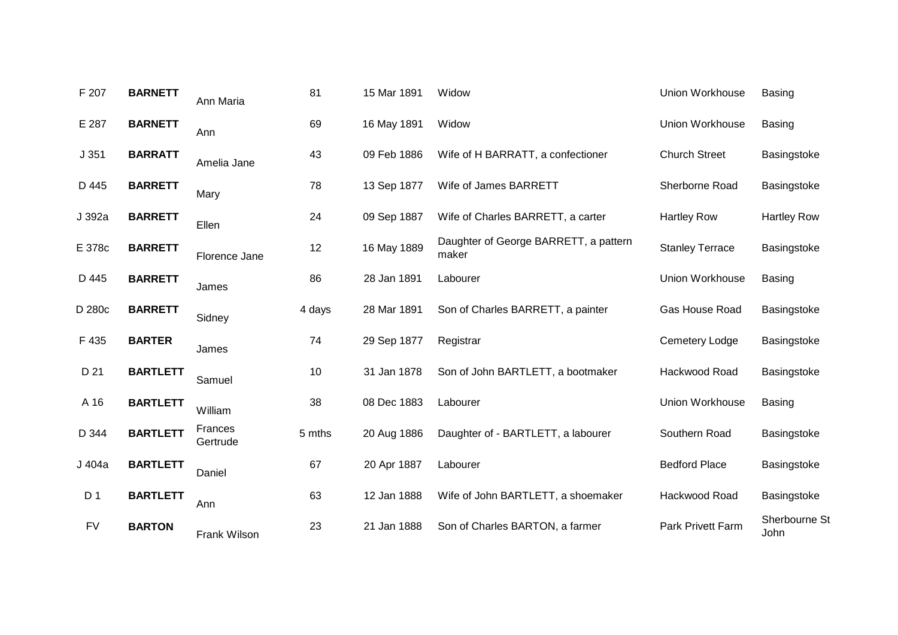| F 207          | <b>BARNETT</b>  | Ann Maria           | 81     | 15 Mar 1891 | Widow                                          | Union Workhouse        | <b>Basing</b>         |
|----------------|-----------------|---------------------|--------|-------------|------------------------------------------------|------------------------|-----------------------|
| E 287          | <b>BARNETT</b>  | Ann                 | 69     | 16 May 1891 | Widow                                          | Union Workhouse        | <b>Basing</b>         |
| J351           | <b>BARRATT</b>  | Amelia Jane         | 43     | 09 Feb 1886 | Wife of H BARRATT, a confectioner              | <b>Church Street</b>   | Basingstoke           |
| D 445          | <b>BARRETT</b>  | Mary                | 78     | 13 Sep 1877 | Wife of James BARRETT                          | Sherborne Road         | Basingstoke           |
| J 392a         | <b>BARRETT</b>  | Ellen               | 24     | 09 Sep 1887 | Wife of Charles BARRETT, a carter              | <b>Hartley Row</b>     | <b>Hartley Row</b>    |
| E 378c         | <b>BARRETT</b>  | Florence Jane       | 12     | 16 May 1889 | Daughter of George BARRETT, a pattern<br>maker | <b>Stanley Terrace</b> | Basingstoke           |
| D 445          | <b>BARRETT</b>  | James               | 86     | 28 Jan 1891 | Labourer                                       | Union Workhouse        | <b>Basing</b>         |
| D 280c         | <b>BARRETT</b>  | Sidney              | 4 days | 28 Mar 1891 | Son of Charles BARRETT, a painter              | Gas House Road         | Basingstoke           |
| F 435          | <b>BARTER</b>   | James               | 74     | 29 Sep 1877 | Registrar                                      | Cemetery Lodge         | Basingstoke           |
| D 21           | <b>BARTLETT</b> | Samuel              | 10     | 31 Jan 1878 | Son of John BARTLETT, a bootmaker              | Hackwood Road          | Basingstoke           |
| A 16           | <b>BARTLETT</b> | William             | 38     | 08 Dec 1883 | Labourer                                       | Union Workhouse        | <b>Basing</b>         |
| D 344          | <b>BARTLETT</b> | Frances<br>Gertrude | 5 mths | 20 Aug 1886 | Daughter of - BARTLETT, a labourer             | Southern Road          | Basingstoke           |
| J 404a         | <b>BARTLETT</b> | Daniel              | 67     | 20 Apr 1887 | Labourer                                       | <b>Bedford Place</b>   | Basingstoke           |
| D <sub>1</sub> | <b>BARTLETT</b> | Ann                 | 63     | 12 Jan 1888 | Wife of John BARTLETT, a shoemaker             | Hackwood Road          | Basingstoke           |
| <b>FV</b>      | <b>BARTON</b>   | Frank Wilson        | 23     | 21 Jan 1888 | Son of Charles BARTON, a farmer                | Park Privett Farm      | Sherbourne St<br>John |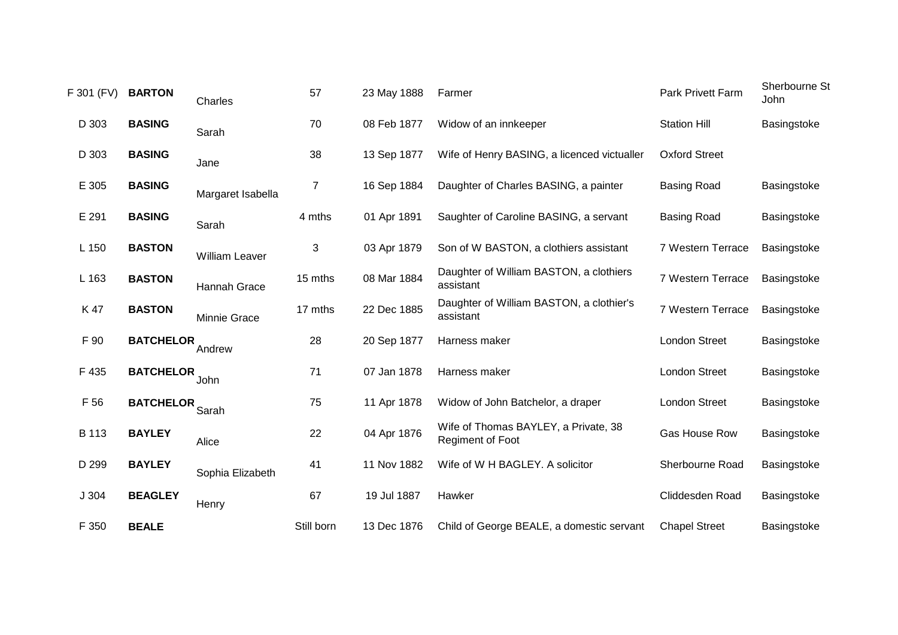| F 301 (FV) | <b>BARTON</b>    | Charles               | 57             | 23 May 1888 | Farmer                                                          | <b>Park Privett Farm</b> | Sherbourne St<br>John |
|------------|------------------|-----------------------|----------------|-------------|-----------------------------------------------------------------|--------------------------|-----------------------|
| D 303      | <b>BASING</b>    | Sarah                 | 70             | 08 Feb 1877 | Widow of an innkeeper                                           | <b>Station Hill</b>      | Basingstoke           |
| D 303      | <b>BASING</b>    | Jane                  | 38             | 13 Sep 1877 | Wife of Henry BASING, a licenced victualler                     | <b>Oxford Street</b>     |                       |
| E 305      | <b>BASING</b>    | Margaret Isabella     | $\overline{7}$ | 16 Sep 1884 | Daughter of Charles BASING, a painter                           | <b>Basing Road</b>       | Basingstoke           |
| E 291      | <b>BASING</b>    | Sarah                 | 4 mths         | 01 Apr 1891 | Saughter of Caroline BASING, a servant                          | <b>Basing Road</b>       | Basingstoke           |
| L 150      | <b>BASTON</b>    | <b>William Leaver</b> | 3              | 03 Apr 1879 | Son of W BASTON, a clothiers assistant                          | 7 Western Terrace        | Basingstoke           |
| L 163      | <b>BASTON</b>    | Hannah Grace          | 15 mths        | 08 Mar 1884 | Daughter of William BASTON, a clothiers<br>assistant            | 7 Western Terrace        | Basingstoke           |
| K 47       | <b>BASTON</b>    | Minnie Grace          | 17 mths        | 22 Dec 1885 | Daughter of William BASTON, a clothier's<br>assistant           | 7 Western Terrace        | Basingstoke           |
| F 90       | <b>BATCHELOR</b> | Andrew                | 28             | 20 Sep 1877 | Harness maker                                                   | <b>London Street</b>     | Basingstoke           |
| F 435      | <b>BATCHELOR</b> | John                  | 71             | 07 Jan 1878 | Harness maker                                                   | <b>London Street</b>     | Basingstoke           |
| F 56       | <b>BATCHELOR</b> | Sarah                 | 75             | 11 Apr 1878 | Widow of John Batchelor, a draper                               | <b>London Street</b>     | Basingstoke           |
| B 113      | <b>BAYLEY</b>    | Alice                 | 22             | 04 Apr 1876 | Wife of Thomas BAYLEY, a Private, 38<br><b>Regiment of Foot</b> | Gas House Row            | Basingstoke           |
| D 299      | <b>BAYLEY</b>    | Sophia Elizabeth      | 41             | 11 Nov 1882 | Wife of W H BAGLEY. A solicitor                                 | Sherbourne Road          | Basingstoke           |
| J304       | <b>BEAGLEY</b>   | Henry                 | 67             | 19 Jul 1887 | Hawker                                                          | Cliddesden Road          | Basingstoke           |
| F 350      | <b>BEALE</b>     |                       | Still born     | 13 Dec 1876 | Child of George BEALE, a domestic servant                       | <b>Chapel Street</b>     | Basingstoke           |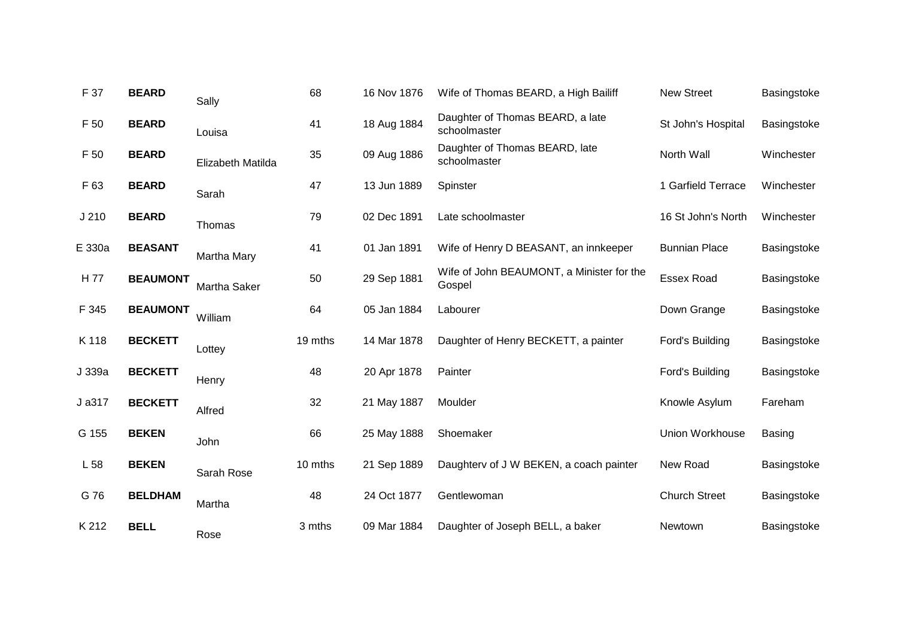| F 37             | <b>BEARD</b>    | Sally              | 68      | 16 Nov 1876 | Wife of Thomas BEARD, a High Bailiff                | <b>New Street</b>    | Basingstoke   |
|------------------|-----------------|--------------------|---------|-------------|-----------------------------------------------------|----------------------|---------------|
| F 50             | <b>BEARD</b>    | Louisa             | 41      | 18 Aug 1884 | Daughter of Thomas BEARD, a late<br>schoolmaster    | St John's Hospital   | Basingstoke   |
| F 50             | <b>BEARD</b>    | Elizabeth Matilda  | 35      | 09 Aug 1886 | Daughter of Thomas BEARD, late<br>schoolmaster      | North Wall           | Winchester    |
| F 63             | <b>BEARD</b>    | Sarah              | 47      | 13 Jun 1889 | Spinster                                            | 1 Garfield Terrace   | Winchester    |
| J <sub>210</sub> | <b>BEARD</b>    | Thomas             | 79      | 02 Dec 1891 | Late schoolmaster                                   | 16 St John's North   | Winchester    |
| E 330a           | <b>BEASANT</b>  | <b>Martha Mary</b> | 41      | 01 Jan 1891 | Wife of Henry D BEASANT, an innkeeper               | <b>Bunnian Place</b> | Basingstoke   |
| H 77             | <b>BEAUMONT</b> | Martha Saker       | 50      | 29 Sep 1881 | Wife of John BEAUMONT, a Minister for the<br>Gospel | <b>Essex Road</b>    | Basingstoke   |
| F 345            | <b>BEAUMONT</b> | William            | 64      | 05 Jan 1884 | Labourer                                            | Down Grange          | Basingstoke   |
| K 118            | <b>BECKETT</b>  | Lottey             | 19 mths | 14 Mar 1878 | Daughter of Henry BECKETT, a painter                | Ford's Building      | Basingstoke   |
| J 339a           | <b>BECKETT</b>  | Henry              | 48      | 20 Apr 1878 | Painter                                             | Ford's Building      | Basingstoke   |
| J a317           | <b>BECKETT</b>  | Alfred             | 32      | 21 May 1887 | Moulder                                             | Knowle Asylum        | Fareham       |
| G 155            | <b>BEKEN</b>    | John               | 66      | 25 May 1888 | Shoemaker                                           | Union Workhouse      | <b>Basing</b> |
| L 58             | <b>BEKEN</b>    | Sarah Rose         | 10 mths | 21 Sep 1889 | Daughterv of J W BEKEN, a coach painter             | New Road             | Basingstoke   |
| G 76             | <b>BELDHAM</b>  | Martha             | 48      | 24 Oct 1877 | Gentlewoman                                         | <b>Church Street</b> | Basingstoke   |
| K 212            | <b>BELL</b>     | Rose               | 3 mths  | 09 Mar 1884 | Daughter of Joseph BELL, a baker                    | Newtown              | Basingstoke   |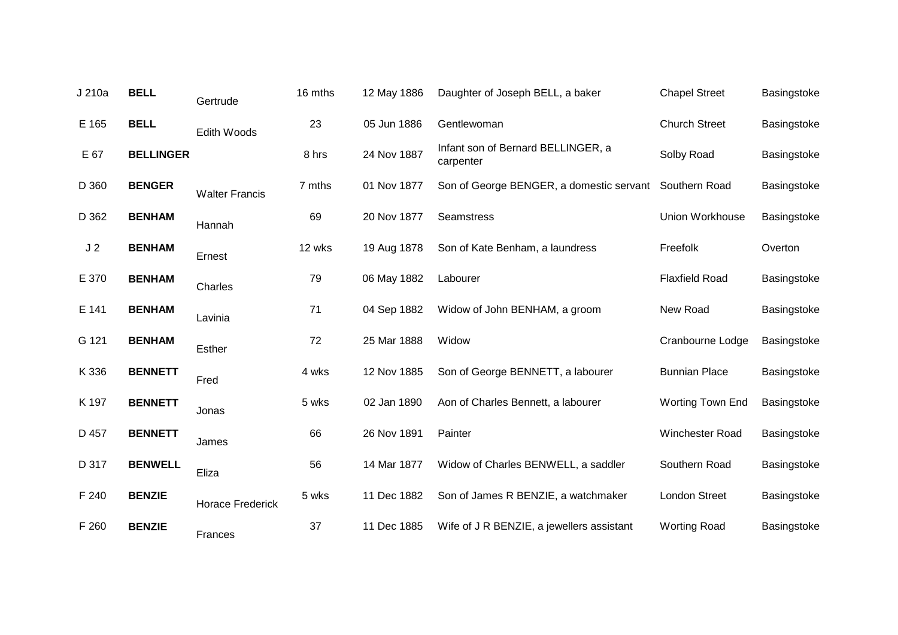| J 210a         | <b>BELL</b>      | Gertrude                | 16 mths | 12 May 1886 | Daughter of Joseph BELL, a baker                | <b>Chapel Street</b>    | Basingstoke |
|----------------|------------------|-------------------------|---------|-------------|-------------------------------------------------|-------------------------|-------------|
| E 165          | <b>BELL</b>      | Edith Woods             | 23      | 05 Jun 1886 | Gentlewoman                                     | <b>Church Street</b>    | Basingstoke |
| E 67           | <b>BELLINGER</b> |                         | 8 hrs   | 24 Nov 1887 | Infant son of Bernard BELLINGER, a<br>carpenter | Solby Road              | Basingstoke |
| D 360          | <b>BENGER</b>    | <b>Walter Francis</b>   | 7 mths  | 01 Nov 1877 | Son of George BENGER, a domestic servant        | Southern Road           | Basingstoke |
| D 362          | <b>BENHAM</b>    | Hannah                  | 69      | 20 Nov 1877 | <b>Seamstress</b>                               | <b>Union Workhouse</b>  | Basingstoke |
| J <sub>2</sub> | <b>BENHAM</b>    | Ernest                  | 12 wks  | 19 Aug 1878 | Son of Kate Benham, a laundress                 | Freefolk                | Overton     |
| E 370          | <b>BENHAM</b>    | Charles                 | 79      | 06 May 1882 | Labourer                                        | <b>Flaxfield Road</b>   | Basingstoke |
| E 141          | <b>BENHAM</b>    | Lavinia                 | 71      | 04 Sep 1882 | Widow of John BENHAM, a groom                   | New Road                | Basingstoke |
| G 121          | <b>BENHAM</b>    | Esther                  | 72      | 25 Mar 1888 | Widow                                           | Cranbourne Lodge        | Basingstoke |
| K 336          | <b>BENNETT</b>   | Fred                    | 4 wks   | 12 Nov 1885 | Son of George BENNETT, a labourer               | <b>Bunnian Place</b>    | Basingstoke |
| K 197          | <b>BENNETT</b>   | Jonas                   | 5 wks   | 02 Jan 1890 | Aon of Charles Bennett, a labourer              | <b>Worting Town End</b> | Basingstoke |
| D 457          | <b>BENNETT</b>   | James                   | 66      | 26 Nov 1891 | Painter                                         | Winchester Road         | Basingstoke |
| D 317          | <b>BENWELL</b>   | Eliza                   | 56      | 14 Mar 1877 | Widow of Charles BENWELL, a saddler             | Southern Road           | Basingstoke |
| F 240          | <b>BENZIE</b>    | <b>Horace Frederick</b> | 5 wks   | 11 Dec 1882 | Son of James R BENZIE, a watchmaker             | <b>London Street</b>    | Basingstoke |
| F 260          | <b>BENZIE</b>    | Frances                 | 37      | 11 Dec 1885 | Wife of J R BENZIE, a jewellers assistant       | <b>Worting Road</b>     | Basingstoke |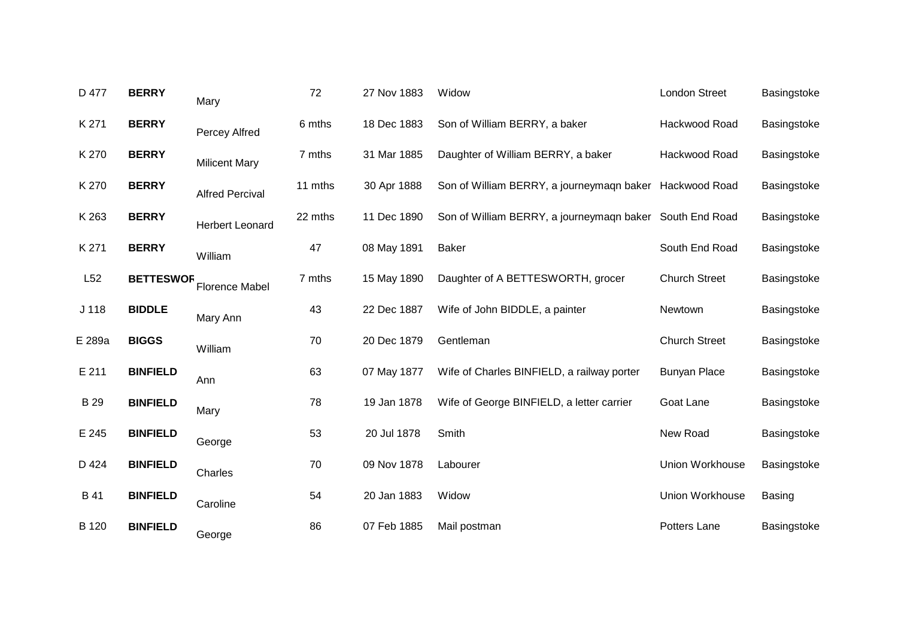| D 477  | <b>BERRY</b>     | Mary                   | 72      | 27 Nov 1883 | Widow                                                    | London Street        | Basingstoke   |
|--------|------------------|------------------------|---------|-------------|----------------------------------------------------------|----------------------|---------------|
| K 271  | <b>BERRY</b>     | Percey Alfred          | 6 mths  | 18 Dec 1883 | Son of William BERRY, a baker                            | Hackwood Road        | Basingstoke   |
| K 270  | <b>BERRY</b>     | <b>Milicent Mary</b>   | 7 mths  | 31 Mar 1885 | Daughter of William BERRY, a baker                       | Hackwood Road        | Basingstoke   |
| K 270  | <b>BERRY</b>     | <b>Alfred Percival</b> | 11 mths | 30 Apr 1888 | Son of William BERRY, a journeymagn baker Hackwood Road  |                      | Basingstoke   |
| K 263  | <b>BERRY</b>     | <b>Herbert Leonard</b> | 22 mths | 11 Dec 1890 | Son of William BERRY, a journeymaqn baker South End Road |                      | Basingstoke   |
| K 271  | <b>BERRY</b>     | William                | 47      | 08 May 1891 | <b>Baker</b>                                             | South End Road       | Basingstoke   |
| L52    | <b>BETTESWOR</b> | <b>Florence Mabel</b>  | 7 mths  | 15 May 1890 | Daughter of A BETTESWORTH, grocer                        | <b>Church Street</b> | Basingstoke   |
| J 118  | <b>BIDDLE</b>    | Mary Ann               | 43      | 22 Dec 1887 | Wife of John BIDDLE, a painter                           | Newtown              | Basingstoke   |
| E 289a | <b>BIGGS</b>     | William                | 70      | 20 Dec 1879 | Gentleman                                                | <b>Church Street</b> | Basingstoke   |
| E 211  | <b>BINFIELD</b>  | Ann                    | 63      | 07 May 1877 | Wife of Charles BINFIELD, a railway porter               | <b>Bunyan Place</b>  | Basingstoke   |
| B 29   | <b>BINFIELD</b>  | Mary                   | 78      | 19 Jan 1878 | Wife of George BINFIELD, a letter carrier                | Goat Lane            | Basingstoke   |
| E 245  | <b>BINFIELD</b>  | George                 | 53      | 20 Jul 1878 | Smith                                                    | New Road             | Basingstoke   |
| D 424  | <b>BINFIELD</b>  | Charles                | 70      | 09 Nov 1878 | Labourer                                                 | Union Workhouse      | Basingstoke   |
| B 41   | <b>BINFIELD</b>  | Caroline               | 54      | 20 Jan 1883 | Widow                                                    | Union Workhouse      | <b>Basing</b> |
| B 120  | <b>BINFIELD</b>  | George                 | 86      | 07 Feb 1885 | Mail postman                                             | Potters Lane         | Basingstoke   |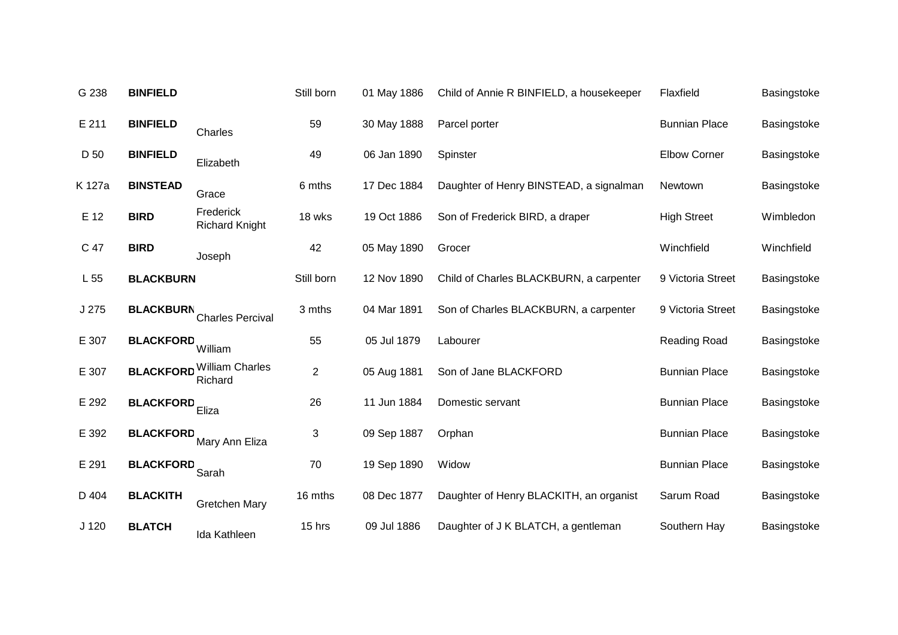| G 238            | <b>BINFIELD</b>  |                                             | Still born     | 01 May 1886 | Child of Annie R BINFIELD, a housekeeper | Flaxfield            | Basingstoke |
|------------------|------------------|---------------------------------------------|----------------|-------------|------------------------------------------|----------------------|-------------|
| E 211            | <b>BINFIELD</b>  | Charles                                     | 59             | 30 May 1888 | Parcel porter                            | <b>Bunnian Place</b> | Basingstoke |
| D 50             | <b>BINFIELD</b>  | Elizabeth                                   | 49             | 06 Jan 1890 | Spinster                                 | <b>Elbow Corner</b>  | Basingstoke |
| K 127a           | <b>BINSTEAD</b>  | Grace                                       | 6 mths         | 17 Dec 1884 | Daughter of Henry BINSTEAD, a signalman  | Newtown              | Basingstoke |
| E 12             | <b>BIRD</b>      | Frederick<br><b>Richard Knight</b>          | 18 wks         | 19 Oct 1886 | Son of Frederick BIRD, a draper          | <b>High Street</b>   | Wimbledon   |
| C 47             | <b>BIRD</b>      | Joseph                                      | 42             | 05 May 1890 | Grocer                                   | Winchfield           | Winchfield  |
| L 55             | <b>BLACKBURN</b> |                                             | Still born     | 12 Nov 1890 | Child of Charles BLACKBURN, a carpenter  | 9 Victoria Street    | Basingstoke |
| J 275            | <b>BLACKBURN</b> | <b>Charles Percival</b>                     | 3 mths         | 04 Mar 1891 | Son of Charles BLACKBURN, a carpenter    | 9 Victoria Street    | Basingstoke |
| E 307            | <b>BLACKFORD</b> | William                                     | 55             | 05 Jul 1879 | Labourer                                 | Reading Road         | Basingstoke |
| E 307            |                  | <b>BLACKFORD</b> William Charles<br>Richard | $\overline{2}$ | 05 Aug 1881 | Son of Jane BLACKFORD                    | <b>Bunnian Place</b> | Basingstoke |
| E 292            | <b>BLACKFORD</b> | Eliza                                       | 26             | 11 Jun 1884 | Domestic servant                         | <b>Bunnian Place</b> | Basingstoke |
| E 392            | <b>BLACKFORD</b> | Mary Ann Eliza                              | 3              | 09 Sep 1887 | Orphan                                   | <b>Bunnian Place</b> | Basingstoke |
| E 291            | <b>BLACKFORD</b> | Sarah                                       | 70             | 19 Sep 1890 | Widow                                    | <b>Bunnian Place</b> | Basingstoke |
| D 404            | <b>BLACKITH</b>  | <b>Gretchen Mary</b>                        | 16 mths        | 08 Dec 1877 | Daughter of Henry BLACKITH, an organist  | Sarum Road           | Basingstoke |
| J <sub>120</sub> | <b>BLATCH</b>    | Ida Kathleen                                | 15 hrs         | 09 Jul 1886 | Daughter of J K BLATCH, a gentleman      | Southern Hay         | Basingstoke |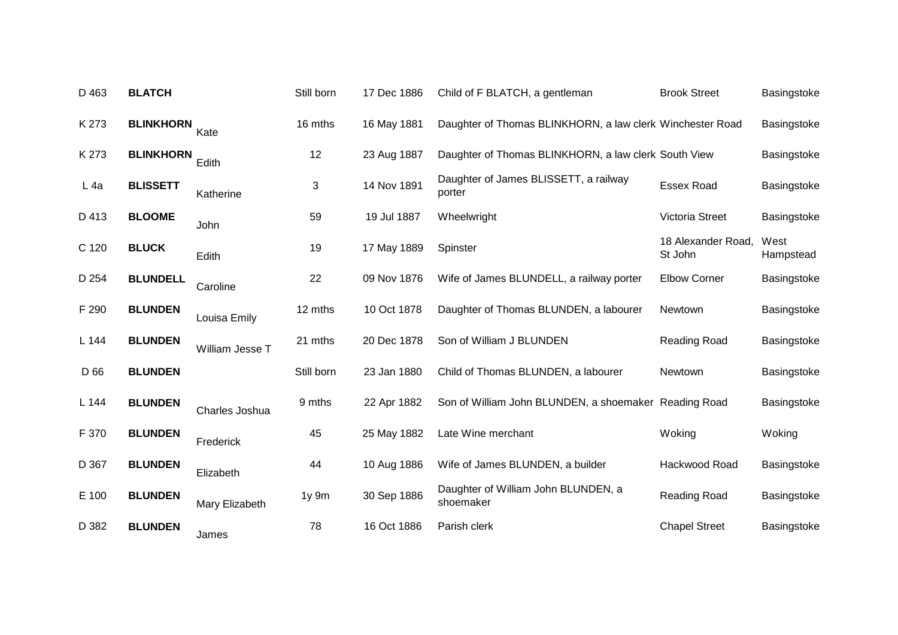| D 463  | <b>BLATCH</b>    |                 | Still born | 17 Dec 1886 | Child of F BLATCH, a gentleman                            | <b>Brook Street</b>           | Basingstoke       |
|--------|------------------|-----------------|------------|-------------|-----------------------------------------------------------|-------------------------------|-------------------|
| K 273  | <b>BLINKHORN</b> | Kate            | 16 mths    | 16 May 1881 | Daughter of Thomas BLINKHORN, a law clerk Winchester Road |                               | Basingstoke       |
| K 273  | <b>BLINKHORN</b> | Edith           | 12         | 23 Aug 1887 | Daughter of Thomas BLINKHORN, a law clerk South View      |                               | Basingstoke       |
| $L$ 4a | <b>BLISSETT</b>  | Katherine       | 3          | 14 Nov 1891 | Daughter of James BLISSETT, a railway<br>porter           | <b>Essex Road</b>             | Basingstoke       |
| D 413  | <b>BLOOME</b>    | John            | 59         | 19 Jul 1887 | Wheelwright                                               | Victoria Street               | Basingstoke       |
| C 120  | <b>BLUCK</b>     | Edith           | 19         | 17 May 1889 | Spinster                                                  | 18 Alexander Road,<br>St John | West<br>Hampstead |
| D 254  | <b>BLUNDELL</b>  | Caroline        | 22         | 09 Nov 1876 | Wife of James BLUNDELL, a railway porter                  | Elbow Corner                  | Basingstoke       |
| F 290  | <b>BLUNDEN</b>   | Louisa Emily    | 12 mths    | 10 Oct 1878 | Daughter of Thomas BLUNDEN, a labourer                    | Newtown                       | Basingstoke       |
| L 144  | <b>BLUNDEN</b>   | William Jesse T | 21 mths    | 20 Dec 1878 | Son of William J BLUNDEN                                  | Reading Road                  | Basingstoke       |
| D 66   | <b>BLUNDEN</b>   |                 | Still born | 23 Jan 1880 | Child of Thomas BLUNDEN, a labourer                       | Newtown                       | Basingstoke       |
| L 144  | <b>BLUNDEN</b>   | Charles Joshua  | 9 mths     | 22 Apr 1882 | Son of William John BLUNDEN, a shoemaker Reading Road     |                               | Basingstoke       |
| F 370  | <b>BLUNDEN</b>   | Frederick       | 45         | 25 May 1882 | Late Wine merchant                                        | Woking                        | Woking            |
| D 367  | <b>BLUNDEN</b>   | Elizabeth       | 44         | 10 Aug 1886 | Wife of James BLUNDEN, a builder                          | Hackwood Road                 | Basingstoke       |
| E 100  | <b>BLUNDEN</b>   | Mary Elizabeth  | 1y 9m      | 30 Sep 1886 | Daughter of William John BLUNDEN, a<br>shoemaker          | Reading Road                  | Basingstoke       |
| D 382  | <b>BLUNDEN</b>   | James           | 78         | 16 Oct 1886 | Parish clerk                                              | <b>Chapel Street</b>          | Basingstoke       |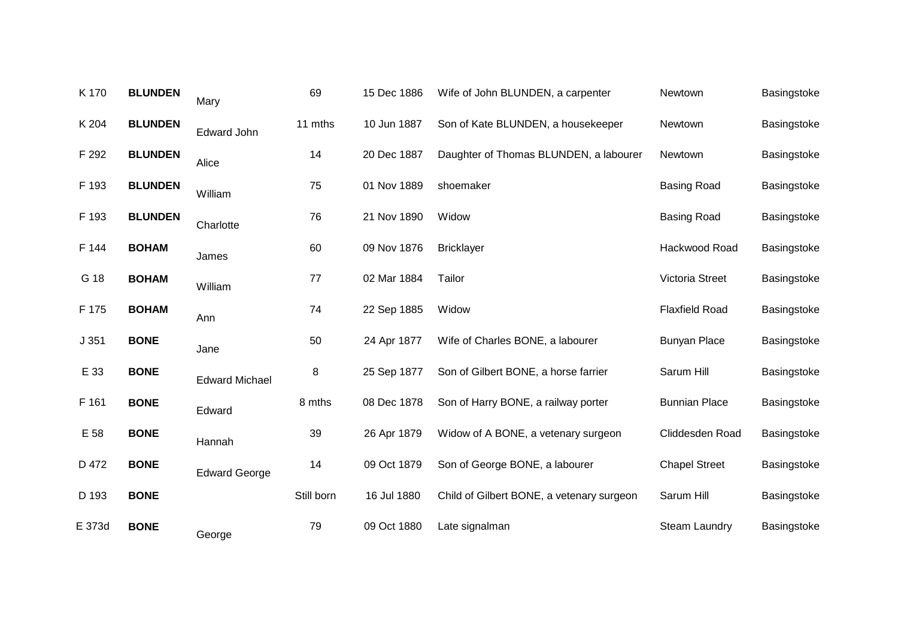| <b>BLUNDEN</b> | Mary                  | 69         | 15 Dec 1886 | Wife of John BLUNDEN, a carpenter         | Newtown               | Basingstoke |
|----------------|-----------------------|------------|-------------|-------------------------------------------|-----------------------|-------------|
| <b>BLUNDEN</b> | <b>Edward John</b>    | 11 mths    | 10 Jun 1887 | Son of Kate BLUNDEN, a housekeeper        | Newtown               | Basingstoke |
| <b>BLUNDEN</b> | Alice                 | 14         | 20 Dec 1887 | Daughter of Thomas BLUNDEN, a labourer    | Newtown               | Basingstoke |
| <b>BLUNDEN</b> | William               | 75         | 01 Nov 1889 | shoemaker                                 | <b>Basing Road</b>    | Basingstoke |
| <b>BLUNDEN</b> | Charlotte             | 76         | 21 Nov 1890 | Widow                                     | <b>Basing Road</b>    | Basingstoke |
| <b>BOHAM</b>   | James                 | 60         | 09 Nov 1876 | <b>Bricklayer</b>                         | Hackwood Road         | Basingstoke |
| <b>BOHAM</b>   | William               | 77         | 02 Mar 1884 | Tailor                                    | Victoria Street       | Basingstoke |
| <b>BOHAM</b>   | Ann                   | 74         | 22 Sep 1885 | Widow                                     | <b>Flaxfield Road</b> | Basingstoke |
| <b>BONE</b>    | Jane                  | 50         | 24 Apr 1877 | Wife of Charles BONE, a labourer          | <b>Bunyan Place</b>   | Basingstoke |
| <b>BONE</b>    | <b>Edward Michael</b> | 8          | 25 Sep 1877 | Son of Gilbert BONE, a horse farrier      | Sarum Hill            | Basingstoke |
| <b>BONE</b>    | Edward                | 8 mths     | 08 Dec 1878 | Son of Harry BONE, a railway porter       | <b>Bunnian Place</b>  | Basingstoke |
| <b>BONE</b>    | Hannah                | 39         | 26 Apr 1879 | Widow of A BONE, a vetenary surgeon       | Cliddesden Road       | Basingstoke |
| <b>BONE</b>    | <b>Edward George</b>  | 14         | 09 Oct 1879 | Son of George BONE, a labourer            | <b>Chapel Street</b>  | Basingstoke |
| <b>BONE</b>    |                       | Still born | 16 Jul 1880 | Child of Gilbert BONE, a vetenary surgeon | Sarum Hill            | Basingstoke |
| <b>BONE</b>    | George                | 79         | 09 Oct 1880 | Late signalman                            | <b>Steam Laundry</b>  | Basingstoke |
|                |                       |            |             |                                           |                       |             |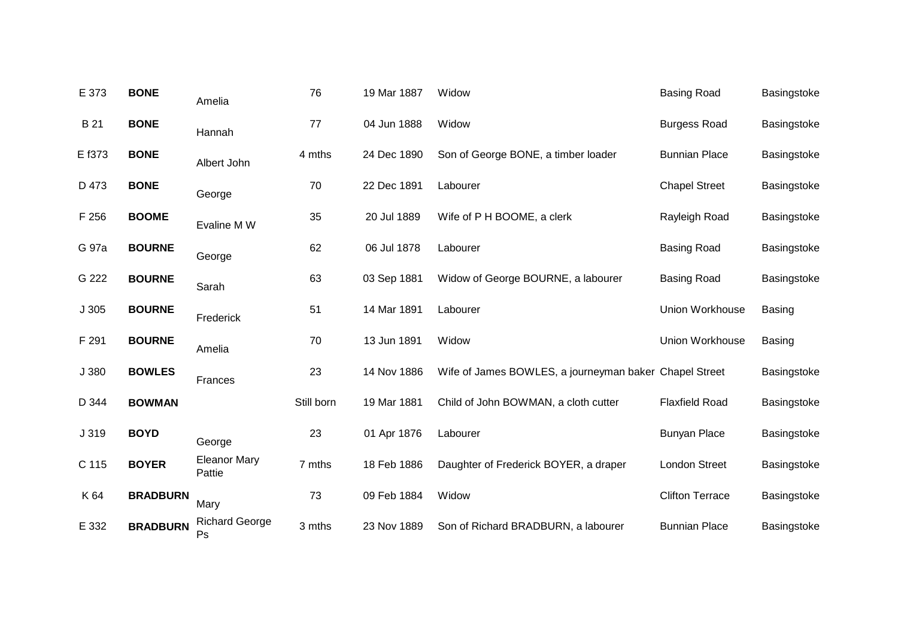| E 373  | <b>BONE</b>     | Amelia                        | 76         | 19 Mar 1887 | Widow                                                  | <b>Basing Road</b>     | Basingstoke   |
|--------|-----------------|-------------------------------|------------|-------------|--------------------------------------------------------|------------------------|---------------|
| B 21   | <b>BONE</b>     | Hannah                        | 77         | 04 Jun 1888 | Widow                                                  | <b>Burgess Road</b>    | Basingstoke   |
| E f373 | <b>BONE</b>     | Albert John                   | 4 mths     | 24 Dec 1890 | Son of George BONE, a timber loader                    | <b>Bunnian Place</b>   | Basingstoke   |
| D 473  | <b>BONE</b>     | George                        | 70         | 22 Dec 1891 | Labourer                                               | <b>Chapel Street</b>   | Basingstoke   |
| F 256  | <b>BOOME</b>    | Evaline M W                   | 35         | 20 Jul 1889 | Wife of P H BOOME, a clerk                             | Rayleigh Road          | Basingstoke   |
| G 97a  | <b>BOURNE</b>   | George                        | 62         | 06 Jul 1878 | Labourer                                               | <b>Basing Road</b>     | Basingstoke   |
| G 222  | <b>BOURNE</b>   | Sarah                         | 63         | 03 Sep 1881 | Widow of George BOURNE, a labourer                     | <b>Basing Road</b>     | Basingstoke   |
| J305   | <b>BOURNE</b>   | Frederick                     | 51         | 14 Mar 1891 | Labourer                                               | Union Workhouse        | <b>Basing</b> |
| F 291  | <b>BOURNE</b>   | Amelia                        | 70         | 13 Jun 1891 | Widow                                                  | Union Workhouse        | Basing        |
| J 380  | <b>BOWLES</b>   | Frances                       | 23         | 14 Nov 1886 | Wife of James BOWLES, a journeyman baker Chapel Street |                        | Basingstoke   |
| D 344  | <b>BOWMAN</b>   |                               | Still born | 19 Mar 1881 | Child of John BOWMAN, a cloth cutter                   | <b>Flaxfield Road</b>  | Basingstoke   |
| J 319  | <b>BOYD</b>     | George                        | 23         | 01 Apr 1876 | Labourer                                               | <b>Bunyan Place</b>    | Basingstoke   |
| C 115  | <b>BOYER</b>    | <b>Eleanor Mary</b><br>Pattie | 7 mths     | 18 Feb 1886 | Daughter of Frederick BOYER, a draper                  | <b>London Street</b>   | Basingstoke   |
| K 64   | <b>BRADBURN</b> | Mary                          | 73         | 09 Feb 1884 | Widow                                                  | <b>Clifton Terrace</b> | Basingstoke   |
| E 332  | <b>BRADBURN</b> | <b>Richard George</b><br>Ps   | 3 mths     | 23 Nov 1889 | Son of Richard BRADBURN, a labourer                    | <b>Bunnian Place</b>   | Basingstoke   |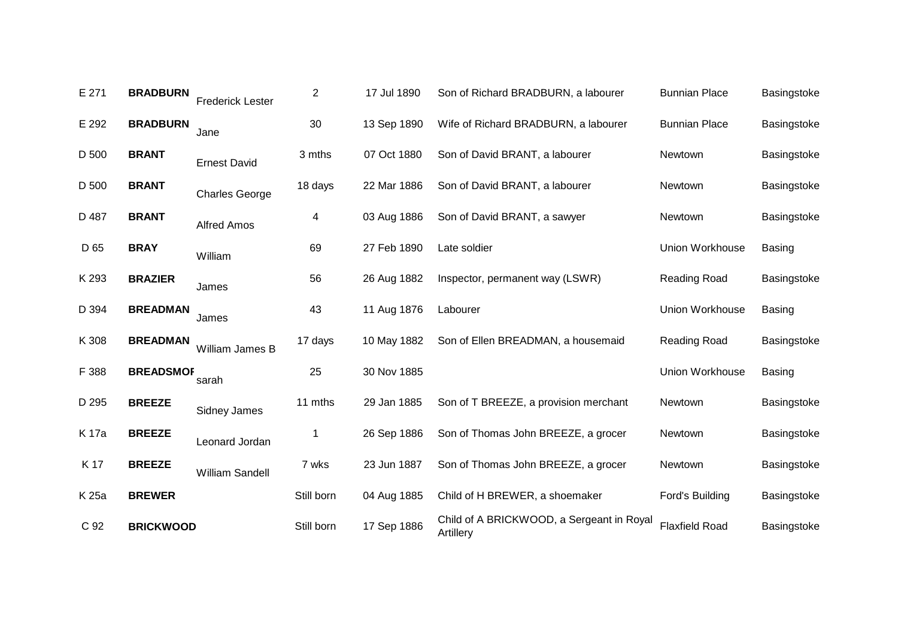| E 271 | <b>BRADBURN</b>  | <b>Frederick Lester</b> | $\overline{2}$ | 17 Jul 1890 | Son of Richard BRADBURN, a labourer                    | <b>Bunnian Place</b>  | Basingstoke   |
|-------|------------------|-------------------------|----------------|-------------|--------------------------------------------------------|-----------------------|---------------|
| E 292 | <b>BRADBURN</b>  | Jane                    | 30             | 13 Sep 1890 | Wife of Richard BRADBURN, a labourer                   | <b>Bunnian Place</b>  | Basingstoke   |
| D 500 | <b>BRANT</b>     | <b>Ernest David</b>     | 3 mths         | 07 Oct 1880 | Son of David BRANT, a labourer                         | Newtown               | Basingstoke   |
| D 500 | <b>BRANT</b>     | <b>Charles George</b>   | 18 days        | 22 Mar 1886 | Son of David BRANT, a labourer                         | Newtown               | Basingstoke   |
| D 487 | <b>BRANT</b>     | <b>Alfred Amos</b>      | 4              | 03 Aug 1886 | Son of David BRANT, a sawyer                           | Newtown               | Basingstoke   |
| D 65  | <b>BRAY</b>      | William                 | 69             | 27 Feb 1890 | Late soldier                                           | Union Workhouse       | <b>Basing</b> |
| K 293 | <b>BRAZIER</b>   | James                   | 56             | 26 Aug 1882 | Inspector, permanent way (LSWR)                        | Reading Road          | Basingstoke   |
| D 394 | <b>BREADMAN</b>  | James                   | 43             | 11 Aug 1876 | Labourer                                               | Union Workhouse       | <b>Basing</b> |
| K 308 | <b>BREADMAN</b>  | William James B         | 17 days        | 10 May 1882 | Son of Ellen BREADMAN, a housemaid                     | <b>Reading Road</b>   | Basingstoke   |
| F 388 | <b>BREADSMOF</b> | sarah                   | 25             | 30 Nov 1885 |                                                        | Union Workhouse       | <b>Basing</b> |
| D 295 | <b>BREEZE</b>    | <b>Sidney James</b>     | 11 mths        | 29 Jan 1885 | Son of T BREEZE, a provision merchant                  | Newtown               | Basingstoke   |
| K 17a | <b>BREEZE</b>    | Leonard Jordan          | 1              | 26 Sep 1886 | Son of Thomas John BREEZE, a grocer                    | Newtown               | Basingstoke   |
| K 17  | <b>BREEZE</b>    | William Sandell         | 7 wks          | 23 Jun 1887 | Son of Thomas John BREEZE, a grocer                    | Newtown               | Basingstoke   |
| K 25a | <b>BREWER</b>    |                         | Still born     | 04 Aug 1885 | Child of H BREWER, a shoemaker                         | Ford's Building       | Basingstoke   |
| C 92  | <b>BRICKWOOD</b> |                         | Still born     | 17 Sep 1886 | Child of A BRICKWOOD, a Sergeant in Royal<br>Artillery | <b>Flaxfield Road</b> | Basingstoke   |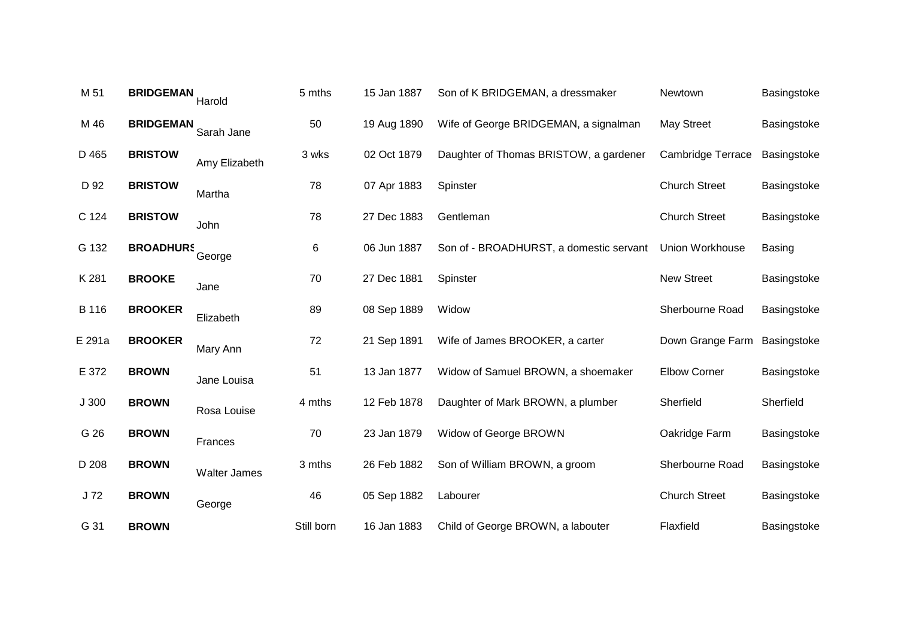| M 51   | <b>BRIDGEMAN</b> | Harold              | 5 mths     | 15 Jan 1887 | Son of K BRIDGEMAN, a dressmaker        | Newtown                  | Basingstoke   |
|--------|------------------|---------------------|------------|-------------|-----------------------------------------|--------------------------|---------------|
| M 46   | <b>BRIDGEMAN</b> | Sarah Jane          | 50         | 19 Aug 1890 | Wife of George BRIDGEMAN, a signalman   | <b>May Street</b>        | Basingstoke   |
| D 465  | <b>BRISTOW</b>   | Amy Elizabeth       | 3 wks      | 02 Oct 1879 | Daughter of Thomas BRISTOW, a gardener  | <b>Cambridge Terrace</b> | Basingstoke   |
| D 92   | <b>BRISTOW</b>   | Martha              | 78         | 07 Apr 1883 | Spinster                                | <b>Church Street</b>     | Basingstoke   |
| C 124  | <b>BRISTOW</b>   | John                | 78         | 27 Dec 1883 | Gentleman                               | <b>Church Street</b>     | Basingstoke   |
| G 132  | <b>BROADHURS</b> | George              | 6          | 06 Jun 1887 | Son of - BROADHURST, a domestic servant | <b>Union Workhouse</b>   | <b>Basing</b> |
| K 281  | <b>BROOKE</b>    | Jane                | 70         | 27 Dec 1881 | Spinster                                | <b>New Street</b>        | Basingstoke   |
| B 116  | <b>BROOKER</b>   | Elizabeth           | 89         | 08 Sep 1889 | Widow                                   | Sherbourne Road          | Basingstoke   |
| E 291a | <b>BROOKER</b>   | Mary Ann            | 72         | 21 Sep 1891 | Wife of James BROOKER, a carter         | Down Grange Farm         | Basingstoke   |
| E 372  | <b>BROWN</b>     | Jane Louisa         | 51         | 13 Jan 1877 | Widow of Samuel BROWN, a shoemaker      | <b>Elbow Corner</b>      | Basingstoke   |
| J300   | <b>BROWN</b>     | Rosa Louise         | 4 mths     | 12 Feb 1878 | Daughter of Mark BROWN, a plumber       | Sherfield                | Sherfield     |
| G 26   | <b>BROWN</b>     | Frances             | 70         | 23 Jan 1879 | Widow of George BROWN                   | Oakridge Farm            | Basingstoke   |
| D 208  | <b>BROWN</b>     | <b>Walter James</b> | 3 mths     | 26 Feb 1882 | Son of William BROWN, a groom           | Sherbourne Road          | Basingstoke   |
| J72    | <b>BROWN</b>     | George              | 46         | 05 Sep 1882 | Labourer                                | <b>Church Street</b>     | Basingstoke   |
| G 31   | <b>BROWN</b>     |                     | Still born | 16 Jan 1883 | Child of George BROWN, a labouter       | Flaxfield                | Basingstoke   |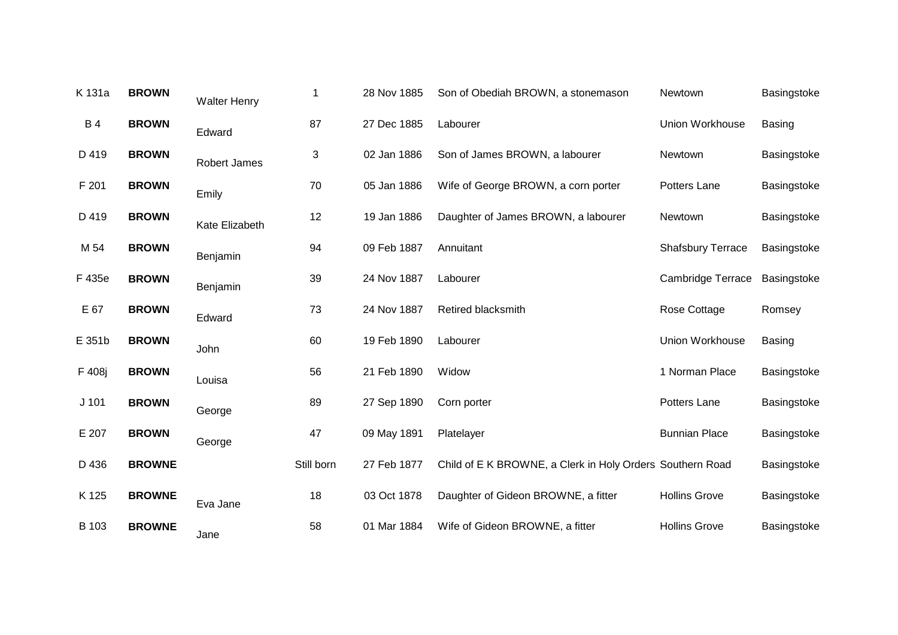| K 131a    | <b>BROWN</b>  | <b>Walter Henry</b> | 1          | 28 Nov 1885 | Son of Obediah BROWN, a stonemason                        | Newtown                  | Basingstoke   |
|-----------|---------------|---------------------|------------|-------------|-----------------------------------------------------------|--------------------------|---------------|
| <b>B4</b> | <b>BROWN</b>  | Edward              | 87         | 27 Dec 1885 | Labourer                                                  | Union Workhouse          | <b>Basing</b> |
| D 419     | <b>BROWN</b>  | Robert James        | 3          | 02 Jan 1886 | Son of James BROWN, a labourer                            | Newtown                  | Basingstoke   |
| F 201     | <b>BROWN</b>  | Emily               | 70         | 05 Jan 1886 | Wife of George BROWN, a corn porter                       | Potters Lane             | Basingstoke   |
| D 419     | <b>BROWN</b>  | Kate Elizabeth      | 12         | 19 Jan 1886 | Daughter of James BROWN, a labourer                       | Newtown                  | Basingstoke   |
| M 54      | <b>BROWN</b>  | Benjamin            | 94         | 09 Feb 1887 | Annuitant                                                 | <b>Shafsbury Terrace</b> | Basingstoke   |
| F 435e    | <b>BROWN</b>  | Benjamin            | 39         | 24 Nov 1887 | Labourer                                                  | <b>Cambridge Terrace</b> | Basingstoke   |
| E 67      | <b>BROWN</b>  | Edward              | 73         | 24 Nov 1887 | Retired blacksmith                                        | Rose Cottage             | Romsey        |
| E 351b    | <b>BROWN</b>  | John                | 60         | 19 Feb 1890 | Labourer                                                  | Union Workhouse          | Basing        |
| F 408j    | <b>BROWN</b>  | Louisa              | 56         | 21 Feb 1890 | Widow                                                     | 1 Norman Place           | Basingstoke   |
| $J$ 101   | <b>BROWN</b>  | George              | 89         | 27 Sep 1890 | Corn porter                                               | Potters Lane             | Basingstoke   |
| E 207     | <b>BROWN</b>  | George              | 47         | 09 May 1891 | Platelayer                                                | <b>Bunnian Place</b>     | Basingstoke   |
| D 436     | <b>BROWNE</b> |                     | Still born | 27 Feb 1877 | Child of E K BROWNE, a Clerk in Holy Orders Southern Road |                          | Basingstoke   |
| K 125     | <b>BROWNE</b> | Eva Jane            | 18         | 03 Oct 1878 | Daughter of Gideon BROWNE, a fitter                       | <b>Hollins Grove</b>     | Basingstoke   |
| B 103     | <b>BROWNE</b> | Jane                | 58         | 01 Mar 1884 | Wife of Gideon BROWNE, a fitter                           | <b>Hollins Grove</b>     | Basingstoke   |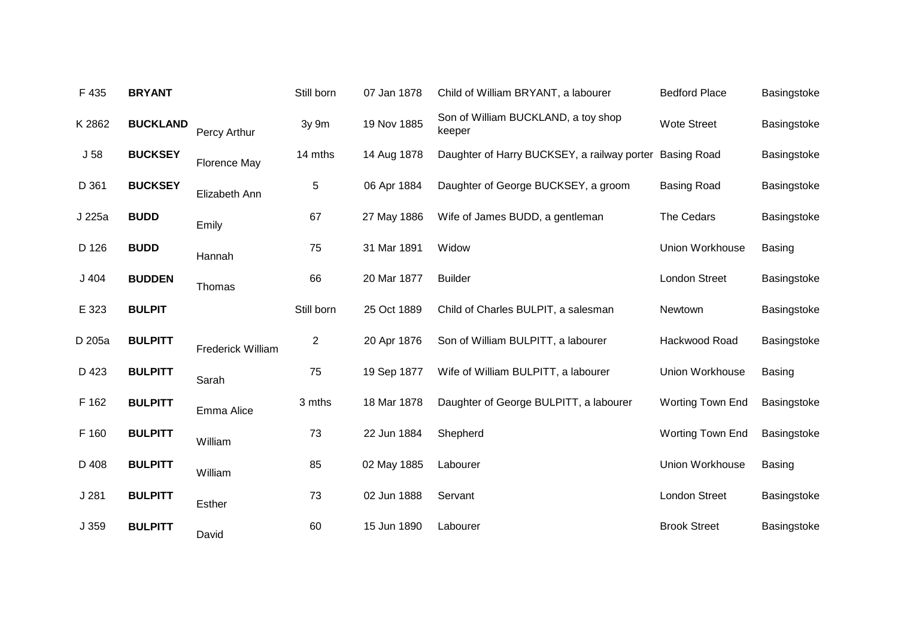| F 435           | <b>BRYANT</b>   |                          | Still born     | 07 Jan 1878 | Child of William BRYANT, a labourer           | <b>Bedford Place</b>    | Basingstoke   |
|-----------------|-----------------|--------------------------|----------------|-------------|-----------------------------------------------|-------------------------|---------------|
| K 2862          | <b>BUCKLAND</b> | Percy Arthur             | 3y 9m          | 19 Nov 1885 | Son of William BUCKLAND, a toy shop<br>keeper | <b>Wote Street</b>      | Basingstoke   |
| J <sub>58</sub> | <b>BUCKSEY</b>  | <b>Florence May</b>      | 14 mths        | 14 Aug 1878 | Daughter of Harry BUCKSEY, a railway porter   | <b>Basing Road</b>      | Basingstoke   |
| D 361           | <b>BUCKSEY</b>  | Elizabeth Ann            | 5              | 06 Apr 1884 | Daughter of George BUCKSEY, a groom           | <b>Basing Road</b>      | Basingstoke   |
| J 225a          | <b>BUDD</b>     | Emily                    | 67             | 27 May 1886 | Wife of James BUDD, a gentleman               | The Cedars              | Basingstoke   |
| D 126           | <b>BUDD</b>     | Hannah                   | 75             | 31 Mar 1891 | Widow                                         | Union Workhouse         | <b>Basing</b> |
| $J$ 404         | <b>BUDDEN</b>   | Thomas                   | 66             | 20 Mar 1877 | <b>Builder</b>                                | London Street           | Basingstoke   |
| E 323           | <b>BULPIT</b>   |                          | Still born     | 25 Oct 1889 | Child of Charles BULPIT, a salesman           | Newtown                 | Basingstoke   |
| D 205a          | <b>BULPITT</b>  | <b>Frederick William</b> | $\overline{c}$ | 20 Apr 1876 | Son of William BULPITT, a labourer            | Hackwood Road           | Basingstoke   |
| D 423           | <b>BULPITT</b>  | Sarah                    | 75             | 19 Sep 1877 | Wife of William BULPITT, a labourer           | Union Workhouse         | <b>Basing</b> |
| F 162           | <b>BULPITT</b>  | Emma Alice               | 3 mths         | 18 Mar 1878 | Daughter of George BULPITT, a labourer        | <b>Worting Town End</b> | Basingstoke   |
| F 160           | <b>BULPITT</b>  | William                  | 73             | 22 Jun 1884 | Shepherd                                      | <b>Worting Town End</b> | Basingstoke   |
| D 408           | <b>BULPITT</b>  | William                  | 85             | 02 May 1885 | Labourer                                      | Union Workhouse         | <b>Basing</b> |
| J281            | <b>BULPITT</b>  | Esther                   | 73             | 02 Jun 1888 | Servant                                       | <b>London Street</b>    | Basingstoke   |
| J 359           | <b>BULPITT</b>  | David                    | 60             | 15 Jun 1890 | Labourer                                      | <b>Brook Street</b>     | Basingstoke   |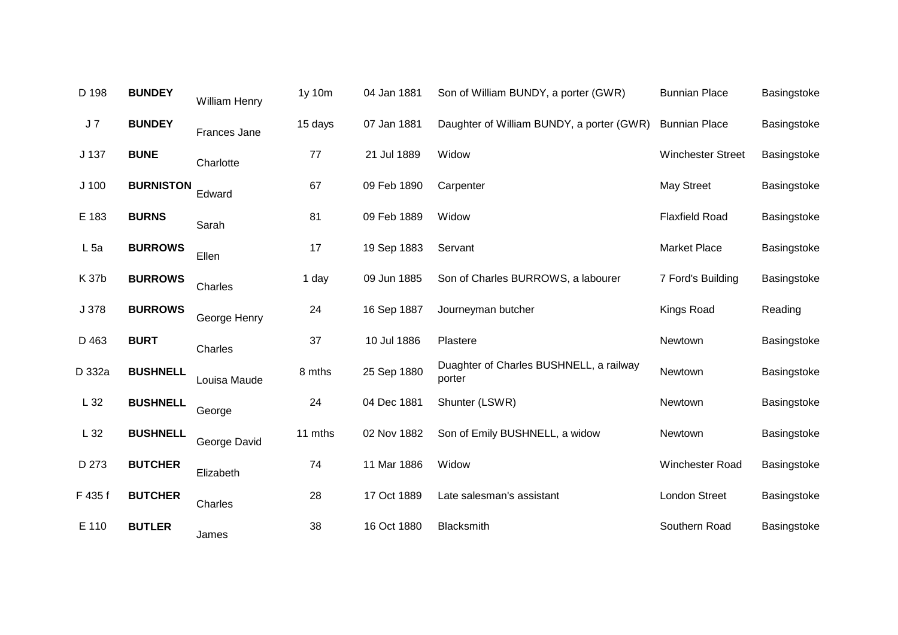| D 198            | <b>BUNDEY</b>    | William Henry | 1y 10m  | 04 Jan 1881 | Son of William BUNDY, a porter (GWR)              | <b>Bunnian Place</b>     | Basingstoke |
|------------------|------------------|---------------|---------|-------------|---------------------------------------------------|--------------------------|-------------|
| J <sub>7</sub>   | <b>BUNDEY</b>    | Frances Jane  | 15 days | 07 Jan 1881 | Daughter of William BUNDY, a porter (GWR)         | <b>Bunnian Place</b>     | Basingstoke |
| J 137            | <b>BUNE</b>      | Charlotte     | 77      | 21 Jul 1889 | Widow                                             | <b>Winchester Street</b> | Basingstoke |
| J <sub>100</sub> | <b>BURNISTON</b> | Edward        | 67      | 09 Feb 1890 | Carpenter                                         | <b>May Street</b>        | Basingstoke |
| E 183            | <b>BURNS</b>     | Sarah         | 81      | 09 Feb 1889 | Widow                                             | <b>Flaxfield Road</b>    | Basingstoke |
| L <sub>5a</sub>  | <b>BURROWS</b>   | Ellen         | 17      | 19 Sep 1883 | Servant                                           | <b>Market Place</b>      | Basingstoke |
| K 37b            | <b>BURROWS</b>   | Charles       | 1 day   | 09 Jun 1885 | Son of Charles BURROWS, a labourer                | 7 Ford's Building        | Basingstoke |
| J 378            | <b>BURROWS</b>   | George Henry  | 24      | 16 Sep 1887 | Journeyman butcher                                | Kings Road               | Reading     |
| D 463            | <b>BURT</b>      | Charles       | 37      | 10 Jul 1886 | Plastere                                          | Newtown                  | Basingstoke |
| D 332a           | <b>BUSHNELL</b>  | Louisa Maude  | 8 mths  | 25 Sep 1880 | Duaghter of Charles BUSHNELL, a railway<br>porter | Newtown                  | Basingstoke |
| L32              | <b>BUSHNELL</b>  | George        | 24      | 04 Dec 1881 | Shunter (LSWR)                                    | Newtown                  | Basingstoke |
| L 32             | <b>BUSHNELL</b>  | George David  | 11 mths | 02 Nov 1882 | Son of Emily BUSHNELL, a widow                    | Newtown                  | Basingstoke |
| D 273            | <b>BUTCHER</b>   | Elizabeth     | 74      | 11 Mar 1886 | Widow                                             | Winchester Road          | Basingstoke |
| F 435 f          | <b>BUTCHER</b>   | Charles       | 28      | 17 Oct 1889 | Late salesman's assistant                         | <b>London Street</b>     | Basingstoke |
| E 110            | <b>BUTLER</b>    | James         | 38      | 16 Oct 1880 | Blacksmith                                        | Southern Road            | Basingstoke |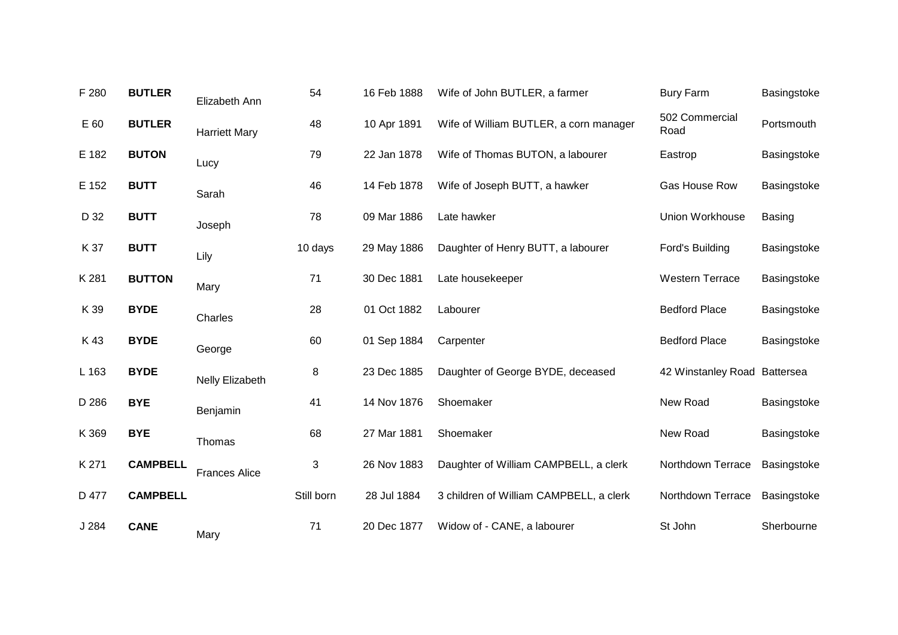| F 280 | <b>BUTLER</b>   | Elizabeth Ann        | 54         | 16 Feb 1888 | Wife of John BUTLER, a farmer           | <b>Bury Farm</b>             | Basingstoke   |
|-------|-----------------|----------------------|------------|-------------|-----------------------------------------|------------------------------|---------------|
| E 60  | <b>BUTLER</b>   | <b>Harriett Mary</b> | 48         | 10 Apr 1891 | Wife of William BUTLER, a corn manager  | 502 Commercial<br>Road       | Portsmouth    |
| E 182 | <b>BUTON</b>    | Lucy                 | 79         | 22 Jan 1878 | Wife of Thomas BUTON, a labourer        | Eastrop                      | Basingstoke   |
| E 152 | <b>BUTT</b>     | Sarah                | 46         | 14 Feb 1878 | Wife of Joseph BUTT, a hawker           | Gas House Row                | Basingstoke   |
| D 32  | <b>BUTT</b>     | Joseph               | 78         | 09 Mar 1886 | Late hawker                             | <b>Union Workhouse</b>       | <b>Basing</b> |
| K 37  | <b>BUTT</b>     | Lily                 | 10 days    | 29 May 1886 | Daughter of Henry BUTT, a labourer      | Ford's Building              | Basingstoke   |
| K 281 | <b>BUTTON</b>   | Mary                 | 71         | 30 Dec 1881 | Late housekeeper                        | <b>Western Terrace</b>       | Basingstoke   |
| K 39  | <b>BYDE</b>     | Charles              | 28         | 01 Oct 1882 | Labourer                                | <b>Bedford Place</b>         | Basingstoke   |
| K43   | <b>BYDE</b>     | George               | 60         | 01 Sep 1884 | Carpenter                               | <b>Bedford Place</b>         | Basingstoke   |
| L 163 | <b>BYDE</b>     | Nelly Elizabeth      | 8          | 23 Dec 1885 | Daughter of George BYDE, deceased       | 42 Winstanley Road Battersea |               |
| D 286 | <b>BYE</b>      | Benjamin             | 41         | 14 Nov 1876 | Shoemaker                               | New Road                     | Basingstoke   |
| K 369 | <b>BYE</b>      | Thomas               | 68         | 27 Mar 1881 | Shoemaker                               | New Road                     | Basingstoke   |
| K 271 | <b>CAMPBELL</b> | <b>Frances Alice</b> | 3          | 26 Nov 1883 | Daughter of William CAMPBELL, a clerk   | Northdown Terrace            | Basingstoke   |
| D 477 | <b>CAMPBELL</b> |                      | Still born | 28 Jul 1884 | 3 children of William CAMPBELL, a clerk | Northdown Terrace            | Basingstoke   |
| J 284 | <b>CANE</b>     | Mary                 | 71         | 20 Dec 1877 | Widow of - CANE, a labourer             | St John                      | Sherbourne    |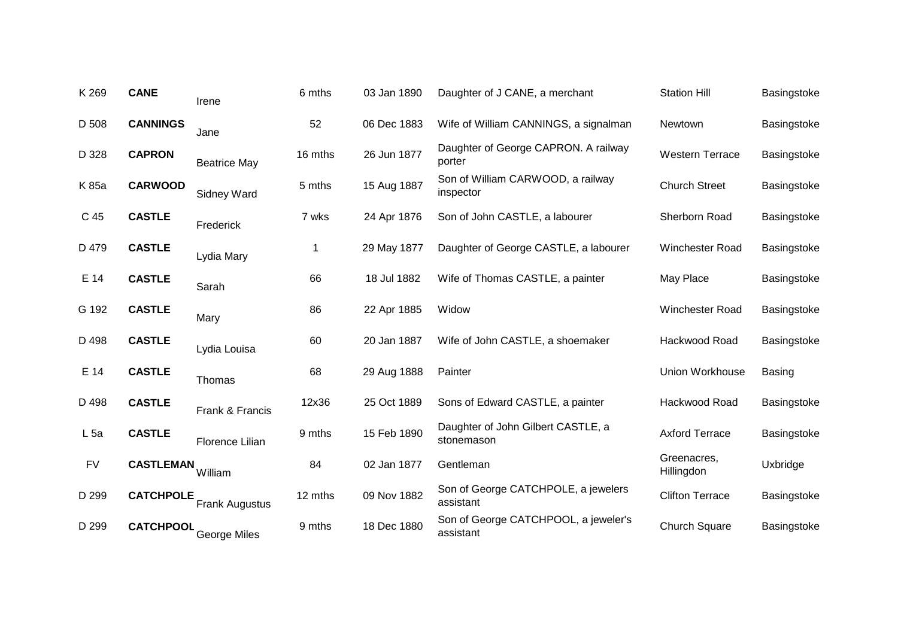| K 269           | <b>CANE</b>      | Irene                 | 6 mths  | 03 Jan 1890 | Daughter of J CANE, a merchant                    | <b>Station Hill</b>       | Basingstoke   |
|-----------------|------------------|-----------------------|---------|-------------|---------------------------------------------------|---------------------------|---------------|
| D 508           | <b>CANNINGS</b>  | Jane                  | 52      | 06 Dec 1883 | Wife of William CANNINGS, a signalman             | Newtown                   | Basingstoke   |
| D 328           | <b>CAPRON</b>    | <b>Beatrice May</b>   | 16 mths | 26 Jun 1877 | Daughter of George CAPRON. A railway<br>porter    | <b>Western Terrace</b>    | Basingstoke   |
| K 85a           | <b>CARWOOD</b>   | <b>Sidney Ward</b>    | 5 mths  | 15 Aug 1887 | Son of William CARWOOD, a railway<br>inspector    | <b>Church Street</b>      | Basingstoke   |
| C 45            | <b>CASTLE</b>    | Frederick             | 7 wks   | 24 Apr 1876 | Son of John CASTLE, a labourer                    | Sherborn Road             | Basingstoke   |
| D 479           | <b>CASTLE</b>    | Lydia Mary            | 1       | 29 May 1877 | Daughter of George CASTLE, a labourer             | Winchester Road           | Basingstoke   |
| E 14            | <b>CASTLE</b>    | Sarah                 | 66      | 18 Jul 1882 | Wife of Thomas CASTLE, a painter                  | May Place                 | Basingstoke   |
| G 192           | <b>CASTLE</b>    | Mary                  | 86      | 22 Apr 1885 | Widow                                             | Winchester Road           | Basingstoke   |
| D 498           | <b>CASTLE</b>    | Lydia Louisa          | 60      | 20 Jan 1887 | Wife of John CASTLE, a shoemaker                  | Hackwood Road             | Basingstoke   |
| E 14            | <b>CASTLE</b>    | Thomas                | 68      | 29 Aug 1888 | Painter                                           | <b>Union Workhouse</b>    | <b>Basing</b> |
| D 498           | <b>CASTLE</b>    | Frank & Francis       | 12x36   | 25 Oct 1889 | Sons of Edward CASTLE, a painter                  | Hackwood Road             | Basingstoke   |
| L <sub>5a</sub> | <b>CASTLE</b>    | Florence Lilian       | 9 mths  | 15 Feb 1890 | Daughter of John Gilbert CASTLE, a<br>stonemason  | <b>Axford Terrace</b>     | Basingstoke   |
| <b>FV</b>       | <b>CASTLEMAN</b> | William               | 84      | 02 Jan 1877 | Gentleman                                         | Greenacres,<br>Hillingdon | Uxbridge      |
| D 299           | <b>CATCHPOLE</b> | <b>Frank Augustus</b> | 12 mths | 09 Nov 1882 | Son of George CATCHPOLE, a jewelers<br>assistant  | <b>Clifton Terrace</b>    | Basingstoke   |
| D 299           | <b>CATCHPOOL</b> | <b>George Miles</b>   | 9 mths  | 18 Dec 1880 | Son of George CATCHPOOL, a jeweler's<br>assistant | <b>Church Square</b>      | Basingstoke   |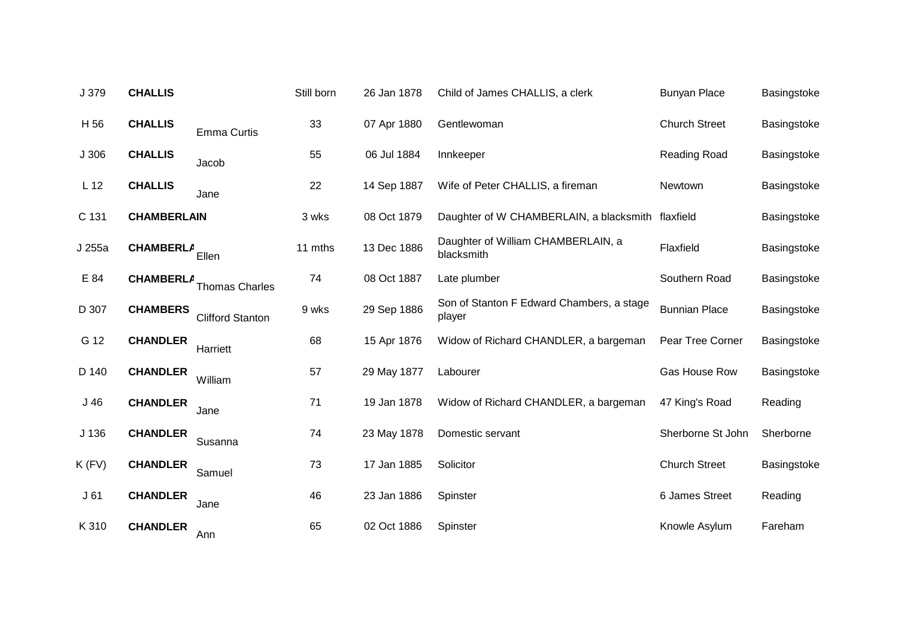| J 379            | <b>CHALLIS</b>     |                         | Still born | 26 Jan 1878 | Child of James CHALLIS, a clerk                     | <b>Bunyan Place</b>  | Basingstoke |
|------------------|--------------------|-------------------------|------------|-------------|-----------------------------------------------------|----------------------|-------------|
| H 56             | <b>CHALLIS</b>     | <b>Emma Curtis</b>      | 33         | 07 Apr 1880 | Gentlewoman                                         | <b>Church Street</b> | Basingstoke |
| J306             | <b>CHALLIS</b>     | Jacob                   | 55         | 06 Jul 1884 | Innkeeper                                           | Reading Road         | Basingstoke |
| L <sub>12</sub>  | <b>CHALLIS</b>     | Jane                    | 22         | 14 Sep 1887 | Wife of Peter CHALLIS, a fireman                    | Newtown              | Basingstoke |
| C 131            | <b>CHAMBERLAIN</b> |                         | 3 wks      | 08 Oct 1879 | Daughter of W CHAMBERLAIN, a blacksmith             | flaxfield            | Basingstoke |
| J 255a           | <b>CHAMBERLA</b>   | Ellen                   | 11 mths    | 13 Dec 1886 | Daughter of William CHAMBERLAIN, a<br>blacksmith    | Flaxfield            | Basingstoke |
| E 84             | <b>CHAMBERLA</b>   | <b>Thomas Charles</b>   | 74         | 08 Oct 1887 | Late plumber                                        | Southern Road        | Basingstoke |
| D 307            | <b>CHAMBERS</b>    | <b>Clifford Stanton</b> | 9 wks      | 29 Sep 1886 | Son of Stanton F Edward Chambers, a stage<br>player | <b>Bunnian Place</b> | Basingstoke |
| G 12             | <b>CHANDLER</b>    | Harriett                | 68         | 15 Apr 1876 | Widow of Richard CHANDLER, a bargeman               | Pear Tree Corner     | Basingstoke |
| D 140            | <b>CHANDLER</b>    | William                 | 57         | 29 May 1877 | Labourer                                            | Gas House Row        | Basingstoke |
| J46              | <b>CHANDLER</b>    | Jane                    | 71         | 19 Jan 1878 | Widow of Richard CHANDLER, a bargeman               | 47 King's Road       | Reading     |
| J <sub>136</sub> | <b>CHANDLER</b>    | Susanna                 | 74         | 23 May 1878 | Domestic servant                                    | Sherborne St John    | Sherborne   |
| $K$ (FV)         | <b>CHANDLER</b>    | Samuel                  | 73         | 17 Jan 1885 | Solicitor                                           | <b>Church Street</b> | Basingstoke |
| J61              | <b>CHANDLER</b>    | Jane                    | 46         | 23 Jan 1886 | Spinster                                            | 6 James Street       | Reading     |
| K 310            | <b>CHANDLER</b>    | Ann                     | 65         | 02 Oct 1886 | Spinster                                            | Knowle Asylum        | Fareham     |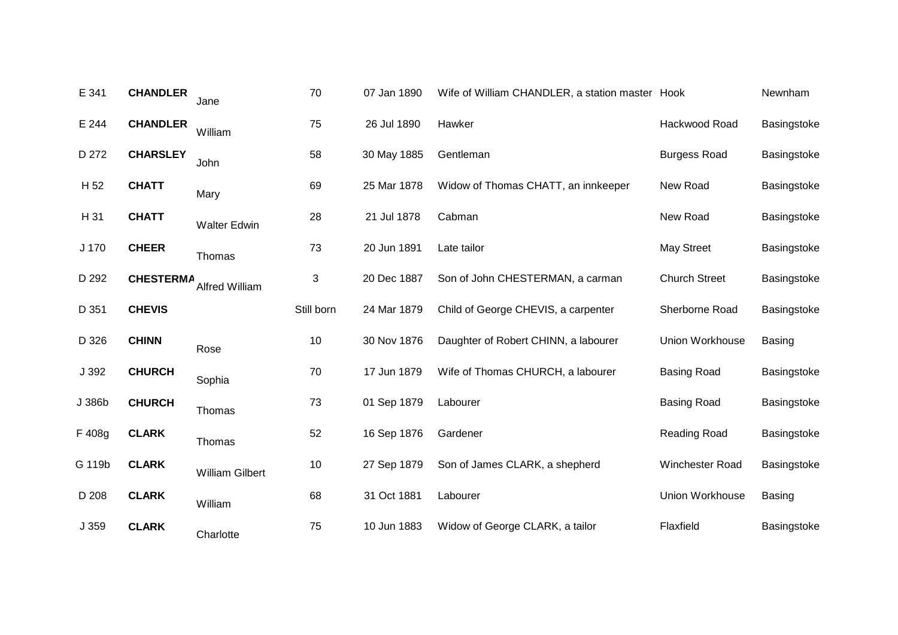| E 341  | <b>CHANDLER</b>  | Jane                   | 70         | 07 Jan 1890 | Wife of William CHANDLER, a station master Hook |                        | Newnham       |
|--------|------------------|------------------------|------------|-------------|-------------------------------------------------|------------------------|---------------|
| E 244  | <b>CHANDLER</b>  | William                | 75         | 26 Jul 1890 | Hawker                                          | Hackwood Road          | Basingstoke   |
| D 272  | <b>CHARSLEY</b>  | John                   | 58         | 30 May 1885 | Gentleman                                       | <b>Burgess Road</b>    | Basingstoke   |
| H 52   | <b>CHATT</b>     | Mary                   | 69         | 25 Mar 1878 | Widow of Thomas CHATT, an innkeeper             | New Road               | Basingstoke   |
| H 31   | <b>CHATT</b>     | <b>Walter Edwin</b>    | 28         | 21 Jul 1878 | Cabman                                          | New Road               | Basingstoke   |
| J 170  | <b>CHEER</b>     | Thomas                 | 73         | 20 Jun 1891 | Late tailor                                     | <b>May Street</b>      | Basingstoke   |
| D 292  | <b>CHESTERMA</b> | Alfred William         | 3          | 20 Dec 1887 | Son of John CHESTERMAN, a carman                | <b>Church Street</b>   | Basingstoke   |
| D 351  | <b>CHEVIS</b>    |                        | Still born | 24 Mar 1879 | Child of George CHEVIS, a carpenter             | Sherborne Road         | Basingstoke   |
| D 326  | <b>CHINN</b>     | Rose                   | 10         | 30 Nov 1876 | Daughter of Robert CHINN, a labourer            | <b>Union Workhouse</b> | <b>Basing</b> |
| J 392  | <b>CHURCH</b>    | Sophia                 | 70         | 17 Jun 1879 | Wife of Thomas CHURCH, a labourer               | <b>Basing Road</b>     | Basingstoke   |
| J 386b | <b>CHURCH</b>    | Thomas                 | 73         | 01 Sep 1879 | Labourer                                        | <b>Basing Road</b>     | Basingstoke   |
| F 408g | <b>CLARK</b>     | Thomas                 | 52         | 16 Sep 1876 | Gardener                                        | <b>Reading Road</b>    | Basingstoke   |
| G 119b | <b>CLARK</b>     | <b>William Gilbert</b> | 10         | 27 Sep 1879 | Son of James CLARK, a shepherd                  | Winchester Road        | Basingstoke   |
| D 208  | <b>CLARK</b>     | William                | 68         | 31 Oct 1881 | Labourer                                        | <b>Union Workhouse</b> | Basing        |
| J 359  | <b>CLARK</b>     | Charlotte              | 75         | 10 Jun 1883 | Widow of George CLARK, a tailor                 | Flaxfield              | Basingstoke   |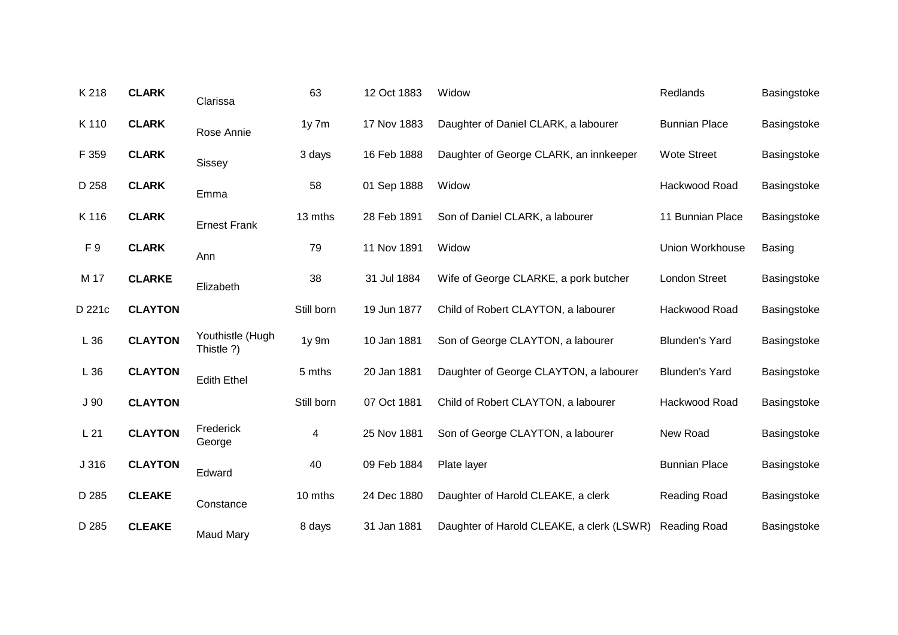| K 218           | <b>CLARK</b>   | Clarissa                       | 63         | 12 Oct 1883 | Widow                                     | Redlands              | Basingstoke   |
|-----------------|----------------|--------------------------------|------------|-------------|-------------------------------------------|-----------------------|---------------|
| K 110           | <b>CLARK</b>   | Rose Annie                     | $1y$ 7 $m$ | 17 Nov 1883 | Daughter of Daniel CLARK, a labourer      | <b>Bunnian Place</b>  | Basingstoke   |
| F 359           | <b>CLARK</b>   | Sissey                         | 3 days     | 16 Feb 1888 | Daughter of George CLARK, an innkeeper    | <b>Wote Street</b>    | Basingstoke   |
| D 258           | <b>CLARK</b>   | Emma                           | 58         | 01 Sep 1888 | Widow                                     | Hackwood Road         | Basingstoke   |
| K 116           | <b>CLARK</b>   | <b>Ernest Frank</b>            | 13 mths    | 28 Feb 1891 | Son of Daniel CLARK, a labourer           | 11 Bunnian Place      | Basingstoke   |
| F <sub>9</sub>  | <b>CLARK</b>   | Ann                            | 79         | 11 Nov 1891 | Widow                                     | Union Workhouse       | <b>Basing</b> |
| M 17            | <b>CLARKE</b>  | Elizabeth                      | 38         | 31 Jul 1884 | Wife of George CLARKE, a pork butcher     | <b>London Street</b>  | Basingstoke   |
| D 221c          | <b>CLAYTON</b> |                                | Still born | 19 Jun 1877 | Child of Robert CLAYTON, a labourer       | Hackwood Road         | Basingstoke   |
| L36             | <b>CLAYTON</b> | Youthistle (Hugh<br>Thistle ?) | $1y$ 9 $m$ | 10 Jan 1881 | Son of George CLAYTON, a labourer         | <b>Blunden's Yard</b> | Basingstoke   |
| L 36            | <b>CLAYTON</b> | <b>Edith Ethel</b>             | 5 mths     | 20 Jan 1881 | Daughter of George CLAYTON, a labourer    | <b>Blunden's Yard</b> | Basingstoke   |
| J <sub>90</sub> | <b>CLAYTON</b> |                                | Still born | 07 Oct 1881 | Child of Robert CLAYTON, a labourer       | Hackwood Road         | Basingstoke   |
| L21             | <b>CLAYTON</b> | Frederick<br>George            | 4          | 25 Nov 1881 | Son of George CLAYTON, a labourer         | New Road              | Basingstoke   |
| J 316           | <b>CLAYTON</b> | Edward                         | 40         | 09 Feb 1884 | Plate layer                               | <b>Bunnian Place</b>  | Basingstoke   |
| D 285           | <b>CLEAKE</b>  | Constance                      | 10 mths    | 24 Dec 1880 | Daughter of Harold CLEAKE, a clerk        | Reading Road          | Basingstoke   |
| D 285           | <b>CLEAKE</b>  |                                | 8 days     | 31 Jan 1881 | Daughter of Harold CLEAKE, a clerk (LSWR) | Reading Road          | Basingstoke   |
|                 |                | <b>Maud Mary</b>               |            |             |                                           |                       |               |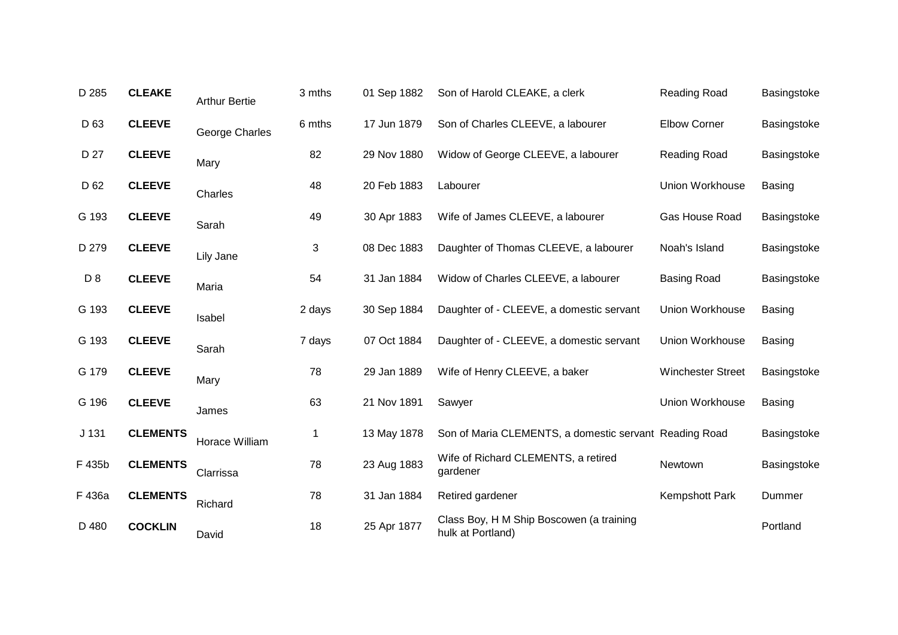| D 285            | <b>CLEAKE</b>   | <b>Arthur Bertie</b> | 3 mths | 01 Sep 1882 | Son of Harold CLEAKE, a clerk                                 | Reading Road             | Basingstoke   |
|------------------|-----------------|----------------------|--------|-------------|---------------------------------------------------------------|--------------------------|---------------|
| D <sub>63</sub>  | <b>CLEEVE</b>   | George Charles       | 6 mths | 17 Jun 1879 | Son of Charles CLEEVE, a labourer                             | <b>Elbow Corner</b>      | Basingstoke   |
| D 27             | <b>CLEEVE</b>   | Mary                 | 82     | 29 Nov 1880 | Widow of George CLEEVE, a labourer                            | Reading Road             | Basingstoke   |
| D 62             | <b>CLEEVE</b>   | Charles              | 48     | 20 Feb 1883 | Labourer                                                      | Union Workhouse          | <b>Basing</b> |
| G 193            | <b>CLEEVE</b>   | Sarah                | 49     | 30 Apr 1883 | Wife of James CLEEVE, a labourer                              | Gas House Road           | Basingstoke   |
| D 279            | <b>CLEEVE</b>   | Lily Jane            | 3      | 08 Dec 1883 | Daughter of Thomas CLEEVE, a labourer                         | Noah's Island            | Basingstoke   |
| D <sub>8</sub>   | <b>CLEEVE</b>   | Maria                | 54     | 31 Jan 1884 | Widow of Charles CLEEVE, a labourer                           | <b>Basing Road</b>       | Basingstoke   |
| G 193            | <b>CLEEVE</b>   | Isabel               | 2 days | 30 Sep 1884 | Daughter of - CLEEVE, a domestic servant                      | Union Workhouse          | <b>Basing</b> |
| G 193            | <b>CLEEVE</b>   | Sarah                | 7 days | 07 Oct 1884 | Daughter of - CLEEVE, a domestic servant                      | Union Workhouse          | <b>Basing</b> |
| G 179            | <b>CLEEVE</b>   | Mary                 | 78     | 29 Jan 1889 | Wife of Henry CLEEVE, a baker                                 | <b>Winchester Street</b> | Basingstoke   |
| G 196            | <b>CLEEVE</b>   | James                | 63     | 21 Nov 1891 | Sawyer                                                        | Union Workhouse          | Basing        |
| J <sub>131</sub> | <b>CLEMENTS</b> | Horace William       | 1      | 13 May 1878 | Son of Maria CLEMENTS, a domestic servant Reading Road        |                          | Basingstoke   |
| F 435b           | <b>CLEMENTS</b> | Clarrissa            | 78     | 23 Aug 1883 | Wife of Richard CLEMENTS, a retired<br>gardener               | Newtown                  | Basingstoke   |
| F 436a           | <b>CLEMENTS</b> | Richard              | 78     | 31 Jan 1884 | Retired gardener                                              | Kempshott Park           | Dummer        |
| D 480            | <b>COCKLIN</b>  | David                | 18     | 25 Apr 1877 | Class Boy, H M Ship Boscowen (a training<br>hulk at Portland) |                          | Portland      |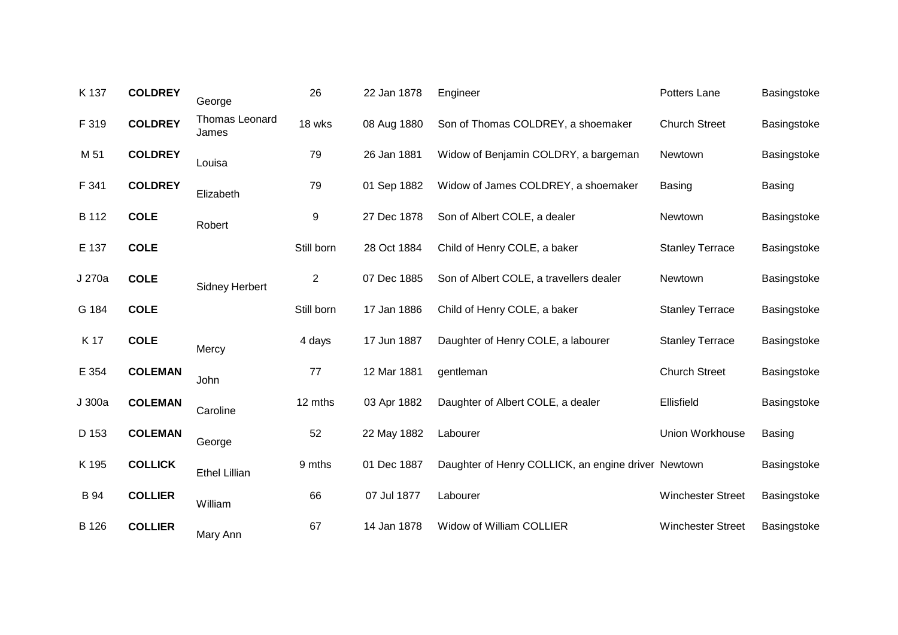| K 137       | <b>COLDREY</b> | George                  | 26         | 22 Jan 1878 | Engineer                                            | Potters Lane             | Basingstoke   |
|-------------|----------------|-------------------------|------------|-------------|-----------------------------------------------------|--------------------------|---------------|
| F 319       | <b>COLDREY</b> | Thomas Leonard<br>James | 18 wks     | 08 Aug 1880 | Son of Thomas COLDREY, a shoemaker                  | <b>Church Street</b>     | Basingstoke   |
| M 51        | <b>COLDREY</b> | Louisa                  | 79         | 26 Jan 1881 | Widow of Benjamin COLDRY, a bargeman                | Newtown                  | Basingstoke   |
| F 341       | <b>COLDREY</b> | Elizabeth               | 79         | 01 Sep 1882 | Widow of James COLDREY, a shoemaker                 | <b>Basing</b>            | <b>Basing</b> |
| B 112       | <b>COLE</b>    | Robert                  | 9          | 27 Dec 1878 | Son of Albert COLE, a dealer                        | Newtown                  | Basingstoke   |
| E 137       | <b>COLE</b>    |                         | Still born | 28 Oct 1884 | Child of Henry COLE, a baker                        | <b>Stanley Terrace</b>   | Basingstoke   |
| J 270a      | <b>COLE</b>    | <b>Sidney Herbert</b>   | 2          | 07 Dec 1885 | Son of Albert COLE, a travellers dealer             | Newtown                  | Basingstoke   |
| G 184       | <b>COLE</b>    |                         | Still born | 17 Jan 1886 | Child of Henry COLE, a baker                        | <b>Stanley Terrace</b>   | Basingstoke   |
| K 17        | <b>COLE</b>    | Mercy                   | 4 days     | 17 Jun 1887 | Daughter of Henry COLE, a labourer                  | <b>Stanley Terrace</b>   | Basingstoke   |
| E 354       | <b>COLEMAN</b> | John                    | 77         | 12 Mar 1881 | gentleman                                           | <b>Church Street</b>     | Basingstoke   |
| J 300a      | <b>COLEMAN</b> | Caroline                | 12 mths    | 03 Apr 1882 | Daughter of Albert COLE, a dealer                   | Ellisfield               | Basingstoke   |
| D 153       | <b>COLEMAN</b> | George                  | 52         | 22 May 1882 | Labourer                                            | Union Workhouse          | <b>Basing</b> |
| K 195       | <b>COLLICK</b> | <b>Ethel Lillian</b>    | 9 mths     | 01 Dec 1887 | Daughter of Henry COLLICK, an engine driver Newtown |                          | Basingstoke   |
| <b>B</b> 94 | <b>COLLIER</b> | William                 | 66         | 07 Jul 1877 | Labourer                                            | <b>Winchester Street</b> | Basingstoke   |
| B 126       | <b>COLLIER</b> | Mary Ann                | 67         | 14 Jan 1878 | Widow of William COLLIER                            | <b>Winchester Street</b> | Basingstoke   |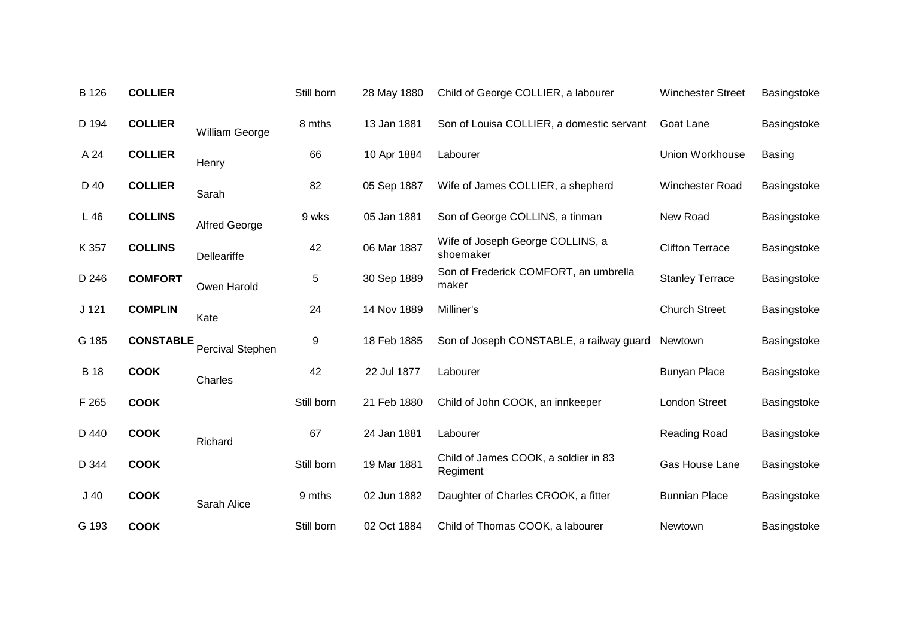| B 126            | <b>COLLIER</b>   |                      | Still born | 28 May 1880 | Child of George COLLIER, a labourer              | <b>Winchester Street</b> | Basingstoke   |
|------------------|------------------|----------------------|------------|-------------|--------------------------------------------------|--------------------------|---------------|
| D 194            | <b>COLLIER</b>   | William George       | 8 mths     | 13 Jan 1881 | Son of Louisa COLLIER, a domestic servant        | Goat Lane                | Basingstoke   |
| A 24             | <b>COLLIER</b>   | Henry                | 66         | 10 Apr 1884 | Labourer                                         | Union Workhouse          | <b>Basing</b> |
| D 40             | <b>COLLIER</b>   | Sarah                | 82         | 05 Sep 1887 | Wife of James COLLIER, a shepherd                | Winchester Road          | Basingstoke   |
| L46              | <b>COLLINS</b>   | <b>Alfred George</b> | 9 wks      | 05 Jan 1881 | Son of George COLLINS, a tinman                  | New Road                 | Basingstoke   |
| K 357            | <b>COLLINS</b>   | <b>Delleariffe</b>   | 42         | 06 Mar 1887 | Wife of Joseph George COLLINS, a<br>shoemaker    | <b>Clifton Terrace</b>   | Basingstoke   |
| D 246            | <b>COMFORT</b>   | Owen Harold          | 5          | 30 Sep 1889 | Son of Frederick COMFORT, an umbrella<br>maker   | <b>Stanley Terrace</b>   | Basingstoke   |
| J <sub>121</sub> | <b>COMPLIN</b>   | Kate                 | 24         | 14 Nov 1889 | Milliner's                                       | <b>Church Street</b>     | Basingstoke   |
| G 185            | <b>CONSTABLE</b> | Percival Stephen     | 9          | 18 Feb 1885 | Son of Joseph CONSTABLE, a railway guard         | Newtown                  | Basingstoke   |
| <b>B</b> 18      | <b>COOK</b>      | Charles              | 42         | 22 Jul 1877 | Labourer                                         | <b>Bunyan Place</b>      | Basingstoke   |
| F 265            | <b>COOK</b>      |                      | Still born | 21 Feb 1880 | Child of John COOK, an innkeeper                 | <b>London Street</b>     | Basingstoke   |
| D 440            | <b>COOK</b>      | Richard              | 67         | 24 Jan 1881 | Labourer                                         | Reading Road             | Basingstoke   |
| D 344            | <b>COOK</b>      |                      | Still born | 19 Mar 1881 | Child of James COOK, a soldier in 83<br>Regiment | <b>Gas House Lane</b>    | Basingstoke   |
| J <sub>40</sub>  | <b>COOK</b>      | Sarah Alice          | 9 mths     | 02 Jun 1882 | Daughter of Charles CROOK, a fitter              | <b>Bunnian Place</b>     | Basingstoke   |
| G 193            | <b>COOK</b>      |                      | Still born | 02 Oct 1884 | Child of Thomas COOK, a labourer                 | <b>Newtown</b>           | Basingstoke   |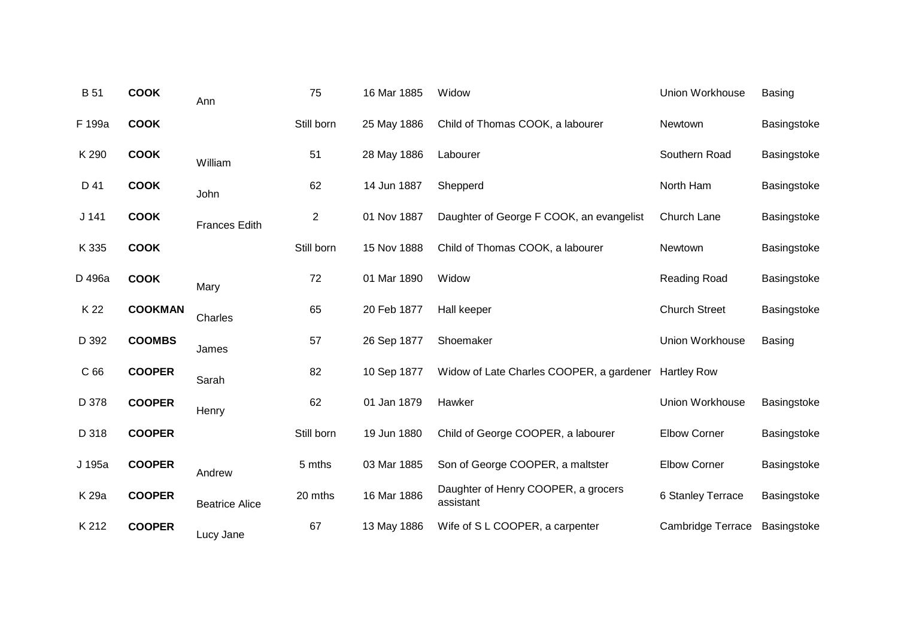| <b>B</b> 51     | <b>COOK</b>    | Ann                   | 75             | 16 Mar 1885 | Widow                                            | Union Workhouse          | <b>Basing</b> |
|-----------------|----------------|-----------------------|----------------|-------------|--------------------------------------------------|--------------------------|---------------|
| F 199a          | <b>COOK</b>    |                       | Still born     | 25 May 1886 | Child of Thomas COOK, a labourer                 | Newtown                  | Basingstoke   |
| K 290           | <b>COOK</b>    | William               | 51             | 28 May 1886 | Labourer                                         | Southern Road            | Basingstoke   |
| D 41            | <b>COOK</b>    | John                  | 62             | 14 Jun 1887 | Shepperd                                         | North Ham                | Basingstoke   |
| $J$ 141         | <b>COOK</b>    | <b>Frances Edith</b>  | $\overline{c}$ | 01 Nov 1887 | Daughter of George F COOK, an evangelist         | Church Lane              | Basingstoke   |
| K 335           | <b>COOK</b>    |                       | Still born     | 15 Nov 1888 | Child of Thomas COOK, a labourer                 | Newtown                  | Basingstoke   |
| D 496a          | <b>COOK</b>    | Mary                  | 72             | 01 Mar 1890 | Widow                                            | <b>Reading Road</b>      | Basingstoke   |
| K 22            | <b>COOKMAN</b> | Charles               | 65             | 20 Feb 1877 | Hall keeper                                      | <b>Church Street</b>     | Basingstoke   |
| D 392           | <b>COOMBS</b>  | James                 | 57             | 26 Sep 1877 | Shoemaker                                        | Union Workhouse          | <b>Basing</b> |
| C <sub>66</sub> | <b>COOPER</b>  | Sarah                 | 82             | 10 Sep 1877 | Widow of Late Charles COOPER, a gardener         | <b>Hartley Row</b>       |               |
| D 378           | <b>COOPER</b>  | Henry                 | 62             | 01 Jan 1879 | Hawker                                           | <b>Union Workhouse</b>   | Basingstoke   |
| D 318           | <b>COOPER</b>  |                       | Still born     | 19 Jun 1880 | Child of George COOPER, a labourer               | <b>Elbow Corner</b>      | Basingstoke   |
| J 195a          | <b>COOPER</b>  | Andrew                | 5 mths         | 03 Mar 1885 | Son of George COOPER, a maltster                 | <b>Elbow Corner</b>      | Basingstoke   |
| K 29a           | <b>COOPER</b>  | <b>Beatrice Alice</b> | 20 mths        | 16 Mar 1886 | Daughter of Henry COOPER, a grocers<br>assistant | 6 Stanley Terrace        | Basingstoke   |
| K 212           | <b>COOPER</b>  | Lucy Jane             | 67             | 13 May 1886 | Wife of S L COOPER, a carpenter                  | <b>Cambridge Terrace</b> | Basingstoke   |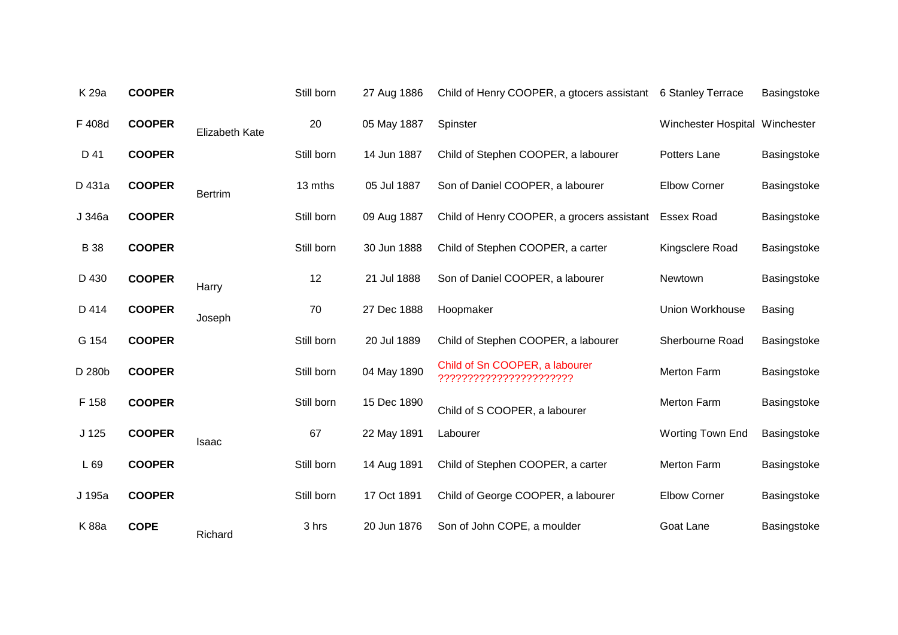| K 29a            | <b>COOPER</b> |                       | Still born | 27 Aug 1886 | Child of Henry COOPER, a gtocers assistant                | 6 Stanley Terrace              | Basingstoke   |
|------------------|---------------|-----------------------|------------|-------------|-----------------------------------------------------------|--------------------------------|---------------|
| F 408d           | <b>COOPER</b> | <b>Elizabeth Kate</b> | 20         | 05 May 1887 | Spinster                                                  | Winchester Hospital Winchester |               |
| D 41             | <b>COOPER</b> |                       | Still born | 14 Jun 1887 | Child of Stephen COOPER, a labourer                       | Potters Lane                   | Basingstoke   |
| D 431a           | <b>COOPER</b> | <b>Bertrim</b>        | 13 mths    | 05 Jul 1887 | Son of Daniel COOPER, a labourer                          | <b>Elbow Corner</b>            | Basingstoke   |
| J 346a           | <b>COOPER</b> |                       | Still born | 09 Aug 1887 | Child of Henry COOPER, a grocers assistant                | <b>Essex Road</b>              | Basingstoke   |
| <b>B</b> 38      | <b>COOPER</b> |                       | Still born | 30 Jun 1888 | Child of Stephen COOPER, a carter                         | Kingsclere Road                | Basingstoke   |
| D 430            | <b>COOPER</b> | Harry                 | 12         | 21 Jul 1888 | Son of Daniel COOPER, a labourer                          | Newtown                        | Basingstoke   |
| D 414            | <b>COOPER</b> | Joseph                | 70         | 27 Dec 1888 | Hoopmaker                                                 | Union Workhouse                | <b>Basing</b> |
| G 154            | <b>COOPER</b> |                       | Still born | 20 Jul 1889 | Child of Stephen COOPER, a labourer                       | Sherbourne Road                | Basingstoke   |
| D 280b           | <b>COOPER</b> |                       | Still born | 04 May 1890 | Child of Sn COOPER, a labourer<br>??????????????????????? | Merton Farm                    | Basingstoke   |
| F 158            | <b>COOPER</b> |                       | Still born | 15 Dec 1890 | Child of S COOPER, a labourer                             | <b>Merton Farm</b>             | Basingstoke   |
| J <sub>125</sub> | <b>COOPER</b> | <b>Isaac</b>          | 67         | 22 May 1891 | Labourer                                                  | Worting Town End               | Basingstoke   |
| L 69             | <b>COOPER</b> |                       | Still born | 14 Aug 1891 | Child of Stephen COOPER, a carter                         | <b>Merton Farm</b>             | Basingstoke   |
| J 195a           | <b>COOPER</b> |                       | Still born | 17 Oct 1891 | Child of George COOPER, a labourer                        | <b>Elbow Corner</b>            | Basingstoke   |
| <b>K88a</b>      | <b>COPE</b>   | Richard               | 3 hrs      | 20 Jun 1876 | Son of John COPE, a moulder                               | Goat Lane                      | Basingstoke   |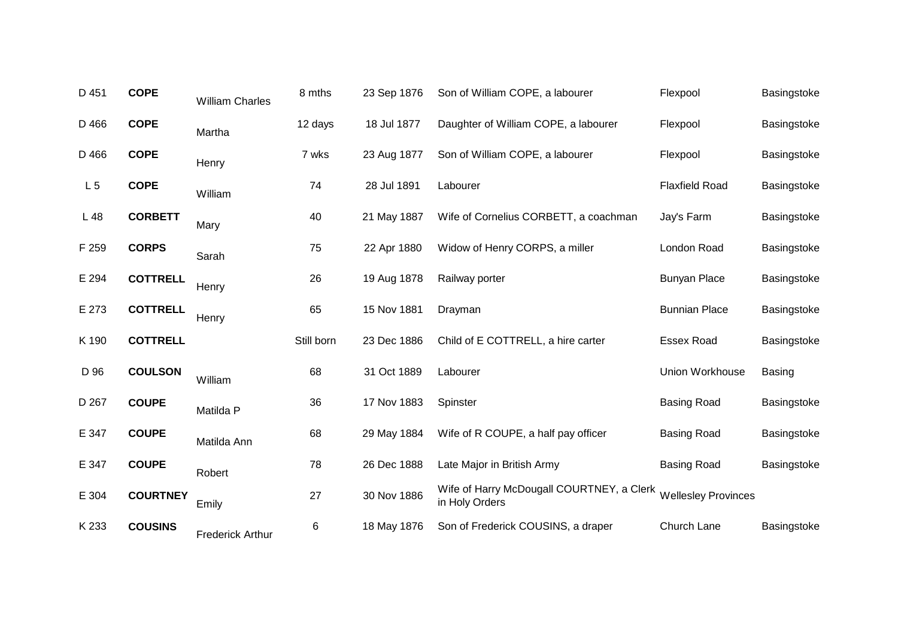| D 451          | <b>COPE</b>     | <b>William Charles</b>  | 8 mths     | 23 Sep 1876 | Son of William COPE, a labourer                             | Flexpool                   | Basingstoke   |
|----------------|-----------------|-------------------------|------------|-------------|-------------------------------------------------------------|----------------------------|---------------|
| D 466          | <b>COPE</b>     | Martha                  | 12 days    | 18 Jul 1877 | Daughter of William COPE, a labourer                        | Flexpool                   | Basingstoke   |
| D 466          | <b>COPE</b>     | Henry                   | 7 wks      | 23 Aug 1877 | Son of William COPE, a labourer                             | Flexpool                   | Basingstoke   |
| L <sub>5</sub> | <b>COPE</b>     | William                 | 74         | 28 Jul 1891 | Labourer                                                    | <b>Flaxfield Road</b>      | Basingstoke   |
| L 48           | <b>CORBETT</b>  | Mary                    | 40         | 21 May 1887 | Wife of Cornelius CORBETT, a coachman                       | Jay's Farm                 | Basingstoke   |
| F 259          | <b>CORPS</b>    | Sarah                   | 75         | 22 Apr 1880 | Widow of Henry CORPS, a miller                              | London Road                | Basingstoke   |
| E 294          | <b>COTTRELL</b> | Henry                   | 26         | 19 Aug 1878 | Railway porter                                              | <b>Bunyan Place</b>        | Basingstoke   |
| E 273          | <b>COTTRELL</b> | Henry                   | 65         | 15 Nov 1881 | Drayman                                                     | <b>Bunnian Place</b>       | Basingstoke   |
| K 190          | <b>COTTRELL</b> |                         | Still born | 23 Dec 1886 | Child of E COTTRELL, a hire carter                          | <b>Essex Road</b>          | Basingstoke   |
| D 96           | <b>COULSON</b>  | William                 | 68         | 31 Oct 1889 | Labourer                                                    | Union Workhouse            | <b>Basing</b> |
| D 267          | <b>COUPE</b>    | Matilda P               | 36         | 17 Nov 1883 | Spinster                                                    | <b>Basing Road</b>         | Basingstoke   |
| E 347          | <b>COUPE</b>    | Matilda Ann             | 68         | 29 May 1884 | Wife of R COUPE, a half pay officer                         | <b>Basing Road</b>         | Basingstoke   |
| E 347          | <b>COUPE</b>    | Robert                  | 78         | 26 Dec 1888 | Late Major in British Army                                  | <b>Basing Road</b>         | Basingstoke   |
| E 304          | <b>COURTNEY</b> | Emily                   | 27         | 30 Nov 1886 | Wife of Harry McDougall COURTNEY, a Clerk<br>in Holy Orders | <b>Wellesley Provinces</b> |               |
| K 233          | <b>COUSINS</b>  | <b>Frederick Arthur</b> | 6          | 18 May 1876 | Son of Frederick COUSINS, a draper                          | Church Lane                | Basingstoke   |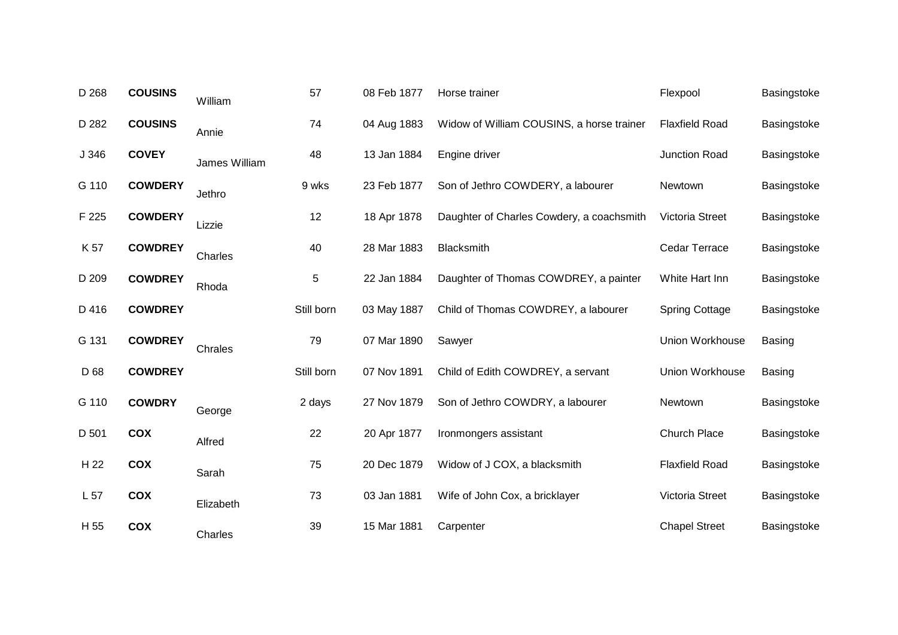| D 268           | <b>COUSINS</b> | William       | 57         | 08 Feb 1877 | Horse trainer                             | Flexpool               | Basingstoke   |
|-----------------|----------------|---------------|------------|-------------|-------------------------------------------|------------------------|---------------|
| D 282           | <b>COUSINS</b> | Annie         | 74         | 04 Aug 1883 | Widow of William COUSINS, a horse trainer | <b>Flaxfield Road</b>  | Basingstoke   |
| J 346           | <b>COVEY</b>   | James William | 48         | 13 Jan 1884 | Engine driver                             | Junction Road          | Basingstoke   |
| G 110           | <b>COWDERY</b> | Jethro        | 9 wks      | 23 Feb 1877 | Son of Jethro COWDERY, a labourer         | Newtown                | Basingstoke   |
| F 225           | <b>COWDERY</b> | Lizzie        | 12         | 18 Apr 1878 | Daughter of Charles Cowdery, a coachsmith | Victoria Street        | Basingstoke   |
| K 57            | <b>COWDREY</b> | Charles       | 40         | 28 Mar 1883 | <b>Blacksmith</b>                         | Cedar Terrace          | Basingstoke   |
| D 209           | <b>COWDREY</b> | Rhoda         | 5          | 22 Jan 1884 | Daughter of Thomas COWDREY, a painter     | White Hart Inn         | Basingstoke   |
| D 416           | <b>COWDREY</b> |               | Still born | 03 May 1887 | Child of Thomas COWDREY, a labourer       | <b>Spring Cottage</b>  | Basingstoke   |
| G 131           | <b>COWDREY</b> | Chrales       | 79         | 07 Mar 1890 | Sawyer                                    | <b>Union Workhouse</b> | <b>Basing</b> |
| D 68            | <b>COWDREY</b> |               | Still born | 07 Nov 1891 | Child of Edith COWDREY, a servant         | Union Workhouse        | <b>Basing</b> |
| G 110           | <b>COWDRY</b>  | George        | 2 days     | 27 Nov 1879 | Son of Jethro COWDRY, a labourer          | Newtown                | Basingstoke   |
| D 501           | <b>COX</b>     | Alfred        | 22         | 20 Apr 1877 | Ironmongers assistant                     | Church Place           | Basingstoke   |
| H 22            | <b>COX</b>     | Sarah         | 75         | 20 Dec 1879 | Widow of J COX, a blacksmith              | <b>Flaxfield Road</b>  | Basingstoke   |
| L <sub>57</sub> | <b>COX</b>     | Elizabeth     | 73         | 03 Jan 1881 | Wife of John Cox, a bricklayer            | Victoria Street        | Basingstoke   |
| H 55            | <b>COX</b>     | Charles       | 39         | 15 Mar 1881 | Carpenter                                 | <b>Chapel Street</b>   | Basingstoke   |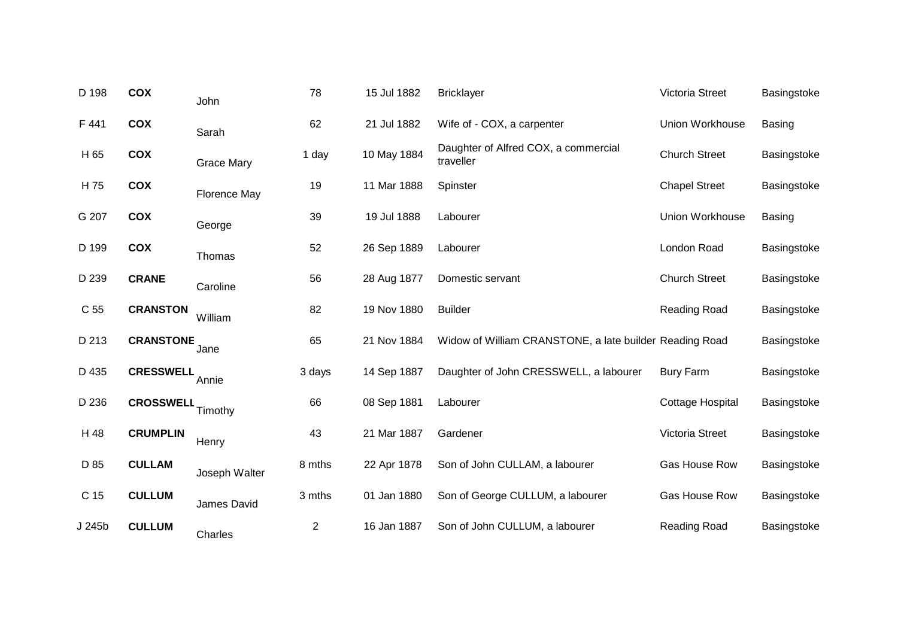| D 198           | COX              | John              | 78             | 15 Jul 1882 | <b>Bricklayer</b>                                       | Victoria Street         | Basingstoke   |
|-----------------|------------------|-------------------|----------------|-------------|---------------------------------------------------------|-------------------------|---------------|
| F 441           | <b>COX</b>       | Sarah             | 62             | 21 Jul 1882 | Wife of - COX, a carpenter                              | Union Workhouse         | Basing        |
| H 65            | <b>COX</b>       | <b>Grace Mary</b> | 1 day          | 10 May 1884 | Daughter of Alfred COX, a commercial<br>traveller       | <b>Church Street</b>    | Basingstoke   |
| H 75            | COX              | Florence May      | 19             | 11 Mar 1888 | Spinster                                                | <b>Chapel Street</b>    | Basingstoke   |
| G 207           | COX              | George            | 39             | 19 Jul 1888 | Labourer                                                | Union Workhouse         | <b>Basing</b> |
| D 199           | <b>COX</b>       | Thomas            | 52             | 26 Sep 1889 | Labourer                                                | London Road             | Basingstoke   |
| D 239           | <b>CRANE</b>     | Caroline          | 56             | 28 Aug 1877 | Domestic servant                                        | <b>Church Street</b>    | Basingstoke   |
| C <sub>55</sub> | <b>CRANSTON</b>  | William           | 82             | 19 Nov 1880 | <b>Builder</b>                                          | Reading Road            | Basingstoke   |
| D 213           | <b>CRANSTONE</b> | Jane              | 65             | 21 Nov 1884 | Widow of William CRANSTONE, a late builder Reading Road |                         | Basingstoke   |
| D 435           | <b>CRESSWELL</b> | Annie             | 3 days         | 14 Sep 1887 | Daughter of John CRESSWELL, a labourer                  | <b>Bury Farm</b>        | Basingstoke   |
| D 236           | <b>CROSSWELL</b> | Timothy           | 66             | 08 Sep 1881 | Labourer                                                | <b>Cottage Hospital</b> | Basingstoke   |
| H 48            | <b>CRUMPLIN</b>  | Henry             | 43             | 21 Mar 1887 | Gardener                                                | Victoria Street         | Basingstoke   |
| D 85            | <b>CULLAM</b>    | Joseph Walter     | 8 mths         | 22 Apr 1878 | Son of John CULLAM, a labourer                          | Gas House Row           | Basingstoke   |
| C 15            | <b>CULLUM</b>    | James David       | 3 mths         | 01 Jan 1880 | Son of George CULLUM, a labourer                        | Gas House Row           | Basingstoke   |
| J 245b          | <b>CULLUM</b>    | Charles           | $\overline{c}$ | 16 Jan 1887 | Son of John CULLUM, a labourer                          | Reading Road            | Basingstoke   |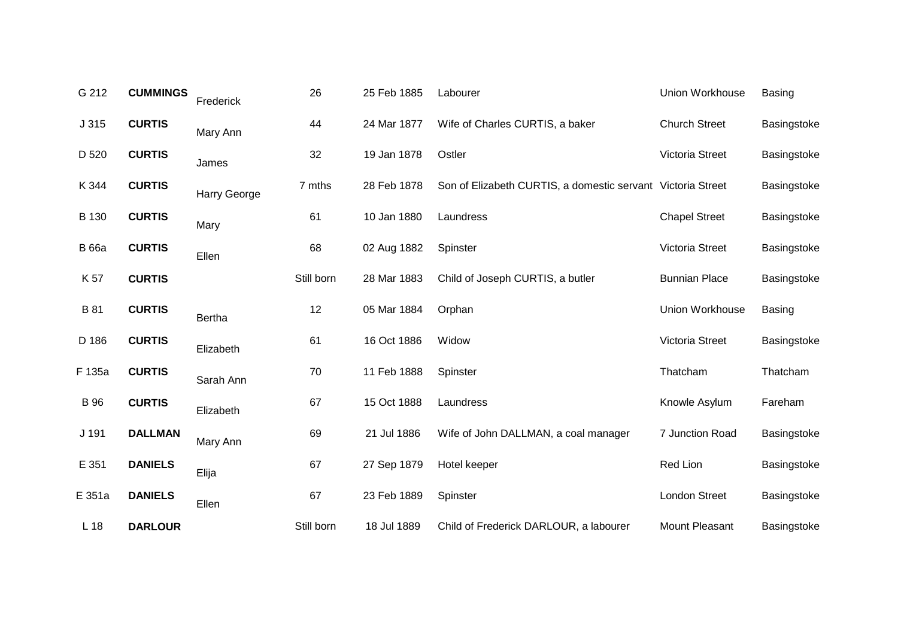| G 212           | <b>CUMMINGS</b> | Frederick           | 26         | 25 Feb 1885 | Labourer                                                    | Union Workhouse      | <b>Basing</b> |
|-----------------|-----------------|---------------------|------------|-------------|-------------------------------------------------------------|----------------------|---------------|
| J315            | <b>CURTIS</b>   | Mary Ann            | 44         | 24 Mar 1877 | Wife of Charles CURTIS, a baker                             | <b>Church Street</b> | Basingstoke   |
| D 520           | <b>CURTIS</b>   | James               | 32         | 19 Jan 1878 | Ostler                                                      | Victoria Street      | Basingstoke   |
| K 344           | <b>CURTIS</b>   | <b>Harry George</b> | 7 mths     | 28 Feb 1878 | Son of Elizabeth CURTIS, a domestic servant Victoria Street |                      | Basingstoke   |
| B 130           | <b>CURTIS</b>   | Mary                | 61         | 10 Jan 1880 | Laundress                                                   | <b>Chapel Street</b> | Basingstoke   |
| <b>B</b> 66a    | <b>CURTIS</b>   | Ellen               | 68         | 02 Aug 1882 | Spinster                                                    | Victoria Street      | Basingstoke   |
| K 57            | <b>CURTIS</b>   |                     | Still born | 28 Mar 1883 | Child of Joseph CURTIS, a butler                            | <b>Bunnian Place</b> | Basingstoke   |
| B 81            | <b>CURTIS</b>   | <b>Bertha</b>       | 12         | 05 Mar 1884 | Orphan                                                      | Union Workhouse      | <b>Basing</b> |
| D 186           | <b>CURTIS</b>   | Elizabeth           | 61         | 16 Oct 1886 | Widow                                                       | Victoria Street      | Basingstoke   |
| F 135a          | <b>CURTIS</b>   | Sarah Ann           | 70         | 11 Feb 1888 | Spinster                                                    | Thatcham             | Thatcham      |
| <b>B</b> 96     | <b>CURTIS</b>   | Elizabeth           | 67         | 15 Oct 1888 | Laundress                                                   | Knowle Asylum        | Fareham       |
| J 191           | <b>DALLMAN</b>  | Mary Ann            | 69         | 21 Jul 1886 | Wife of John DALLMAN, a coal manager                        | 7 Junction Road      | Basingstoke   |
| E 351           | <b>DANIELS</b>  | Elija               | 67         | 27 Sep 1879 | Hotel keeper                                                | Red Lion             | Basingstoke   |
| E 351a          | <b>DANIELS</b>  | Ellen               | 67         | 23 Feb 1889 | Spinster                                                    | London Street        | Basingstoke   |
| L <sub>18</sub> | <b>DARLOUR</b>  |                     | Still born | 18 Jul 1889 | Child of Frederick DARLOUR, a labourer                      | Mount Pleasant       | Basingstoke   |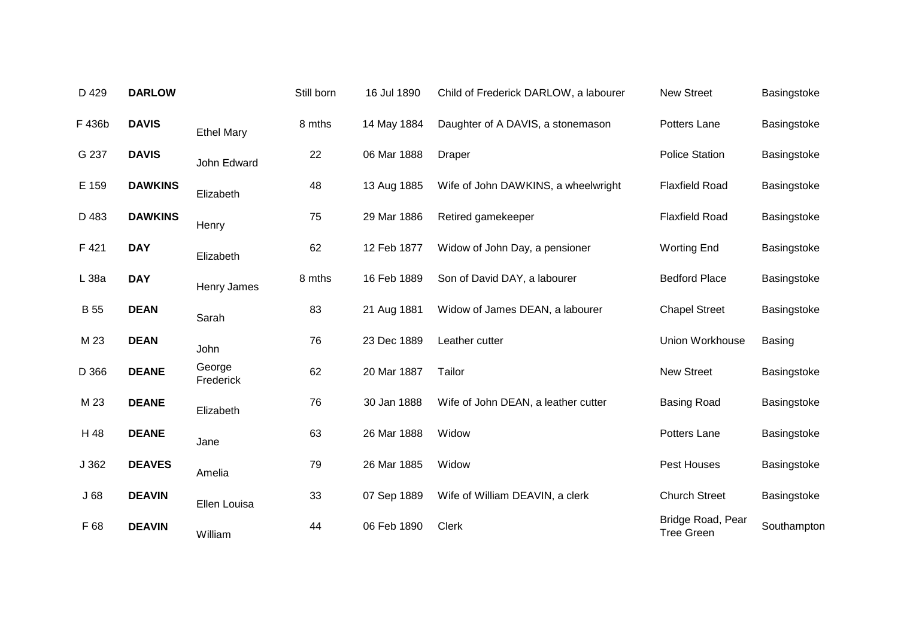| D 429       | <b>DARLOW</b>  |                     | Still born | 16 Jul 1890 | Child of Frederick DARLOW, a labourer | <b>New Street</b>                      | Basingstoke |
|-------------|----------------|---------------------|------------|-------------|---------------------------------------|----------------------------------------|-------------|
| F 436b      | <b>DAVIS</b>   | <b>Ethel Mary</b>   | 8 mths     | 14 May 1884 | Daughter of A DAVIS, a stonemason     | Potters Lane                           | Basingstoke |
| G 237       | <b>DAVIS</b>   | John Edward         | 22         | 06 Mar 1888 | <b>Draper</b>                         | <b>Police Station</b>                  | Basingstoke |
| E 159       | <b>DAWKINS</b> | Elizabeth           | 48         | 13 Aug 1885 | Wife of John DAWKINS, a wheelwright   | <b>Flaxfield Road</b>                  | Basingstoke |
| D 483       | <b>DAWKINS</b> | Henry               | 75         | 29 Mar 1886 | Retired gamekeeper                    | <b>Flaxfield Road</b>                  | Basingstoke |
| F 421       | <b>DAY</b>     | Elizabeth           | 62         | 12 Feb 1877 | Widow of John Day, a pensioner        | <b>Worting End</b>                     | Basingstoke |
| L 38a       | <b>DAY</b>     | Henry James         | 8 mths     | 16 Feb 1889 | Son of David DAY, a labourer          | <b>Bedford Place</b>                   | Basingstoke |
| <b>B</b> 55 | <b>DEAN</b>    | Sarah               | 83         | 21 Aug 1881 | Widow of James DEAN, a labourer       | <b>Chapel Street</b>                   | Basingstoke |
| M 23        | <b>DEAN</b>    | John                | 76         | 23 Dec 1889 | Leather cutter                        | <b>Union Workhouse</b>                 | Basing      |
| D 366       | <b>DEANE</b>   | George<br>Frederick | 62         | 20 Mar 1887 | Tailor                                | <b>New Street</b>                      | Basingstoke |
| M 23        | <b>DEANE</b>   | Elizabeth           | 76         | 30 Jan 1888 | Wife of John DEAN, a leather cutter   | <b>Basing Road</b>                     | Basingstoke |
| H 48        | <b>DEANE</b>   | Jane                | 63         | 26 Mar 1888 | Widow                                 | Potters Lane                           | Basingstoke |
| J 362       | <b>DEAVES</b>  | Amelia              | 79         | 26 Mar 1885 | Widow                                 | Pest Houses                            | Basingstoke |
| J68         | <b>DEAVIN</b>  | Ellen Louisa        | 33         | 07 Sep 1889 | Wife of William DEAVIN, a clerk       | <b>Church Street</b>                   | Basingstoke |
| F 68        | <b>DEAVIN</b>  | William             | 44         | 06 Feb 1890 | Clerk                                 | Bridge Road, Pear<br><b>Tree Green</b> | Southampton |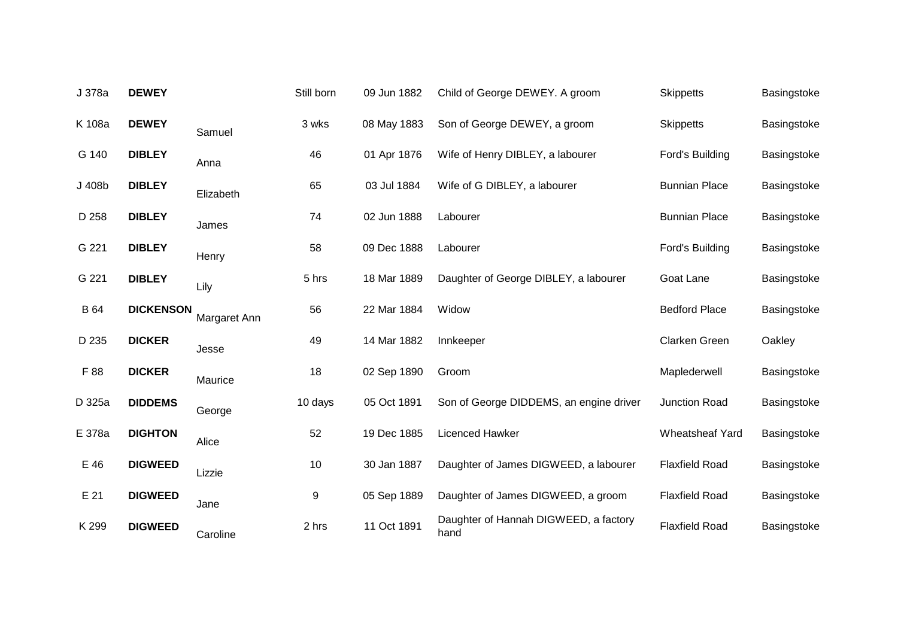| J 378a | <b>DEWEY</b>     |              | Still born | 09 Jun 1882 | Child of George DEWEY. A groom                | <b>Skippetts</b>      | Basingstoke |
|--------|------------------|--------------|------------|-------------|-----------------------------------------------|-----------------------|-------------|
| K 108a | <b>DEWEY</b>     | Samuel       | 3 wks      | 08 May 1883 | Son of George DEWEY, a groom                  | <b>Skippetts</b>      | Basingstoke |
| G 140  | <b>DIBLEY</b>    | Anna         | 46         | 01 Apr 1876 | Wife of Henry DIBLEY, a labourer              | Ford's Building       | Basingstoke |
| J 408b | <b>DIBLEY</b>    | Elizabeth    | 65         | 03 Jul 1884 | Wife of G DIBLEY, a labourer                  | <b>Bunnian Place</b>  | Basingstoke |
| D 258  | <b>DIBLEY</b>    | James        | 74         | 02 Jun 1888 | Labourer                                      | <b>Bunnian Place</b>  | Basingstoke |
| G 221  | <b>DIBLEY</b>    | Henry        | 58         | 09 Dec 1888 | Labourer                                      | Ford's Building       | Basingstoke |
| G 221  | <b>DIBLEY</b>    | Lily         | 5 hrs      | 18 Mar 1889 | Daughter of George DIBLEY, a labourer         | Goat Lane             | Basingstoke |
| B 64   | <b>DICKENSON</b> | Margaret Ann | 56         | 22 Mar 1884 | Widow                                         | <b>Bedford Place</b>  | Basingstoke |
| D 235  | <b>DICKER</b>    | Jesse        | 49         | 14 Mar 1882 | Innkeeper                                     | Clarken Green         | Oakley      |
| F 88   | <b>DICKER</b>    | Maurice      | 18         | 02 Sep 1890 | Groom                                         | Maplederwell          | Basingstoke |
| D 325a | <b>DIDDEMS</b>   | George       | 10 days    | 05 Oct 1891 | Son of George DIDDEMS, an engine driver       | Junction Road         | Basingstoke |
| E 378a | <b>DIGHTON</b>   | Alice        | 52         | 19 Dec 1885 | Licenced Hawker                               | Wheatsheaf Yard       | Basingstoke |
| E 46   | <b>DIGWEED</b>   | Lizzie       | 10         | 30 Jan 1887 | Daughter of James DIGWEED, a labourer         | <b>Flaxfield Road</b> | Basingstoke |
| E 21   | <b>DIGWEED</b>   | Jane         | 9          | 05 Sep 1889 | Daughter of James DIGWEED, a groom            | <b>Flaxfield Road</b> | Basingstoke |
| K 299  | <b>DIGWEED</b>   | Caroline     | 2 hrs      | 11 Oct 1891 | Daughter of Hannah DIGWEED, a factory<br>hand | <b>Flaxfield Road</b> | Basingstoke |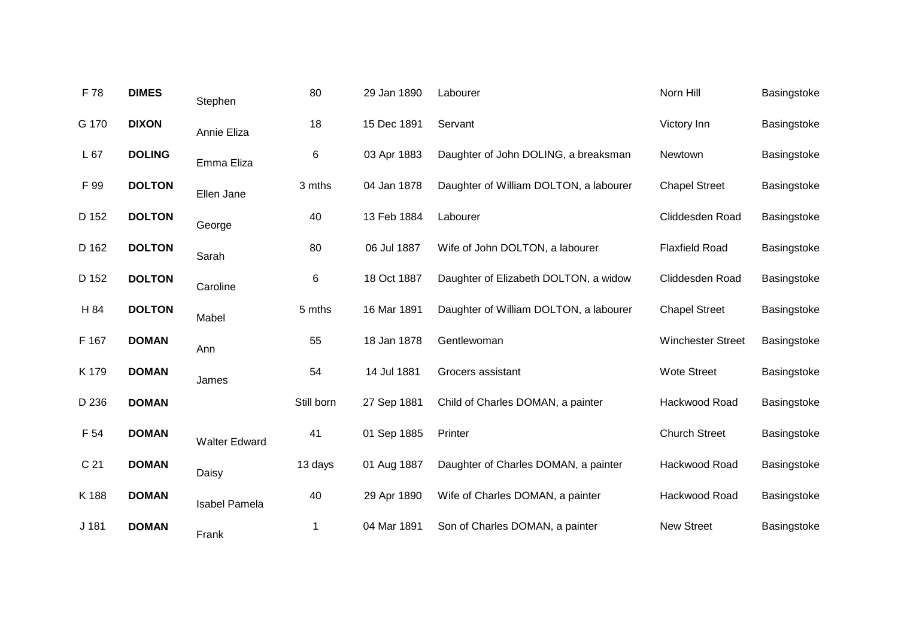| F 78            | <b>DIMES</b>  | Stephen              | 80         | 29 Jan 1890 | Labourer                               | Norn Hill                | Basingstoke |
|-----------------|---------------|----------------------|------------|-------------|----------------------------------------|--------------------------|-------------|
| G 170           | <b>DIXON</b>  | Annie Eliza          | 18         | 15 Dec 1891 | Servant                                | Victory Inn              | Basingstoke |
| L 67            | <b>DOLING</b> | Emma Eliza           | 6          | 03 Apr 1883 | Daughter of John DOLING, a breaksman   | Newtown                  | Basingstoke |
| F 99            | <b>DOLTON</b> | Ellen Jane           | 3 mths     | 04 Jan 1878 | Daughter of William DOLTON, a labourer | <b>Chapel Street</b>     | Basingstoke |
| D 152           | <b>DOLTON</b> | George               | 40         | 13 Feb 1884 | Labourer                               | Cliddesden Road          | Basingstoke |
| D 162           | <b>DOLTON</b> | Sarah                | 80         | 06 Jul 1887 | Wife of John DOLTON, a labourer        | <b>Flaxfield Road</b>    | Basingstoke |
| D 152           | <b>DOLTON</b> | Caroline             | 6          | 18 Oct 1887 | Daughter of Elizabeth DOLTON, a widow  | Cliddesden Road          | Basingstoke |
| H 84            | <b>DOLTON</b> | Mabel                | 5 mths     | 16 Mar 1891 | Daughter of William DOLTON, a labourer | <b>Chapel Street</b>     | Basingstoke |
| F 167           | <b>DOMAN</b>  | Ann                  | 55         | 18 Jan 1878 | Gentlewoman                            | <b>Winchester Street</b> | Basingstoke |
| K 179           | <b>DOMAN</b>  | James                | 54         | 14 Jul 1881 | Grocers assistant                      | <b>Wote Street</b>       | Basingstoke |
| D 236           | <b>DOMAN</b>  |                      | Still born | 27 Sep 1881 | Child of Charles DOMAN, a painter      | Hackwood Road            | Basingstoke |
| F 54            | <b>DOMAN</b>  | <b>Walter Edward</b> | 41         | 01 Sep 1885 | Printer                                | <b>Church Street</b>     | Basingstoke |
| C <sub>21</sub> | <b>DOMAN</b>  | Daisy                | 13 days    | 01 Aug 1887 | Daughter of Charles DOMAN, a painter   | Hackwood Road            | Basingstoke |
| K 188           | <b>DOMAN</b>  | <b>Isabel Pamela</b> | 40         | 29 Apr 1890 | Wife of Charles DOMAN, a painter       | Hackwood Road            | Basingstoke |
| J 181           | <b>DOMAN</b>  | Frank                | 1          | 04 Mar 1891 | Son of Charles DOMAN, a painter        | <b>New Street</b>        | Basingstoke |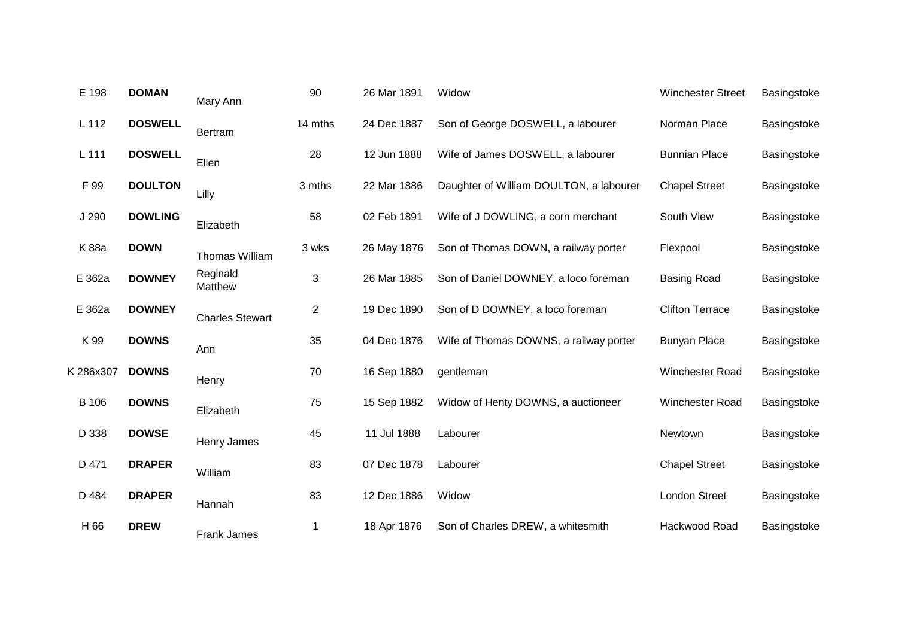| E 198        | <b>DOMAN</b>   | Mary Ann               | 90             | 26 Mar 1891 | Widow                                   | <b>Winchester Street</b> | Basingstoke |
|--------------|----------------|------------------------|----------------|-------------|-----------------------------------------|--------------------------|-------------|
| $L$ 112      | <b>DOSWELL</b> | Bertram                | 14 mths        | 24 Dec 1887 | Son of George DOSWELL, a labourer       | Norman Place             | Basingstoke |
| L 111        | <b>DOSWELL</b> | Ellen                  | 28             | 12 Jun 1888 | Wife of James DOSWELL, a labourer       | <b>Bunnian Place</b>     | Basingstoke |
| F 99         | <b>DOULTON</b> | Lilly                  | 3 mths         | 22 Mar 1886 | Daughter of William DOULTON, a labourer | <b>Chapel Street</b>     | Basingstoke |
| J 290        | <b>DOWLING</b> | Elizabeth              | 58             | 02 Feb 1891 | Wife of J DOWLING, a corn merchant      | South View               | Basingstoke |
| K 88a        | <b>DOWN</b>    | Thomas William         | 3 wks          | 26 May 1876 | Son of Thomas DOWN, a railway porter    | Flexpool                 | Basingstoke |
| E 362a       | <b>DOWNEY</b>  | Reginald<br>Matthew    | 3              | 26 Mar 1885 | Son of Daniel DOWNEY, a loco foreman    | <b>Basing Road</b>       | Basingstoke |
| E 362a       | <b>DOWNEY</b>  | <b>Charles Stewart</b> | $\overline{c}$ | 19 Dec 1890 | Son of D DOWNEY, a loco foreman         | <b>Clifton Terrace</b>   | Basingstoke |
| K 99         | <b>DOWNS</b>   | Ann                    | 35             | 04 Dec 1876 | Wife of Thomas DOWNS, a railway porter  | <b>Bunyan Place</b>      | Basingstoke |
| K 286x307    | <b>DOWNS</b>   | Henry                  | 70             | 16 Sep 1880 | gentleman                               | Winchester Road          | Basingstoke |
| <b>B</b> 106 | <b>DOWNS</b>   | Elizabeth              | 75             | 15 Sep 1882 | Widow of Henty DOWNS, a auctioneer      | Winchester Road          | Basingstoke |
| D 338        | <b>DOWSE</b>   | Henry James            | 45             | 11 Jul 1888 | Labourer                                | Newtown                  | Basingstoke |
| D 471        | <b>DRAPER</b>  | William                | 83             | 07 Dec 1878 | Labourer                                | <b>Chapel Street</b>     | Basingstoke |
| D 484        | <b>DRAPER</b>  | Hannah                 | 83             | 12 Dec 1886 | Widow                                   | <b>London Street</b>     | Basingstoke |
| H 66         | <b>DREW</b>    | Frank James            | 1              | 18 Apr 1876 | Son of Charles DREW, a whitesmith       | Hackwood Road            | Basingstoke |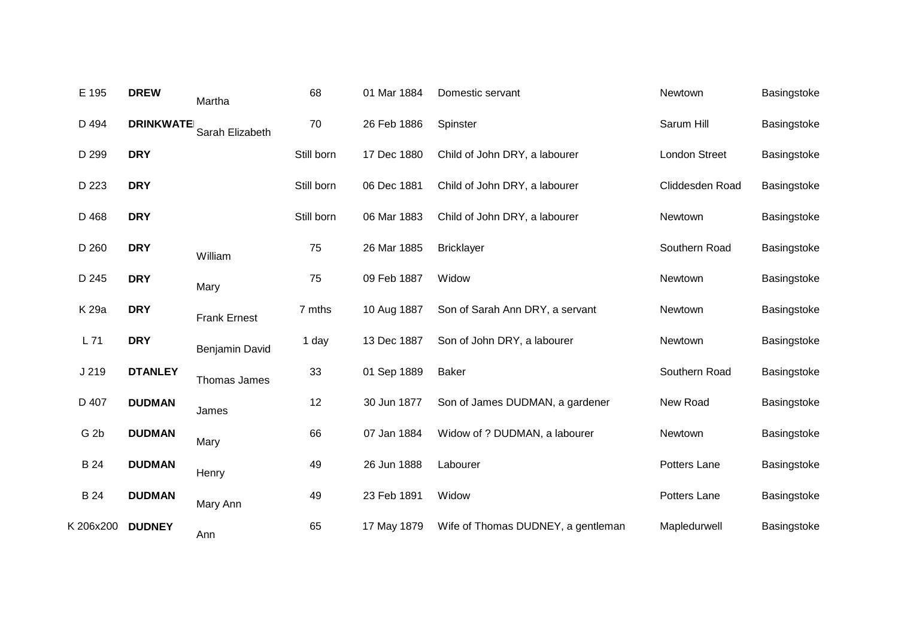| E 195           | <b>DREW</b>      | Martha              | 68         | 01 Mar 1884 | Domestic servant                   | Newtown              | Basingstoke |
|-----------------|------------------|---------------------|------------|-------------|------------------------------------|----------------------|-------------|
| D 494           | <b>DRINKWATE</b> | Sarah Elizabeth     | 70         | 26 Feb 1886 | Spinster                           | Sarum Hill           | Basingstoke |
| D 299           | <b>DRY</b>       |                     | Still born | 17 Dec 1880 | Child of John DRY, a labourer      | <b>London Street</b> | Basingstoke |
| D 223           | <b>DRY</b>       |                     | Still born | 06 Dec 1881 | Child of John DRY, a labourer      | Cliddesden Road      | Basingstoke |
| D 468           | <b>DRY</b>       |                     | Still born | 06 Mar 1883 | Child of John DRY, a labourer      | Newtown              | Basingstoke |
| D 260           | <b>DRY</b>       | William             | 75         | 26 Mar 1885 | <b>Bricklayer</b>                  | Southern Road        | Basingstoke |
| D 245           | <b>DRY</b>       | Mary                | 75         | 09 Feb 1887 | Widow                              | Newtown              | Basingstoke |
| K 29a           | <b>DRY</b>       | <b>Frank Ernest</b> | 7 mths     | 10 Aug 1887 | Son of Sarah Ann DRY, a servant    | Newtown              | Basingstoke |
| L71             | <b>DRY</b>       | Benjamin David      | 1 day      | 13 Dec 1887 | Son of John DRY, a labourer        | Newtown              | Basingstoke |
| J 219           | <b>DTANLEY</b>   | Thomas James        | 33         | 01 Sep 1889 | <b>Baker</b>                       | Southern Road        | Basingstoke |
| D 407           | <b>DUDMAN</b>    | James               | 12         | 30 Jun 1877 | Son of James DUDMAN, a gardener    | New Road             | Basingstoke |
| G <sub>2b</sub> | <b>DUDMAN</b>    | Mary                | 66         | 07 Jan 1884 | Widow of ? DUDMAN, a labourer      | Newtown              | Basingstoke |
| <b>B</b> 24     | <b>DUDMAN</b>    | Henry               | 49         | 26 Jun 1888 | Labourer                           | Potters Lane         | Basingstoke |
| B 24            | <b>DUDMAN</b>    | Mary Ann            | 49         | 23 Feb 1891 | Widow                              | Potters Lane         | Basingstoke |
| K 206x200       | <b>DUDNEY</b>    | Ann                 | 65         | 17 May 1879 | Wife of Thomas DUDNEY, a gentleman | Mapledurwell         | Basingstoke |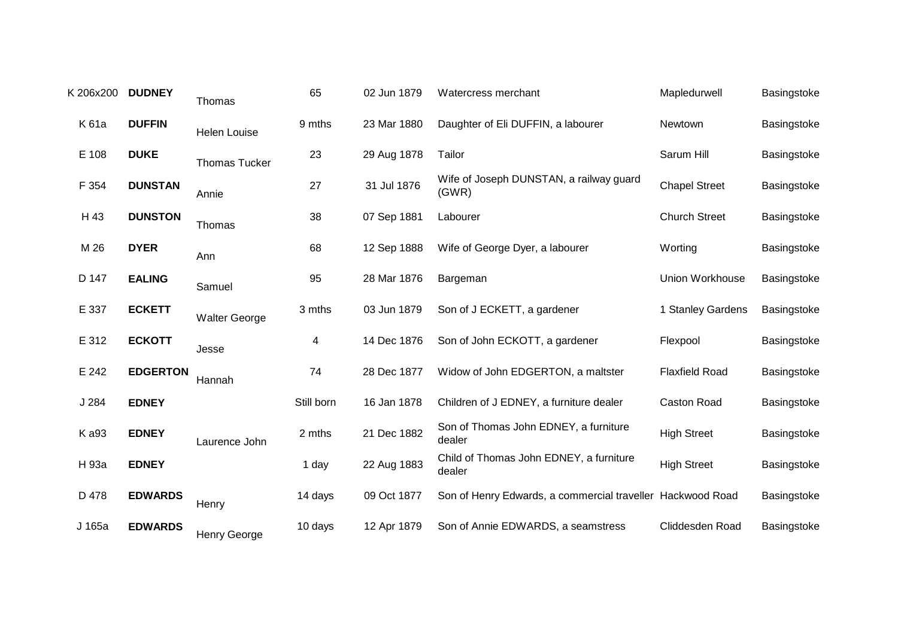| K 206x200 | <b>DUDNEY</b>   | Thomas               | 65                      | 02 Jun 1879 | Watercress merchant                                        | Mapledurwell          | Basingstoke |
|-----------|-----------------|----------------------|-------------------------|-------------|------------------------------------------------------------|-----------------------|-------------|
| K 61a     | <b>DUFFIN</b>   | <b>Helen Louise</b>  | 9 mths                  | 23 Mar 1880 | Daughter of Eli DUFFIN, a labourer                         | Newtown               | Basingstoke |
| E 108     | <b>DUKE</b>     | <b>Thomas Tucker</b> | 23                      | 29 Aug 1878 | Tailor                                                     | Sarum Hill            | Basingstoke |
| F 354     | <b>DUNSTAN</b>  | Annie                | 27                      | 31 Jul 1876 | Wife of Joseph DUNSTAN, a railway guard<br>(GWR)           | <b>Chapel Street</b>  | Basingstoke |
| H 43      | <b>DUNSTON</b>  | Thomas               | 38                      | 07 Sep 1881 | Labourer                                                   | <b>Church Street</b>  | Basingstoke |
| M 26      | <b>DYER</b>     | Ann                  | 68                      | 12 Sep 1888 | Wife of George Dyer, a labourer                            | Worting               | Basingstoke |
| D 147     | <b>EALING</b>   | Samuel               | 95                      | 28 Mar 1876 | Bargeman                                                   | Union Workhouse       | Basingstoke |
| E 337     | <b>ECKETT</b>   | <b>Walter George</b> | 3 mths                  | 03 Jun 1879 | Son of J ECKETT, a gardener                                | 1 Stanley Gardens     | Basingstoke |
| E 312     | <b>ECKOTT</b>   | Jesse                | $\overline{\mathbf{4}}$ | 14 Dec 1876 | Son of John ECKOTT, a gardener                             | Flexpool              | Basingstoke |
| E 242     | <b>EDGERTON</b> | Hannah               | 74                      | 28 Dec 1877 | Widow of John EDGERTON, a maltster                         | <b>Flaxfield Road</b> | Basingstoke |
| J 284     | <b>EDNEY</b>    |                      | Still born              | 16 Jan 1878 | Children of J EDNEY, a furniture dealer                    | Caston Road           | Basingstoke |
| K a93     | <b>EDNEY</b>    | Laurence John        | 2 mths                  | 21 Dec 1882 | Son of Thomas John EDNEY, a furniture<br>dealer            | <b>High Street</b>    | Basingstoke |
| H 93a     | <b>EDNEY</b>    |                      | 1 day                   | 22 Aug 1883 | Child of Thomas John EDNEY, a furniture<br>dealer          | <b>High Street</b>    | Basingstoke |
| D 478     | <b>EDWARDS</b>  | Henry                | 14 days                 | 09 Oct 1877 | Son of Henry Edwards, a commercial traveller Hackwood Road |                       | Basingstoke |
| J 165a    | <b>EDWARDS</b>  | Henry George         | 10 days                 | 12 Apr 1879 | Son of Annie EDWARDS, a seamstress                         | Cliddesden Road       | Basingstoke |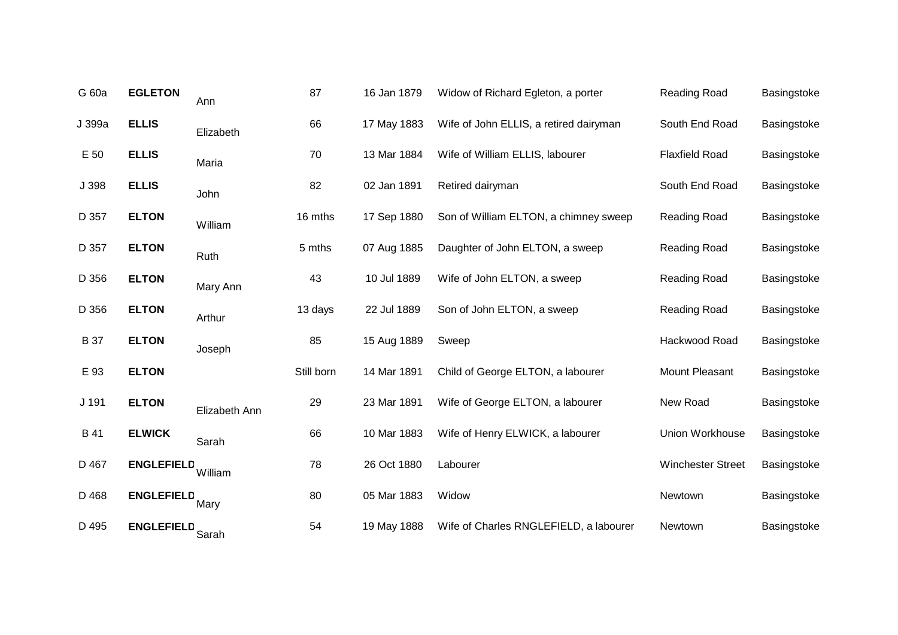| G 60a      | <b>EGLETON</b>      | Ann           | 87         | 16 Jan 1879 | Widow of Richard Egleton, a porter     | Reading Road             | Basingstoke |
|------------|---------------------|---------------|------------|-------------|----------------------------------------|--------------------------|-------------|
| J 399a     | <b>ELLIS</b>        | Elizabeth     | 66         | 17 May 1883 | Wife of John ELLIS, a retired dairyman | South End Road           | Basingstoke |
| E 50       | <b>ELLIS</b>        | Maria         | 70         | 13 Mar 1884 | Wife of William ELLIS, labourer        | <b>Flaxfield Road</b>    | Basingstoke |
| J 398      | <b>ELLIS</b>        | John          | 82         | 02 Jan 1891 | Retired dairyman                       | South End Road           | Basingstoke |
| D 357      | <b>ELTON</b>        | William       | 16 mths    | 17 Sep 1880 | Son of William ELTON, a chimney sweep  | Reading Road             | Basingstoke |
| D 357      | <b>ELTON</b>        | Ruth          | 5 mths     | 07 Aug 1885 | Daughter of John ELTON, a sweep        | Reading Road             | Basingstoke |
| D 356      | <b>ELTON</b>        | Mary Ann      | 43         | 10 Jul 1889 | Wife of John ELTON, a sweep            | Reading Road             | Basingstoke |
| D 356      | <b>ELTON</b>        | Arthur        | 13 days    | 22 Jul 1889 | Son of John ELTON, a sweep             | Reading Road             | Basingstoke |
| <b>B37</b> | <b>ELTON</b>        | Joseph        | 85         | 15 Aug 1889 | Sweep                                  | Hackwood Road            | Basingstoke |
| E 93       | <b>ELTON</b>        |               | Still born | 14 Mar 1891 | Child of George ELTON, a labourer      | Mount Pleasant           | Basingstoke |
| J 191      | <b>ELTON</b>        | Elizabeth Ann | 29         | 23 Mar 1891 | Wife of George ELTON, a labourer       | New Road                 | Basingstoke |
| B 41       | <b>ELWICK</b>       | Sarah         | 66         | 10 Mar 1883 | Wife of Henry ELWICK, a labourer       | Union Workhouse          | Basingstoke |
| D 467      | <b>ENGLEFIELD</b>   | William       | 78         | 26 Oct 1880 | Labourer                               | <b>Winchester Street</b> | Basingstoke |
| D 468      | <b>ENGLEFIELD</b>   | Mary          | 80         | 05 Mar 1883 | Widow                                  | Newtown                  | Basingstoke |
| D 495      | ENGLEFIELD<br>Sarah |               | 54         | 19 May 1888 | Wife of Charles RNGLEFIELD, a labourer | Newtown                  | Basingstoke |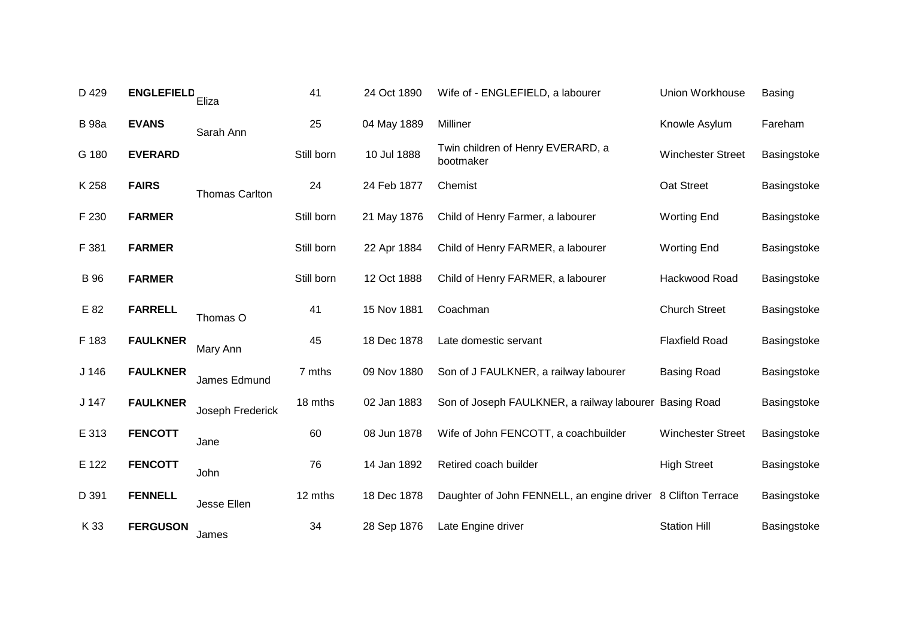| D 429        | <b>ENGLEFIELD</b> | Eliza                 | 41         | 24 Oct 1890 | Wife of - ENGLEFIELD, a labourer                             | Union Workhouse          | <b>Basing</b> |
|--------------|-------------------|-----------------------|------------|-------------|--------------------------------------------------------------|--------------------------|---------------|
| <b>B</b> 98a | <b>EVANS</b>      | Sarah Ann             | 25         | 04 May 1889 | Milliner                                                     | Knowle Asylum            | Fareham       |
| G 180        | <b>EVERARD</b>    |                       | Still born | 10 Jul 1888 | Twin children of Henry EVERARD, a<br>bootmaker               | <b>Winchester Street</b> | Basingstoke   |
| K 258        | <b>FAIRS</b>      | <b>Thomas Carlton</b> | 24         | 24 Feb 1877 | Chemist                                                      | Oat Street               | Basingstoke   |
| F 230        | <b>FARMER</b>     |                       | Still born | 21 May 1876 | Child of Henry Farmer, a labourer                            | <b>Worting End</b>       | Basingstoke   |
| F 381        | <b>FARMER</b>     |                       | Still born | 22 Apr 1884 | Child of Henry FARMER, a labourer                            | <b>Worting End</b>       | Basingstoke   |
| <b>B</b> 96  | <b>FARMER</b>     |                       | Still born | 12 Oct 1888 | Child of Henry FARMER, a labourer                            | Hackwood Road            | Basingstoke   |
| E 82         | <b>FARRELL</b>    | Thomas O              | 41         | 15 Nov 1881 | Coachman                                                     | <b>Church Street</b>     | Basingstoke   |
| F 183        | <b>FAULKNER</b>   | Mary Ann              | 45         | 18 Dec 1878 | Late domestic servant                                        | <b>Flaxfield Road</b>    | Basingstoke   |
| $J$ 146      | <b>FAULKNER</b>   | James Edmund          | 7 mths     | 09 Nov 1880 | Son of J FAULKNER, a railway labourer                        | <b>Basing Road</b>       | Basingstoke   |
| J 147        | <b>FAULKNER</b>   | Joseph Frederick      | 18 mths    | 02 Jan 1883 | Son of Joseph FAULKNER, a railway labourer Basing Road       |                          | Basingstoke   |
| E 313        | <b>FENCOTT</b>    | Jane                  | 60         | 08 Jun 1878 | Wife of John FENCOTT, a coachbuilder                         | <b>Winchester Street</b> | Basingstoke   |
| E 122        | <b>FENCOTT</b>    | John                  | 76         | 14 Jan 1892 | Retired coach builder                                        | <b>High Street</b>       | Basingstoke   |
| D 391        | <b>FENNELL</b>    | Jesse Ellen           | 12 mths    | 18 Dec 1878 | Daughter of John FENNELL, an engine driver 8 Clifton Terrace |                          | Basingstoke   |
| K 33         | <b>FERGUSON</b>   | James                 | 34         | 28 Sep 1876 | Late Engine driver                                           | <b>Station Hill</b>      | Basingstoke   |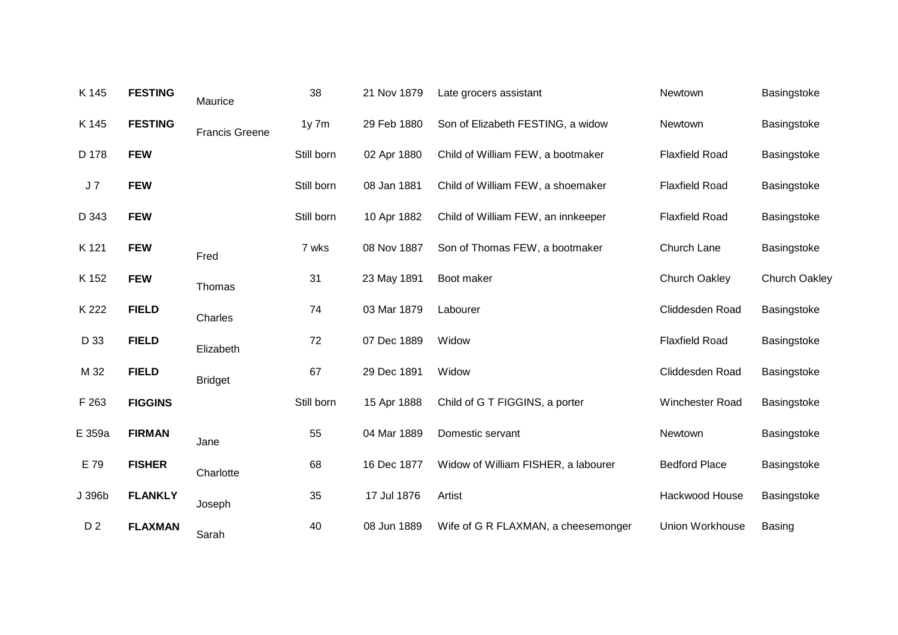| K 145          | <b>FESTING</b> | Maurice               | 38         | 21 Nov 1879 | Late grocers assistant              | Newtown               | Basingstoke          |
|----------------|----------------|-----------------------|------------|-------------|-------------------------------------|-----------------------|----------------------|
| K 145          | <b>FESTING</b> | <b>Francis Greene</b> | $1y$ 7 $m$ | 29 Feb 1880 | Son of Elizabeth FESTING, a widow   | Newtown               | Basingstoke          |
| D 178          | <b>FEW</b>     |                       | Still born | 02 Apr 1880 | Child of William FEW, a bootmaker   | <b>Flaxfield Road</b> | Basingstoke          |
| $J\,7$         | <b>FEW</b>     |                       | Still born | 08 Jan 1881 | Child of William FEW, a shoemaker   | <b>Flaxfield Road</b> | Basingstoke          |
| D 343          | <b>FEW</b>     |                       | Still born | 10 Apr 1882 | Child of William FEW, an innkeeper  | <b>Flaxfield Road</b> | Basingstoke          |
| K 121          | <b>FEW</b>     | Fred                  | 7 wks      | 08 Nov 1887 | Son of Thomas FEW, a bootmaker      | Church Lane           | Basingstoke          |
| K 152          | <b>FEW</b>     | Thomas                | 31         | 23 May 1891 | Boot maker                          | <b>Church Oakley</b>  | <b>Church Oakley</b> |
| K 222          | <b>FIELD</b>   | Charles               | 74         | 03 Mar 1879 | Labourer                            | Cliddesden Road       | Basingstoke          |
| D 33           | <b>FIELD</b>   | Elizabeth             | 72         | 07 Dec 1889 | Widow                               | <b>Flaxfield Road</b> | Basingstoke          |
| M 32           | <b>FIELD</b>   | <b>Bridget</b>        | 67         | 29 Dec 1891 | Widow                               | Cliddesden Road       | Basingstoke          |
| F 263          | <b>FIGGINS</b> |                       | Still born | 15 Apr 1888 | Child of G T FIGGINS, a porter      | Winchester Road       | Basingstoke          |
| E 359a         | <b>FIRMAN</b>  | Jane                  | 55         | 04 Mar 1889 | Domestic servant                    | Newtown               | Basingstoke          |
| E 79           | <b>FISHER</b>  | Charlotte             | 68         | 16 Dec 1877 | Widow of William FISHER, a labourer | <b>Bedford Place</b>  | Basingstoke          |
| J 396b         | <b>FLANKLY</b> | Joseph                | 35         | 17 Jul 1876 | Artist                              | Hackwood House        | Basingstoke          |
| D <sub>2</sub> | <b>FLAXMAN</b> | Sarah                 | 40         | 08 Jun 1889 | Wife of G R FLAXMAN, a cheesemonger | Union Workhouse       | <b>Basing</b>        |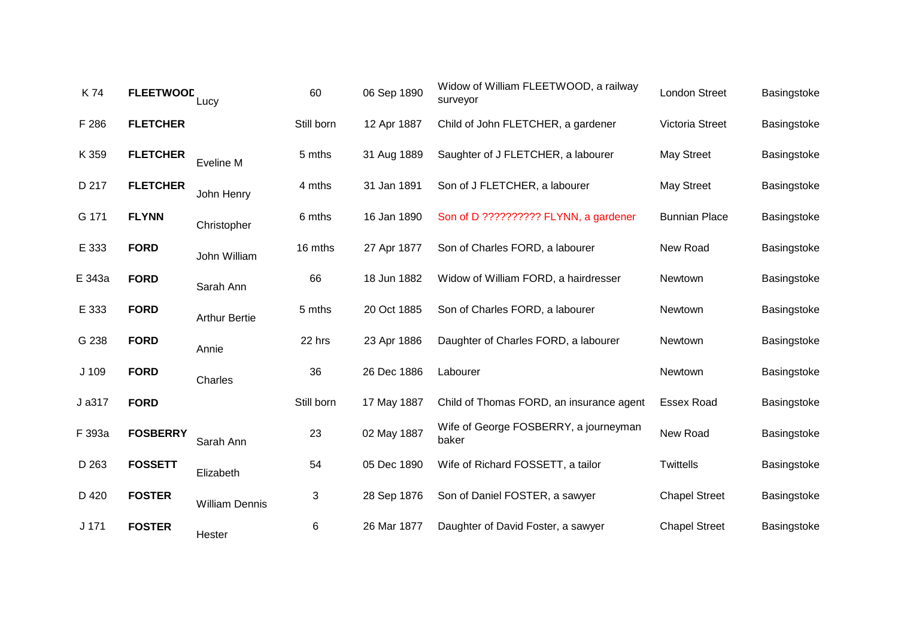| K74              | <b>FLEETWOOD</b> | Lucy                  | 60         | 06 Sep 1890 | Widow of William FLEETWOOD, a railway<br>surveyor | London Street        | Basingstoke |
|------------------|------------------|-----------------------|------------|-------------|---------------------------------------------------|----------------------|-------------|
| F 286            | <b>FLETCHER</b>  |                       | Still born | 12 Apr 1887 | Child of John FLETCHER, a gardener                | Victoria Street      | Basingstoke |
| K 359            | <b>FLETCHER</b>  | Eveline M             | 5 mths     | 31 Aug 1889 | Saughter of J FLETCHER, a labourer                | <b>May Street</b>    | Basingstoke |
| D 217            | <b>FLETCHER</b>  | John Henry            | 4 mths     | 31 Jan 1891 | Son of J FLETCHER, a labourer                     | <b>May Street</b>    | Basingstoke |
| G 171            | <b>FLYNN</b>     | Christopher           | 6 mths     | 16 Jan 1890 | Son of D ?????????? FLYNN, a gardener             | <b>Bunnian Place</b> | Basingstoke |
| E 333            | <b>FORD</b>      | John William          | 16 mths    | 27 Apr 1877 | Son of Charles FORD, a labourer                   | New Road             | Basingstoke |
| E 343a           | <b>FORD</b>      | Sarah Ann             | 66         | 18 Jun 1882 | Widow of William FORD, a hairdresser              | Newtown              | Basingstoke |
| E 333            | <b>FORD</b>      | <b>Arthur Bertie</b>  | 5 mths     | 20 Oct 1885 | Son of Charles FORD, a labourer                   | Newtown              | Basingstoke |
| G 238            | <b>FORD</b>      | Annie                 | 22 hrs     | 23 Apr 1886 | Daughter of Charles FORD, a labourer              | Newtown              | Basingstoke |
| J 109            | <b>FORD</b>      | Charles               | 36         | 26 Dec 1886 | Labourer                                          | Newtown              | Basingstoke |
| J a317           | <b>FORD</b>      |                       | Still born | 17 May 1887 | Child of Thomas FORD, an insurance agent          | <b>Essex Road</b>    | Basingstoke |
| F 393a           | <b>FOSBERRY</b>  | Sarah Ann             | 23         | 02 May 1887 | Wife of George FOSBERRY, a journeyman<br>baker    | New Road             | Basingstoke |
| D 263            | <b>FOSSETT</b>   | Elizabeth             | 54         | 05 Dec 1890 | Wife of Richard FOSSETT, a tailor                 | <b>Twittells</b>     | Basingstoke |
| D 420            | <b>FOSTER</b>    | <b>William Dennis</b> | 3          | 28 Sep 1876 | Son of Daniel FOSTER, a sawyer                    | <b>Chapel Street</b> | Basingstoke |
| J <sub>171</sub> | <b>FOSTER</b>    | Hester                | 6          | 26 Mar 1877 | Daughter of David Foster, a sawyer                | <b>Chapel Street</b> | Basingstoke |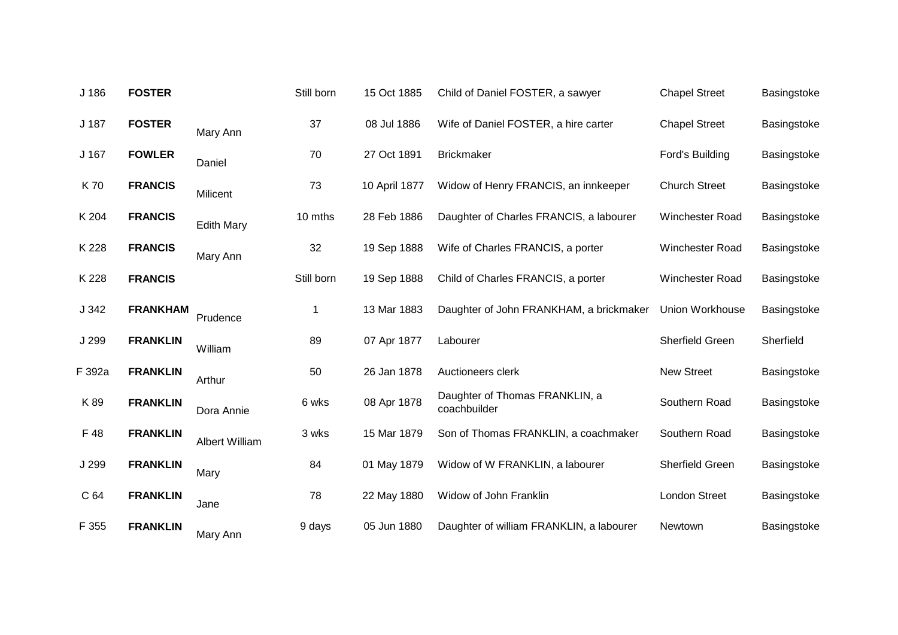| J 186  | <b>FOSTER</b>   |                   | Still born | 15 Oct 1885   | Child of Daniel FOSTER, a sawyer               | <b>Chapel Street</b> | Basingstoke |
|--------|-----------------|-------------------|------------|---------------|------------------------------------------------|----------------------|-------------|
| J 187  | <b>FOSTER</b>   | Mary Ann          | 37         | 08 Jul 1886   | Wife of Daniel FOSTER, a hire carter           | <b>Chapel Street</b> | Basingstoke |
| J 167  | <b>FOWLER</b>   | Daniel            | 70         | 27 Oct 1891   | <b>Brickmaker</b>                              | Ford's Building      | Basingstoke |
| K70    | <b>FRANCIS</b>  | Milicent          | 73         | 10 April 1877 | Widow of Henry FRANCIS, an innkeeper           | <b>Church Street</b> | Basingstoke |
| K 204  | <b>FRANCIS</b>  | <b>Edith Mary</b> | 10 mths    | 28 Feb 1886   | Daughter of Charles FRANCIS, a labourer        | Winchester Road      | Basingstoke |
| K 228  | <b>FRANCIS</b>  | Mary Ann          | 32         | 19 Sep 1888   | Wife of Charles FRANCIS, a porter              | Winchester Road      | Basingstoke |
| K 228  | <b>FRANCIS</b>  |                   | Still born | 19 Sep 1888   | Child of Charles FRANCIS, a porter             | Winchester Road      | Basingstoke |
| J 342  | <b>FRANKHAM</b> | Prudence          | 1          | 13 Mar 1883   | Daughter of John FRANKHAM, a brickmaker        | Union Workhouse      | Basingstoke |
| J 299  | <b>FRANKLIN</b> | William           | 89         | 07 Apr 1877   | Labourer                                       | Sherfield Green      | Sherfield   |
| F 392a | <b>FRANKLIN</b> | Arthur            | 50         | 26 Jan 1878   | Auctioneers clerk                              | <b>New Street</b>    | Basingstoke |
| K89    | <b>FRANKLIN</b> | Dora Annie        | 6 wks      | 08 Apr 1878   | Daughter of Thomas FRANKLIN, a<br>coachbuilder | Southern Road        | Basingstoke |
| F 48   | <b>FRANKLIN</b> | Albert William    | 3 wks      | 15 Mar 1879   | Son of Thomas FRANKLIN, a coachmaker           | Southern Road        | Basingstoke |
| J 299  | <b>FRANKLIN</b> | Mary              | 84         | 01 May 1879   | Widow of W FRANKLIN, a labourer                | Sherfield Green      | Basingstoke |
| C 64   | <b>FRANKLIN</b> | Jane              | 78         | 22 May 1880   | Widow of John Franklin                         | <b>London Street</b> | Basingstoke |
| F 355  | <b>FRANKLIN</b> | Mary Ann          | 9 days     | 05 Jun 1880   | Daughter of william FRANKLIN, a labourer       | Newtown              | Basingstoke |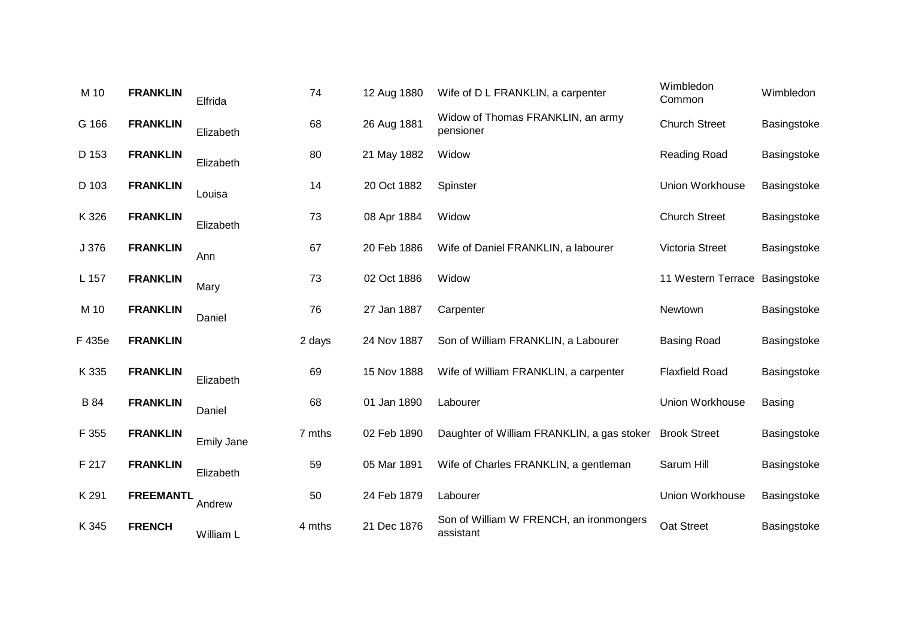| M 10   | <b>FRANKLIN</b>  | Elfrida           | 74     | 12 Aug 1880 | Wife of D L FRANKLIN, a carpenter                    | Wimbledon<br>Common            | Wimbledon     |
|--------|------------------|-------------------|--------|-------------|------------------------------------------------------|--------------------------------|---------------|
| G 166  | <b>FRANKLIN</b>  | Elizabeth         | 68     | 26 Aug 1881 | Widow of Thomas FRANKLIN, an army<br>pensioner       | <b>Church Street</b>           | Basingstoke   |
| D 153  | <b>FRANKLIN</b>  | Elizabeth         | 80     | 21 May 1882 | Widow                                                | <b>Reading Road</b>            | Basingstoke   |
| D 103  | <b>FRANKLIN</b>  | Louisa            | 14     | 20 Oct 1882 | Spinster                                             | Union Workhouse                | Basingstoke   |
| K 326  | <b>FRANKLIN</b>  | Elizabeth         | 73     | 08 Apr 1884 | Widow                                                | <b>Church Street</b>           | Basingstoke   |
| J 376  | <b>FRANKLIN</b>  | Ann               | 67     | 20 Feb 1886 | Wife of Daniel FRANKLIN, a labourer                  | Victoria Street                | Basingstoke   |
| L 157  | <b>FRANKLIN</b>  | Mary              | 73     | 02 Oct 1886 | Widow                                                | 11 Western Terrace Basingstoke |               |
| M 10   | <b>FRANKLIN</b>  | Daniel            | 76     | 27 Jan 1887 | Carpenter                                            | Newtown                        | Basingstoke   |
| F 435e | <b>FRANKLIN</b>  |                   | 2 days | 24 Nov 1887 | Son of William FRANKLIN, a Labourer                  | <b>Basing Road</b>             | Basingstoke   |
| K 335  | <b>FRANKLIN</b>  | Elizabeth         | 69     | 15 Nov 1888 | Wife of William FRANKLIN, a carpenter                | <b>Flaxfield Road</b>          | Basingstoke   |
| B 84   | <b>FRANKLIN</b>  | Daniel            | 68     | 01 Jan 1890 | Labourer                                             | Union Workhouse                | <b>Basing</b> |
| F 355  | <b>FRANKLIN</b>  | <b>Emily Jane</b> | 7 mths | 02 Feb 1890 | Daughter of William FRANKLIN, a gas stoker           | <b>Brook Street</b>            | Basingstoke   |
| F 217  | <b>FRANKLIN</b>  | Elizabeth         | 59     | 05 Mar 1891 | Wife of Charles FRANKLIN, a gentleman                | Sarum Hill                     | Basingstoke   |
| K 291  | <b>FREEMANTL</b> | Andrew            | 50     | 24 Feb 1879 | Labourer                                             | Union Workhouse                | Basingstoke   |
| K 345  | <b>FRENCH</b>    | William L         | 4 mths | 21 Dec 1876 | Son of William W FRENCH, an ironmongers<br>assistant | Oat Street                     | Basingstoke   |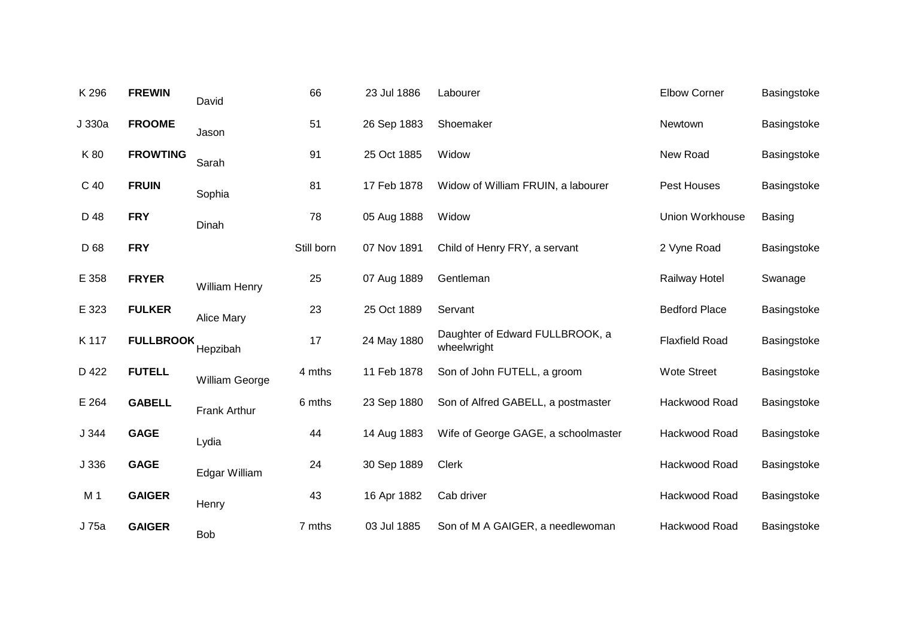| K 296          | <b>FREWIN</b>    | David                 | 66         | 23 Jul 1886 | Labourer                                       | <b>Elbow Corner</b>   | Basingstoke   |
|----------------|------------------|-----------------------|------------|-------------|------------------------------------------------|-----------------------|---------------|
| J 330a         | <b>FROOME</b>    | Jason                 | 51         | 26 Sep 1883 | Shoemaker                                      | Newtown               | Basingstoke   |
| K 80           | <b>FROWTING</b>  | Sarah                 | 91         | 25 Oct 1885 | Widow                                          | New Road              | Basingstoke   |
| C 40           | <b>FRUIN</b>     | Sophia                | 81         | 17 Feb 1878 | Widow of William FRUIN, a labourer             | Pest Houses           | Basingstoke   |
| D 48           | <b>FRY</b>       | Dinah                 | 78         | 05 Aug 1888 | Widow                                          | Union Workhouse       | <b>Basing</b> |
| D 68           | <b>FRY</b>       |                       | Still born | 07 Nov 1891 | Child of Henry FRY, a servant                  | 2 Vyne Road           | Basingstoke   |
| E 358          | <b>FRYER</b>     | <b>William Henry</b>  | 25         | 07 Aug 1889 | Gentleman                                      | Railway Hotel         | Swanage       |
| E 323          | <b>FULKER</b>    | <b>Alice Mary</b>     | 23         | 25 Oct 1889 | Servant                                        | <b>Bedford Place</b>  | Basingstoke   |
| K 117          | <b>FULLBROOK</b> | Hepzibah              | 17         | 24 May 1880 | Daughter of Edward FULLBROOK, a<br>wheelwright | <b>Flaxfield Road</b> | Basingstoke   |
| D 422          | <b>FUTELL</b>    | <b>William George</b> | 4 mths     | 11 Feb 1878 | Son of John FUTELL, a groom                    | <b>Wote Street</b>    | Basingstoke   |
| E 264          | <b>GABELL</b>    | <b>Frank Arthur</b>   | 6 mths     | 23 Sep 1880 | Son of Alfred GABELL, a postmaster             | Hackwood Road         | Basingstoke   |
| J 344          | <b>GAGE</b>      | Lydia                 | 44         | 14 Aug 1883 | Wife of George GAGE, a schoolmaster            | Hackwood Road         | Basingstoke   |
| J 336          | <b>GAGE</b>      | Edgar William         | 24         | 30 Sep 1889 | <b>Clerk</b>                                   | Hackwood Road         | Basingstoke   |
| M <sub>1</sub> | <b>GAIGER</b>    | Henry                 | 43         | 16 Apr 1882 | Cab driver                                     | Hackwood Road         | Basingstoke   |
| J 75a          | <b>GAIGER</b>    | Bob                   | 7 mths     | 03 Jul 1885 | Son of M A GAIGER, a needlewoman               | Hackwood Road         | Basingstoke   |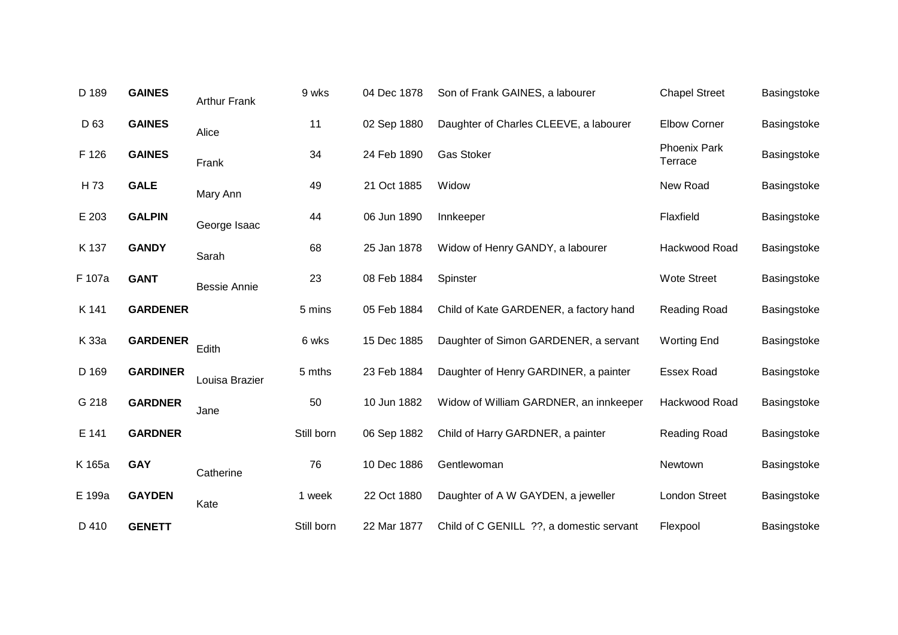| D 189           | <b>GAINES</b>   | <b>Arthur Frank</b> | 9 wks      | 04 Dec 1878 | Son of Frank GAINES, a labourer          | <b>Chapel Street</b>           | Basingstoke |
|-----------------|-----------------|---------------------|------------|-------------|------------------------------------------|--------------------------------|-------------|
| D <sub>63</sub> | <b>GAINES</b>   | Alice               | 11         | 02 Sep 1880 | Daughter of Charles CLEEVE, a labourer   | <b>Elbow Corner</b>            | Basingstoke |
| F 126           | <b>GAINES</b>   | Frank               | 34         | 24 Feb 1890 | <b>Gas Stoker</b>                        | <b>Phoenix Park</b><br>Terrace | Basingstoke |
| H 73            | <b>GALE</b>     | Mary Ann            | 49         | 21 Oct 1885 | Widow                                    | New Road                       | Basingstoke |
| E 203           | <b>GALPIN</b>   | George Isaac        | 44         | 06 Jun 1890 | Innkeeper                                | Flaxfield                      | Basingstoke |
| K 137           | <b>GANDY</b>    | Sarah               | 68         | 25 Jan 1878 | Widow of Henry GANDY, a labourer         | Hackwood Road                  | Basingstoke |
| F 107a          | <b>GANT</b>     | <b>Bessie Annie</b> | 23         | 08 Feb 1884 | Spinster                                 | <b>Wote Street</b>             | Basingstoke |
| K 141           | <b>GARDENER</b> |                     | 5 mins     | 05 Feb 1884 | Child of Kate GARDENER, a factory hand   | Reading Road                   | Basingstoke |
| K 33a           | <b>GARDENER</b> | Edith               | 6 wks      | 15 Dec 1885 | Daughter of Simon GARDENER, a servant    | <b>Worting End</b>             | Basingstoke |
| D 169           | <b>GARDINER</b> | Louisa Brazier      | 5 mths     | 23 Feb 1884 | Daughter of Henry GARDINER, a painter    | <b>Essex Road</b>              | Basingstoke |
| G 218           | <b>GARDNER</b>  | Jane                | 50         | 10 Jun 1882 | Widow of William GARDNER, an innkeeper   | Hackwood Road                  | Basingstoke |
| E 141           | <b>GARDNER</b>  |                     | Still born | 06 Sep 1882 | Child of Harry GARDNER, a painter        | Reading Road                   | Basingstoke |
| K 165a          | <b>GAY</b>      | Catherine           | 76         | 10 Dec 1886 | Gentlewoman                              | Newtown                        | Basingstoke |
| E 199a          | <b>GAYDEN</b>   | Kate                | 1 week     | 22 Oct 1880 | Daughter of A W GAYDEN, a jeweller       | <b>London Street</b>           | Basingstoke |
| D 410           | <b>GENETT</b>   |                     | Still born | 22 Mar 1877 | Child of C GENILL ??, a domestic servant | Flexpool                       | Basingstoke |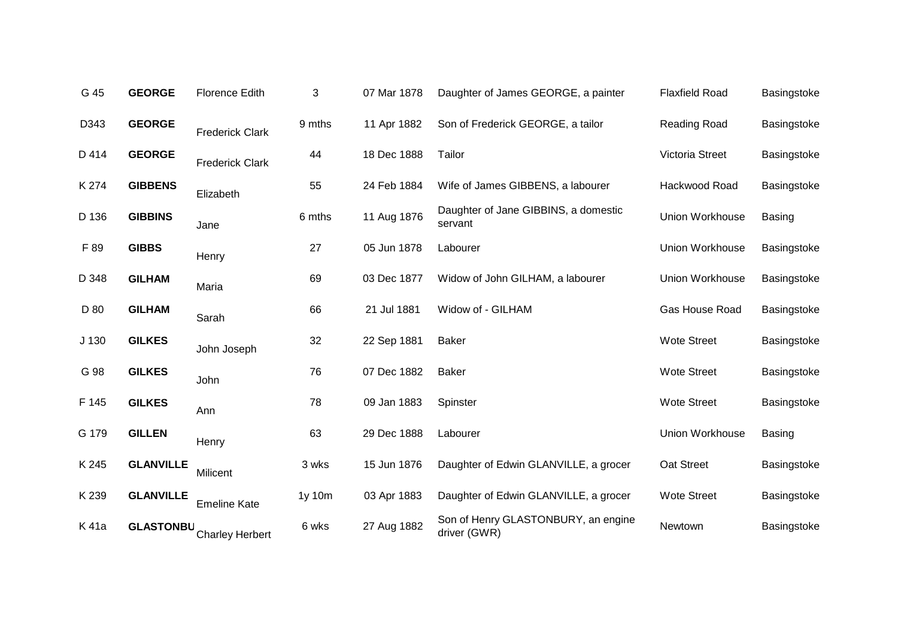| G 45             | <b>GEORGE</b>    | <b>Florence Edith</b>  | 3      | 07 Mar 1878 | Daughter of James GEORGE, a painter                 | <b>Flaxfield Road</b> | Basingstoke   |
|------------------|------------------|------------------------|--------|-------------|-----------------------------------------------------|-----------------------|---------------|
| D343             | <b>GEORGE</b>    | <b>Frederick Clark</b> | 9 mths | 11 Apr 1882 | Son of Frederick GEORGE, a tailor                   | <b>Reading Road</b>   | Basingstoke   |
| D 414            | <b>GEORGE</b>    | <b>Frederick Clark</b> | 44     | 18 Dec 1888 | Tailor                                              | Victoria Street       | Basingstoke   |
| K 274            | <b>GIBBENS</b>   | Elizabeth              | 55     | 24 Feb 1884 | Wife of James GIBBENS, a labourer                   | Hackwood Road         | Basingstoke   |
| D 136            | <b>GIBBINS</b>   | Jane                   | 6 mths | 11 Aug 1876 | Daughter of Jane GIBBINS, a domestic<br>servant     | Union Workhouse       | <b>Basing</b> |
| F 89             | <b>GIBBS</b>     | Henry                  | 27     | 05 Jun 1878 | Labourer                                            | Union Workhouse       | Basingstoke   |
| D 348            | <b>GILHAM</b>    | Maria                  | 69     | 03 Dec 1877 | Widow of John GILHAM, a labourer                    | Union Workhouse       | Basingstoke   |
| D 80             | <b>GILHAM</b>    | Sarah                  | 66     | 21 Jul 1881 | Widow of - GILHAM                                   | Gas House Road        | Basingstoke   |
| J <sub>130</sub> | <b>GILKES</b>    | John Joseph            | 32     | 22 Sep 1881 | <b>Baker</b>                                        | <b>Wote Street</b>    | Basingstoke   |
| G 98             | <b>GILKES</b>    | John                   | 76     | 07 Dec 1882 | Baker                                               | <b>Wote Street</b>    | Basingstoke   |
| F 145            | <b>GILKES</b>    | Ann                    | 78     | 09 Jan 1883 | Spinster                                            | <b>Wote Street</b>    | Basingstoke   |
| G 179            | <b>GILLEN</b>    | Henry                  | 63     | 29 Dec 1888 | Labourer                                            | Union Workhouse       | <b>Basing</b> |
| K 245            | <b>GLANVILLE</b> | Milicent               | 3 wks  | 15 Jun 1876 | Daughter of Edwin GLANVILLE, a grocer               | Oat Street            | Basingstoke   |
| K 239            | <b>GLANVILLE</b> | <b>Emeline Kate</b>    | 1y 10m | 03 Apr 1883 | Daughter of Edwin GLANVILLE, a grocer               | <b>Wote Street</b>    | Basingstoke   |
| K 41a            | <b>GLASTONBU</b> | <b>Charley Herbert</b> | 6 wks  | 27 Aug 1882 | Son of Henry GLASTONBURY, an engine<br>driver (GWR) | Newtown               | Basingstoke   |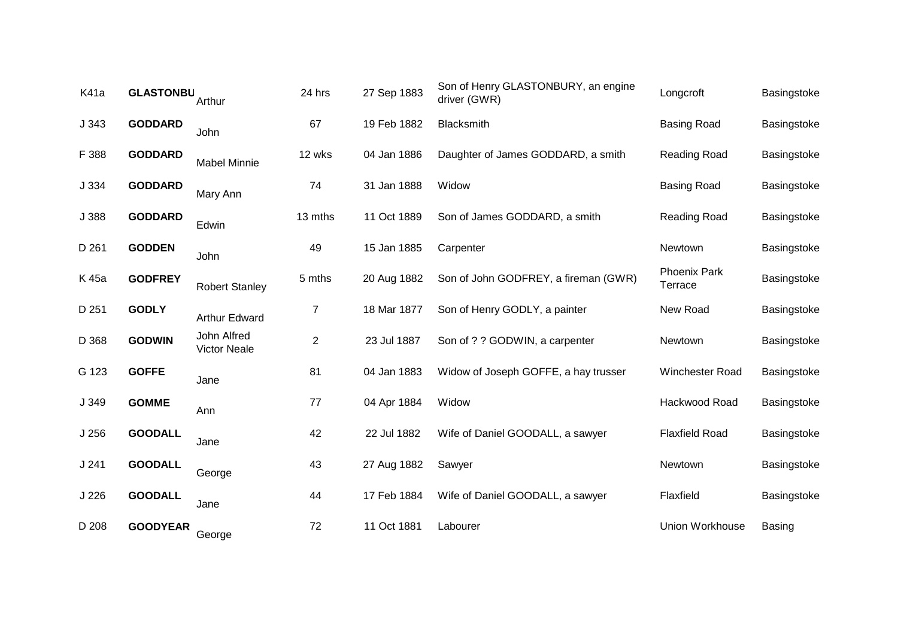| K41a             | <b>GLASTONBU</b> | Arthur                             | 24 hrs         | 27 Sep 1883 | Son of Henry GLASTONBURY, an engine<br>driver (GWR) | Longcroft                      | Basingstoke |
|------------------|------------------|------------------------------------|----------------|-------------|-----------------------------------------------------|--------------------------------|-------------|
| J343             | <b>GODDARD</b>   | John                               | 67             | 19 Feb 1882 | <b>Blacksmith</b>                                   | <b>Basing Road</b>             | Basingstoke |
| F 388            | <b>GODDARD</b>   | <b>Mabel Minnie</b>                | 12 wks         | 04 Jan 1886 | Daughter of James GODDARD, a smith                  | Reading Road                   | Basingstoke |
| J 334            | <b>GODDARD</b>   | Mary Ann                           | 74             | 31 Jan 1888 | Widow                                               | <b>Basing Road</b>             | Basingstoke |
| J 388            | <b>GODDARD</b>   | Edwin                              | 13 mths        | 11 Oct 1889 | Son of James GODDARD, a smith                       | Reading Road                   | Basingstoke |
| D 261            | <b>GODDEN</b>    | John                               | 49             | 15 Jan 1885 | Carpenter                                           | Newtown                        | Basingstoke |
| K 45a            | <b>GODFREY</b>   | <b>Robert Stanley</b>              | 5 mths         | 20 Aug 1882 | Son of John GODFREY, a fireman (GWR)                | <b>Phoenix Park</b><br>Terrace | Basingstoke |
| D 251            | <b>GODLY</b>     | <b>Arthur Edward</b>               | $\overline{7}$ | 18 Mar 1877 | Son of Henry GODLY, a painter                       | New Road                       | Basingstoke |
| D 368            | <b>GODWIN</b>    | John Alfred<br><b>Victor Neale</b> | $\overline{2}$ | 23 Jul 1887 | Son of ? ? GODWIN, a carpenter                      | Newtown                        | Basingstoke |
| G 123            | <b>GOFFE</b>     | Jane                               | 81             | 04 Jan 1883 | Widow of Joseph GOFFE, a hay trusser                | Winchester Road                | Basingstoke |
| J 349            | <b>GOMME</b>     | Ann                                | 77             | 04 Apr 1884 | Widow                                               | Hackwood Road                  | Basingstoke |
| J <sub>256</sub> | <b>GOODALL</b>   | Jane                               | 42             | 22 Jul 1882 | Wife of Daniel GOODALL, a sawyer                    | <b>Flaxfield Road</b>          | Basingstoke |
| J241             | <b>GOODALL</b>   | George                             | 43             | 27 Aug 1882 | Sawyer                                              | Newtown                        | Basingstoke |
| J 226            | <b>GOODALL</b>   | Jane                               | 44             | 17 Feb 1884 | Wife of Daniel GOODALL, a sawyer                    | Flaxfield                      | Basingstoke |
| D 208            | <b>GOODYEAR</b>  | George                             | 72             | 11 Oct 1881 | Labourer                                            | Union Workhouse                | Basing      |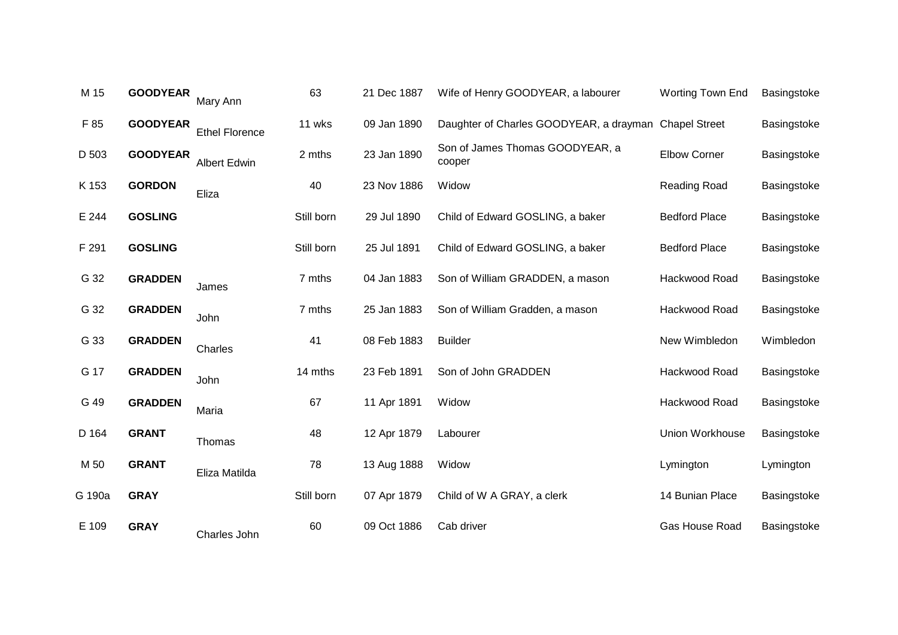| M 15   | <b>GOODYEAR</b> | Mary Ann              | 63         | 21 Dec 1887 | Wife of Henry GOODYEAR, a labourer                    | Worting Town End     | Basingstoke |
|--------|-----------------|-----------------------|------------|-------------|-------------------------------------------------------|----------------------|-------------|
| F 85   | <b>GOODYEAR</b> | <b>Ethel Florence</b> | 11 wks     | 09 Jan 1890 | Daughter of Charles GOODYEAR, a drayman Chapel Street |                      | Basingstoke |
| D 503  | <b>GOODYEAR</b> | <b>Albert Edwin</b>   | 2 mths     | 23 Jan 1890 | Son of James Thomas GOODYEAR, a<br>cooper             | <b>Elbow Corner</b>  | Basingstoke |
| K 153  | <b>GORDON</b>   | Eliza                 | 40         | 23 Nov 1886 | Widow                                                 | <b>Reading Road</b>  | Basingstoke |
| E 244  | <b>GOSLING</b>  |                       | Still born | 29 Jul 1890 | Child of Edward GOSLING, a baker                      | <b>Bedford Place</b> | Basingstoke |
| F 291  | <b>GOSLING</b>  |                       | Still born | 25 Jul 1891 | Child of Edward GOSLING, a baker                      | <b>Bedford Place</b> | Basingstoke |
| G 32   | <b>GRADDEN</b>  | James                 | 7 mths     | 04 Jan 1883 | Son of William GRADDEN, a mason                       | Hackwood Road        | Basingstoke |
| G 32   | <b>GRADDEN</b>  | John                  | 7 mths     | 25 Jan 1883 | Son of William Gradden, a mason                       | Hackwood Road        | Basingstoke |
| G 33   | <b>GRADDEN</b>  | Charles               | 41         | 08 Feb 1883 | <b>Builder</b>                                        | New Wimbledon        | Wimbledon   |
| G 17   | <b>GRADDEN</b>  | John                  | 14 mths    | 23 Feb 1891 | Son of John GRADDEN                                   | Hackwood Road        | Basingstoke |
| G 49   | <b>GRADDEN</b>  | Maria                 | 67         | 11 Apr 1891 | Widow                                                 | Hackwood Road        | Basingstoke |
| D 164  | <b>GRANT</b>    | Thomas                | 48         | 12 Apr 1879 | Labourer                                              | Union Workhouse      | Basingstoke |
| M 50   | <b>GRANT</b>    | Eliza Matilda         | 78         | 13 Aug 1888 | Widow                                                 | Lymington            | Lymington   |
| G 190a | <b>GRAY</b>     |                       | Still born | 07 Apr 1879 | Child of W A GRAY, a clerk                            | 14 Bunian Place      | Basingstoke |
| E 109  | <b>GRAY</b>     | Charles John          | 60         | 09 Oct 1886 | Cab driver                                            | Gas House Road       | Basingstoke |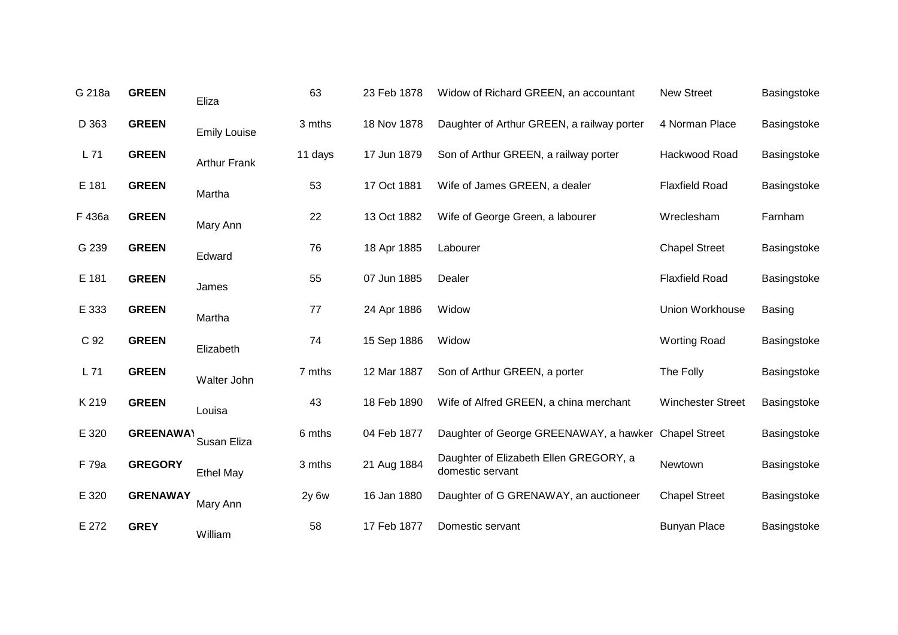| G 218a | <b>GREEN</b>     | Eliza               | 63         | 23 Feb 1878 | Widow of Richard GREEN, an accountant                      | New Street               | Basingstoke   |
|--------|------------------|---------------------|------------|-------------|------------------------------------------------------------|--------------------------|---------------|
| D 363  | <b>GREEN</b>     | <b>Emily Louise</b> | 3 mths     | 18 Nov 1878 | Daughter of Arthur GREEN, a railway porter                 | 4 Norman Place           | Basingstoke   |
| L71    | <b>GREEN</b>     | <b>Arthur Frank</b> | 11 days    | 17 Jun 1879 | Son of Arthur GREEN, a railway porter                      | Hackwood Road            | Basingstoke   |
| E 181  | <b>GREEN</b>     | Martha              | 53         | 17 Oct 1881 | Wife of James GREEN, a dealer                              | <b>Flaxfield Road</b>    | Basingstoke   |
| F 436a | <b>GREEN</b>     | Mary Ann            | 22         | 13 Oct 1882 | Wife of George Green, a labourer                           | Wreclesham               | Farnham       |
| G 239  | <b>GREEN</b>     | Edward              | 76         | 18 Apr 1885 | Labourer                                                   | <b>Chapel Street</b>     | Basingstoke   |
| E 181  | <b>GREEN</b>     | James               | 55         | 07 Jun 1885 | Dealer                                                     | <b>Flaxfield Road</b>    | Basingstoke   |
| E 333  | <b>GREEN</b>     | Martha              | 77         | 24 Apr 1886 | Widow                                                      | Union Workhouse          | <b>Basing</b> |
| C 92   | <b>GREEN</b>     | Elizabeth           | 74         | 15 Sep 1886 | Widow                                                      | <b>Worting Road</b>      | Basingstoke   |
| L71    | <b>GREEN</b>     | Walter John         | 7 mths     | 12 Mar 1887 | Son of Arthur GREEN, a porter                              | The Folly                | Basingstoke   |
| K 219  | <b>GREEN</b>     | Louisa              | 43         | 18 Feb 1890 | Wife of Alfred GREEN, a china merchant                     | <b>Winchester Street</b> | Basingstoke   |
| E 320  | <b>GREENAWAY</b> | Susan Eliza         | 6 mths     | 04 Feb 1877 | Daughter of George GREENAWAY, a hawker Chapel Street       |                          | Basingstoke   |
| F 79a  | <b>GREGORY</b>   | <b>Ethel May</b>    | 3 mths     | 21 Aug 1884 | Daughter of Elizabeth Ellen GREGORY, a<br>domestic servant | Newtown                  | Basingstoke   |
| E 320  | <b>GRENAWAY</b>  | Mary Ann            | $2y$ 6 $w$ | 16 Jan 1880 | Daughter of G GRENAWAY, an auctioneer                      | <b>Chapel Street</b>     | Basingstoke   |
| E 272  | <b>GREY</b>      | William             | 58         | 17 Feb 1877 | Domestic servant                                           | <b>Bunyan Place</b>      | Basingstoke   |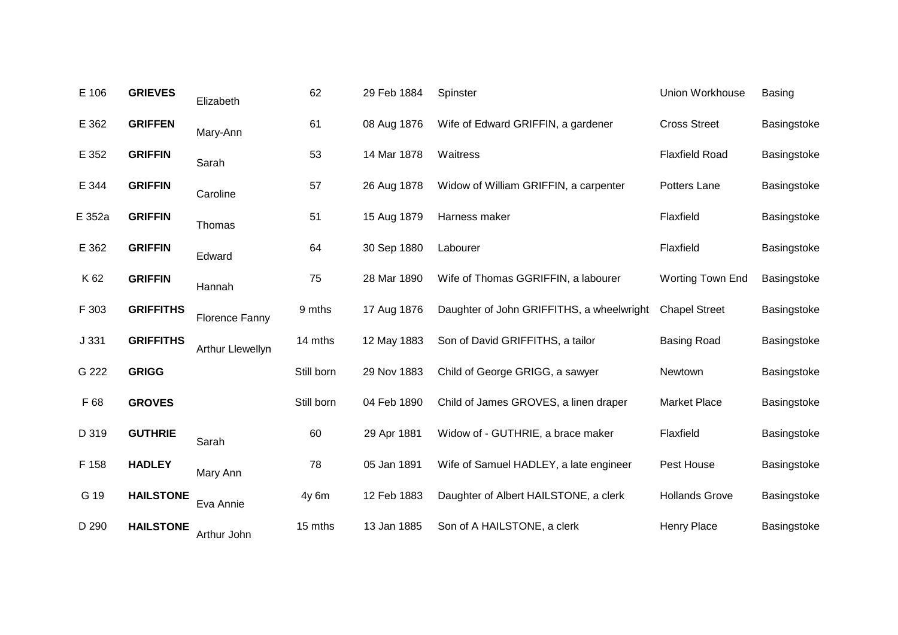| E 106  | <b>GRIEVES</b>   | Elizabeth             | 62         | 29 Feb 1884 | Spinster                                  | Union Workhouse       | <b>Basing</b> |
|--------|------------------|-----------------------|------------|-------------|-------------------------------------------|-----------------------|---------------|
| E 362  | <b>GRIFFEN</b>   | Mary-Ann              | 61         | 08 Aug 1876 | Wife of Edward GRIFFIN, a gardener        | <b>Cross Street</b>   | Basingstoke   |
| E 352  | <b>GRIFFIN</b>   | Sarah                 | 53         | 14 Mar 1878 | Waitress                                  | <b>Flaxfield Road</b> | Basingstoke   |
| E 344  | <b>GRIFFIN</b>   | Caroline              | 57         | 26 Aug 1878 | Widow of William GRIFFIN, a carpenter     | Potters Lane          | Basingstoke   |
| E 352a | <b>GRIFFIN</b>   | Thomas                | 51         | 15 Aug 1879 | Harness maker                             | Flaxfield             | Basingstoke   |
| E 362  | <b>GRIFFIN</b>   | Edward                | 64         | 30 Sep 1880 | Labourer                                  | Flaxfield             | Basingstoke   |
| K 62   | <b>GRIFFIN</b>   | Hannah                | 75         | 28 Mar 1890 | Wife of Thomas GGRIFFIN, a labourer       | Worting Town End      | Basingstoke   |
| F 303  | <b>GRIFFITHS</b> | <b>Florence Fanny</b> | 9 mths     | 17 Aug 1876 | Daughter of John GRIFFITHS, a wheelwright | <b>Chapel Street</b>  | Basingstoke   |
| J 331  | <b>GRIFFITHS</b> | Arthur Llewellyn      | 14 mths    | 12 May 1883 | Son of David GRIFFITHS, a tailor          | <b>Basing Road</b>    | Basingstoke   |
| G 222  | <b>GRIGG</b>     |                       | Still born | 29 Nov 1883 | Child of George GRIGG, a sawyer           | Newtown               | Basingstoke   |
| F 68   | <b>GROVES</b>    |                       | Still born | 04 Feb 1890 | Child of James GROVES, a linen draper     | <b>Market Place</b>   | Basingstoke   |
| D 319  | <b>GUTHRIE</b>   | Sarah                 | 60         | 29 Apr 1881 | Widow of - GUTHRIE, a brace maker         | Flaxfield             | Basingstoke   |
| F 158  | <b>HADLEY</b>    | Mary Ann              | 78         | 05 Jan 1891 | Wife of Samuel HADLEY, a late engineer    | Pest House            | Basingstoke   |
| G 19   | <b>HAILSTONE</b> | Eva Annie             | 4y 6m      | 12 Feb 1883 | Daughter of Albert HAILSTONE, a clerk     | <b>Hollands Grove</b> | Basingstoke   |
| D 290  | <b>HAILSTONE</b> | Arthur John           | 15 mths    | 13 Jan 1885 | Son of A HAILSTONE, a clerk               | <b>Henry Place</b>    | Basingstoke   |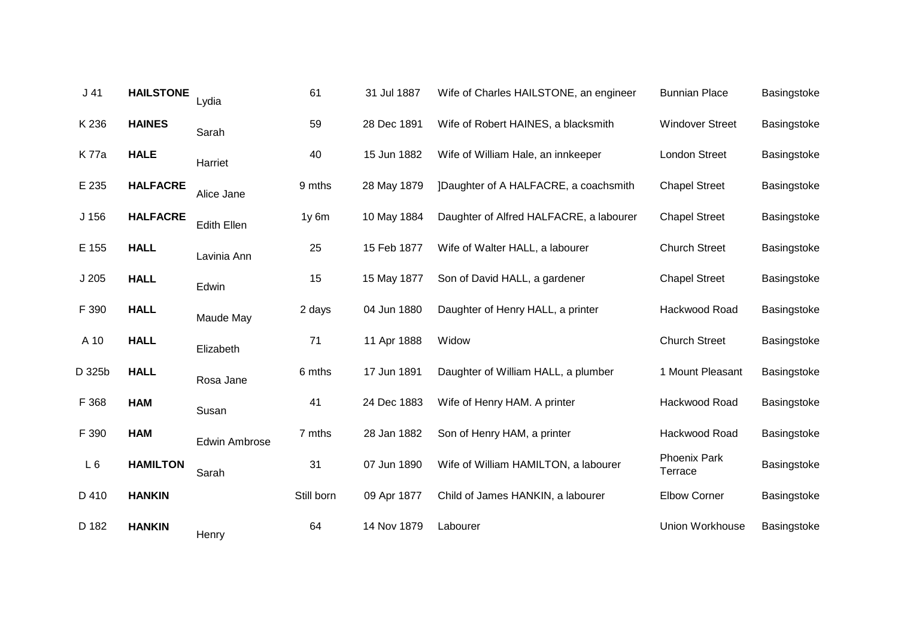| J <sub>41</sub>  | <b>HAILSTONE</b> | Lydia                | 61         | 31 Jul 1887 | Wife of Charles HAILSTONE, an engineer  | <b>Bunnian Place</b>           | Basingstoke |
|------------------|------------------|----------------------|------------|-------------|-----------------------------------------|--------------------------------|-------------|
| K 236            | <b>HAINES</b>    | Sarah                | 59         | 28 Dec 1891 | Wife of Robert HAINES, a blacksmith     | <b>Windover Street</b>         | Basingstoke |
| K 77a            | <b>HALE</b>      | Harriet              | 40         | 15 Jun 1882 | Wife of William Hale, an innkeeper      | London Street                  | Basingstoke |
| E 235            | <b>HALFACRE</b>  | Alice Jane           | 9 mths     | 28 May 1879 | ]Daughter of A HALFACRE, a coachsmith   | <b>Chapel Street</b>           | Basingstoke |
| J <sub>156</sub> | <b>HALFACRE</b>  | <b>Edith Ellen</b>   | $1y$ 6 $m$ | 10 May 1884 | Daughter of Alfred HALFACRE, a labourer | <b>Chapel Street</b>           | Basingstoke |
| E 155            | <b>HALL</b>      | Lavinia Ann          | 25         | 15 Feb 1877 | Wife of Walter HALL, a labourer         | <b>Church Street</b>           | Basingstoke |
| J205             | <b>HALL</b>      | Edwin                | 15         | 15 May 1877 | Son of David HALL, a gardener           | <b>Chapel Street</b>           | Basingstoke |
| F 390            | <b>HALL</b>      | Maude May            | 2 days     | 04 Jun 1880 | Daughter of Henry HALL, a printer       | Hackwood Road                  | Basingstoke |
| A 10             | <b>HALL</b>      | Elizabeth            | 71         | 11 Apr 1888 | Widow                                   | <b>Church Street</b>           | Basingstoke |
| D 325b           | <b>HALL</b>      | Rosa Jane            | 6 mths     | 17 Jun 1891 | Daughter of William HALL, a plumber     | 1 Mount Pleasant               | Basingstoke |
| F 368            | <b>HAM</b>       | Susan                | 41         | 24 Dec 1883 | Wife of Henry HAM. A printer            | Hackwood Road                  | Basingstoke |
| F 390            | <b>HAM</b>       | <b>Edwin Ambrose</b> | 7 mths     | 28 Jan 1882 | Son of Henry HAM, a printer             | Hackwood Road                  | Basingstoke |
| L6               | <b>HAMILTON</b>  | Sarah                | 31         | 07 Jun 1890 | Wife of William HAMILTON, a labourer    | <b>Phoenix Park</b><br>Terrace | Basingstoke |
| D 410            | <b>HANKIN</b>    |                      | Still born | 09 Apr 1877 | Child of James HANKIN, a labourer       | <b>Elbow Corner</b>            | Basingstoke |
| D 182            | <b>HANKIN</b>    | Henry                | 64         | 14 Nov 1879 | Labourer                                | Union Workhouse                | Basingstoke |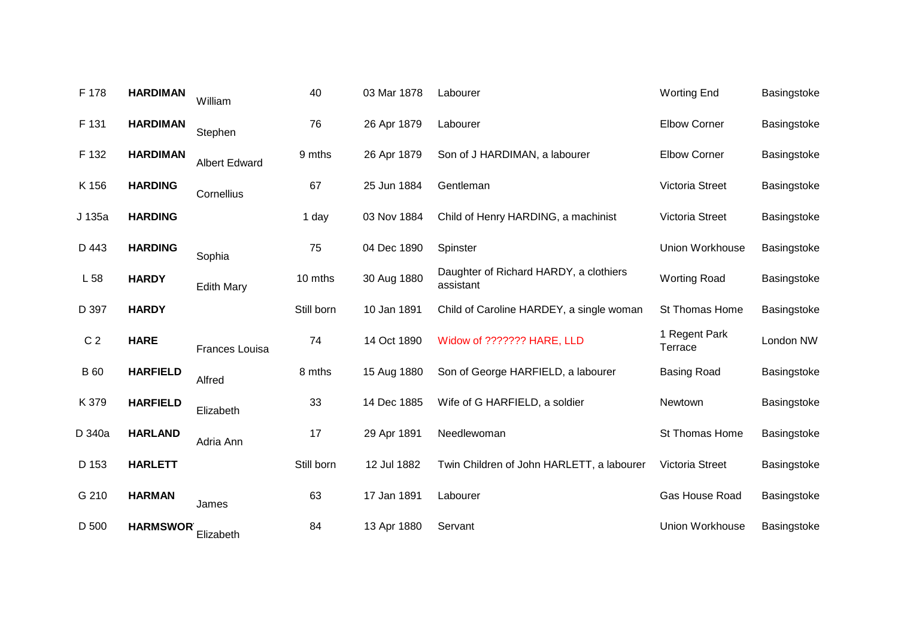| F 178           | <b>HARDIMAN</b> | William              | 40         | 03 Mar 1878 | Labourer                                            | <b>Worting End</b>       | Basingstoke |
|-----------------|-----------------|----------------------|------------|-------------|-----------------------------------------------------|--------------------------|-------------|
| F 131           | <b>HARDIMAN</b> | Stephen              | 76         | 26 Apr 1879 | Labourer                                            | <b>Elbow Corner</b>      | Basingstoke |
| F 132           | <b>HARDIMAN</b> | <b>Albert Edward</b> | 9 mths     | 26 Apr 1879 | Son of J HARDIMAN, a labourer                       | <b>Elbow Corner</b>      | Basingstoke |
| K 156           | <b>HARDING</b>  | Cornellius           | 67         | 25 Jun 1884 | Gentleman                                           | Victoria Street          | Basingstoke |
| J 135a          | <b>HARDING</b>  |                      | 1 day      | 03 Nov 1884 | Child of Henry HARDING, a machinist                 | Victoria Street          | Basingstoke |
| D 443           | <b>HARDING</b>  | Sophia               | 75         | 04 Dec 1890 | Spinster                                            | Union Workhouse          | Basingstoke |
| L <sub>58</sub> | <b>HARDY</b>    | <b>Edith Mary</b>    | 10 mths    | 30 Aug 1880 | Daughter of Richard HARDY, a clothiers<br>assistant | <b>Worting Road</b>      | Basingstoke |
| D 397           | <b>HARDY</b>    |                      | Still born | 10 Jan 1891 | Child of Caroline HARDEY, a single woman            | St Thomas Home           | Basingstoke |
| C <sub>2</sub>  | <b>HARE</b>     | Frances Louisa       | 74         | 14 Oct 1890 | Widow of ??????? HARE, LLD                          | 1 Regent Park<br>Terrace | London NW   |
| <b>B</b> 60     | <b>HARFIELD</b> | Alfred               | 8 mths     | 15 Aug 1880 | Son of George HARFIELD, a labourer                  | <b>Basing Road</b>       | Basingstoke |
| K 379           | <b>HARFIELD</b> | Elizabeth            | 33         | 14 Dec 1885 | Wife of G HARFIELD, a soldier                       | Newtown                  | Basingstoke |
| D 340a          | <b>HARLAND</b>  | Adria Ann            | 17         | 29 Apr 1891 | Needlewoman                                         | St Thomas Home           | Basingstoke |
| D 153           | <b>HARLETT</b>  |                      | Still born | 12 Jul 1882 | Twin Children of John HARLETT, a labourer           | Victoria Street          | Basingstoke |
| G 210           | <b>HARMAN</b>   | James                | 63         | 17 Jan 1891 | Labourer                                            | Gas House Road           | Basingstoke |
| D 500           | <b>HARMSWOR</b> | Elizabeth            | 84         | 13 Apr 1880 | Servant                                             | Union Workhouse          | Basingstoke |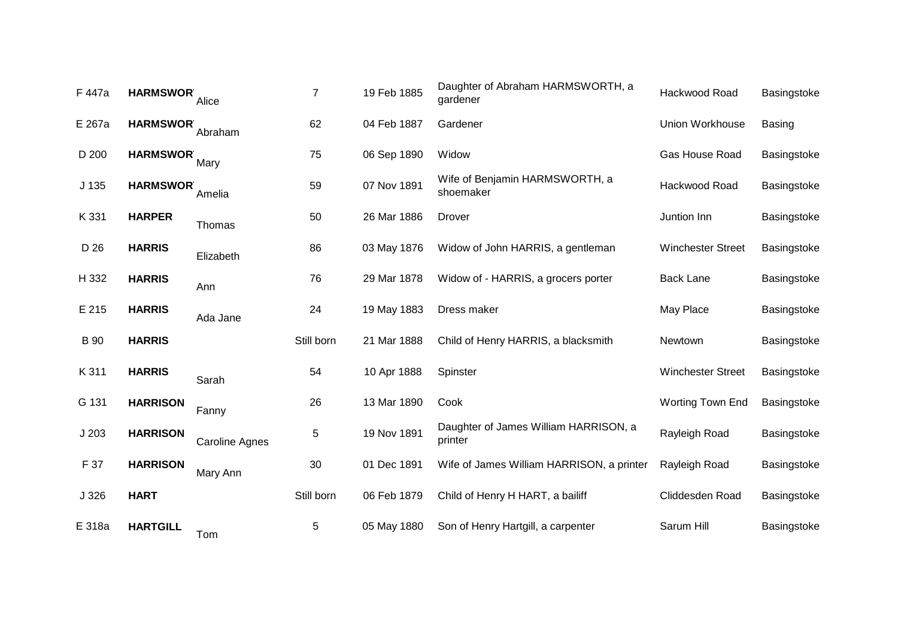| F 447a      | <b>HARMSWOR</b> | Alice                 | $\overline{7}$ | 19 Feb 1885 | Daughter of Abraham HARMSWORTH, a<br>gardener    | Hackwood Road            | Basingstoke   |
|-------------|-----------------|-----------------------|----------------|-------------|--------------------------------------------------|--------------------------|---------------|
| E 267a      | <b>HARMSWOR</b> | Abraham               | 62             | 04 Feb 1887 | Gardener                                         | Union Workhouse          | <b>Basing</b> |
| D 200       | <b>HARMSWOR</b> | Mary                  | 75             | 06 Sep 1890 | Widow                                            | Gas House Road           | Basingstoke   |
| J 135       | <b>HARMSWOR</b> | Amelia                | 59             | 07 Nov 1891 | Wife of Benjamin HARMSWORTH, a<br>shoemaker      | Hackwood Road            | Basingstoke   |
| K 331       | <b>HARPER</b>   | Thomas                | 50             | 26 Mar 1886 | Drover                                           | Juntion Inn              | Basingstoke   |
| D 26        | <b>HARRIS</b>   | Elizabeth             | 86             | 03 May 1876 | Widow of John HARRIS, a gentleman                | <b>Winchester Street</b> | Basingstoke   |
| H 332       | <b>HARRIS</b>   | Ann                   | 76             | 29 Mar 1878 | Widow of - HARRIS, a grocers porter              | <b>Back Lane</b>         | Basingstoke   |
| E 215       | <b>HARRIS</b>   | Ada Jane              | 24             | 19 May 1883 | Dress maker                                      | May Place                | Basingstoke   |
| <b>B</b> 90 | <b>HARRIS</b>   |                       | Still born     | 21 Mar 1888 | Child of Henry HARRIS, a blacksmith              | Newtown                  | Basingstoke   |
| K 311       | <b>HARRIS</b>   | Sarah                 | 54             | 10 Apr 1888 | Spinster                                         | <b>Winchester Street</b> | Basingstoke   |
| G 131       | <b>HARRISON</b> | Fanny                 | 26             | 13 Mar 1890 | Cook                                             | Worting Town End         | Basingstoke   |
| J203        | <b>HARRISON</b> | <b>Caroline Agnes</b> | 5              | 19 Nov 1891 | Daughter of James William HARRISON, a<br>printer | Rayleigh Road            | Basingstoke   |
| F 37        | <b>HARRISON</b> | Mary Ann              | 30             | 01 Dec 1891 | Wife of James William HARRISON, a printer        | Rayleigh Road            | Basingstoke   |
| J 326       | <b>HART</b>     |                       | Still born     | 06 Feb 1879 | Child of Henry H HART, a bailiff                 | Cliddesden Road          | Basingstoke   |
| E 318a      | <b>HARTGILL</b> | Tom                   | 5              | 05 May 1880 | Son of Henry Hartgill, a carpenter               | Sarum Hill               | Basingstoke   |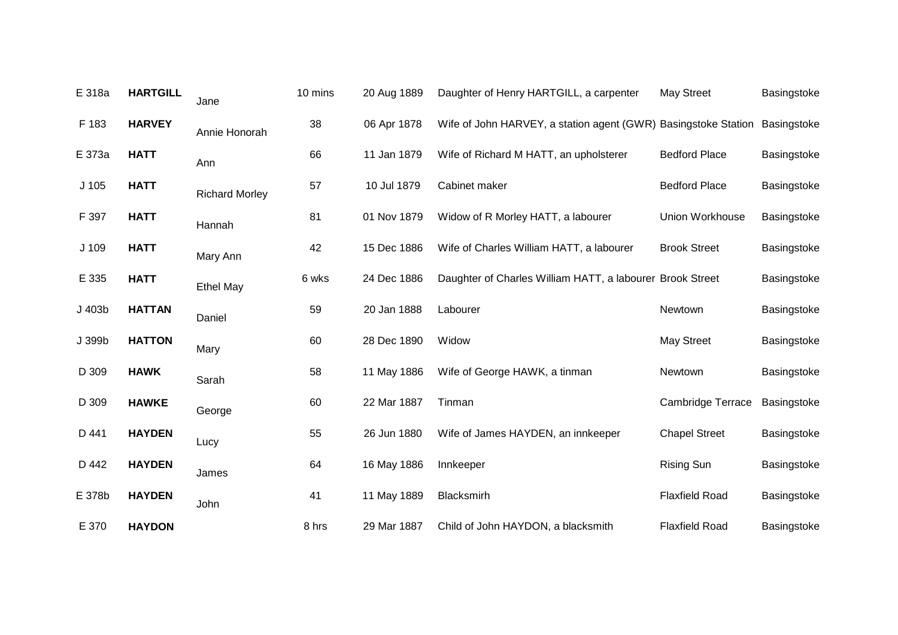| E 318a           | <b>HARTGILL</b> | Jane                  | 10 mins | 20 Aug 1889 | Daughter of Henry HARTGILL, a carpenter                        | <b>May Street</b>        | Basingstoke |
|------------------|-----------------|-----------------------|---------|-------------|----------------------------------------------------------------|--------------------------|-------------|
| F 183            | <b>HARVEY</b>   | Annie Honorah         | 38      | 06 Apr 1878 | Wife of John HARVEY, a station agent (GWR) Basingstoke Station |                          | Basingstoke |
| E 373a           | <b>HATT</b>     | Ann                   | 66      | 11 Jan 1879 | Wife of Richard M HATT, an upholsterer                         | <b>Bedford Place</b>     | Basingstoke |
| J <sub>105</sub> | <b>HATT</b>     | <b>Richard Morley</b> | 57      | 10 Jul 1879 | Cabinet maker                                                  | <b>Bedford Place</b>     | Basingstoke |
| F 397            | <b>HATT</b>     | Hannah                | 81      | 01 Nov 1879 | Widow of R Morley HATT, a labourer                             | <b>Union Workhouse</b>   | Basingstoke |
| J 109            | <b>HATT</b>     | Mary Ann              | 42      | 15 Dec 1886 | Wife of Charles William HATT, a labourer                       | <b>Brook Street</b>      | Basingstoke |
| E 335            | <b>HATT</b>     | <b>Ethel May</b>      | 6 wks   | 24 Dec 1886 | Daughter of Charles William HATT, a labourer Brook Street      |                          | Basingstoke |
| J 403b           | <b>HATTAN</b>   | Daniel                | 59      | 20 Jan 1888 | Labourer                                                       | Newtown                  | Basingstoke |
| J 399b           | <b>HATTON</b>   | Mary                  | 60      | 28 Dec 1890 | Widow                                                          | <b>May Street</b>        | Basingstoke |
| D 309            | <b>HAWK</b>     | Sarah                 | 58      | 11 May 1886 | Wife of George HAWK, a tinman                                  | Newtown                  | Basingstoke |
| D 309            | <b>HAWKE</b>    | George                | 60      | 22 Mar 1887 | Tinman                                                         | <b>Cambridge Terrace</b> | Basingstoke |
| D 441            | <b>HAYDEN</b>   | Lucy                  | 55      | 26 Jun 1880 | Wife of James HAYDEN, an innkeeper                             | <b>Chapel Street</b>     | Basingstoke |
| D 442            | <b>HAYDEN</b>   | James                 | 64      | 16 May 1886 | Innkeeper                                                      | <b>Rising Sun</b>        | Basingstoke |
| E 378b           | <b>HAYDEN</b>   | John                  | 41      | 11 May 1889 | Blacksmirh                                                     | <b>Flaxfield Road</b>    | Basingstoke |
| E 370            | <b>HAYDON</b>   |                       | 8 hrs   | 29 Mar 1887 | Child of John HAYDON, a blacksmith                             | <b>Flaxfield Road</b>    | Basingstoke |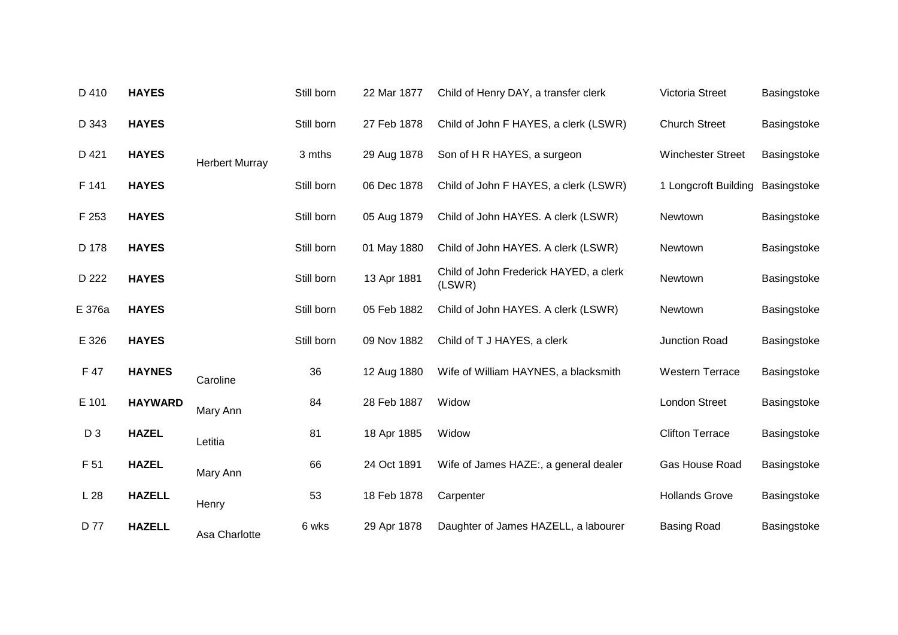| D 410          | <b>HAYES</b>   |                       | Still born | 22 Mar 1877 | Child of Henry DAY, a transfer clerk             | Victoria Street          | Basingstoke |
|----------------|----------------|-----------------------|------------|-------------|--------------------------------------------------|--------------------------|-------------|
| D 343          | <b>HAYES</b>   |                       | Still born | 27 Feb 1878 | Child of John F HAYES, a clerk (LSWR)            | <b>Church Street</b>     | Basingstoke |
| D 421          | <b>HAYES</b>   | <b>Herbert Murray</b> | 3 mths     | 29 Aug 1878 | Son of H R HAYES, a surgeon                      | <b>Winchester Street</b> | Basingstoke |
| F 141          | <b>HAYES</b>   |                       | Still born | 06 Dec 1878 | Child of John F HAYES, a clerk (LSWR)            | 1 Longcroft Building     | Basingstoke |
| F 253          | <b>HAYES</b>   |                       | Still born | 05 Aug 1879 | Child of John HAYES. A clerk (LSWR)              | Newtown                  | Basingstoke |
| D 178          | <b>HAYES</b>   |                       | Still born | 01 May 1880 | Child of John HAYES. A clerk (LSWR)              | Newtown                  | Basingstoke |
| D 222          | <b>HAYES</b>   |                       | Still born | 13 Apr 1881 | Child of John Frederick HAYED, a clerk<br>(LSWR) | Newtown                  | Basingstoke |
| E 376a         | <b>HAYES</b>   |                       | Still born | 05 Feb 1882 | Child of John HAYES. A clerk (LSWR)              | Newtown                  | Basingstoke |
| E 326          | <b>HAYES</b>   |                       | Still born | 09 Nov 1882 | Child of T J HAYES, a clerk                      | Junction Road            | Basingstoke |
| F 47           | <b>HAYNES</b>  | Caroline              | 36         | 12 Aug 1880 | Wife of William HAYNES, a blacksmith             | <b>Western Terrace</b>   | Basingstoke |
| E 101          | <b>HAYWARD</b> | Mary Ann              | 84         | 28 Feb 1887 | Widow                                            | <b>London Street</b>     | Basingstoke |
| D <sub>3</sub> | <b>HAZEL</b>   | Letitia               | 81         | 18 Apr 1885 | Widow                                            | <b>Clifton Terrace</b>   | Basingstoke |
| F 51           | <b>HAZEL</b>   | Mary Ann              | 66         | 24 Oct 1891 | Wife of James HAZE:, a general dealer            | Gas House Road           | Basingstoke |
| L28            | <b>HAZELL</b>  | Henry                 | 53         | 18 Feb 1878 | Carpenter                                        | <b>Hollands Grove</b>    | Basingstoke |
| D 77           | <b>HAZELL</b>  | Asa Charlotte         | 6 wks      | 29 Apr 1878 | Daughter of James HAZELL, a labourer             | <b>Basing Road</b>       | Basingstoke |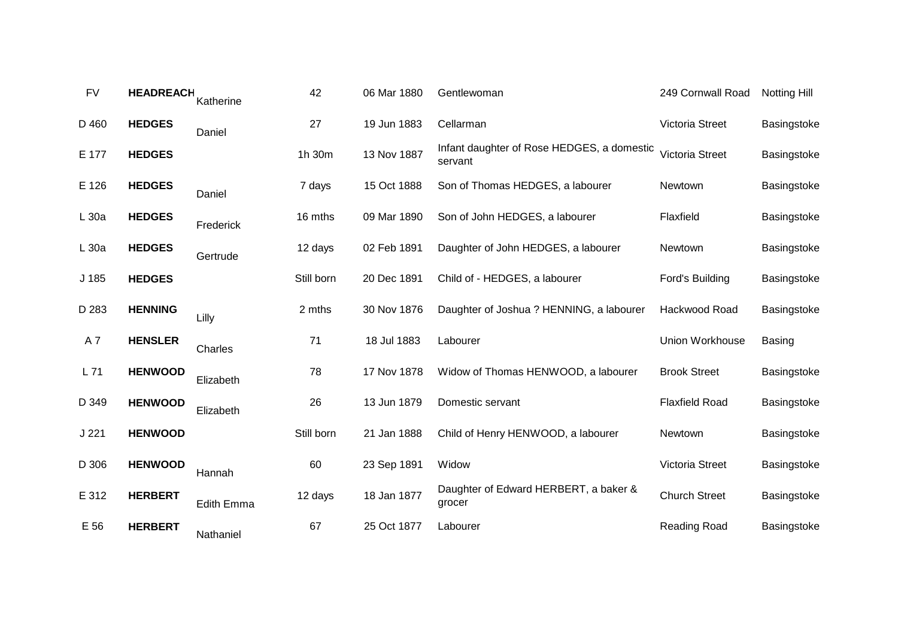| <b>FV</b>        | <b>HEADREACH</b> | Katherine  | 42         | 06 Mar 1880 | Gentlewoman                                           | 249 Cornwall Road      | <b>Notting Hill</b> |
|------------------|------------------|------------|------------|-------------|-------------------------------------------------------|------------------------|---------------------|
| D 460            | <b>HEDGES</b>    | Daniel     | 27         | 19 Jun 1883 | Cellarman                                             | Victoria Street        | Basingstoke         |
| E 177            | <b>HEDGES</b>    |            | 1h 30m     | 13 Nov 1887 | Infant daughter of Rose HEDGES, a domestic<br>servant | Victoria Street        | Basingstoke         |
| E 126            | <b>HEDGES</b>    | Daniel     | 7 days     | 15 Oct 1888 | Son of Thomas HEDGES, a labourer                      | Newtown                | Basingstoke         |
| $L_{30a}$        | <b>HEDGES</b>    | Frederick  | 16 mths    | 09 Mar 1890 | Son of John HEDGES, a labourer                        | Flaxfield              | Basingstoke         |
| $L_{30a}$        | <b>HEDGES</b>    | Gertrude   | 12 days    | 02 Feb 1891 | Daughter of John HEDGES, a labourer                   | Newtown                | Basingstoke         |
| J <sub>185</sub> | <b>HEDGES</b>    |            | Still born | 20 Dec 1891 | Child of - HEDGES, a labourer                         | Ford's Building        | Basingstoke         |
| D 283            | <b>HENNING</b>   | Lilly      | 2 mths     | 30 Nov 1876 | Daughter of Joshua ? HENNING, a labourer              | Hackwood Road          | Basingstoke         |
| A7               | <b>HENSLER</b>   | Charles    | 71         | 18 Jul 1883 | Labourer                                              | <b>Union Workhouse</b> | <b>Basing</b>       |
| L71              | <b>HENWOOD</b>   | Elizabeth  | 78         | 17 Nov 1878 | Widow of Thomas HENWOOD, a labourer                   | <b>Brook Street</b>    | Basingstoke         |
| D 349            | <b>HENWOOD</b>   | Elizabeth  | 26         | 13 Jun 1879 | Domestic servant                                      | <b>Flaxfield Road</b>  | Basingstoke         |
| J221             | <b>HENWOOD</b>   |            | Still born | 21 Jan 1888 | Child of Henry HENWOOD, a labourer                    | Newtown                | Basingstoke         |
| D 306            | <b>HENWOOD</b>   | Hannah     | 60         | 23 Sep 1891 | Widow                                                 | Victoria Street        | Basingstoke         |
| E 312            | <b>HERBERT</b>   | Edith Emma | 12 days    | 18 Jan 1877 | Daughter of Edward HERBERT, a baker &<br>grocer       | <b>Church Street</b>   | Basingstoke         |
| E 56             | <b>HERBERT</b>   | Nathaniel  | 67         | 25 Oct 1877 | Labourer                                              | Reading Road           | Basingstoke         |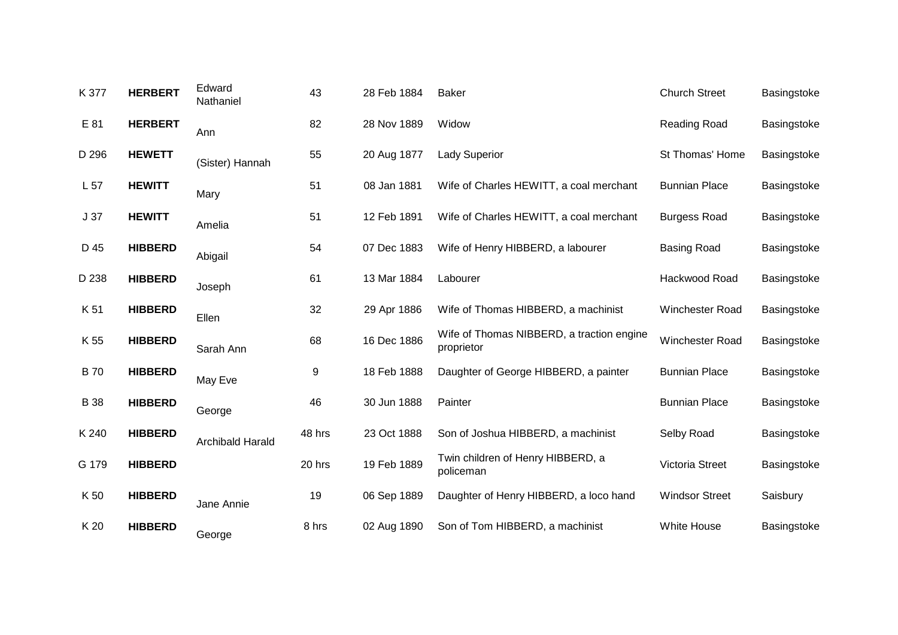| K 377           | <b>HERBERT</b> | Edward<br>Nathaniel     | 43     | 28 Feb 1884 | Baker                                                   | <b>Church Street</b>   | Basingstoke |
|-----------------|----------------|-------------------------|--------|-------------|---------------------------------------------------------|------------------------|-------------|
| E 81            | <b>HERBERT</b> | Ann                     | 82     | 28 Nov 1889 | Widow                                                   | Reading Road           | Basingstoke |
| D 296           | <b>HEWETT</b>  | (Sister) Hannah         | 55     | 20 Aug 1877 | <b>Lady Superior</b>                                    | St Thomas' Home        | Basingstoke |
| L <sub>57</sub> | <b>HEWITT</b>  | Mary                    | 51     | 08 Jan 1881 | Wife of Charles HEWITT, a coal merchant                 | <b>Bunnian Place</b>   | Basingstoke |
| J <sub>37</sub> | <b>HEWITT</b>  | Amelia                  | 51     | 12 Feb 1891 | Wife of Charles HEWITT, a coal merchant                 | <b>Burgess Road</b>    | Basingstoke |
| D 45            | <b>HIBBERD</b> | Abigail                 | 54     | 07 Dec 1883 | Wife of Henry HIBBERD, a labourer                       | <b>Basing Road</b>     | Basingstoke |
| D 238           | <b>HIBBERD</b> | Joseph                  | 61     | 13 Mar 1884 | Labourer                                                | Hackwood Road          | Basingstoke |
| K 51            | <b>HIBBERD</b> | Ellen                   | 32     | 29 Apr 1886 | Wife of Thomas HIBBERD, a machinist                     | Winchester Road        | Basingstoke |
| K 55            | <b>HIBBERD</b> | Sarah Ann               | 68     | 16 Dec 1886 | Wife of Thomas NIBBERD, a traction engine<br>proprietor | <b>Winchester Road</b> | Basingstoke |
| <b>B70</b>      | <b>HIBBERD</b> | May Eve                 | 9      | 18 Feb 1888 | Daughter of George HIBBERD, a painter                   | <b>Bunnian Place</b>   | Basingstoke |
| <b>B</b> 38     | <b>HIBBERD</b> | George                  | 46     | 30 Jun 1888 | Painter                                                 | <b>Bunnian Place</b>   | Basingstoke |
| K 240           | <b>HIBBERD</b> | <b>Archibald Harald</b> | 48 hrs | 23 Oct 1888 | Son of Joshua HIBBERD, a machinist                      | Selby Road             | Basingstoke |
| G 179           | <b>HIBBERD</b> |                         | 20 hrs | 19 Feb 1889 | Twin children of Henry HIBBERD, a<br>policeman          | Victoria Street        | Basingstoke |
| K 50            | <b>HIBBERD</b> | Jane Annie              | 19     | 06 Sep 1889 | Daughter of Henry HIBBERD, a loco hand                  | <b>Windsor Street</b>  | Saisbury    |
| K 20            | <b>HIBBERD</b> | George                  | 8 hrs  | 02 Aug 1890 | Son of Tom HIBBERD, a machinist                         | <b>White House</b>     | Basingstoke |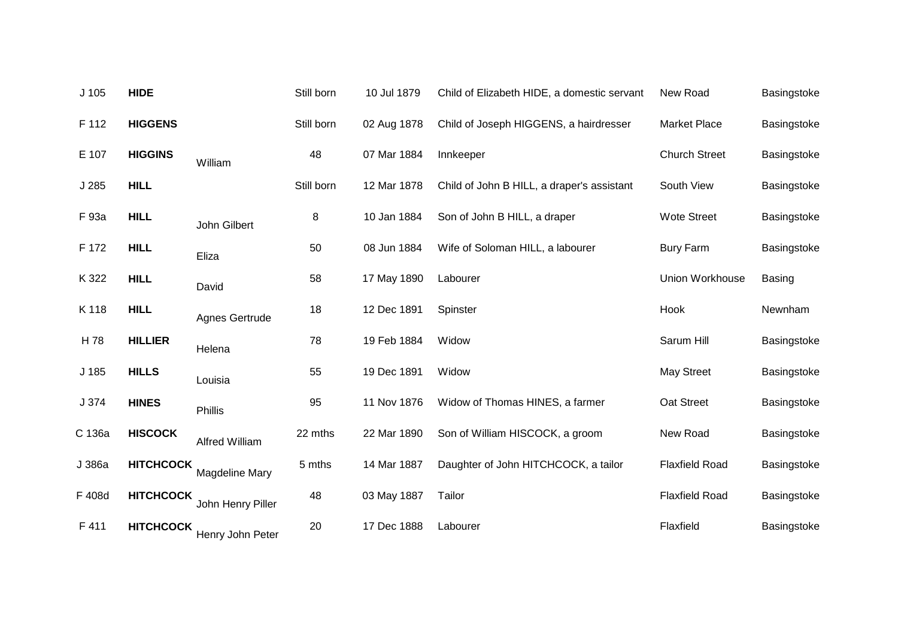| J <sub>105</sub> | <b>HIDE</b>      |                   | Still born | 10 Jul 1879 | Child of Elizabeth HIDE, a domestic servant | New Road               | Basingstoke   |
|------------------|------------------|-------------------|------------|-------------|---------------------------------------------|------------------------|---------------|
| F 112            | <b>HIGGENS</b>   |                   | Still born | 02 Aug 1878 | Child of Joseph HIGGENS, a hairdresser      | <b>Market Place</b>    | Basingstoke   |
| E 107            | <b>HIGGINS</b>   | William           | 48         | 07 Mar 1884 | Innkeeper                                   | <b>Church Street</b>   | Basingstoke   |
| J 285            | <b>HILL</b>      |                   | Still born | 12 Mar 1878 | Child of John B HILL, a draper's assistant  | South View             | Basingstoke   |
| F 93a            | <b>HILL</b>      | John Gilbert      | 8          | 10 Jan 1884 | Son of John B HILL, a draper                | <b>Wote Street</b>     | Basingstoke   |
| F 172            | <b>HILL</b>      | Eliza             | 50         | 08 Jun 1884 | Wife of Soloman HILL, a labourer            | <b>Bury Farm</b>       | Basingstoke   |
| K 322            | <b>HILL</b>      | David             | 58         | 17 May 1890 | Labourer                                    | <b>Union Workhouse</b> | <b>Basing</b> |
| K 118            | <b>HILL</b>      | Agnes Gertrude    | 18         | 12 Dec 1891 | Spinster                                    | Hook                   | Newnham       |
| H 78             | <b>HILLIER</b>   | Helena            | 78         | 19 Feb 1884 | Widow                                       | Sarum Hill             | Basingstoke   |
| J 185            | <b>HILLS</b>     | Louisia           | 55         | 19 Dec 1891 | Widow                                       | <b>May Street</b>      | Basingstoke   |
| J 374            | <b>HINES</b>     | <b>Phillis</b>    | 95         | 11 Nov 1876 | Widow of Thomas HINES, a farmer             | Oat Street             | Basingstoke   |
| C 136a           | <b>HISCOCK</b>   | Alfred William    | 22 mths    | 22 Mar 1890 | Son of William HISCOCK, a groom             | New Road               | Basingstoke   |
| J 386a           | <b>HITCHCOCK</b> | Magdeline Mary    | 5 mths     | 14 Mar 1887 | Daughter of John HITCHCOCK, a tailor        | <b>Flaxfield Road</b>  | Basingstoke   |
| F 408d           | <b>HITCHCOCK</b> | John Henry Piller | 48         | 03 May 1887 | Tailor                                      | <b>Flaxfield Road</b>  | Basingstoke   |
| F411             | <b>HITCHCOCK</b> | Henry John Peter  | 20         | 17 Dec 1888 | Labourer                                    | Flaxfield              | Basingstoke   |
|                  |                  |                   |            |             |                                             |                        |               |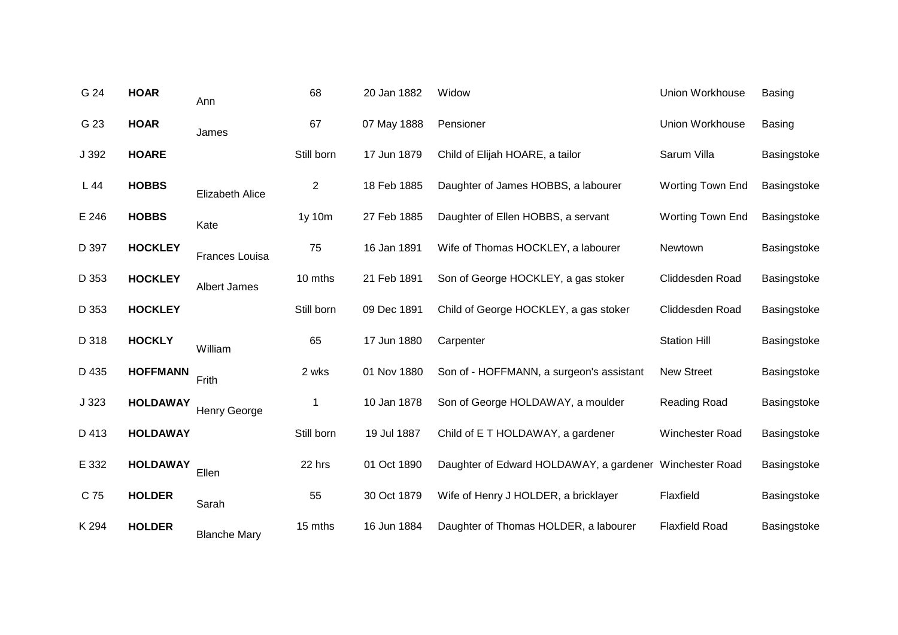| G 24  | <b>HOAR</b>     | Ann                    | 68             | 20 Jan 1882 | Widow                                                   | Union Workhouse         | <b>Basing</b> |
|-------|-----------------|------------------------|----------------|-------------|---------------------------------------------------------|-------------------------|---------------|
| G 23  | <b>HOAR</b>     | James                  | 67             | 07 May 1888 | Pensioner                                               | <b>Union Workhouse</b>  | <b>Basing</b> |
| J 392 | <b>HOARE</b>    |                        | Still born     | 17 Jun 1879 | Child of Elijah HOARE, a tailor                         | Sarum Villa             | Basingstoke   |
| L44   | <b>HOBBS</b>    | <b>Elizabeth Alice</b> | $\overline{2}$ | 18 Feb 1885 | Daughter of James HOBBS, a labourer                     | <b>Worting Town End</b> | Basingstoke   |
| E 246 | <b>HOBBS</b>    | Kate                   | 1y 10m         | 27 Feb 1885 | Daughter of Ellen HOBBS, a servant                      | <b>Worting Town End</b> | Basingstoke   |
| D 397 | <b>HOCKLEY</b>  | Frances Louisa         | 75             | 16 Jan 1891 | Wife of Thomas HOCKLEY, a labourer                      | Newtown                 | Basingstoke   |
| D 353 | <b>HOCKLEY</b>  | Albert James           | 10 mths        | 21 Feb 1891 | Son of George HOCKLEY, a gas stoker                     | Cliddesden Road         | Basingstoke   |
| D 353 | <b>HOCKLEY</b>  |                        | Still born     | 09 Dec 1891 | Child of George HOCKLEY, a gas stoker                   | Cliddesden Road         | Basingstoke   |
| D 318 | <b>HOCKLY</b>   | William                | 65             | 17 Jun 1880 | Carpenter                                               | <b>Station Hill</b>     | Basingstoke   |
| D 435 | <b>HOFFMANN</b> | Frith                  | 2 wks          | 01 Nov 1880 | Son of - HOFFMANN, a surgeon's assistant                | New Street              | Basingstoke   |
| J 323 | <b>HOLDAWAY</b> | <b>Henry George</b>    | 1              | 10 Jan 1878 | Son of George HOLDAWAY, a moulder                       | Reading Road            | Basingstoke   |
| D 413 | <b>HOLDAWAY</b> |                        | Still born     | 19 Jul 1887 | Child of E T HOLDAWAY, a gardener                       | Winchester Road         | Basingstoke   |
| E 332 | <b>HOLDAWAY</b> | Ellen                  | 22 hrs         | 01 Oct 1890 | Daughter of Edward HOLDAWAY, a gardener Winchester Road |                         | Basingstoke   |
| C 75  | <b>HOLDER</b>   | Sarah                  | 55             | 30 Oct 1879 | Wife of Henry J HOLDER, a bricklayer                    | Flaxfield               | Basingstoke   |
| K 294 | <b>HOLDER</b>   | <b>Blanche Mary</b>    | 15 mths        | 16 Jun 1884 | Daughter of Thomas HOLDER, a labourer                   | <b>Flaxfield Road</b>   | Basingstoke   |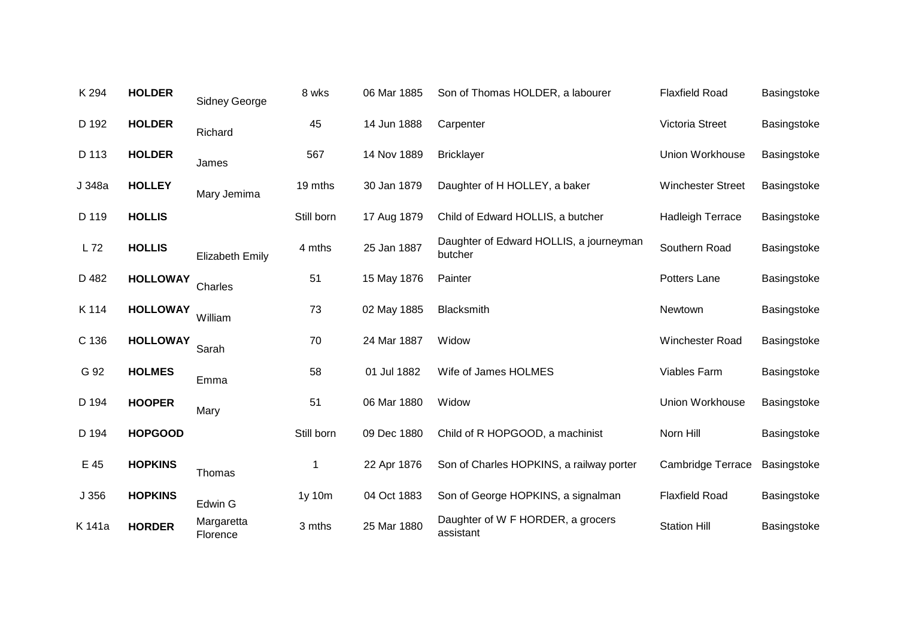| K 294  | <b>HOLDER</b>   | <b>Sidney George</b>   | 8 wks      | 06 Mar 1885 | Son of Thomas HOLDER, a labourer                   | <b>Flaxfield Road</b>    | Basingstoke |
|--------|-----------------|------------------------|------------|-------------|----------------------------------------------------|--------------------------|-------------|
| D 192  | <b>HOLDER</b>   | Richard                | 45         | 14 Jun 1888 | Carpenter                                          | Victoria Street          | Basingstoke |
| D 113  | <b>HOLDER</b>   | James                  | 567        | 14 Nov 1889 | <b>Bricklayer</b>                                  | <b>Union Workhouse</b>   | Basingstoke |
| J 348a | <b>HOLLEY</b>   | Mary Jemima            | 19 mths    | 30 Jan 1879 | Daughter of H HOLLEY, a baker                      | <b>Winchester Street</b> | Basingstoke |
| D 119  | <b>HOLLIS</b>   |                        | Still born | 17 Aug 1879 | Child of Edward HOLLIS, a butcher                  | <b>Hadleigh Terrace</b>  | Basingstoke |
| L 72   | <b>HOLLIS</b>   | <b>Elizabeth Emily</b> | 4 mths     | 25 Jan 1887 | Daughter of Edward HOLLIS, a journeyman<br>butcher | Southern Road            | Basingstoke |
| D 482  | <b>HOLLOWAY</b> | Charles                | 51         | 15 May 1876 | Painter                                            | Potters Lane             | Basingstoke |
| K 114  | <b>HOLLOWAY</b> | William                | 73         | 02 May 1885 | <b>Blacksmith</b>                                  | Newtown                  | Basingstoke |
| C 136  | <b>HOLLOWAY</b> | Sarah                  | 70         | 24 Mar 1887 | Widow                                              | <b>Winchester Road</b>   | Basingstoke |
| G 92   | <b>HOLMES</b>   | Emma                   | 58         | 01 Jul 1882 | Wife of James HOLMES                               | Viables Farm             | Basingstoke |
| D 194  | <b>HOOPER</b>   | Mary                   | 51         | 06 Mar 1880 | Widow                                              | <b>Union Workhouse</b>   | Basingstoke |
| D 194  | <b>HOPGOOD</b>  |                        | Still born | 09 Dec 1880 | Child of R HOPGOOD, a machinist                    | Norn Hill                | Basingstoke |
| E 45   | <b>HOPKINS</b>  | Thomas                 | 1          | 22 Apr 1876 | Son of Charles HOPKINS, a railway porter           | <b>Cambridge Terrace</b> | Basingstoke |
| J 356  | <b>HOPKINS</b>  | Edwin G                | 1y 10m     | 04 Oct 1883 | Son of George HOPKINS, a signalman                 | <b>Flaxfield Road</b>    | Basingstoke |
| K 141a | <b>HORDER</b>   | Margaretta<br>Florence | 3 mths     | 25 Mar 1880 | Daughter of W F HORDER, a grocers<br>assistant     | <b>Station Hill</b>      | Basingstoke |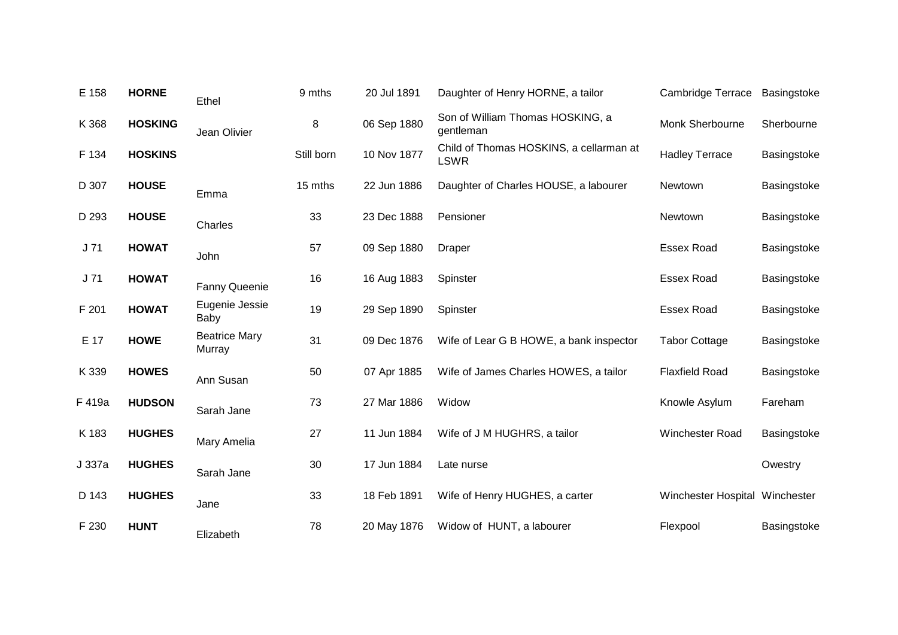| E 158  | <b>HORNE</b>   | Ethel                          | 9 mths     | 20 Jul 1891 | Daughter of Henry HORNE, a tailor                      | <b>Cambridge Terrace</b>       | Basingstoke |
|--------|----------------|--------------------------------|------------|-------------|--------------------------------------------------------|--------------------------------|-------------|
| K 368  | <b>HOSKING</b> | Jean Olivier                   | 8          | 06 Sep 1880 | Son of William Thomas HOSKING, a<br>gentleman          | Monk Sherbourne                | Sherbourne  |
| F 134  | <b>HOSKINS</b> |                                | Still born | 10 Nov 1877 | Child of Thomas HOSKINS, a cellarman at<br><b>LSWR</b> | <b>Hadley Terrace</b>          | Basingstoke |
| D 307  | <b>HOUSE</b>   | Emma                           | 15 mths    | 22 Jun 1886 | Daughter of Charles HOUSE, a labourer                  | Newtown                        | Basingstoke |
| D 293  | <b>HOUSE</b>   | Charles                        | 33         | 23 Dec 1888 | Pensioner                                              | Newtown                        | Basingstoke |
| J71    | <b>HOWAT</b>   | John                           | 57         | 09 Sep 1880 | Draper                                                 | <b>Essex Road</b>              | Basingstoke |
| J71    | <b>HOWAT</b>   | <b>Fanny Queenie</b>           | 16         | 16 Aug 1883 | Spinster                                               | <b>Essex Road</b>              | Basingstoke |
| F 201  | <b>HOWAT</b>   | Eugenie Jessie<br>Baby         | 19         | 29 Sep 1890 | Spinster                                               | <b>Essex Road</b>              | Basingstoke |
| E 17   | <b>HOWE</b>    | <b>Beatrice Mary</b><br>Murray | 31         | 09 Dec 1876 | Wife of Lear G B HOWE, a bank inspector                | <b>Tabor Cottage</b>           | Basingstoke |
| K 339  | <b>HOWES</b>   | Ann Susan                      | 50         | 07 Apr 1885 | Wife of James Charles HOWES, a tailor                  | <b>Flaxfield Road</b>          | Basingstoke |
| F 419a | <b>HUDSON</b>  | Sarah Jane                     | 73         | 27 Mar 1886 | Widow                                                  | Knowle Asylum                  | Fareham     |
| K 183  | <b>HUGHES</b>  | Mary Amelia                    | 27         | 11 Jun 1884 | Wife of J M HUGHRS, a tailor                           | Winchester Road                | Basingstoke |
| J 337a | <b>HUGHES</b>  | Sarah Jane                     | 30         | 17 Jun 1884 | Late nurse                                             |                                | Owestry     |
| D 143  | <b>HUGHES</b>  | Jane                           | 33         | 18 Feb 1891 | Wife of Henry HUGHES, a carter                         | Winchester Hospital Winchester |             |
| F 230  | <b>HUNT</b>    | Elizabeth                      | 78         | 20 May 1876 | Widow of HUNT, a labourer                              | Flexpool                       | Basingstoke |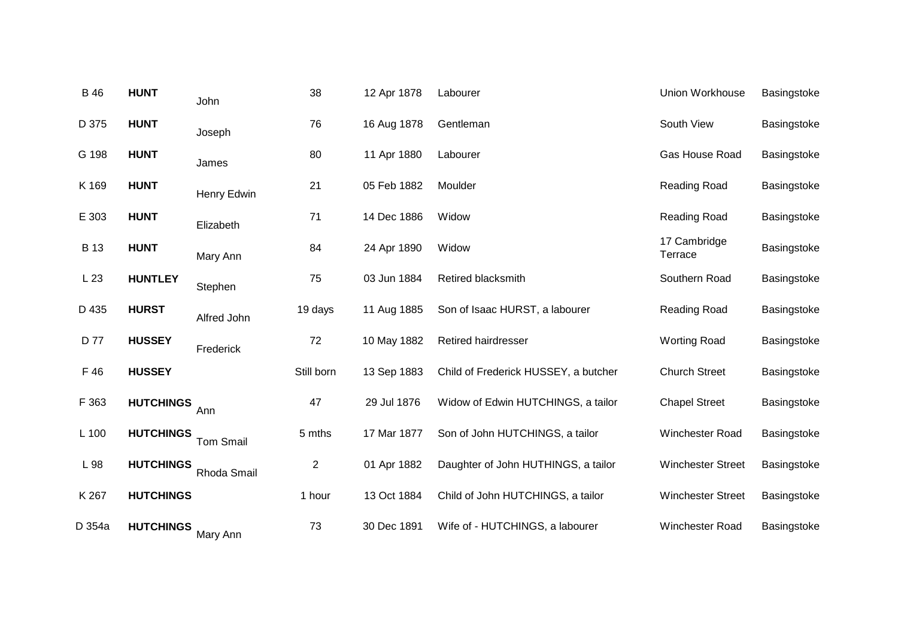| <b>B</b> 46 | <b>HUNT</b>      | John             | 38         | 12 Apr 1878 | Labourer                             | Union Workhouse          | Basingstoke |
|-------------|------------------|------------------|------------|-------------|--------------------------------------|--------------------------|-------------|
| D 375       | <b>HUNT</b>      | Joseph           | 76         | 16 Aug 1878 | Gentleman                            | South View               | Basingstoke |
| G 198       | <b>HUNT</b>      | James            | 80         | 11 Apr 1880 | Labourer                             | Gas House Road           | Basingstoke |
| K 169       | <b>HUNT</b>      | Henry Edwin      | 21         | 05 Feb 1882 | Moulder                              | Reading Road             | Basingstoke |
| E 303       | <b>HUNT</b>      | Elizabeth        | 71         | 14 Dec 1886 | Widow                                | Reading Road             | Basingstoke |
| <b>B</b> 13 | <b>HUNT</b>      | Mary Ann         | 84         | 24 Apr 1890 | Widow                                | 17 Cambridge<br>Terrace  | Basingstoke |
| L23         | <b>HUNTLEY</b>   | Stephen          | 75         | 03 Jun 1884 | Retired blacksmith                   | Southern Road            | Basingstoke |
| D 435       | <b>HURST</b>     | Alfred John      | 19 days    | 11 Aug 1885 | Son of Isaac HURST, a labourer       | Reading Road             | Basingstoke |
| D 77        | <b>HUSSEY</b>    | Frederick        | 72         | 10 May 1882 | <b>Retired hairdresser</b>           | <b>Worting Road</b>      | Basingstoke |
| F 46        | <b>HUSSEY</b>    |                  | Still born | 13 Sep 1883 | Child of Frederick HUSSEY, a butcher | <b>Church Street</b>     | Basingstoke |
| F 363       | <b>HUTCHINGS</b> | Ann              | 47         | 29 Jul 1876 | Widow of Edwin HUTCHINGS, a tailor   | <b>Chapel Street</b>     | Basingstoke |
| L 100       | <b>HUTCHINGS</b> | <b>Tom Smail</b> | 5 mths     | 17 Mar 1877 | Son of John HUTCHINGS, a tailor      | Winchester Road          | Basingstoke |
| L 98        | <b>HUTCHINGS</b> | Rhoda Smail      | 2          | 01 Apr 1882 | Daughter of John HUTHINGS, a tailor  | <b>Winchester Street</b> | Basingstoke |
| K 267       | <b>HUTCHINGS</b> |                  | 1 hour     | 13 Oct 1884 | Child of John HUTCHINGS, a tailor    | <b>Winchester Street</b> | Basingstoke |
| D 354a      | <b>HUTCHINGS</b> | Mary Ann         | 73         | 30 Dec 1891 | Wife of - HUTCHINGS, a labourer      | Winchester Road          | Basingstoke |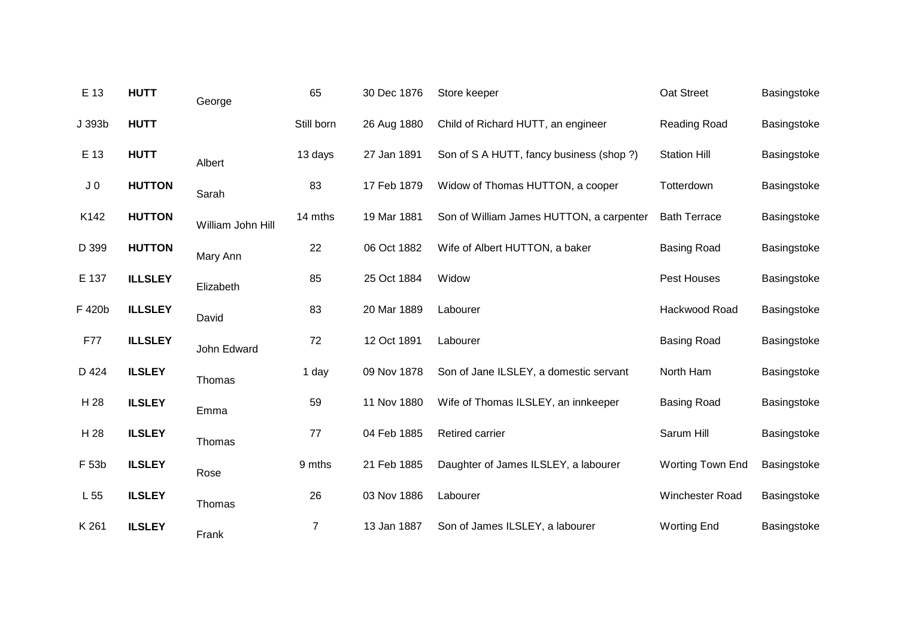| E 13           | <b>HUTT</b>    | George            | 65             | 30 Dec 1876 | Store keeper                             | Oat Street              | Basingstoke |
|----------------|----------------|-------------------|----------------|-------------|------------------------------------------|-------------------------|-------------|
| J 393b         | <b>HUTT</b>    |                   | Still born     | 26 Aug 1880 | Child of Richard HUTT, an engineer       | Reading Road            | Basingstoke |
| E 13           | <b>HUTT</b>    | Albert            | 13 days        | 27 Jan 1891 | Son of S A HUTT, fancy business (shop?)  | <b>Station Hill</b>     | Basingstoke |
| J <sub>0</sub> | <b>HUTTON</b>  | Sarah             | 83             | 17 Feb 1879 | Widow of Thomas HUTTON, a cooper         | Totterdown              | Basingstoke |
| K142           | <b>HUTTON</b>  | William John Hill | 14 mths        | 19 Mar 1881 | Son of William James HUTTON, a carpenter | <b>Bath Terrace</b>     | Basingstoke |
| D 399          | <b>HUTTON</b>  | Mary Ann          | 22             | 06 Oct 1882 | Wife of Albert HUTTON, a baker           | <b>Basing Road</b>      | Basingstoke |
| E 137          | <b>ILLSLEY</b> | Elizabeth         | 85             | 25 Oct 1884 | Widow                                    | Pest Houses             | Basingstoke |
| F 420b         | <b>ILLSLEY</b> | David             | 83             | 20 Mar 1889 | Labourer                                 | Hackwood Road           | Basingstoke |
| F77            | <b>ILLSLEY</b> | John Edward       | 72             | 12 Oct 1891 | Labourer                                 | <b>Basing Road</b>      | Basingstoke |
| D 424          | <b>ILSLEY</b>  | Thomas            | 1 day          | 09 Nov 1878 | Son of Jane ILSLEY, a domestic servant   | North Ham               | Basingstoke |
| H 28           | <b>ILSLEY</b>  | Emma              | 59             | 11 Nov 1880 | Wife of Thomas ILSLEY, an innkeeper      | <b>Basing Road</b>      | Basingstoke |
| H 28           | <b>ILSLEY</b>  | Thomas            | 77             | 04 Feb 1885 | <b>Retired carrier</b>                   | Sarum Hill              | Basingstoke |
| F 53b          | <b>ILSLEY</b>  | Rose              | 9 mths         | 21 Feb 1885 | Daughter of James ILSLEY, a labourer     | <b>Worting Town End</b> | Basingstoke |
| L 55           | <b>ILSLEY</b>  | Thomas            | 26             | 03 Nov 1886 | Labourer                                 | Winchester Road         | Basingstoke |
| K 261          | <b>ILSLEY</b>  | Frank             | $\overline{7}$ | 13 Jan 1887 | Son of James ILSLEY, a labourer          | <b>Worting End</b>      | Basingstoke |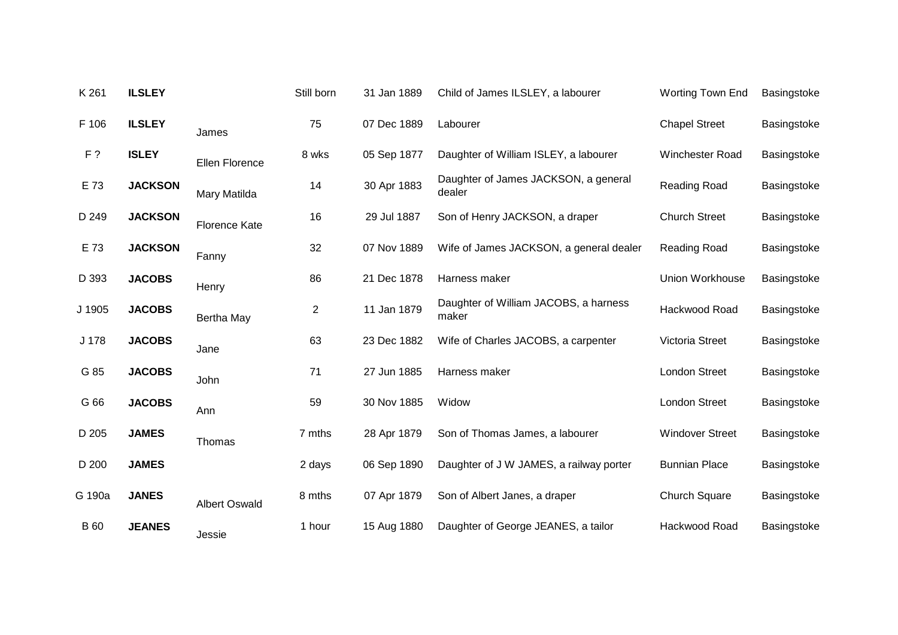| K 261       | <b>ILSLEY</b>  |                      | Still born     | 31 Jan 1889 | Child of James ILSLEY, a labourer              | Worting Town End       | Basingstoke |
|-------------|----------------|----------------------|----------------|-------------|------------------------------------------------|------------------------|-------------|
| F 106       | <b>ILSLEY</b>  | James                | 75             | 07 Dec 1889 | Labourer                                       | <b>Chapel Street</b>   | Basingstoke |
| F?          | <b>ISLEY</b>   | Ellen Florence       | 8 wks          | 05 Sep 1877 | Daughter of William ISLEY, a labourer          | Winchester Road        | Basingstoke |
| E 73        | <b>JACKSON</b> | Mary Matilda         | 14             | 30 Apr 1883 | Daughter of James JACKSON, a general<br>dealer | Reading Road           | Basingstoke |
| D 249       | <b>JACKSON</b> | <b>Florence Kate</b> | 16             | 29 Jul 1887 | Son of Henry JACKSON, a draper                 | <b>Church Street</b>   | Basingstoke |
| E 73        | <b>JACKSON</b> | Fanny                | 32             | 07 Nov 1889 | Wife of James JACKSON, a general dealer        | Reading Road           | Basingstoke |
| D 393       | <b>JACOBS</b>  | Henry                | 86             | 21 Dec 1878 | Harness maker                                  | Union Workhouse        | Basingstoke |
| J 1905      | <b>JACOBS</b>  | Bertha May           | $\overline{c}$ | 11 Jan 1879 | Daughter of William JACOBS, a harness<br>maker | Hackwood Road          | Basingstoke |
| J 178       | <b>JACOBS</b>  | Jane                 | 63             | 23 Dec 1882 | Wife of Charles JACOBS, a carpenter            | Victoria Street        | Basingstoke |
| G 85        | <b>JACOBS</b>  | John                 | 71             | 27 Jun 1885 | Harness maker                                  | <b>London Street</b>   | Basingstoke |
| G 66        | <b>JACOBS</b>  | Ann                  | 59             | 30 Nov 1885 | Widow                                          | <b>London Street</b>   | Basingstoke |
| D 205       | <b>JAMES</b>   | Thomas               | 7 mths         | 28 Apr 1879 | Son of Thomas James, a labourer                | <b>Windover Street</b> | Basingstoke |
| D 200       | <b>JAMES</b>   |                      | 2 days         | 06 Sep 1890 | Daughter of J W JAMES, a railway porter        | <b>Bunnian Place</b>   | Basingstoke |
| G 190a      | <b>JANES</b>   | <b>Albert Oswald</b> | 8 mths         | 07 Apr 1879 | Son of Albert Janes, a draper                  | <b>Church Square</b>   | Basingstoke |
| <b>B</b> 60 | <b>JEANES</b>  | Jessie               | 1 hour         | 15 Aug 1880 | Daughter of George JEANES, a tailor            | Hackwood Road          | Basingstoke |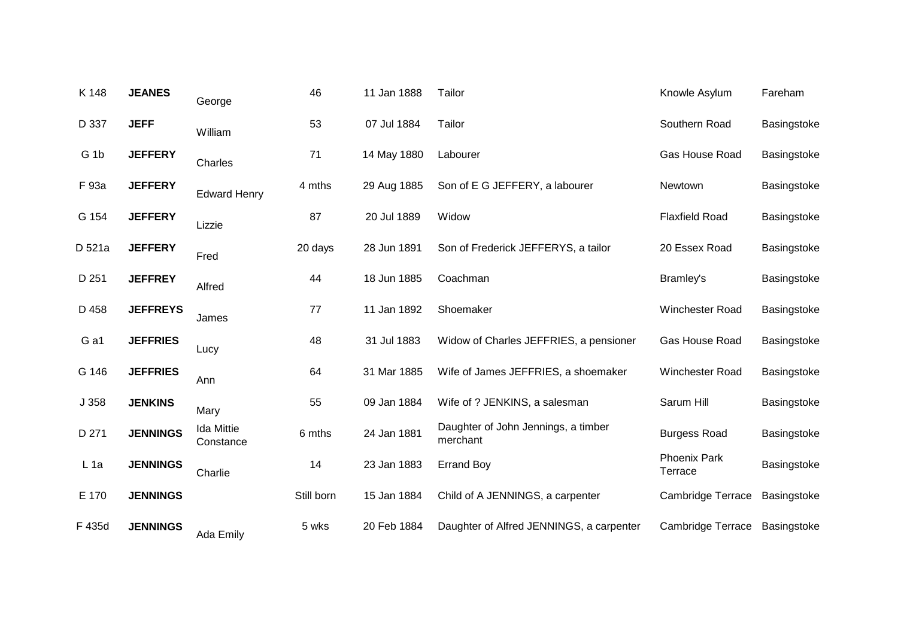| K 148           | <b>JEANES</b>   | George                         | 46         | 11 Jan 1888 | Tailor                                          | Knowle Asylum                  | Fareham     |
|-----------------|-----------------|--------------------------------|------------|-------------|-------------------------------------------------|--------------------------------|-------------|
| D 337           | <b>JEFF</b>     | William                        | 53         | 07 Jul 1884 | Tailor                                          | Southern Road                  | Basingstoke |
| G <sub>1b</sub> | <b>JEFFERY</b>  | Charles                        | 71         | 14 May 1880 | Labourer                                        | Gas House Road                 | Basingstoke |
| F 93a           | <b>JEFFERY</b>  | <b>Edward Henry</b>            | 4 mths     | 29 Aug 1885 | Son of E G JEFFERY, a labourer                  | Newtown                        | Basingstoke |
| G 154           | <b>JEFFERY</b>  | Lizzie                         | 87         | 20 Jul 1889 | Widow                                           | <b>Flaxfield Road</b>          | Basingstoke |
| D 521a          | <b>JEFFERY</b>  | Fred                           | 20 days    | 28 Jun 1891 | Son of Frederick JEFFERYS, a tailor             | 20 Essex Road                  | Basingstoke |
| D 251           | <b>JEFFREY</b>  | Alfred                         | 44         | 18 Jun 1885 | Coachman                                        | Bramley's                      | Basingstoke |
| D 458           | <b>JEFFREYS</b> | James                          | 77         | 11 Jan 1892 | Shoemaker                                       | Winchester Road                | Basingstoke |
| G a1            | <b>JEFFRIES</b> | Lucy                           | 48         | 31 Jul 1883 | Widow of Charles JEFFRIES, a pensioner          | Gas House Road                 | Basingstoke |
| G 146           | <b>JEFFRIES</b> | Ann                            | 64         | 31 Mar 1885 | Wife of James JEFFRIES, a shoemaker             | <b>Winchester Road</b>         | Basingstoke |
| J 358           | <b>JENKINS</b>  | Mary                           | 55         | 09 Jan 1884 | Wife of ? JENKINS, a salesman                   | Sarum Hill                     | Basingstoke |
| D 271           | <b>JENNINGS</b> | <b>Ida Mittie</b><br>Constance | 6 mths     | 24 Jan 1881 | Daughter of John Jennings, a timber<br>merchant | <b>Burgess Road</b>            | Basingstoke |
| $L$ 1a          | <b>JENNINGS</b> | Charlie                        | 14         | 23 Jan 1883 | <b>Errand Boy</b>                               | <b>Phoenix Park</b><br>Terrace | Basingstoke |
| E 170           | <b>JENNINGS</b> |                                | Still born | 15 Jan 1884 | Child of A JENNINGS, a carpenter                | <b>Cambridge Terrace</b>       | Basingstoke |
| F 435d          | <b>JENNINGS</b> | Ada Emily                      | 5 wks      | 20 Feb 1884 | Daughter of Alfred JENNINGS, a carpenter        | Cambridge Terrace              | Basingstoke |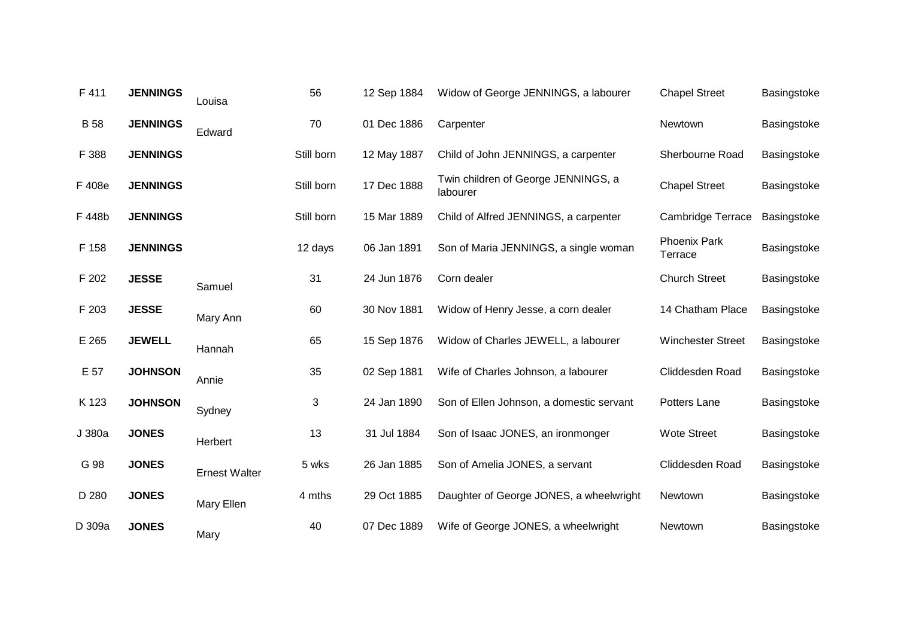| F 411       | <b>JENNINGS</b> | Louisa               | 56         | 12 Sep 1884 | Widow of George JENNINGS, a labourer            | <b>Chapel Street</b>           | Basingstoke |
|-------------|-----------------|----------------------|------------|-------------|-------------------------------------------------|--------------------------------|-------------|
| <b>B</b> 58 | <b>JENNINGS</b> | Edward               | 70         | 01 Dec 1886 | Carpenter                                       | Newtown                        | Basingstoke |
| F 388       | <b>JENNINGS</b> |                      | Still born | 12 May 1887 | Child of John JENNINGS, a carpenter             | Sherbourne Road                | Basingstoke |
| F 408e      | <b>JENNINGS</b> |                      | Still born | 17 Dec 1888 | Twin children of George JENNINGS, a<br>labourer | <b>Chapel Street</b>           | Basingstoke |
| F 448b      | <b>JENNINGS</b> |                      | Still born | 15 Mar 1889 | Child of Alfred JENNINGS, a carpenter           | <b>Cambridge Terrace</b>       | Basingstoke |
| F 158       | <b>JENNINGS</b> |                      | 12 days    | 06 Jan 1891 | Son of Maria JENNINGS, a single woman           | <b>Phoenix Park</b><br>Terrace | Basingstoke |
| F 202       | <b>JESSE</b>    | Samuel               | 31         | 24 Jun 1876 | Corn dealer                                     | <b>Church Street</b>           | Basingstoke |
| F 203       | <b>JESSE</b>    | Mary Ann             | 60         | 30 Nov 1881 | Widow of Henry Jesse, a corn dealer             | 14 Chatham Place               | Basingstoke |
| E 265       | <b>JEWELL</b>   | Hannah               | 65         | 15 Sep 1876 | Widow of Charles JEWELL, a labourer             | <b>Winchester Street</b>       | Basingstoke |
| E 57        | <b>JOHNSON</b>  | Annie                | 35         | 02 Sep 1881 | Wife of Charles Johnson, a labourer             | Cliddesden Road                | Basingstoke |
| K 123       | <b>JOHNSON</b>  | Sydney               | 3          | 24 Jan 1890 | Son of Ellen Johnson, a domestic servant        | Potters Lane                   | Basingstoke |
| J 380a      | <b>JONES</b>    | Herbert              | 13         | 31 Jul 1884 | Son of Isaac JONES, an ironmonger               | <b>Wote Street</b>             | Basingstoke |
| G 98        | <b>JONES</b>    | <b>Ernest Walter</b> | 5 wks      | 26 Jan 1885 | Son of Amelia JONES, a servant                  | Cliddesden Road                | Basingstoke |
| D 280       | <b>JONES</b>    | Mary Ellen           | 4 mths     | 29 Oct 1885 | Daughter of George JONES, a wheelwright         | Newtown                        | Basingstoke |
| D 309a      | <b>JONES</b>    | Mary                 | 40         | 07 Dec 1889 | Wife of George JONES, a wheelwright             | Newtown                        | Basingstoke |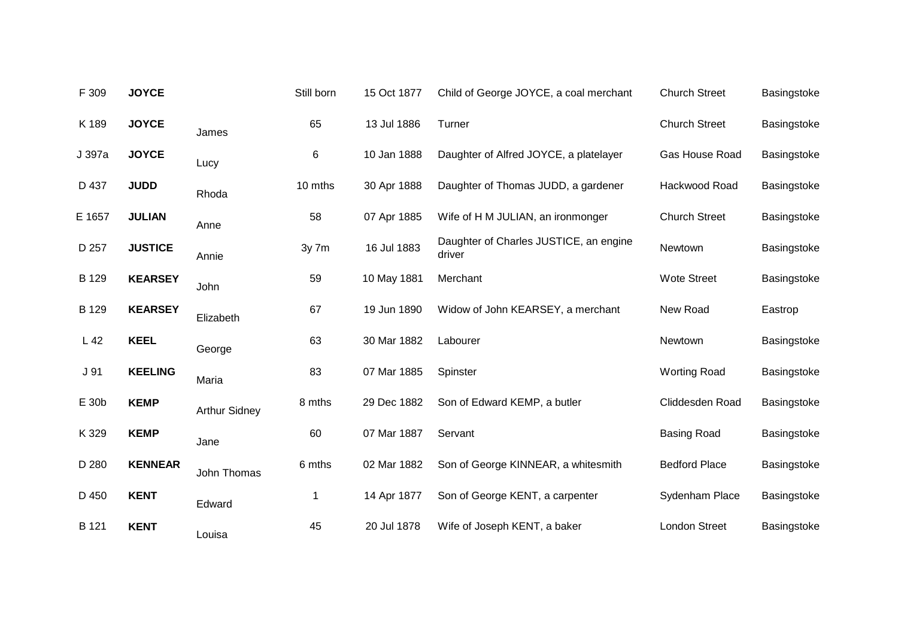| F 309  | <b>JOYCE</b>   |                      | Still born | 15 Oct 1877 | Child of George JOYCE, a coal merchant           | <b>Church Street</b> | Basingstoke |
|--------|----------------|----------------------|------------|-------------|--------------------------------------------------|----------------------|-------------|
| K 189  | <b>JOYCE</b>   | James                | 65         | 13 Jul 1886 | Turner                                           | <b>Church Street</b> | Basingstoke |
| J 397a | <b>JOYCE</b>   | Lucy                 | 6          | 10 Jan 1888 | Daughter of Alfred JOYCE, a platelayer           | Gas House Road       | Basingstoke |
| D 437  | <b>JUDD</b>    | Rhoda                | 10 mths    | 30 Apr 1888 | Daughter of Thomas JUDD, a gardener              | Hackwood Road        | Basingstoke |
| E 1657 | <b>JULIAN</b>  | Anne                 | 58         | 07 Apr 1885 | Wife of H M JULIAN, an ironmonger                | <b>Church Street</b> | Basingstoke |
| D 257  | <b>JUSTICE</b> | Annie                | 3y 7m      | 16 Jul 1883 | Daughter of Charles JUSTICE, an engine<br>driver | Newtown              | Basingstoke |
| B 129  | <b>KEARSEY</b> | John                 | 59         | 10 May 1881 | Merchant                                         | <b>Wote Street</b>   | Basingstoke |
| B 129  | <b>KEARSEY</b> | Elizabeth            | 67         | 19 Jun 1890 | Widow of John KEARSEY, a merchant                | New Road             | Eastrop     |
| L42    | <b>KEEL</b>    | George               | 63         | 30 Mar 1882 | Labourer                                         | Newtown              | Basingstoke |
| J 91   | <b>KEELING</b> | Maria                | 83         | 07 Mar 1885 | Spinster                                         | <b>Worting Road</b>  | Basingstoke |
| E 30b  | <b>KEMP</b>    | <b>Arthur Sidney</b> | 8 mths     | 29 Dec 1882 | Son of Edward KEMP, a butler                     | Cliddesden Road      | Basingstoke |
| K 329  | <b>KEMP</b>    | Jane                 | 60         | 07 Mar 1887 | Servant                                          | <b>Basing Road</b>   | Basingstoke |
| D 280  | <b>KENNEAR</b> | John Thomas          | 6 mths     | 02 Mar 1882 | Son of George KINNEAR, a whitesmith              | <b>Bedford Place</b> | Basingstoke |
| D 450  | <b>KENT</b>    | Edward               | 1          | 14 Apr 1877 | Son of George KENT, a carpenter                  | Sydenham Place       | Basingstoke |
| B 121  | <b>KENT</b>    | Louisa               | 45         | 20 Jul 1878 | Wife of Joseph KENT, a baker                     | <b>London Street</b> | Basingstoke |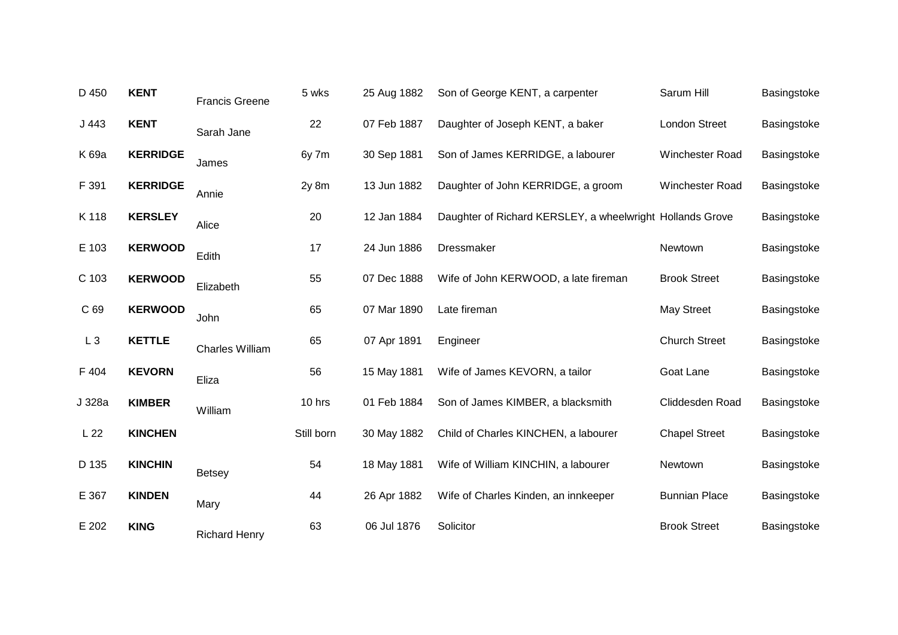| D 450           | <b>KENT</b>     | <b>Francis Greene</b>  | 5 wks      | 25 Aug 1882 | Son of George KENT, a carpenter                           | Sarum Hill           | Basingstoke |
|-----------------|-----------------|------------------------|------------|-------------|-----------------------------------------------------------|----------------------|-------------|
| J443            | <b>KENT</b>     | Sarah Jane             | 22         | 07 Feb 1887 | Daughter of Joseph KENT, a baker                          | <b>London Street</b> | Basingstoke |
| K 69a           | <b>KERRIDGE</b> | James                  | 6y 7m      | 30 Sep 1881 | Son of James KERRIDGE, a labourer                         | Winchester Road      | Basingstoke |
| F 391           | <b>KERRIDGE</b> | Annie                  | $2y$ 8 $m$ | 13 Jun 1882 | Daughter of John KERRIDGE, a groom                        | Winchester Road      | Basingstoke |
| K 118           | <b>KERSLEY</b>  | Alice                  | 20         | 12 Jan 1884 | Daughter of Richard KERSLEY, a wheelwright Hollands Grove |                      | Basingstoke |
| E 103           | <b>KERWOOD</b>  | Edith                  | 17         | 24 Jun 1886 | Dressmaker                                                | Newtown              | Basingstoke |
| C 103           | <b>KERWOOD</b>  | Elizabeth              | 55         | 07 Dec 1888 | Wife of John KERWOOD, a late fireman                      | <b>Brook Street</b>  | Basingstoke |
| C 69            | <b>KERWOOD</b>  | John                   | 65         | 07 Mar 1890 | Late fireman                                              | <b>May Street</b>    | Basingstoke |
| $L_3$           | <b>KETTLE</b>   | <b>Charles William</b> | 65         | 07 Apr 1891 | Engineer                                                  | <b>Church Street</b> | Basingstoke |
| F 404           | <b>KEVORN</b>   | Eliza                  | 56         | 15 May 1881 | Wife of James KEVORN, a tailor                            | Goat Lane            | Basingstoke |
| J 328a          | <b>KIMBER</b>   | William                | 10 hrs     | 01 Feb 1884 | Son of James KIMBER, a blacksmith                         | Cliddesden Road      | Basingstoke |
| L <sub>22</sub> | <b>KINCHEN</b>  |                        | Still born | 30 May 1882 | Child of Charles KINCHEN, a labourer                      | <b>Chapel Street</b> | Basingstoke |
| D 135           | <b>KINCHIN</b>  | <b>Betsey</b>          | 54         | 18 May 1881 | Wife of William KINCHIN, a labourer                       | Newtown              | Basingstoke |
| E 367           | <b>KINDEN</b>   | Mary                   | 44         | 26 Apr 1882 | Wife of Charles Kinden, an innkeeper                      | <b>Bunnian Place</b> | Basingstoke |
| E 202           | <b>KING</b>     | <b>Richard Henry</b>   | 63         | 06 Jul 1876 | Solicitor                                                 | <b>Brook Street</b>  | Basingstoke |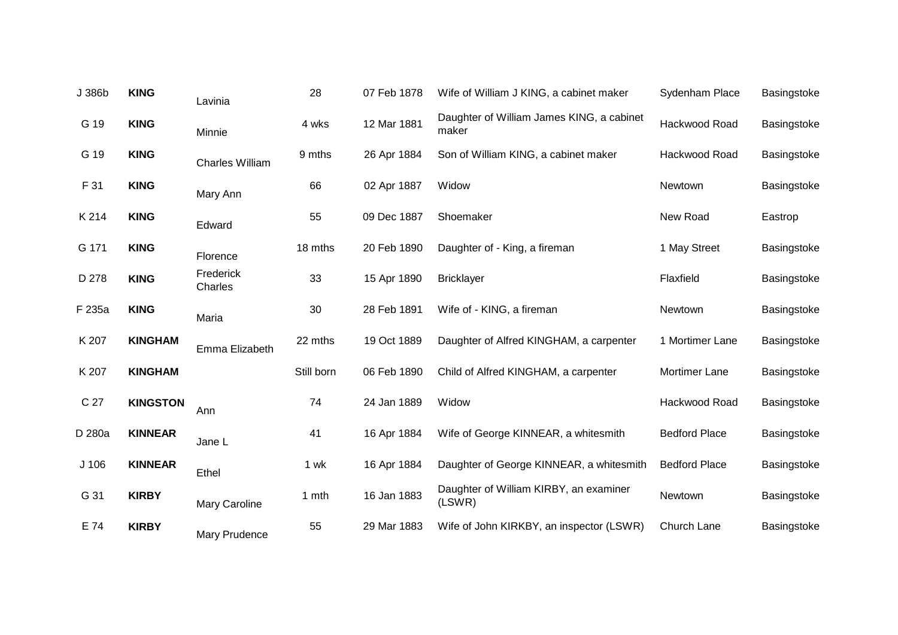| J 386b           | <b>KING</b>     | Lavinia                | 28         | 07 Feb 1878 | Wife of William J KING, a cabinet maker            | Sydenham Place       | Basingstoke |
|------------------|-----------------|------------------------|------------|-------------|----------------------------------------------------|----------------------|-------------|
| G 19             | <b>KING</b>     | Minnie                 | 4 wks      | 12 Mar 1881 | Daughter of William James KING, a cabinet<br>maker | Hackwood Road        | Basingstoke |
| G 19             | <b>KING</b>     | <b>Charles William</b> | 9 mths     | 26 Apr 1884 | Son of William KING, a cabinet maker               | Hackwood Road        | Basingstoke |
| F 31             | <b>KING</b>     | Mary Ann               | 66         | 02 Apr 1887 | Widow                                              | Newtown              | Basingstoke |
| K 214            | <b>KING</b>     | Edward                 | 55         | 09 Dec 1887 | Shoemaker                                          | New Road             | Eastrop     |
| G 171            | <b>KING</b>     | Florence               | 18 mths    | 20 Feb 1890 | Daughter of - King, a fireman                      | 1 May Street         | Basingstoke |
| D 278            | <b>KING</b>     | Frederick<br>Charles   | 33         | 15 Apr 1890 | <b>Bricklayer</b>                                  | Flaxfield            | Basingstoke |
| F 235a           | <b>KING</b>     | Maria                  | 30         | 28 Feb 1891 | Wife of - KING, a fireman                          | Newtown              | Basingstoke |
| K 207            | <b>KINGHAM</b>  | Emma Elizabeth         | 22 mths    | 19 Oct 1889 | Daughter of Alfred KINGHAM, a carpenter            | 1 Mortimer Lane      | Basingstoke |
| K 207            | <b>KINGHAM</b>  |                        | Still born | 06 Feb 1890 | Child of Alfred KINGHAM, a carpenter               | Mortimer Lane        | Basingstoke |
| C 27             | <b>KINGSTON</b> | Ann                    | 74         | 24 Jan 1889 | Widow                                              | Hackwood Road        | Basingstoke |
| D 280a           | <b>KINNEAR</b>  | Jane L                 | 41         | 16 Apr 1884 | Wife of George KINNEAR, a whitesmith               | <b>Bedford Place</b> | Basingstoke |
| J <sub>106</sub> | <b>KINNEAR</b>  | Ethel                  | 1 wk       | 16 Apr 1884 | Daughter of George KINNEAR, a whitesmith           | <b>Bedford Place</b> | Basingstoke |
| G 31             | <b>KIRBY</b>    | Mary Caroline          | 1 mth      | 16 Jan 1883 | Daughter of William KIRBY, an examiner<br>(LSWR)   | Newtown              | Basingstoke |
| E 74             | <b>KIRBY</b>    | Mary Prudence          | 55         | 29 Mar 1883 | Wife of John KIRKBY, an inspector (LSWR)           | Church Lane          | Basingstoke |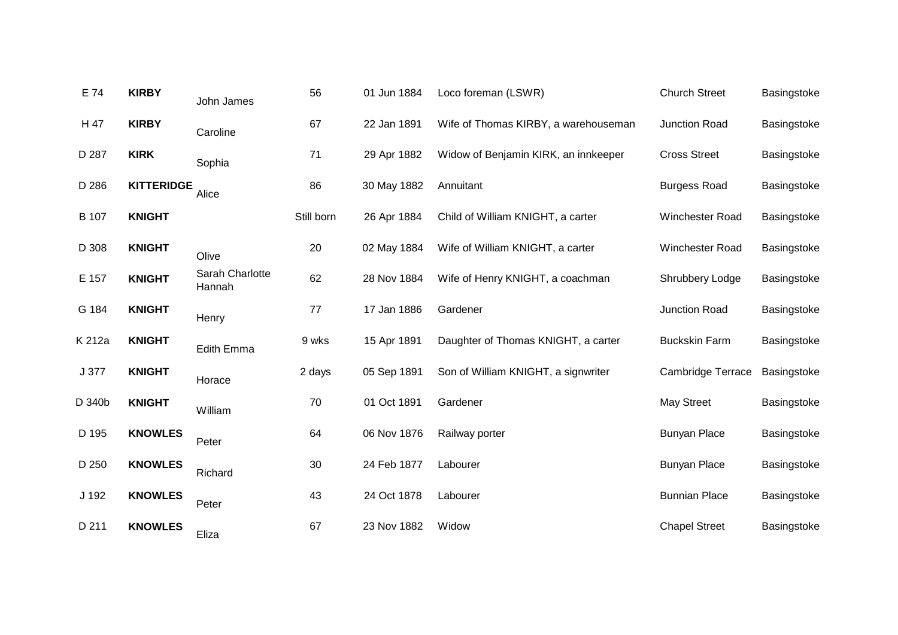| E 74         | <b>KIRBY</b>      | John James                | 56         | 01 Jun 1884 | Loco foreman (LSWR)                  | <b>Church Street</b> | Basingstoke |
|--------------|-------------------|---------------------------|------------|-------------|--------------------------------------|----------------------|-------------|
| H 47         | <b>KIRBY</b>      | Caroline                  | 67         | 22 Jan 1891 | Wife of Thomas KIRBY, a warehouseman | Junction Road        | Basingstoke |
| D 287        | <b>KIRK</b>       | Sophia                    | 71         | 29 Apr 1882 | Widow of Benjamin KIRK, an innkeeper | <b>Cross Street</b>  | Basingstoke |
| D 286        | <b>KITTERIDGE</b> | Alice                     | 86         | 30 May 1882 | Annuitant                            | <b>Burgess Road</b>  | Basingstoke |
| <b>B</b> 107 | <b>KNIGHT</b>     |                           | Still born | 26 Apr 1884 | Child of William KNIGHT, a carter    | Winchester Road      | Basingstoke |
| D 308        | <b>KNIGHT</b>     | Olive                     | 20         | 02 May 1884 | Wife of William KNIGHT, a carter     | Winchester Road      | Basingstoke |
| E 157        | <b>KNIGHT</b>     | Sarah Charlotte<br>Hannah | 62         | 28 Nov 1884 | Wife of Henry KNIGHT, a coachman     | Shrubbery Lodge      | Basingstoke |
| G 184        | <b>KNIGHT</b>     | Henry                     | 77         | 17 Jan 1886 | Gardener                             | Junction Road        | Basingstoke |
| K 212a       | <b>KNIGHT</b>     | Edith Emma                | 9 wks      | 15 Apr 1891 | Daughter of Thomas KNIGHT, a carter  | <b>Buckskin Farm</b> | Basingstoke |
| J 377        | <b>KNIGHT</b>     | Horace                    | 2 days     | 05 Sep 1891 | Son of William KNIGHT, a signwriter  | Cambridge Terrace    | Basingstoke |
| D 340b       | <b>KNIGHT</b>     | William                   | 70         | 01 Oct 1891 | Gardener                             | <b>May Street</b>    | Basingstoke |
| D 195        | <b>KNOWLES</b>    | Peter                     | 64         | 06 Nov 1876 | Railway porter                       | <b>Bunyan Place</b>  | Basingstoke |
| D 250        | <b>KNOWLES</b>    | Richard                   | 30         | 24 Feb 1877 | Labourer                             | <b>Bunyan Place</b>  | Basingstoke |
| J 192        | <b>KNOWLES</b>    | Peter                     | 43         | 24 Oct 1878 | Labourer                             | <b>Bunnian Place</b> | Basingstoke |
| D 211        | <b>KNOWLES</b>    | Eliza                     | 67         | 23 Nov 1882 | Widow                                | <b>Chapel Street</b> | Basingstoke |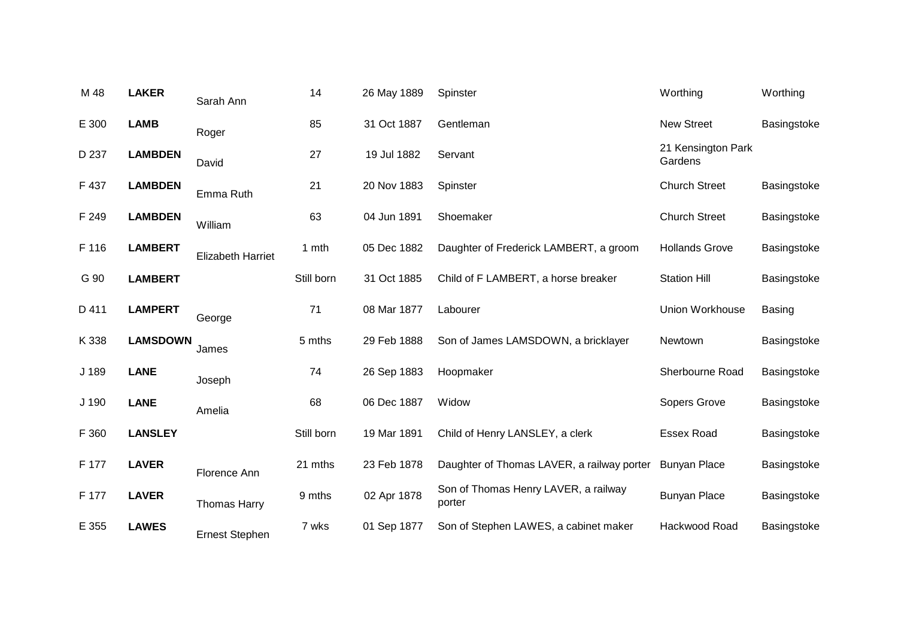| <b>LAKER</b>   | Sarah Ann                | 14              | 26 May 1889 | Spinster                                       | Worthing                      | Worthing      |
|----------------|--------------------------|-----------------|-------------|------------------------------------------------|-------------------------------|---------------|
| <b>LAMB</b>    | Roger                    | 85              | 31 Oct 1887 | Gentleman                                      | <b>New Street</b>             | Basingstoke   |
| <b>LAMBDEN</b> | David                    | 27              | 19 Jul 1882 | Servant                                        | 21 Kensington Park<br>Gardens |               |
| <b>LAMBDEN</b> | Emma Ruth                | 21              | 20 Nov 1883 | Spinster                                       | <b>Church Street</b>          | Basingstoke   |
| <b>LAMBDEN</b> | William                  | 63              | 04 Jun 1891 | Shoemaker                                      | <b>Church Street</b>          | Basingstoke   |
| <b>LAMBERT</b> | <b>Elizabeth Harriet</b> | 1 mth           | 05 Dec 1882 | Daughter of Frederick LAMBERT, a groom         | <b>Hollands Grove</b>         | Basingstoke   |
| <b>LAMBERT</b> |                          | Still born      | 31 Oct 1885 | Child of F LAMBERT, a horse breaker            | <b>Station Hill</b>           | Basingstoke   |
| <b>LAMPERT</b> | George                   | 71              | 08 Mar 1877 | Labourer                                       | Union Workhouse               | <b>Basing</b> |
|                | James                    | 5 mths          | 29 Feb 1888 | Son of James LAMSDOWN, a bricklayer            | Newtown                       | Basingstoke   |
| <b>LANE</b>    | Joseph                   | 74              | 26 Sep 1883 | Hoopmaker                                      | Sherbourne Road               | Basingstoke   |
| <b>LANE</b>    | Amelia                   | 68              | 06 Dec 1887 | Widow                                          | Sopers Grove                  | Basingstoke   |
| <b>LANSLEY</b> |                          | Still born      | 19 Mar 1891 | Child of Henry LANSLEY, a clerk                | <b>Essex Road</b>             | Basingstoke   |
| <b>LAVER</b>   | Florence Ann             | 21 mths         | 23 Feb 1878 | Daughter of Thomas LAVER, a railway porter     | <b>Bunyan Place</b>           | Basingstoke   |
| <b>LAVER</b>   | <b>Thomas Harry</b>      | 9 mths          | 02 Apr 1878 | Son of Thomas Henry LAVER, a railway<br>porter | <b>Bunyan Place</b>           | Basingstoke   |
| <b>LAWES</b>   | <b>Ernest Stephen</b>    | 7 wks           | 01 Sep 1877 | Son of Stephen LAWES, a cabinet maker          | Hackwood Road                 | Basingstoke   |
|                |                          | <b>LAMSDOWN</b> |             |                                                |                               |               |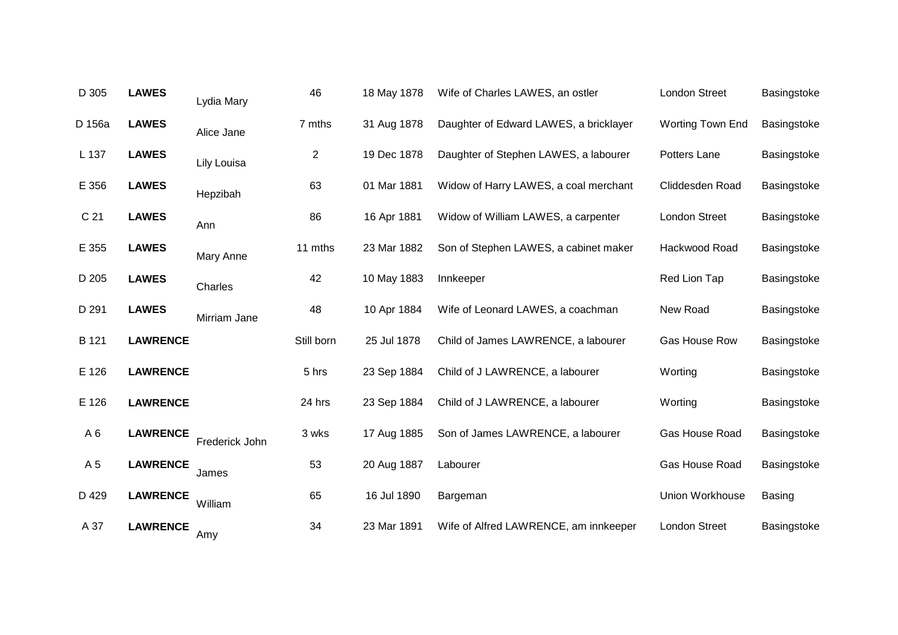| D 305           | <b>LAWES</b>    | Lydia Mary     | 46             | 18 May 1878 | Wife of Charles LAWES, an ostler       | <b>London Street</b> | Basingstoke   |
|-----------------|-----------------|----------------|----------------|-------------|----------------------------------------|----------------------|---------------|
| D 156a          | <b>LAWES</b>    | Alice Jane     | 7 mths         | 31 Aug 1878 | Daughter of Edward LAWES, a bricklayer | Worting Town End     | Basingstoke   |
| L 137           | <b>LAWES</b>    | Lily Louisa    | $\overline{c}$ | 19 Dec 1878 | Daughter of Stephen LAWES, a labourer  | Potters Lane         | Basingstoke   |
| E 356           | <b>LAWES</b>    | Hepzibah       | 63             | 01 Mar 1881 | Widow of Harry LAWES, a coal merchant  | Cliddesden Road      | Basingstoke   |
| C <sub>21</sub> | <b>LAWES</b>    | Ann            | 86             | 16 Apr 1881 | Widow of William LAWES, a carpenter    | <b>London Street</b> | Basingstoke   |
| E 355           | <b>LAWES</b>    | Mary Anne      | 11 mths        | 23 Mar 1882 | Son of Stephen LAWES, a cabinet maker  | Hackwood Road        | Basingstoke   |
| D 205           | <b>LAWES</b>    | Charles        | 42             | 10 May 1883 | Innkeeper                              | Red Lion Tap         | Basingstoke   |
| D 291           | <b>LAWES</b>    | Mirriam Jane   | 48             | 10 Apr 1884 | Wife of Leonard LAWES, a coachman      | New Road             | Basingstoke   |
| B 121           | <b>LAWRENCE</b> |                | Still born     | 25 Jul 1878 | Child of James LAWRENCE, a labourer    | Gas House Row        | Basingstoke   |
| E 126           | <b>LAWRENCE</b> |                | 5 hrs          | 23 Sep 1884 | Child of J LAWRENCE, a labourer        | Worting              | Basingstoke   |
| E 126           | <b>LAWRENCE</b> |                | 24 hrs         | 23 Sep 1884 | Child of J LAWRENCE, a labourer        | Worting              | Basingstoke   |
| A <sub>6</sub>  | <b>LAWRENCE</b> | Frederick John | 3 wks          | 17 Aug 1885 | Son of James LAWRENCE, a labourer      | Gas House Road       | Basingstoke   |
| A 5             | <b>LAWRENCE</b> | James          | 53             | 20 Aug 1887 | Labourer                               | Gas House Road       | Basingstoke   |
| D 429           | <b>LAWRENCE</b> | William        | 65             | 16 Jul 1890 | Bargeman                               | Union Workhouse      | <b>Basing</b> |
| A 37            | <b>LAWRENCE</b> | Amy            | 34             | 23 Mar 1891 | Wife of Alfred LAWRENCE, am innkeeper  | <b>London Street</b> | Basingstoke   |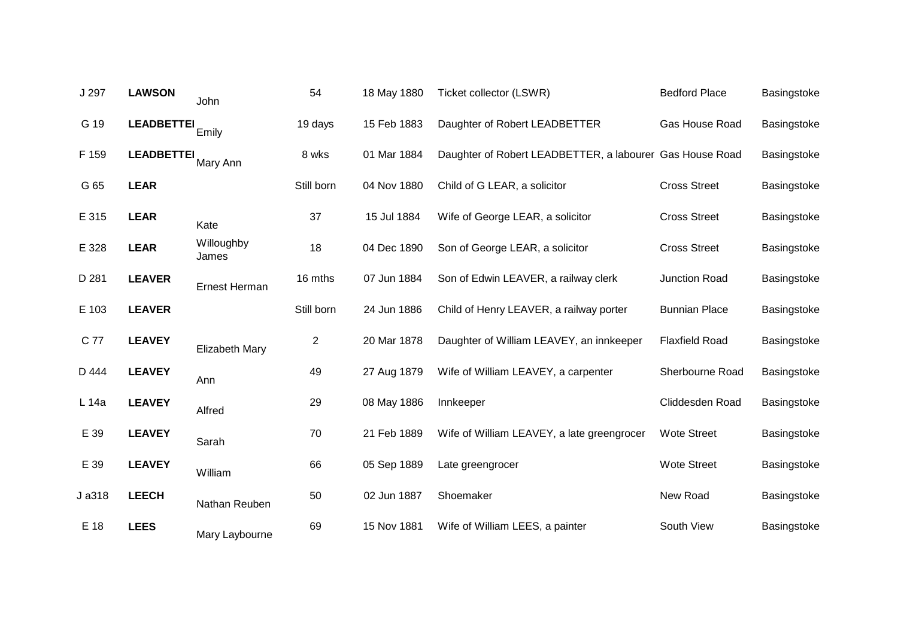| J 297  | <b>LAWSON</b>     | John                | 54             | 18 May 1880 | Ticket collector (LSWR)                                  | <b>Bedford Place</b>  | Basingstoke |
|--------|-------------------|---------------------|----------------|-------------|----------------------------------------------------------|-----------------------|-------------|
| G 19   | <b>LEADBETTEI</b> | Emily               | 19 days        | 15 Feb 1883 | Daughter of Robert LEADBETTER                            | Gas House Road        | Basingstoke |
| F 159  | <b>LEADBETTEI</b> | Mary Ann            | 8 wks          | 01 Mar 1884 | Daughter of Robert LEADBETTER, a labourer Gas House Road |                       | Basingstoke |
| G 65   | <b>LEAR</b>       |                     | Still born     | 04 Nov 1880 | Child of G LEAR, a solicitor                             | <b>Cross Street</b>   | Basingstoke |
| E 315  | <b>LEAR</b>       | Kate                | 37             | 15 Jul 1884 | Wife of George LEAR, a solicitor                         | <b>Cross Street</b>   | Basingstoke |
| E 328  | <b>LEAR</b>       | Willoughby<br>James | 18             | 04 Dec 1890 | Son of George LEAR, a solicitor                          | <b>Cross Street</b>   | Basingstoke |
| D 281  | <b>LEAVER</b>     | Ernest Herman       | 16 mths        | 07 Jun 1884 | Son of Edwin LEAVER, a railway clerk                     | Junction Road         | Basingstoke |
| E 103  | <b>LEAVER</b>     |                     | Still born     | 24 Jun 1886 | Child of Henry LEAVER, a railway porter                  | <b>Bunnian Place</b>  | Basingstoke |
| C 77   | <b>LEAVEY</b>     | Elizabeth Mary      | $\overline{c}$ | 20 Mar 1878 | Daughter of William LEAVEY, an innkeeper                 | <b>Flaxfield Road</b> | Basingstoke |
| D 444  | <b>LEAVEY</b>     | Ann                 | 49             | 27 Aug 1879 | Wife of William LEAVEY, a carpenter                      | Sherbourne Road       | Basingstoke |
| L 14a  | <b>LEAVEY</b>     | Alfred              | 29             | 08 May 1886 | Innkeeper                                                | Cliddesden Road       | Basingstoke |
| E 39   | <b>LEAVEY</b>     | Sarah               | 70             | 21 Feb 1889 | Wife of William LEAVEY, a late greengrocer               | <b>Wote Street</b>    | Basingstoke |
| E 39   | <b>LEAVEY</b>     | William             | 66             | 05 Sep 1889 | Late greengrocer                                         | <b>Wote Street</b>    | Basingstoke |
| J a318 | <b>LEECH</b>      | Nathan Reuben       | 50             | 02 Jun 1887 | Shoemaker                                                | New Road              | Basingstoke |
| E 18   | <b>LEES</b>       | Mary Laybourne      | 69             | 15 Nov 1881 | Wife of William LEES, a painter                          | South View            | Basingstoke |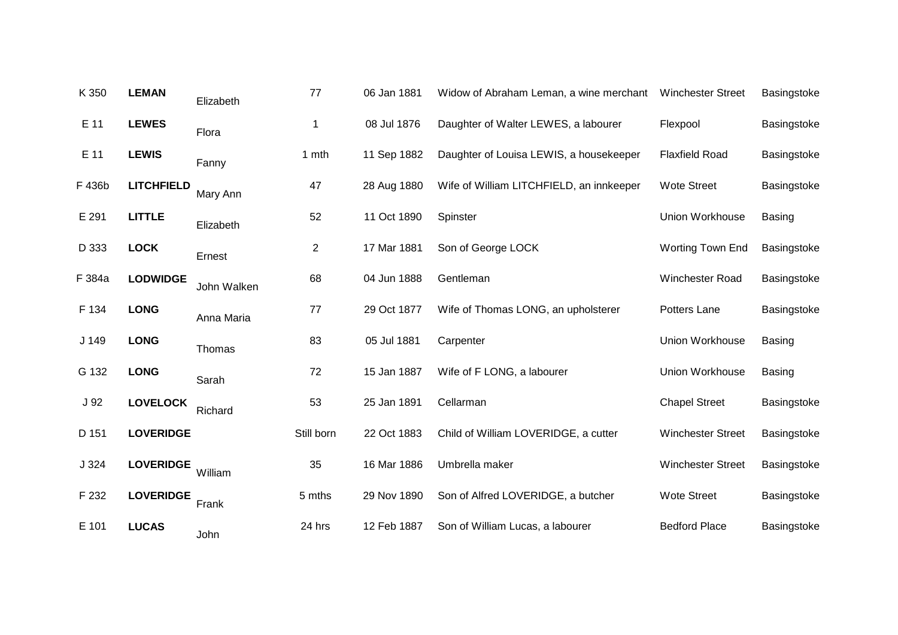| K 350           | <b>LEMAN</b>      | Elizabeth   | 77             | 06 Jan 1881 | Widow of Abraham Leman, a wine merchant  | <b>Winchester Street</b> | Basingstoke   |
|-----------------|-------------------|-------------|----------------|-------------|------------------------------------------|--------------------------|---------------|
| $E$ 11          | <b>LEWES</b>      | Flora       | 1              | 08 Jul 1876 | Daughter of Walter LEWES, a labourer     | Flexpool                 | Basingstoke   |
| E 11            | <b>LEWIS</b>      | Fanny       | 1 mth          | 11 Sep 1882 | Daughter of Louisa LEWIS, a housekeeper  | <b>Flaxfield Road</b>    | Basingstoke   |
| F 436b          | <b>LITCHFIELD</b> | Mary Ann    | 47             | 28 Aug 1880 | Wife of William LITCHFIELD, an innkeeper | <b>Wote Street</b>       | Basingstoke   |
| E 291           | <b>LITTLE</b>     | Elizabeth   | 52             | 11 Oct 1890 | Spinster                                 | Union Workhouse          | <b>Basing</b> |
| D 333           | <b>LOCK</b>       | Ernest      | $\overline{c}$ | 17 Mar 1881 | Son of George LOCK                       | Worting Town End         | Basingstoke   |
| F 384a          | <b>LODWIDGE</b>   | John Walken | 68             | 04 Jun 1888 | Gentleman                                | Winchester Road          | Basingstoke   |
| F 134           | <b>LONG</b>       | Anna Maria  | 77             | 29 Oct 1877 | Wife of Thomas LONG, an upholsterer      | Potters Lane             | Basingstoke   |
| J 149           | <b>LONG</b>       | Thomas      | 83             | 05 Jul 1881 | Carpenter                                | Union Workhouse          | <b>Basing</b> |
| G 132           | <b>LONG</b>       | Sarah       | 72             | 15 Jan 1887 | Wife of F LONG, a labourer               | Union Workhouse          | <b>Basing</b> |
| J <sub>92</sub> | <b>LOVELOCK</b>   | Richard     | 53             | 25 Jan 1891 | Cellarman                                | <b>Chapel Street</b>     | Basingstoke   |
| D 151           | <b>LOVERIDGE</b>  |             | Still born     | 22 Oct 1883 | Child of William LOVERIDGE, a cutter     | <b>Winchester Street</b> | Basingstoke   |
| J324            | <b>LOVERIDGE</b>  | William     | 35             | 16 Mar 1886 | Umbrella maker                           | <b>Winchester Street</b> | Basingstoke   |
| F 232           | <b>LOVERIDGE</b>  | Frank       | 5 mths         | 29 Nov 1890 | Son of Alfred LOVERIDGE, a butcher       | <b>Wote Street</b>       | Basingstoke   |
| E 101           | <b>LUCAS</b>      | John        | 24 hrs         | 12 Feb 1887 | Son of William Lucas, a labourer         | <b>Bedford Place</b>     | Basingstoke   |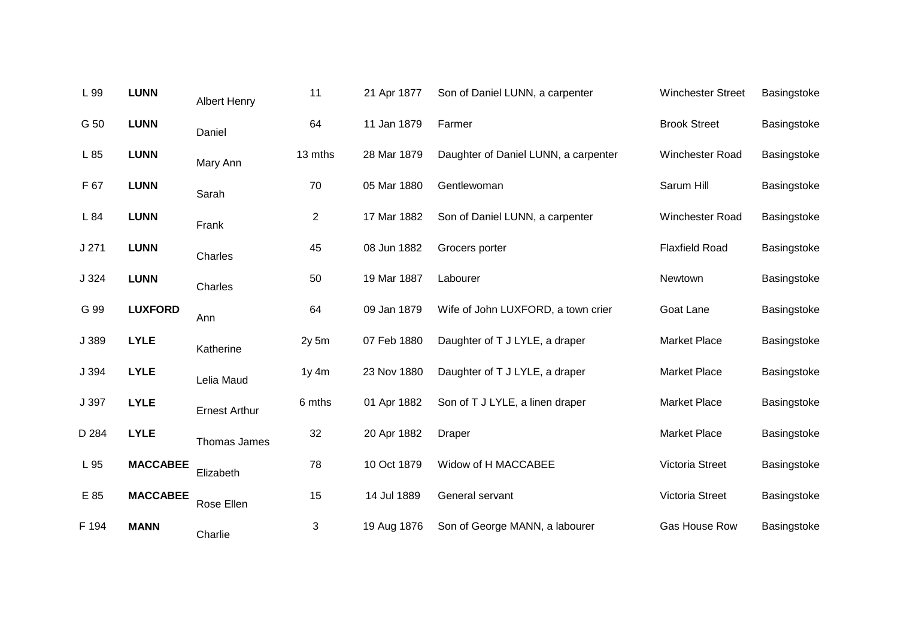| L 99  | <b>LUNN</b>     | <b>Albert Henry</b>  | 11               | 21 Apr 1877 | Son of Daniel LUNN, a carpenter      | <b>Winchester Street</b> | Basingstoke |
|-------|-----------------|----------------------|------------------|-------------|--------------------------------------|--------------------------|-------------|
| G 50  | <b>LUNN</b>     | Daniel               | 64               | 11 Jan 1879 | Farmer                               | <b>Brook Street</b>      | Basingstoke |
| L 85  | <b>LUNN</b>     | Mary Ann             | 13 mths          | 28 Mar 1879 | Daughter of Daniel LUNN, a carpenter | Winchester Road          | Basingstoke |
| F 67  | <b>LUNN</b>     | Sarah                | 70               | 05 Mar 1880 | Gentlewoman                          | Sarum Hill               | Basingstoke |
| L 84  | <b>LUNN</b>     | Frank                | $\overline{2}$   | 17 Mar 1882 | Son of Daniel LUNN, a carpenter      | Winchester Road          | Basingstoke |
| J271  | <b>LUNN</b>     | Charles              | 45               | 08 Jun 1882 | Grocers porter                       | <b>Flaxfield Road</b>    | Basingstoke |
| J324  | <b>LUNN</b>     | Charles              | 50               | 19 Mar 1887 | Labourer                             | Newtown                  | Basingstoke |
| G 99  | <b>LUXFORD</b>  | Ann                  | 64               | 09 Jan 1879 | Wife of John LUXFORD, a town crier   | Goat Lane                | Basingstoke |
| J 389 | <b>LYLE</b>     | Katherine            | 2y <sub>5m</sub> | 07 Feb 1880 | Daughter of T J LYLE, a draper       | <b>Market Place</b>      | Basingstoke |
| J 394 | <b>LYLE</b>     | Lelia Maud           | $1y$ 4 $m$       | 23 Nov 1880 | Daughter of T J LYLE, a draper       | <b>Market Place</b>      | Basingstoke |
| J 397 | <b>LYLE</b>     | <b>Ernest Arthur</b> | 6 mths           | 01 Apr 1882 | Son of T J LYLE, a linen draper      | <b>Market Place</b>      | Basingstoke |
| D 284 | <b>LYLE</b>     | Thomas James         | 32               | 20 Apr 1882 | Draper                               | <b>Market Place</b>      | Basingstoke |
| L 95  | <b>MACCABEE</b> | Elizabeth            | 78               | 10 Oct 1879 | Widow of H MACCABEE                  | Victoria Street          | Basingstoke |
| E 85  | <b>MACCABEE</b> | Rose Ellen           | 15               | 14 Jul 1889 | General servant                      | Victoria Street          | Basingstoke |
| F 194 | <b>MANN</b>     | Charlie              | 3                | 19 Aug 1876 | Son of George MANN, a labourer       | Gas House Row            | Basingstoke |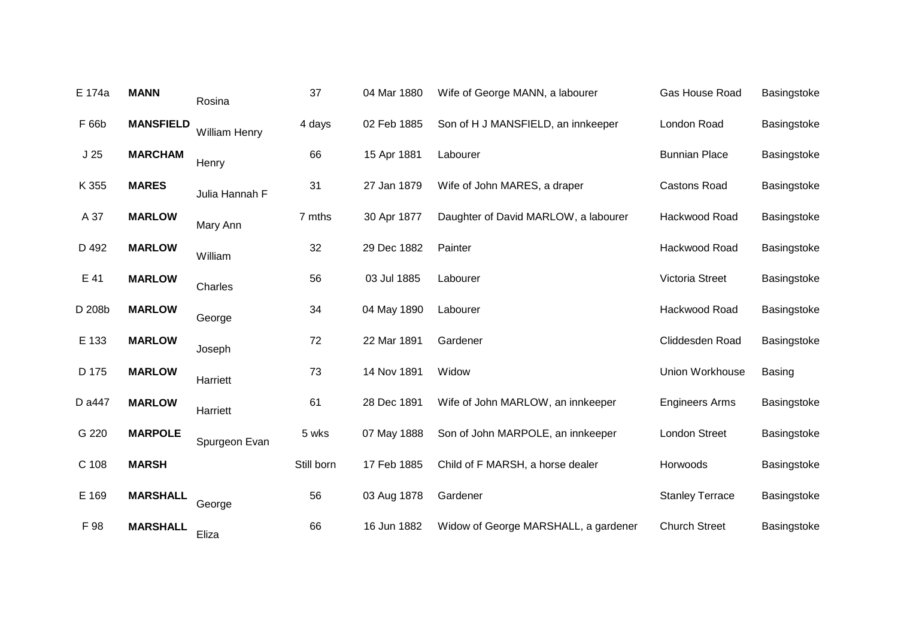| E 174a          | <b>MANN</b>      | Rosina               | 37         | 04 Mar 1880 | Wife of George MANN, a labourer      | Gas House Road         | Basingstoke   |
|-----------------|------------------|----------------------|------------|-------------|--------------------------------------|------------------------|---------------|
| F 66b           | <b>MANSFIELD</b> | <b>William Henry</b> | 4 days     | 02 Feb 1885 | Son of H J MANSFIELD, an innkeeper   | London Road            | Basingstoke   |
| J <sub>25</sub> | <b>MARCHAM</b>   | Henry                | 66         | 15 Apr 1881 | Labourer                             | <b>Bunnian Place</b>   | Basingstoke   |
| K 355           | <b>MARES</b>     | Julia Hannah F       | 31         | 27 Jan 1879 | Wife of John MARES, a draper         | <b>Castons Road</b>    | Basingstoke   |
| A 37            | <b>MARLOW</b>    | Mary Ann             | 7 mths     | 30 Apr 1877 | Daughter of David MARLOW, a labourer | Hackwood Road          | Basingstoke   |
| D 492           | <b>MARLOW</b>    | William              | 32         | 29 Dec 1882 | Painter                              | Hackwood Road          | Basingstoke   |
| E 41            | <b>MARLOW</b>    | Charles              | 56         | 03 Jul 1885 | Labourer                             | Victoria Street        | Basingstoke   |
| D 208b          | <b>MARLOW</b>    | George               | 34         | 04 May 1890 | Labourer                             | Hackwood Road          | Basingstoke   |
| E 133           | <b>MARLOW</b>    | Joseph               | 72         | 22 Mar 1891 | Gardener                             | Cliddesden Road        | Basingstoke   |
| D 175           | <b>MARLOW</b>    | Harriett             | 73         | 14 Nov 1891 | Widow                                | Union Workhouse        | <b>Basing</b> |
| D a447          | <b>MARLOW</b>    | Harriett             | 61         | 28 Dec 1891 | Wife of John MARLOW, an innkeeper    | <b>Engineers Arms</b>  | Basingstoke   |
| G 220           | <b>MARPOLE</b>   | Spurgeon Evan        | 5 wks      | 07 May 1888 | Son of John MARPOLE, an innkeeper    | London Street          | Basingstoke   |
| C 108           | <b>MARSH</b>     |                      | Still born | 17 Feb 1885 | Child of F MARSH, a horse dealer     | Horwoods               | Basingstoke   |
| E 169           | <b>MARSHALL</b>  | George               | 56         | 03 Aug 1878 | Gardener                             | <b>Stanley Terrace</b> | Basingstoke   |
| F 98            | <b>MARSHALL</b>  | Eliza                | 66         | 16 Jun 1882 | Widow of George MARSHALL, a gardener | <b>Church Street</b>   | Basingstoke   |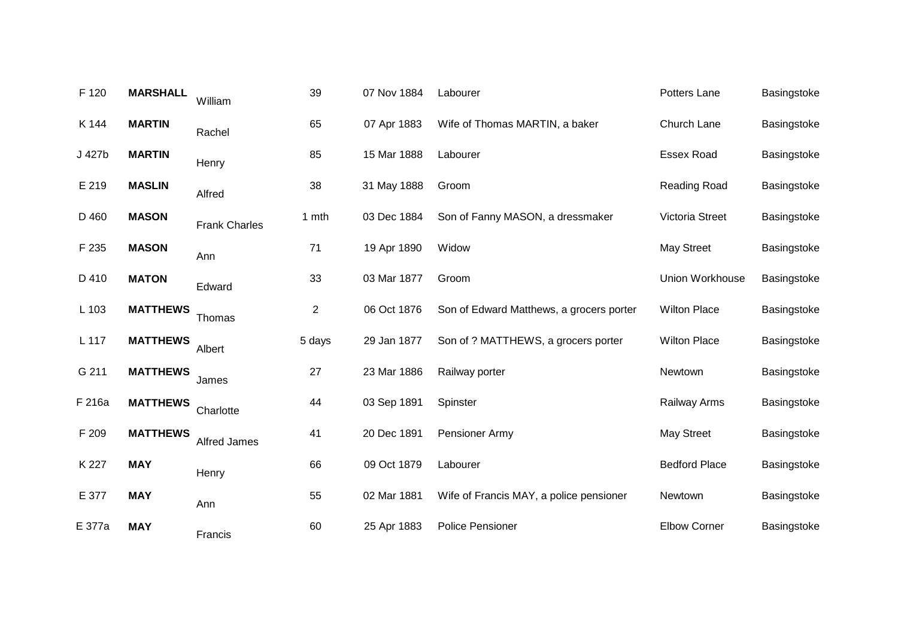| F 120  | <b>MARSHALL</b> | William              | 39             | 07 Nov 1884 | Labourer                                 | Potters Lane         | Basingstoke |
|--------|-----------------|----------------------|----------------|-------------|------------------------------------------|----------------------|-------------|
| K 144  | <b>MARTIN</b>   | Rachel               | 65             | 07 Apr 1883 | Wife of Thomas MARTIN, a baker           | Church Lane          | Basingstoke |
| J 427b | <b>MARTIN</b>   | Henry                | 85             | 15 Mar 1888 | Labourer                                 | <b>Essex Road</b>    | Basingstoke |
| E 219  | <b>MASLIN</b>   | Alfred               | 38             | 31 May 1888 | Groom                                    | <b>Reading Road</b>  | Basingstoke |
| D 460  | <b>MASON</b>    | <b>Frank Charles</b> | 1 mth          | 03 Dec 1884 | Son of Fanny MASON, a dressmaker         | Victoria Street      | Basingstoke |
| F 235  | <b>MASON</b>    | Ann                  | 71             | 19 Apr 1890 | Widow                                    | <b>May Street</b>    | Basingstoke |
| D 410  | <b>MATON</b>    | Edward               | 33             | 03 Mar 1877 | Groom                                    | Union Workhouse      | Basingstoke |
| L 103  | <b>MATTHEWS</b> | Thomas               | $\overline{2}$ | 06 Oct 1876 | Son of Edward Matthews, a grocers porter | <b>Wilton Place</b>  | Basingstoke |
| L 117  | <b>MATTHEWS</b> | Albert               | 5 days         | 29 Jan 1877 | Son of ? MATTHEWS, a grocers porter      | <b>Wilton Place</b>  | Basingstoke |
| G 211  | <b>MATTHEWS</b> | James                | 27             | 23 Mar 1886 | Railway porter                           | Newtown              | Basingstoke |
| F 216a | <b>MATTHEWS</b> | Charlotte            | 44             | 03 Sep 1891 | Spinster                                 | <b>Railway Arms</b>  | Basingstoke |
| F 209  | <b>MATTHEWS</b> | <b>Alfred James</b>  | 41             | 20 Dec 1891 | Pensioner Army                           | <b>May Street</b>    | Basingstoke |
| K 227  | <b>MAY</b>      | Henry                | 66             | 09 Oct 1879 | Labourer                                 | <b>Bedford Place</b> | Basingstoke |
| E 377  | <b>MAY</b>      | Ann                  | 55             | 02 Mar 1881 | Wife of Francis MAY, a police pensioner  | Newtown              | Basingstoke |
| E 377a | <b>MAY</b>      | Francis              | 60             | 25 Apr 1883 | <b>Police Pensioner</b>                  | <b>Elbow Corner</b>  | Basingstoke |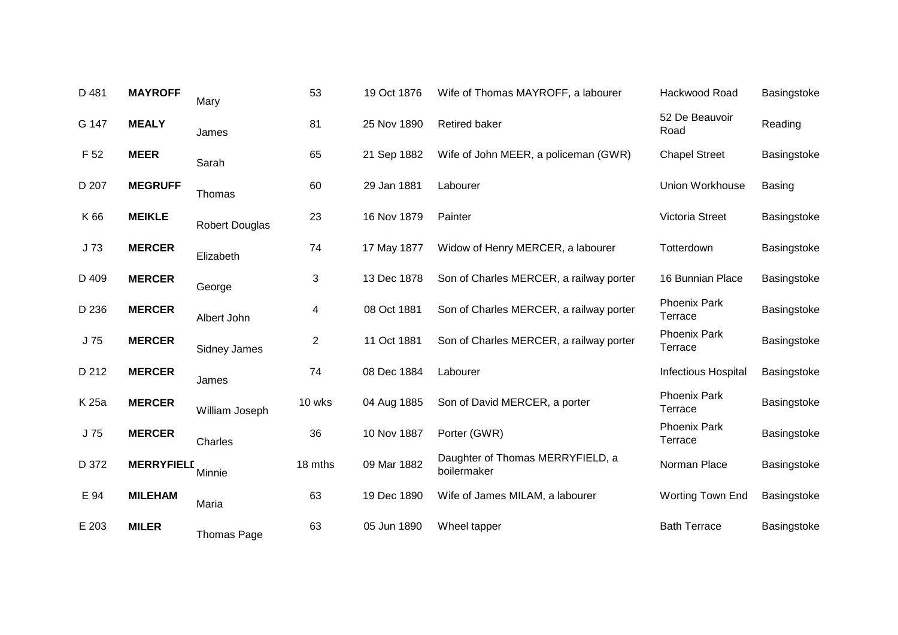| D 481 | <b>MAYROFF</b>    | Mary                  | 53             | 19 Oct 1876 | Wife of Thomas MAYROFF, a labourer              | Hackwood Road                  | Basingstoke   |
|-------|-------------------|-----------------------|----------------|-------------|-------------------------------------------------|--------------------------------|---------------|
| G 147 | <b>MEALY</b>      | James                 | 81             | 25 Nov 1890 | Retired baker                                   | 52 De Beauvoir<br>Road         | Reading       |
| F 52  | <b>MEER</b>       | Sarah                 | 65             | 21 Sep 1882 | Wife of John MEER, a policeman (GWR)            | <b>Chapel Street</b>           | Basingstoke   |
| D 207 | <b>MEGRUFF</b>    | Thomas                | 60             | 29 Jan 1881 | Labourer                                        | Union Workhouse                | <b>Basing</b> |
| K 66  | <b>MEIKLE</b>     | <b>Robert Douglas</b> | 23             | 16 Nov 1879 | Painter                                         | Victoria Street                | Basingstoke   |
| J73   | <b>MERCER</b>     | Elizabeth             | 74             | 17 May 1877 | Widow of Henry MERCER, a labourer               | Totterdown                     | Basingstoke   |
| D 409 | <b>MERCER</b>     | George                | 3              | 13 Dec 1878 | Son of Charles MERCER, a railway porter         | 16 Bunnian Place               | Basingstoke   |
| D 236 | <b>MERCER</b>     | Albert John           | 4              | 08 Oct 1881 | Son of Charles MERCER, a railway porter         | <b>Phoenix Park</b><br>Terrace | Basingstoke   |
| J 75  | <b>MERCER</b>     | <b>Sidney James</b>   | $\overline{2}$ | 11 Oct 1881 | Son of Charles MERCER, a railway porter         | <b>Phoenix Park</b><br>Terrace | Basingstoke   |
| D 212 | <b>MERCER</b>     | James                 | 74             | 08 Dec 1884 | Labourer                                        | <b>Infectious Hospital</b>     | Basingstoke   |
| K 25a | <b>MERCER</b>     | William Joseph        | 10 wks         | 04 Aug 1885 | Son of David MERCER, a porter                   | <b>Phoenix Park</b><br>Terrace | Basingstoke   |
| J75   | <b>MERCER</b>     | Charles               | 36             | 10 Nov 1887 | Porter (GWR)                                    | <b>Phoenix Park</b><br>Terrace | Basingstoke   |
| D 372 | <b>MERRYFIELD</b> | Minnie                | 18 mths        | 09 Mar 1882 | Daughter of Thomas MERRYFIELD, a<br>boilermaker | Norman Place                   | Basingstoke   |
| E 94  | <b>MILEHAM</b>    | Maria                 | 63             | 19 Dec 1890 | Wife of James MILAM, a labourer                 | Worting Town End               | Basingstoke   |
| E 203 | <b>MILER</b>      | <b>Thomas Page</b>    | 63             | 05 Jun 1890 | Wheel tapper                                    | <b>Bath Terrace</b>            | Basingstoke   |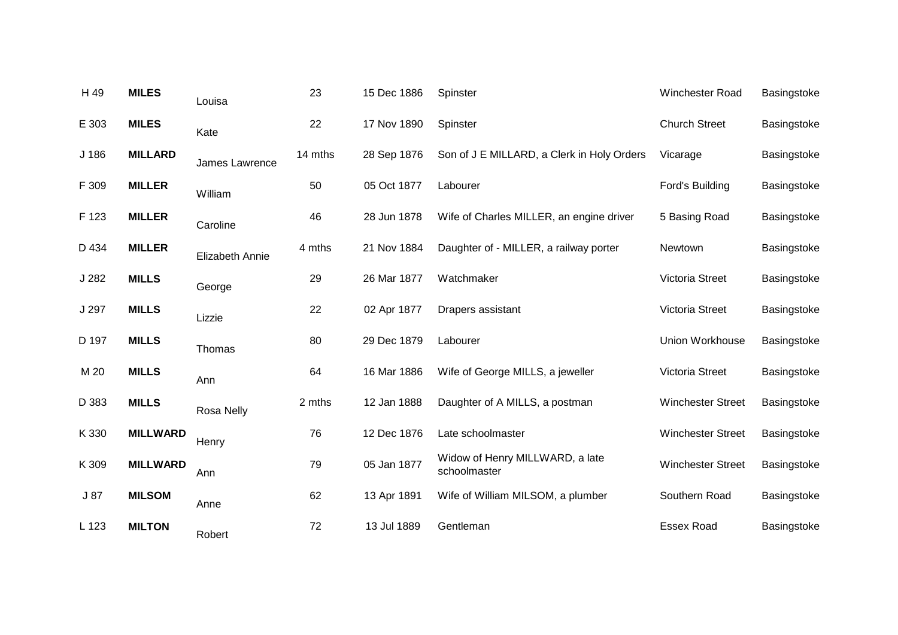| H 49  | <b>MILES</b>    | Louisa          | 23      | 15 Dec 1886 | Spinster                                        | Winchester Road          | Basingstoke |
|-------|-----------------|-----------------|---------|-------------|-------------------------------------------------|--------------------------|-------------|
| E 303 | <b>MILES</b>    | Kate            | 22      | 17 Nov 1890 | Spinster                                        | <b>Church Street</b>     | Basingstoke |
| J 186 | <b>MILLARD</b>  | James Lawrence  | 14 mths | 28 Sep 1876 | Son of J E MILLARD, a Clerk in Holy Orders      | Vicarage                 | Basingstoke |
| F 309 | <b>MILLER</b>   | William         | 50      | 05 Oct 1877 | Labourer                                        | Ford's Building          | Basingstoke |
| F 123 | <b>MILLER</b>   | Caroline        | 46      | 28 Jun 1878 | Wife of Charles MILLER, an engine driver        | 5 Basing Road            | Basingstoke |
| D 434 | <b>MILLER</b>   | Elizabeth Annie | 4 mths  | 21 Nov 1884 | Daughter of - MILLER, a railway porter          | Newtown                  | Basingstoke |
| J 282 | <b>MILLS</b>    | George          | 29      | 26 Mar 1877 | Watchmaker                                      | Victoria Street          | Basingstoke |
| J 297 | <b>MILLS</b>    | Lizzie          | 22      | 02 Apr 1877 | Drapers assistant                               | Victoria Street          | Basingstoke |
| D 197 | <b>MILLS</b>    | Thomas          | 80      | 29 Dec 1879 | Labourer                                        | <b>Union Workhouse</b>   | Basingstoke |
| M 20  | <b>MILLS</b>    | Ann             | 64      | 16 Mar 1886 | Wife of George MILLS, a jeweller                | Victoria Street          | Basingstoke |
| D 383 | <b>MILLS</b>    | Rosa Nelly      | 2 mths  | 12 Jan 1888 | Daughter of A MILLS, a postman                  | <b>Winchester Street</b> | Basingstoke |
| K 330 | <b>MILLWARD</b> | Henry           | 76      | 12 Dec 1876 | Late schoolmaster                               | <b>Winchester Street</b> | Basingstoke |
| K 309 | <b>MILLWARD</b> | Ann             | 79      | 05 Jan 1877 | Widow of Henry MILLWARD, a late<br>schoolmaster | <b>Winchester Street</b> | Basingstoke |
| J87   | <b>MILSOM</b>   | Anne            | 62      | 13 Apr 1891 | Wife of William MILSOM, a plumber               | Southern Road            | Basingstoke |
| L 123 | <b>MILTON</b>   | Robert          | 72      | 13 Jul 1889 | Gentleman                                       | <b>Essex Road</b>        | Basingstoke |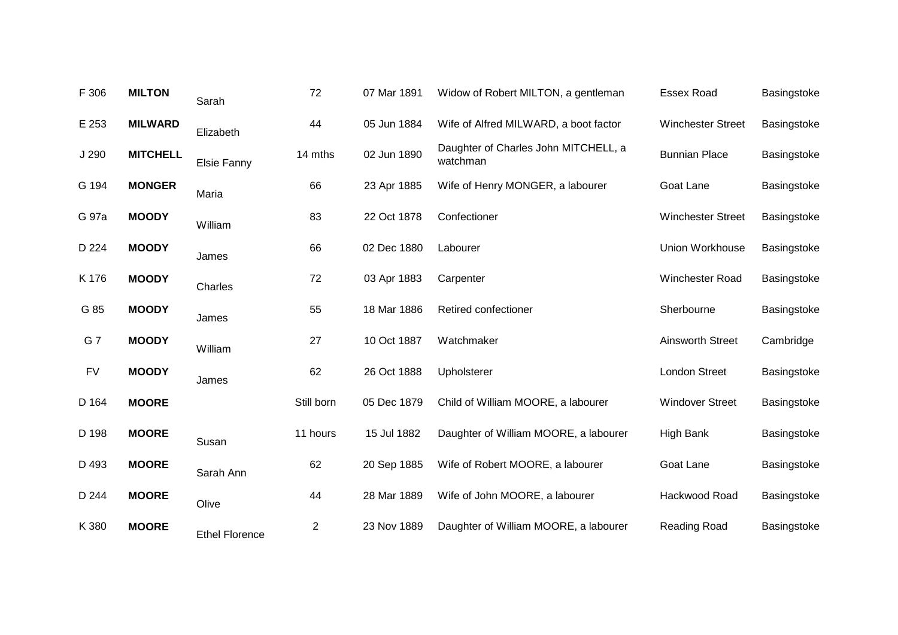| F 306     | <b>MILTON</b>   | Sarah                 | 72         | 07 Mar 1891 | Widow of Robert MILTON, a gentleman              | <b>Essex Road</b>        | Basingstoke |
|-----------|-----------------|-----------------------|------------|-------------|--------------------------------------------------|--------------------------|-------------|
| E 253     | <b>MILWARD</b>  | Elizabeth             | 44         | 05 Jun 1884 | Wife of Alfred MILWARD, a boot factor            | <b>Winchester Street</b> | Basingstoke |
| J 290     | <b>MITCHELL</b> | Elsie Fanny           | 14 mths    | 02 Jun 1890 | Daughter of Charles John MITCHELL, a<br>watchman | <b>Bunnian Place</b>     | Basingstoke |
| G 194     | <b>MONGER</b>   | Maria                 | 66         | 23 Apr 1885 | Wife of Henry MONGER, a labourer                 | Goat Lane                | Basingstoke |
| G 97a     | <b>MOODY</b>    | William               | 83         | 22 Oct 1878 | Confectioner                                     | <b>Winchester Street</b> | Basingstoke |
| D 224     | <b>MOODY</b>    | James                 | 66         | 02 Dec 1880 | Labourer                                         | Union Workhouse          | Basingstoke |
| K 176     | <b>MOODY</b>    | Charles               | 72         | 03 Apr 1883 | Carpenter                                        | Winchester Road          | Basingstoke |
| G 85      | <b>MOODY</b>    | James                 | 55         | 18 Mar 1886 | Retired confectioner                             | Sherbourne               | Basingstoke |
| G7        | <b>MOODY</b>    | William               | 27         | 10 Oct 1887 | Watchmaker                                       | <b>Ainsworth Street</b>  | Cambridge   |
| <b>FV</b> | <b>MOODY</b>    | James                 | 62         | 26 Oct 1888 | Upholsterer                                      | <b>London Street</b>     | Basingstoke |
| D 164     | <b>MOORE</b>    |                       | Still born | 05 Dec 1879 | Child of William MOORE, a labourer               | <b>Windover Street</b>   | Basingstoke |
| D 198     | <b>MOORE</b>    | Susan                 | 11 hours   | 15 Jul 1882 | Daughter of William MOORE, a labourer            | <b>High Bank</b>         | Basingstoke |
| D 493     | <b>MOORE</b>    | Sarah Ann             | 62         | 20 Sep 1885 | Wife of Robert MOORE, a labourer                 | Goat Lane                | Basingstoke |
| D 244     | <b>MOORE</b>    | Olive                 | 44         | 28 Mar 1889 | Wife of John MOORE, a labourer                   | Hackwood Road            | Basingstoke |
| K 380     | <b>MOORE</b>    | <b>Ethel Florence</b> | 2          | 23 Nov 1889 | Daughter of William MOORE, a labourer            | <b>Reading Road</b>      | Basingstoke |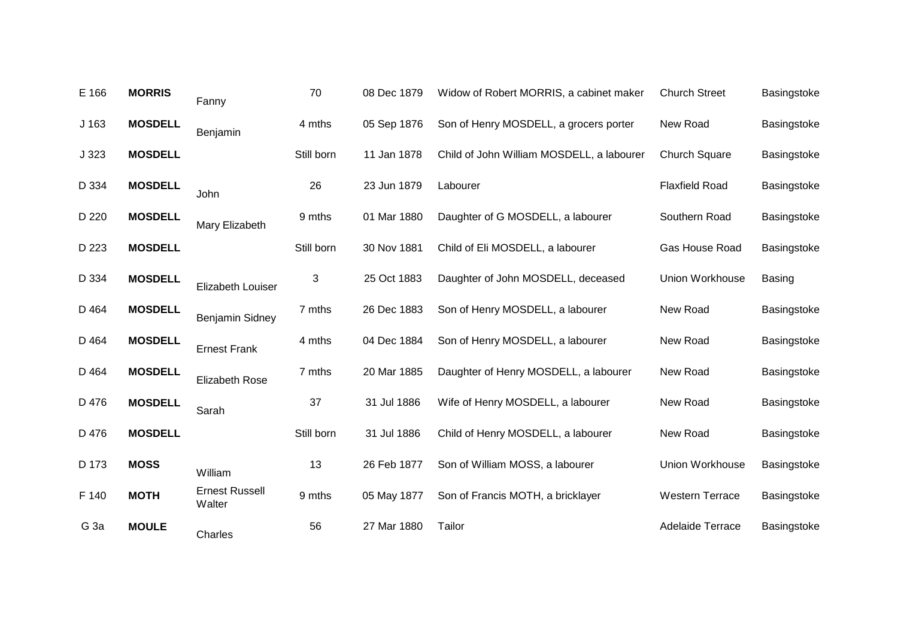| E 166           | <b>MORRIS</b>  | Fanny                           | 70         | 08 Dec 1879 | Widow of Robert MORRIS, a cabinet maker   | <b>Church Street</b>   | Basingstoke   |
|-----------------|----------------|---------------------------------|------------|-------------|-------------------------------------------|------------------------|---------------|
| J 163           | <b>MOSDELL</b> | Benjamin                        | 4 mths     | 05 Sep 1876 | Son of Henry MOSDELL, a grocers porter    | New Road               | Basingstoke   |
| J323            | <b>MOSDELL</b> |                                 | Still born | 11 Jan 1878 | Child of John William MOSDELL, a labourer | <b>Church Square</b>   | Basingstoke   |
| D 334           | <b>MOSDELL</b> | John                            | 26         | 23 Jun 1879 | Labourer                                  | <b>Flaxfield Road</b>  | Basingstoke   |
| D 220           | <b>MOSDELL</b> | Mary Elizabeth                  | 9 mths     | 01 Mar 1880 | Daughter of G MOSDELL, a labourer         | Southern Road          | Basingstoke   |
| D 223           | <b>MOSDELL</b> |                                 | Still born | 30 Nov 1881 | Child of Eli MOSDELL, a labourer          | Gas House Road         | Basingstoke   |
| D 334           | <b>MOSDELL</b> | Elizabeth Louiser               | 3          | 25 Oct 1883 | Daughter of John MOSDELL, deceased        | Union Workhouse        | <b>Basing</b> |
| D 464           | <b>MOSDELL</b> | Benjamin Sidney                 | 7 mths     | 26 Dec 1883 | Son of Henry MOSDELL, a labourer          | New Road               | Basingstoke   |
| D 464           | <b>MOSDELL</b> | <b>Ernest Frank</b>             | 4 mths     | 04 Dec 1884 | Son of Henry MOSDELL, a labourer          | New Road               | Basingstoke   |
| D 464           | <b>MOSDELL</b> | <b>Elizabeth Rose</b>           | 7 mths     | 20 Mar 1885 | Daughter of Henry MOSDELL, a labourer     | New Road               | Basingstoke   |
| D 476           | <b>MOSDELL</b> | Sarah                           | 37         | 31 Jul 1886 | Wife of Henry MOSDELL, a labourer         | New Road               | Basingstoke   |
| D 476           | <b>MOSDELL</b> |                                 | Still born | 31 Jul 1886 | Child of Henry MOSDELL, a labourer        | New Road               | Basingstoke   |
| D 173           | <b>MOSS</b>    | William                         | 13         | 26 Feb 1877 | Son of William MOSS, a labourer           | Union Workhouse        | Basingstoke   |
| F 140           | <b>MOTH</b>    | <b>Ernest Russell</b><br>Walter | 9 mths     | 05 May 1877 | Son of Francis MOTH, a bricklayer         | <b>Western Terrace</b> | Basingstoke   |
| G <sub>3a</sub> | <b>MOULE</b>   | Charles                         | 56         | 27 Mar 1880 | Tailor                                    | Adelaide Terrace       | Basingstoke   |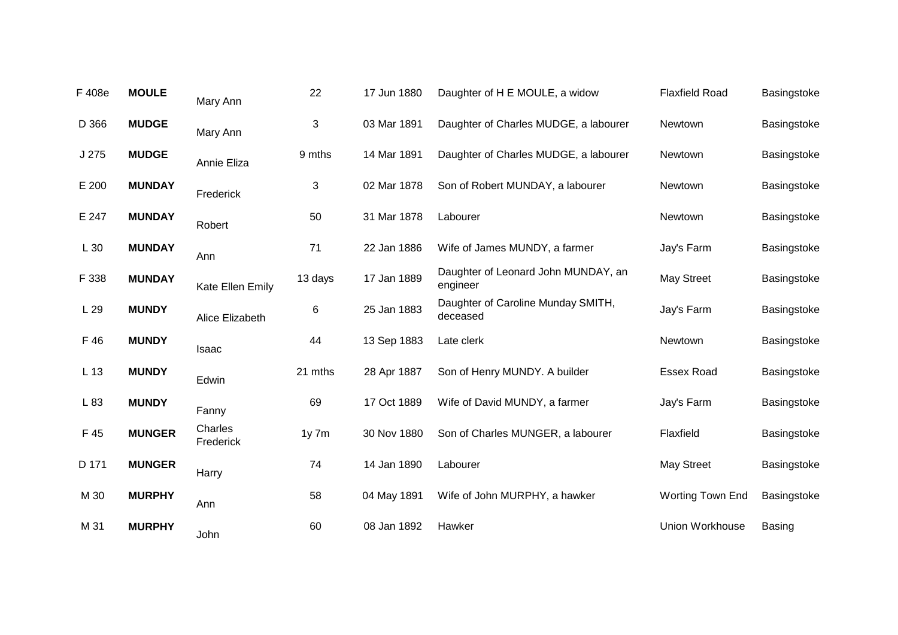| F 408e          | <b>MOULE</b>  | Mary Ann             | 22         | 17 Jun 1880 | Daughter of H E MOULE, a widow                  | <b>Flaxfield Road</b> | Basingstoke   |
|-----------------|---------------|----------------------|------------|-------------|-------------------------------------------------|-----------------------|---------------|
| D 366           | <b>MUDGE</b>  | Mary Ann             | 3          | 03 Mar 1891 | Daughter of Charles MUDGE, a labourer           | Newtown               | Basingstoke   |
| J 275           | <b>MUDGE</b>  | Annie Eliza          | 9 mths     | 14 Mar 1891 | Daughter of Charles MUDGE, a labourer           | Newtown               | Basingstoke   |
| E 200           | <b>MUNDAY</b> | Frederick            | 3          | 02 Mar 1878 | Son of Robert MUNDAY, a labourer                | Newtown               | Basingstoke   |
| E 247           | <b>MUNDAY</b> | Robert               | 50         | 31 Mar 1878 | Labourer                                        | Newtown               | Basingstoke   |
| L 30            | <b>MUNDAY</b> | Ann                  | 71         | 22 Jan 1886 | Wife of James MUNDY, a farmer                   | Jay's Farm            | Basingstoke   |
| F 338           | <b>MUNDAY</b> | Kate Ellen Emily     | 13 days    | 17 Jan 1889 | Daughter of Leonard John MUNDAY, an<br>engineer | <b>May Street</b>     | Basingstoke   |
| L 29            | <b>MUNDY</b>  | Alice Elizabeth      | 6          | 25 Jan 1883 | Daughter of Caroline Munday SMITH,<br>deceased  | Jay's Farm            | Basingstoke   |
| F 46            | <b>MUNDY</b>  | <b>Isaac</b>         | 44         | 13 Sep 1883 | Late clerk                                      | Newtown               | Basingstoke   |
| L <sub>13</sub> | <b>MUNDY</b>  | Edwin                | 21 mths    | 28 Apr 1887 | Son of Henry MUNDY. A builder                   | <b>Essex Road</b>     | Basingstoke   |
| L 83            | <b>MUNDY</b>  | Fanny                | 69         | 17 Oct 1889 | Wife of David MUNDY, a farmer                   | Jay's Farm            | Basingstoke   |
| F 45            | <b>MUNGER</b> | Charles<br>Frederick | $1y$ 7 $m$ | 30 Nov 1880 | Son of Charles MUNGER, a labourer               | Flaxfield             | Basingstoke   |
| D 171           | <b>MUNGER</b> | Harry                | 74         | 14 Jan 1890 | Labourer                                        | May Street            | Basingstoke   |
| M 30            | <b>MURPHY</b> | Ann                  | 58         | 04 May 1891 | Wife of John MURPHY, a hawker                   | Worting Town End      | Basingstoke   |
| M 31            | <b>MURPHY</b> | John                 | 60         | 08 Jan 1892 | Hawker                                          | Union Workhouse       | <b>Basing</b> |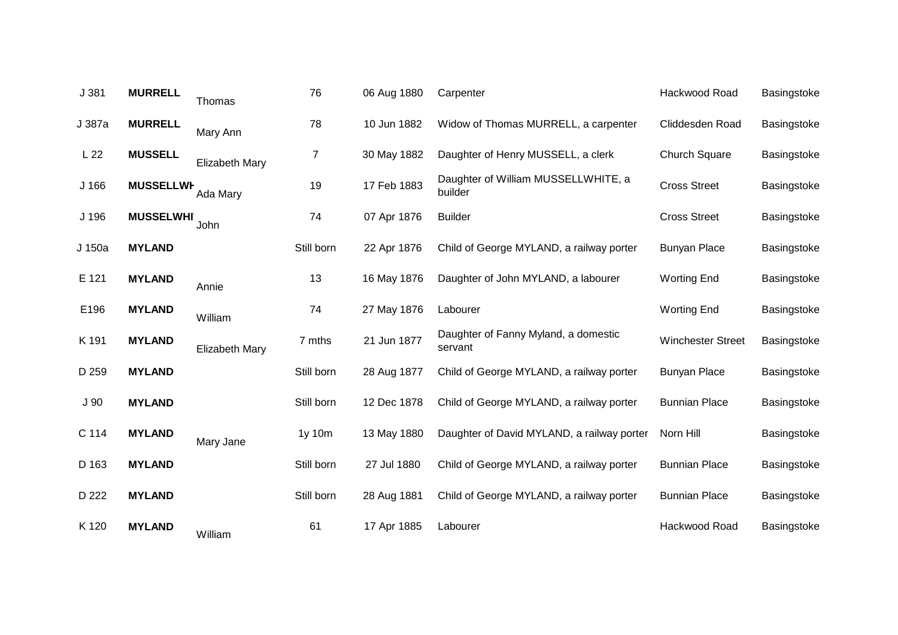| J 381            | <b>MURRELL</b>   | Thomas         | 76         | 06 Aug 1880 | Carpenter                                       | Hackwood Road            | Basingstoke |
|------------------|------------------|----------------|------------|-------------|-------------------------------------------------|--------------------------|-------------|
| J 387a           | <b>MURRELL</b>   | Mary Ann       | 78         | 10 Jun 1882 | Widow of Thomas MURRELL, a carpenter            | Cliddesden Road          | Basingstoke |
| L <sub>22</sub>  | <b>MUSSELL</b>   | Elizabeth Mary | 7          | 30 May 1882 | Daughter of Henry MUSSELL, a clerk              | <b>Church Square</b>     | Basingstoke |
| J <sub>166</sub> | <b>MUSSELLWF</b> | Ada Mary       | 19         | 17 Feb 1883 | Daughter of William MUSSELLWHITE, a<br>builder  | <b>Cross Street</b>      | Basingstoke |
| J 196            | <b>MUSSELWHI</b> | John           | 74         | 07 Apr 1876 | <b>Builder</b>                                  | <b>Cross Street</b>      | Basingstoke |
| J 150a           | <b>MYLAND</b>    |                | Still born | 22 Apr 1876 | Child of George MYLAND, a railway porter        | <b>Bunyan Place</b>      | Basingstoke |
| E 121            | <b>MYLAND</b>    | Annie          | 13         | 16 May 1876 | Daughter of John MYLAND, a labourer             | <b>Worting End</b>       | Basingstoke |
| E196             | <b>MYLAND</b>    | William        | 74         | 27 May 1876 | Labourer                                        | <b>Worting End</b>       | Basingstoke |
| K 191            | <b>MYLAND</b>    | Elizabeth Mary | 7 mths     | 21 Jun 1877 | Daughter of Fanny Myland, a domestic<br>servant | <b>Winchester Street</b> | Basingstoke |
| D 259            | <b>MYLAND</b>    |                | Still born | 28 Aug 1877 | Child of George MYLAND, a railway porter        | <b>Bunyan Place</b>      | Basingstoke |
| J <sub>90</sub>  | <b>MYLAND</b>    |                | Still born | 12 Dec 1878 | Child of George MYLAND, a railway porter        | <b>Bunnian Place</b>     | Basingstoke |
| C 114            | <b>MYLAND</b>    | Mary Jane      | 1y 10m     | 13 May 1880 | Daughter of David MYLAND, a railway porter      | Norn Hill                | Basingstoke |
| D 163            | <b>MYLAND</b>    |                | Still born | 27 Jul 1880 | Child of George MYLAND, a railway porter        | <b>Bunnian Place</b>     | Basingstoke |
| D 222            | <b>MYLAND</b>    |                | Still born | 28 Aug 1881 | Child of George MYLAND, a railway porter        | <b>Bunnian Place</b>     | Basingstoke |
| K 120            | <b>MYLAND</b>    | William        | 61         | 17 Apr 1885 | Labourer                                        | Hackwood Road            | Basingstoke |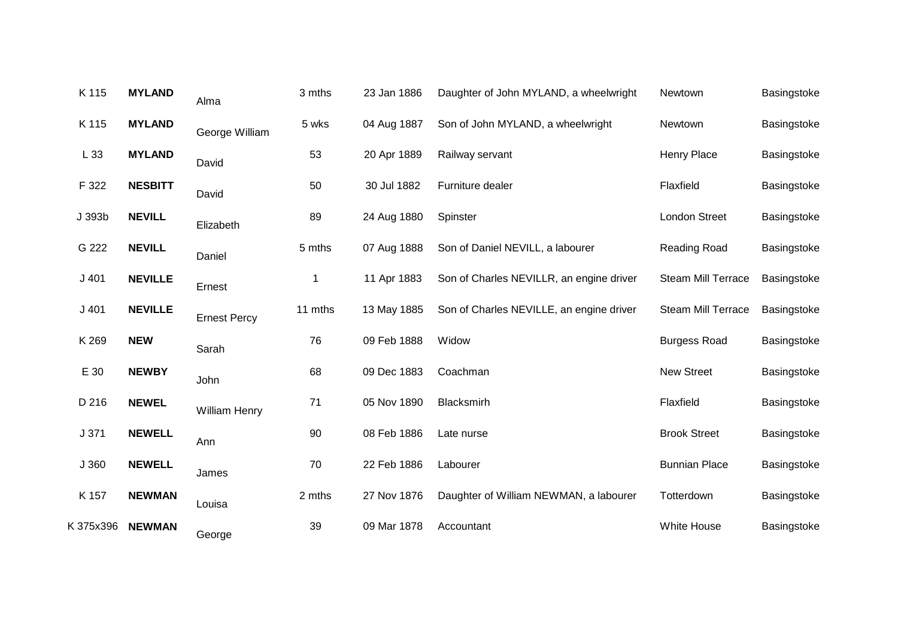| K 115     | <b>MYLAND</b>  | Alma                 | 3 mths  | 23 Jan 1886 | Daughter of John MYLAND, a wheelwright   | Newtown                   | Basingstoke |
|-----------|----------------|----------------------|---------|-------------|------------------------------------------|---------------------------|-------------|
| K 115     | <b>MYLAND</b>  | George William       | 5 wks   | 04 Aug 1887 | Son of John MYLAND, a wheelwright        | Newtown                   | Basingstoke |
| L 33      | <b>MYLAND</b>  | David                | 53      | 20 Apr 1889 | Railway servant                          | <b>Henry Place</b>        | Basingstoke |
| F 322     | <b>NESBITT</b> | David                | 50      | 30 Jul 1882 | Furniture dealer                         | Flaxfield                 | Basingstoke |
| J 393b    | <b>NEVILL</b>  | Elizabeth            | 89      | 24 Aug 1880 | Spinster                                 | <b>London Street</b>      | Basingstoke |
| G 222     | <b>NEVILL</b>  | Daniel               | 5 mths  | 07 Aug 1888 | Son of Daniel NEVILL, a labourer         | <b>Reading Road</b>       | Basingstoke |
| J401      | <b>NEVILLE</b> | Ernest               | 1       | 11 Apr 1883 | Son of Charles NEVILLR, an engine driver | Steam Mill Terrace        | Basingstoke |
| J401      | <b>NEVILLE</b> | <b>Ernest Percy</b>  | 11 mths | 13 May 1885 | Son of Charles NEVILLE, an engine driver | <b>Steam Mill Terrace</b> | Basingstoke |
| K 269     | <b>NEW</b>     | Sarah                | 76      | 09 Feb 1888 | Widow                                    | <b>Burgess Road</b>       | Basingstoke |
| E 30      | <b>NEWBY</b>   | John                 | 68      | 09 Dec 1883 | Coachman                                 | New Street                | Basingstoke |
| D 216     | <b>NEWEL</b>   | <b>William Henry</b> | 71      | 05 Nov 1890 | Blacksmirh                               | Flaxfield                 | Basingstoke |
| J 371     | <b>NEWELL</b>  | Ann                  | 90      | 08 Feb 1886 | Late nurse                               | <b>Brook Street</b>       | Basingstoke |
| J 360     | <b>NEWELL</b>  | James                | 70      | 22 Feb 1886 | Labourer                                 | <b>Bunnian Place</b>      | Basingstoke |
| K 157     | <b>NEWMAN</b>  | Louisa               | 2 mths  | 27 Nov 1876 | Daughter of William NEWMAN, a labourer   | Totterdown                | Basingstoke |
| K 375x396 | <b>NEWMAN</b>  | George               | 39      | 09 Mar 1878 | Accountant                               | White House               | Basingstoke |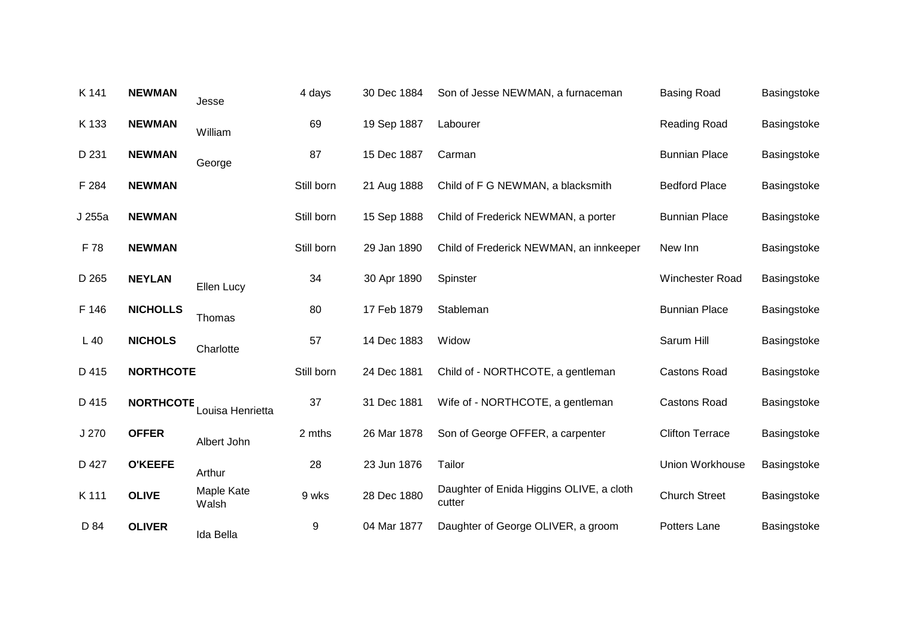| K 141  | <b>NEWMAN</b>    | Jesse               | 4 days     | 30 Dec 1884 | Son of Jesse NEWMAN, a furnaceman                  | <b>Basing Road</b>     | Basingstoke |
|--------|------------------|---------------------|------------|-------------|----------------------------------------------------|------------------------|-------------|
| K 133  | <b>NEWMAN</b>    | William             | 69         | 19 Sep 1887 | Labourer                                           | Reading Road           | Basingstoke |
| D 231  | <b>NEWMAN</b>    | George              | 87         | 15 Dec 1887 | Carman                                             | <b>Bunnian Place</b>   | Basingstoke |
| F 284  | <b>NEWMAN</b>    |                     | Still born | 21 Aug 1888 | Child of F G NEWMAN, a blacksmith                  | <b>Bedford Place</b>   | Basingstoke |
| J 255a | <b>NEWMAN</b>    |                     | Still born | 15 Sep 1888 | Child of Frederick NEWMAN, a porter                | <b>Bunnian Place</b>   | Basingstoke |
| F 78   | <b>NEWMAN</b>    |                     | Still born | 29 Jan 1890 | Child of Frederick NEWMAN, an innkeeper            | New Inn                | Basingstoke |
| D 265  | <b>NEYLAN</b>    | Ellen Lucy          | 34         | 30 Apr 1890 | Spinster                                           | Winchester Road        | Basingstoke |
| F 146  | <b>NICHOLLS</b>  | Thomas              | 80         | 17 Feb 1879 | Stableman                                          | <b>Bunnian Place</b>   | Basingstoke |
| $L$ 40 | <b>NICHOLS</b>   | Charlotte           | 57         | 14 Dec 1883 | Widow                                              | Sarum Hill             | Basingstoke |
| D 415  | <b>NORTHCOTE</b> |                     | Still born | 24 Dec 1881 | Child of - NORTHCOTE, a gentleman                  | <b>Castons Road</b>    | Basingstoke |
| D 415  | <b>NORTHCOTE</b> | Louisa Henrietta    | 37         | 31 Dec 1881 | Wife of - NORTHCOTE, a gentleman                   | <b>Castons Road</b>    | Basingstoke |
| J 270  | <b>OFFER</b>     | Albert John         | 2 mths     | 26 Mar 1878 | Son of George OFFER, a carpenter                   | <b>Clifton Terrace</b> | Basingstoke |
| D 427  | <b>O'KEEFE</b>   | Arthur              | 28         | 23 Jun 1876 | Tailor                                             | Union Workhouse        | Basingstoke |
| K 111  | <b>OLIVE</b>     | Maple Kate<br>Walsh | 9 wks      | 28 Dec 1880 | Daughter of Enida Higgins OLIVE, a cloth<br>cutter | <b>Church Street</b>   | Basingstoke |
| D 84   | <b>OLIVER</b>    | Ida Bella           | 9          | 04 Mar 1877 | Daughter of George OLIVER, a groom                 | Potters Lane           | Basingstoke |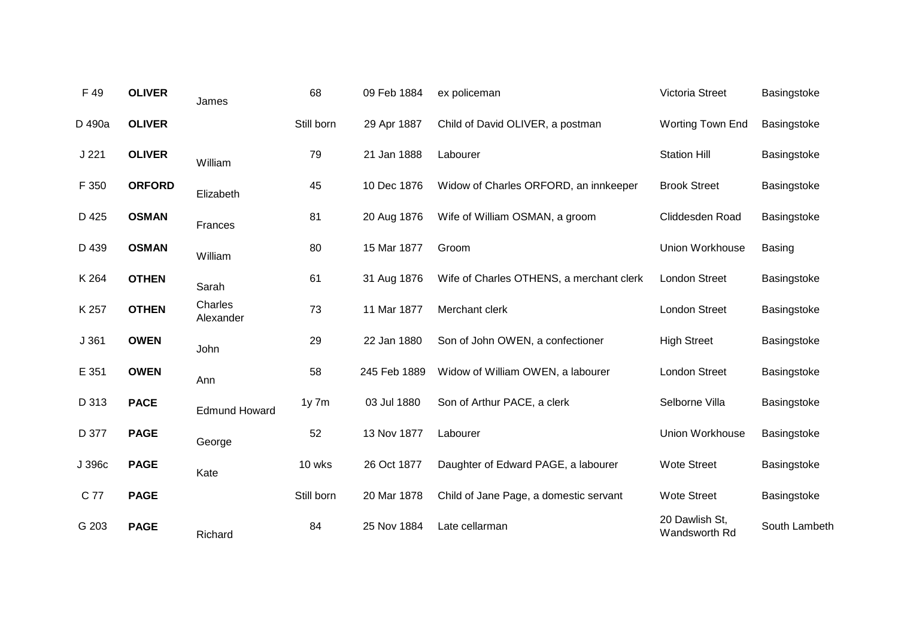| F 49   | <b>OLIVER</b> | James                | 68         | 09 Feb 1884  | ex policeman                             | Victoria Street                 | Basingstoke   |
|--------|---------------|----------------------|------------|--------------|------------------------------------------|---------------------------------|---------------|
| D 490a | <b>OLIVER</b> |                      | Still born | 29 Apr 1887  | Child of David OLIVER, a postman         | <b>Worting Town End</b>         | Basingstoke   |
| J221   | <b>OLIVER</b> | William              | 79         | 21 Jan 1888  | Labourer                                 | <b>Station Hill</b>             | Basingstoke   |
| F 350  | <b>ORFORD</b> | Elizabeth            | 45         | 10 Dec 1876  | Widow of Charles ORFORD, an innkeeper    | <b>Brook Street</b>             | Basingstoke   |
| D 425  | <b>OSMAN</b>  | Frances              | 81         | 20 Aug 1876  | Wife of William OSMAN, a groom           | Cliddesden Road                 | Basingstoke   |
| D 439  | <b>OSMAN</b>  | William              | 80         | 15 Mar 1877  | Groom                                    | Union Workhouse                 | <b>Basing</b> |
| K 264  | <b>OTHEN</b>  | Sarah                | 61         | 31 Aug 1876  | Wife of Charles OTHENS, a merchant clerk | <b>London Street</b>            | Basingstoke   |
| K 257  | <b>OTHEN</b>  | Charles<br>Alexander | 73         | 11 Mar 1877  | Merchant clerk                           | <b>London Street</b>            | Basingstoke   |
| J361   | <b>OWEN</b>   | John                 | 29         | 22 Jan 1880  | Son of John OWEN, a confectioner         | <b>High Street</b>              | Basingstoke   |
| E 351  | <b>OWEN</b>   | Ann                  | 58         | 245 Feb 1889 | Widow of William OWEN, a labourer        | London Street                   | Basingstoke   |
| D 313  | <b>PACE</b>   | <b>Edmund Howard</b> | $1y$ 7 $m$ | 03 Jul 1880  | Son of Arthur PACE, a clerk              | Selborne Villa                  | Basingstoke   |
| D 377  | <b>PAGE</b>   | George               | 52         | 13 Nov 1877  | Labourer                                 | Union Workhouse                 | Basingstoke   |
| J 396c | <b>PAGE</b>   | Kate                 | 10 wks     | 26 Oct 1877  | Daughter of Edward PAGE, a labourer      | <b>Wote Street</b>              | Basingstoke   |
| C 77   | <b>PAGE</b>   |                      | Still born | 20 Mar 1878  | Child of Jane Page, a domestic servant   | <b>Wote Street</b>              | Basingstoke   |
| G 203  | <b>PAGE</b>   | Richard              | 84         | 25 Nov 1884  | Late cellarman                           | 20 Dawlish St,<br>Wandsworth Rd | South Lambeth |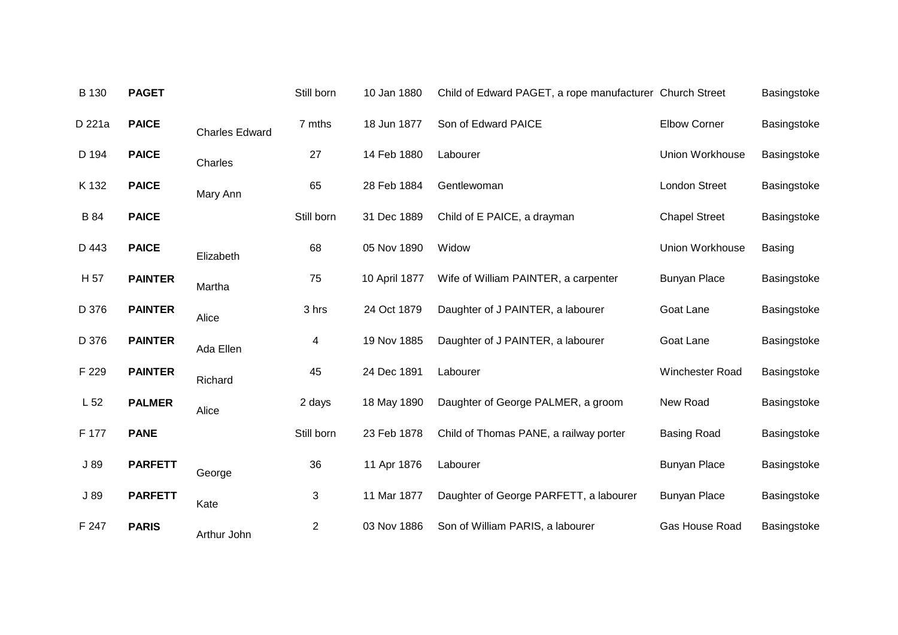| B 130           | <b>PAGET</b>   |                       | Still born | 10 Jan 1880   | Child of Edward PAGET, a rope manufacturer Church Street |                      | Basingstoke   |
|-----------------|----------------|-----------------------|------------|---------------|----------------------------------------------------------|----------------------|---------------|
| D 221a          | <b>PAICE</b>   | <b>Charles Edward</b> | 7 mths     | 18 Jun 1877   | Son of Edward PAICE                                      | <b>Elbow Corner</b>  | Basingstoke   |
| D 194           | <b>PAICE</b>   | Charles               | 27         | 14 Feb 1880   | Labourer                                                 | Union Workhouse      | Basingstoke   |
| K 132           | <b>PAICE</b>   | Mary Ann              | 65         | 28 Feb 1884   | Gentlewoman                                              | <b>London Street</b> | Basingstoke   |
| <b>B</b> 84     | <b>PAICE</b>   |                       | Still born | 31 Dec 1889   | Child of E PAICE, a drayman                              | <b>Chapel Street</b> | Basingstoke   |
| D 443           | <b>PAICE</b>   | Elizabeth             | 68         | 05 Nov 1890   | Widow                                                    | Union Workhouse      | <b>Basing</b> |
| H 57            | <b>PAINTER</b> | Martha                | 75         | 10 April 1877 | Wife of William PAINTER, a carpenter                     | <b>Bunyan Place</b>  | Basingstoke   |
| D 376           | <b>PAINTER</b> | Alice                 | 3 hrs      | 24 Oct 1879   | Daughter of J PAINTER, a labourer                        | Goat Lane            | Basingstoke   |
| D 376           | <b>PAINTER</b> | Ada Ellen             | 4          | 19 Nov 1885   | Daughter of J PAINTER, a labourer                        | Goat Lane            | Basingstoke   |
| F 229           | <b>PAINTER</b> | Richard               | 45         | 24 Dec 1891   | Labourer                                                 | Winchester Road      | Basingstoke   |
| L <sub>52</sub> | <b>PALMER</b>  | Alice                 | 2 days     | 18 May 1890   | Daughter of George PALMER, a groom                       | New Road             | Basingstoke   |
| F 177           | <b>PANE</b>    |                       | Still born | 23 Feb 1878   | Child of Thomas PANE, a railway porter                   | <b>Basing Road</b>   | Basingstoke   |
| J89             | <b>PARFETT</b> | George                | 36         | 11 Apr 1876   | Labourer                                                 | <b>Bunyan Place</b>  | Basingstoke   |
| J 89            | <b>PARFETT</b> | Kate                  | 3          | 11 Mar 1877   | Daughter of George PARFETT, a labourer                   | <b>Bunyan Place</b>  | Basingstoke   |
| F 247           | <b>PARIS</b>   | Arthur John           | 2          | 03 Nov 1886   | Son of William PARIS, a labourer                         | Gas House Road       | Basingstoke   |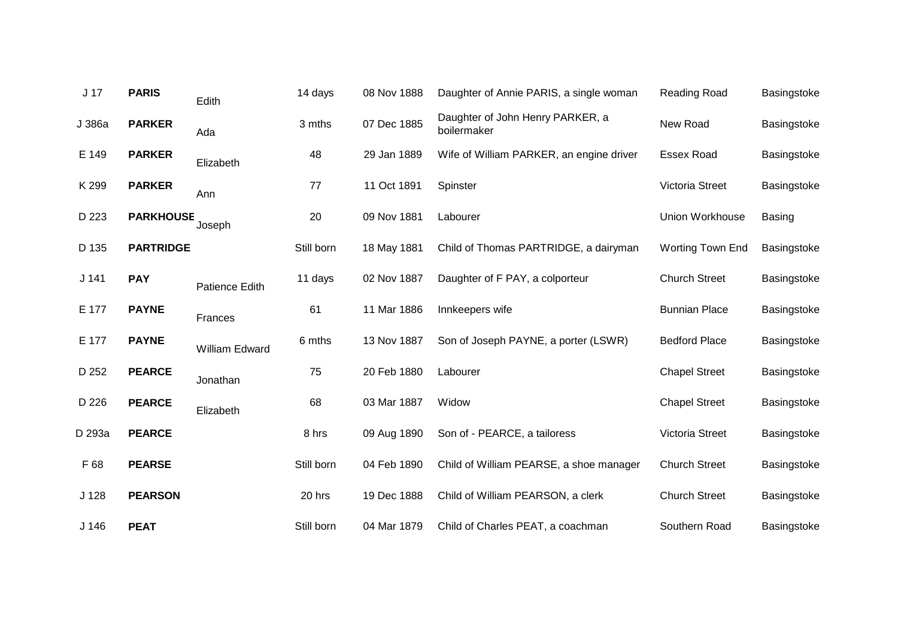| J <sub>17</sub>  | <b>PARIS</b>     | Edith          | 14 days    | 08 Nov 1888 | Daughter of Annie PARIS, a single woman         | Reading Road            | Basingstoke   |
|------------------|------------------|----------------|------------|-------------|-------------------------------------------------|-------------------------|---------------|
| J 386a           | <b>PARKER</b>    | Ada            | 3 mths     | 07 Dec 1885 | Daughter of John Henry PARKER, a<br>boilermaker | New Road                | Basingstoke   |
| E 149            | <b>PARKER</b>    | Elizabeth      | 48         | 29 Jan 1889 | Wife of William PARKER, an engine driver        | <b>Essex Road</b>       | Basingstoke   |
| K 299            | <b>PARKER</b>    | Ann            | 77         | 11 Oct 1891 | Spinster                                        | Victoria Street         | Basingstoke   |
| D 223            | <b>PARKHOUSE</b> | Joseph         | 20         | 09 Nov 1881 | Labourer                                        | Union Workhouse         | <b>Basing</b> |
| D 135            | <b>PARTRIDGE</b> |                | Still born | 18 May 1881 | Child of Thomas PARTRIDGE, a dairyman           | <b>Worting Town End</b> | Basingstoke   |
| J <sub>141</sub> | <b>PAY</b>       | Patience Edith | 11 days    | 02 Nov 1887 | Daughter of F PAY, a colporteur                 | <b>Church Street</b>    | Basingstoke   |
| E 177            | <b>PAYNE</b>     | Frances        | 61         | 11 Mar 1886 | Innkeepers wife                                 | <b>Bunnian Place</b>    | Basingstoke   |
| E 177            | <b>PAYNE</b>     | William Edward | 6 mths     | 13 Nov 1887 | Son of Joseph PAYNE, a porter (LSWR)            | <b>Bedford Place</b>    | Basingstoke   |
| D 252            | <b>PEARCE</b>    | Jonathan       | 75         | 20 Feb 1880 | Labourer                                        | <b>Chapel Street</b>    | Basingstoke   |
| D 226            | <b>PEARCE</b>    | Elizabeth      | 68         | 03 Mar 1887 | Widow                                           | <b>Chapel Street</b>    | Basingstoke   |
| D 293a           | <b>PEARCE</b>    |                | 8 hrs      | 09 Aug 1890 | Son of - PEARCE, a tailoress                    | Victoria Street         | Basingstoke   |
| F 68             | <b>PEARSE</b>    |                | Still born | 04 Feb 1890 | Child of William PEARSE, a shoe manager         | <b>Church Street</b>    | Basingstoke   |
| J <sub>128</sub> | <b>PEARSON</b>   |                | 20 hrs     | 19 Dec 1888 | Child of William PEARSON, a clerk               | <b>Church Street</b>    | Basingstoke   |
| J <sub>146</sub> | <b>PEAT</b>      |                | Still born | 04 Mar 1879 | Child of Charles PEAT, a coachman               | Southern Road           | Basingstoke   |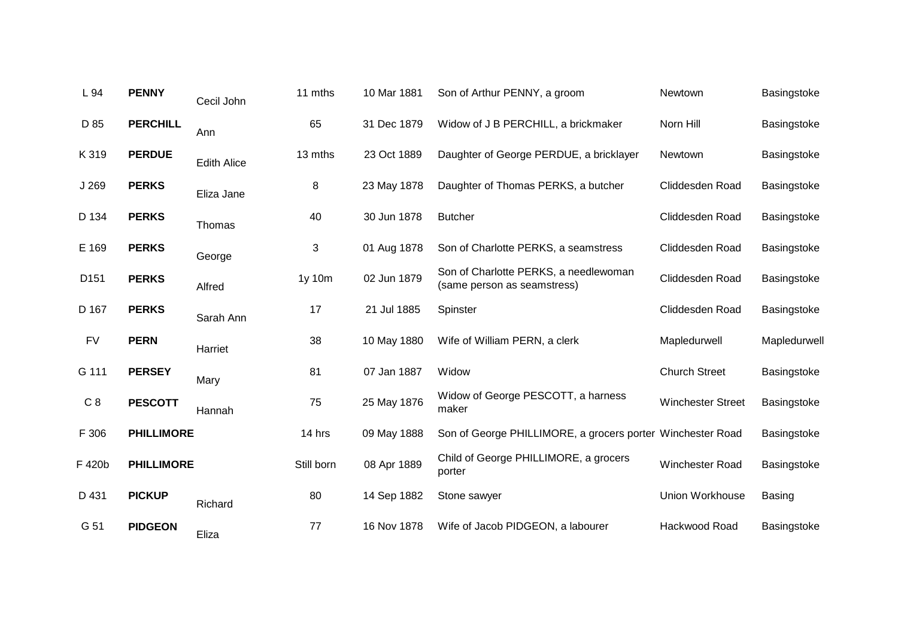| L 94             | <b>PENNY</b>      | Cecil John         | 11 mths    | 10 Mar 1881 | Son of Arthur PENNY, a groom                                         | Newtown                  | Basingstoke  |
|------------------|-------------------|--------------------|------------|-------------|----------------------------------------------------------------------|--------------------------|--------------|
| D 85             | <b>PERCHILL</b>   | Ann                | 65         | 31 Dec 1879 | Widow of J B PERCHILL, a brickmaker                                  | Norn Hill                | Basingstoke  |
| K 319            | <b>PERDUE</b>     | <b>Edith Alice</b> | 13 mths    | 23 Oct 1889 | Daughter of George PERDUE, a bricklayer                              | Newtown                  | Basingstoke  |
| J 269            | <b>PERKS</b>      | Eliza Jane         | 8          | 23 May 1878 | Daughter of Thomas PERKS, a butcher                                  | Cliddesden Road          | Basingstoke  |
| D 134            | <b>PERKS</b>      | Thomas             | 40         | 30 Jun 1878 | <b>Butcher</b>                                                       | Cliddesden Road          | Basingstoke  |
| E 169            | <b>PERKS</b>      | George             | 3          | 01 Aug 1878 | Son of Charlotte PERKS, a seamstress                                 | Cliddesden Road          | Basingstoke  |
| D <sub>151</sub> | <b>PERKS</b>      | Alfred             | 1y 10m     | 02 Jun 1879 | Son of Charlotte PERKS, a needlewoman<br>(same person as seamstress) | Cliddesden Road          | Basingstoke  |
| D 167            | <b>PERKS</b>      | Sarah Ann          | 17         | 21 Jul 1885 | Spinster                                                             | Cliddesden Road          | Basingstoke  |
| <b>FV</b>        | <b>PERN</b>       | Harriet            | 38         | 10 May 1880 | Wife of William PERN, a clerk                                        | Mapledurwell             | Mapledurwell |
| G 111            | <b>PERSEY</b>     | Mary               | 81         | 07 Jan 1887 | Widow                                                                | <b>Church Street</b>     | Basingstoke  |
| C8               | <b>PESCOTT</b>    | Hannah             | 75         | 25 May 1876 | Widow of George PESCOTT, a harness<br>maker                          | <b>Winchester Street</b> | Basingstoke  |
| F 306            | <b>PHILLIMORE</b> |                    | 14 hrs     | 09 May 1888 | Son of George PHILLIMORE, a grocers porter Winchester Road           |                          | Basingstoke  |
| F 420b           | <b>PHILLIMORE</b> |                    | Still born | 08 Apr 1889 | Child of George PHILLIMORE, a grocers<br>porter                      | Winchester Road          | Basingstoke  |
| D 431            | <b>PICKUP</b>     | Richard            | 80         | 14 Sep 1882 | Stone sawyer                                                         | Union Workhouse          | Basing       |
| G 51             | <b>PIDGEON</b>    | Eliza              | 77         | 16 Nov 1878 | Wife of Jacob PIDGEON, a labourer                                    | Hackwood Road            | Basingstoke  |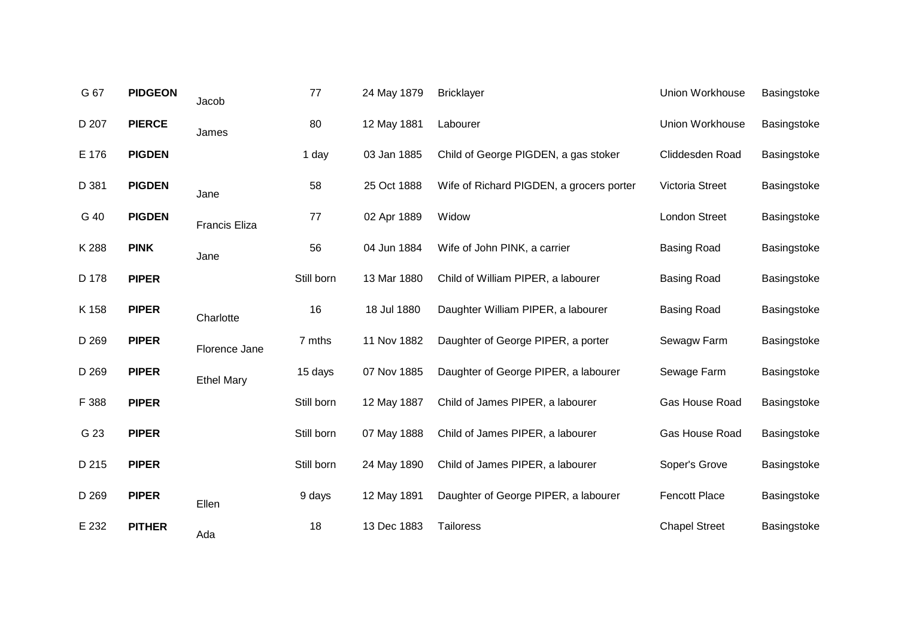| G 67  | <b>PIDGEON</b> | Jacob                | 77         | 24 May 1879 | <b>Bricklayer</b>                        | Union Workhouse      | Basingstoke |
|-------|----------------|----------------------|------------|-------------|------------------------------------------|----------------------|-------------|
| D 207 | <b>PIERCE</b>  | James                | 80         | 12 May 1881 | Labourer                                 | Union Workhouse      | Basingstoke |
| E 176 | <b>PIGDEN</b>  |                      | 1 day      | 03 Jan 1885 | Child of George PIGDEN, a gas stoker     | Cliddesden Road      | Basingstoke |
| D 381 | <b>PIGDEN</b>  | Jane                 | 58         | 25 Oct 1888 | Wife of Richard PIGDEN, a grocers porter | Victoria Street      | Basingstoke |
| G 40  | <b>PIGDEN</b>  | <b>Francis Eliza</b> | 77         | 02 Apr 1889 | Widow                                    | <b>London Street</b> | Basingstoke |
| K 288 | <b>PINK</b>    | Jane                 | 56         | 04 Jun 1884 | Wife of John PINK, a carrier             | <b>Basing Road</b>   | Basingstoke |
| D 178 | <b>PIPER</b>   |                      | Still born | 13 Mar 1880 | Child of William PIPER, a labourer       | <b>Basing Road</b>   | Basingstoke |
| K 158 | <b>PIPER</b>   | Charlotte            | 16         | 18 Jul 1880 | Daughter William PIPER, a labourer       | <b>Basing Road</b>   | Basingstoke |
| D 269 | <b>PIPER</b>   | Florence Jane        | 7 mths     | 11 Nov 1882 | Daughter of George PIPER, a porter       | Sewagw Farm          | Basingstoke |
| D 269 | <b>PIPER</b>   | <b>Ethel Mary</b>    | 15 days    | 07 Nov 1885 | Daughter of George PIPER, a labourer     | Sewage Farm          | Basingstoke |
| F 388 | <b>PIPER</b>   |                      | Still born | 12 May 1887 | Child of James PIPER, a labourer         | Gas House Road       | Basingstoke |
| G 23  | <b>PIPER</b>   |                      | Still born | 07 May 1888 | Child of James PIPER, a labourer         | Gas House Road       | Basingstoke |
| D 215 | <b>PIPER</b>   |                      | Still born | 24 May 1890 | Child of James PIPER, a labourer         | Soper's Grove        | Basingstoke |
| D 269 | <b>PIPER</b>   | Ellen                | 9 days     | 12 May 1891 | Daughter of George PIPER, a labourer     | <b>Fencott Place</b> | Basingstoke |
| E 232 | <b>PITHER</b>  | Ada                  | 18         | 13 Dec 1883 | <b>Tailoress</b>                         | <b>Chapel Street</b> | Basingstoke |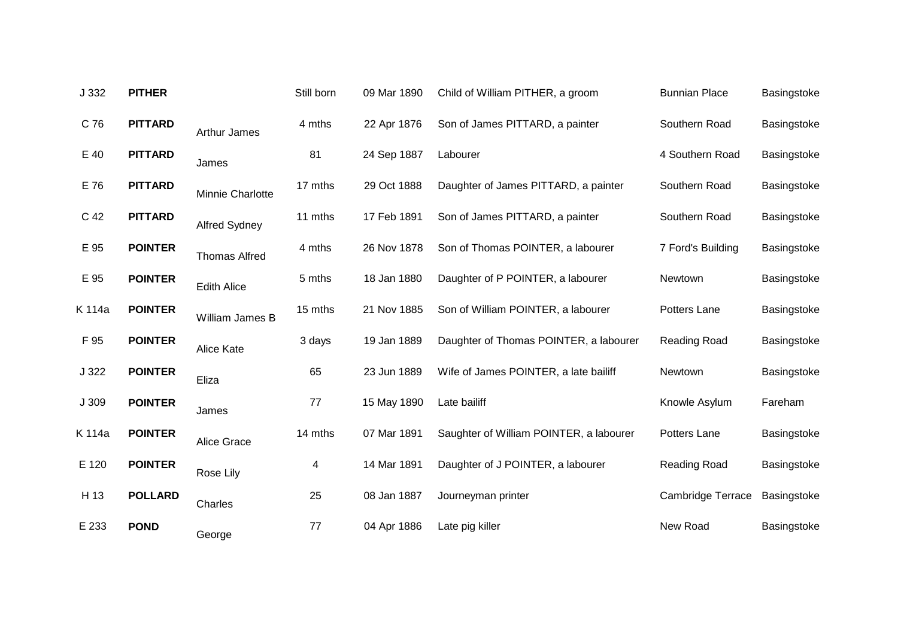| J 332  | <b>PITHER</b>  |                      | Still born | 09 Mar 1890 | Child of William PITHER, a groom        | <b>Bunnian Place</b>     | Basingstoke |
|--------|----------------|----------------------|------------|-------------|-----------------------------------------|--------------------------|-------------|
| C 76   | <b>PITTARD</b> | <b>Arthur James</b>  | 4 mths     | 22 Apr 1876 | Son of James PITTARD, a painter         | Southern Road            | Basingstoke |
| E 40   | <b>PITTARD</b> | James                | 81         | 24 Sep 1887 | Labourer                                | 4 Southern Road          | Basingstoke |
| E 76   | <b>PITTARD</b> | Minnie Charlotte     | 17 mths    | 29 Oct 1888 | Daughter of James PITTARD, a painter    | Southern Road            | Basingstoke |
| C 42   | <b>PITTARD</b> | Alfred Sydney        | 11 mths    | 17 Feb 1891 | Son of James PITTARD, a painter         | Southern Road            | Basingstoke |
| E 95   | <b>POINTER</b> | <b>Thomas Alfred</b> | 4 mths     | 26 Nov 1878 | Son of Thomas POINTER, a labourer       | 7 Ford's Building        | Basingstoke |
| E 95   | <b>POINTER</b> | <b>Edith Alice</b>   | 5 mths     | 18 Jan 1880 | Daughter of P POINTER, a labourer       | Newtown                  | Basingstoke |
| K 114a | <b>POINTER</b> | William James B      | 15 mths    | 21 Nov 1885 | Son of William POINTER, a labourer      | Potters Lane             | Basingstoke |
| F 95   | <b>POINTER</b> | Alice Kate           | 3 days     | 19 Jan 1889 | Daughter of Thomas POINTER, a labourer  | Reading Road             | Basingstoke |
| J322   | <b>POINTER</b> | Eliza                | 65         | 23 Jun 1889 | Wife of James POINTER, a late bailiff   | Newtown                  | Basingstoke |
| J 309  | <b>POINTER</b> | James                | 77         | 15 May 1890 | Late bailiff                            | Knowle Asylum            | Fareham     |
| K 114a | <b>POINTER</b> | Alice Grace          | 14 mths    | 07 Mar 1891 | Saughter of William POINTER, a labourer | Potters Lane             | Basingstoke |
| E 120  | <b>POINTER</b> | Rose Lily            | 4          | 14 Mar 1891 | Daughter of J POINTER, a labourer       | Reading Road             | Basingstoke |
| H 13   | <b>POLLARD</b> | Charles              | 25         | 08 Jan 1887 | Journeyman printer                      | <b>Cambridge Terrace</b> | Basingstoke |
| E 233  | <b>POND</b>    | George               | 77         | 04 Apr 1886 | Late pig killer                         | New Road                 | Basingstoke |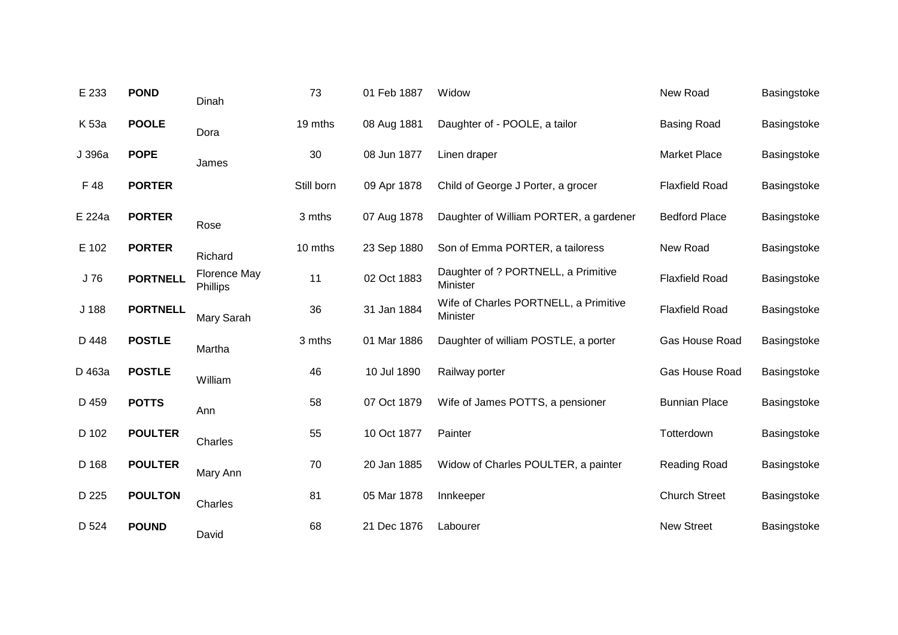| E 233  | <b>POND</b>     | Dinah                           | 73         | 01 Feb 1887 | Widow                                             | New Road              | Basingstoke |
|--------|-----------------|---------------------------------|------------|-------------|---------------------------------------------------|-----------------------|-------------|
| K 53a  | <b>POOLE</b>    | Dora                            | 19 mths    | 08 Aug 1881 | Daughter of - POOLE, a tailor                     | <b>Basing Road</b>    | Basingstoke |
| J 396a | <b>POPE</b>     | James                           | 30         | 08 Jun 1877 | Linen draper                                      | <b>Market Place</b>   | Basingstoke |
| F 48   | <b>PORTER</b>   |                                 | Still born | 09 Apr 1878 | Child of George J Porter, a grocer                | <b>Flaxfield Road</b> | Basingstoke |
| E 224a | <b>PORTER</b>   | Rose                            | 3 mths     | 07 Aug 1878 | Daughter of William PORTER, a gardener            | <b>Bedford Place</b>  | Basingstoke |
| E 102  | <b>PORTER</b>   | Richard                         | 10 mths    | 23 Sep 1880 | Son of Emma PORTER, a tailoress                   | New Road              | Basingstoke |
| J 76   | <b>PORTNELL</b> | <b>Florence May</b><br>Phillips | 11         | 02 Oct 1883 | Daughter of ? PORTNELL, a Primitive<br>Minister   | <b>Flaxfield Road</b> | Basingstoke |
| J 188  | <b>PORTNELL</b> | Mary Sarah                      | 36         | 31 Jan 1884 | Wife of Charles PORTNELL, a Primitive<br>Minister | <b>Flaxfield Road</b> | Basingstoke |
| D 448  | <b>POSTLE</b>   | Martha                          | 3 mths     | 01 Mar 1886 | Daughter of william POSTLE, a porter              | Gas House Road        | Basingstoke |
| D 463a | <b>POSTLE</b>   | William                         | 46         | 10 Jul 1890 | Railway porter                                    | Gas House Road        | Basingstoke |
| D 459  | <b>POTTS</b>    | Ann                             | 58         | 07 Oct 1879 | Wife of James POTTS, a pensioner                  | <b>Bunnian Place</b>  | Basingstoke |
| D 102  | <b>POULTER</b>  | Charles                         | 55         | 10 Oct 1877 | Painter                                           | Totterdown            | Basingstoke |
| D 168  | <b>POULTER</b>  | Mary Ann                        | 70         | 20 Jan 1885 | Widow of Charles POULTER, a painter               | Reading Road          | Basingstoke |
| D 225  | <b>POULTON</b>  | Charles                         | 81         | 05 Mar 1878 | Innkeeper                                         | <b>Church Street</b>  | Basingstoke |
| D 524  | <b>POUND</b>    | David                           | 68         | 21 Dec 1876 | Labourer                                          | <b>New Street</b>     | Basingstoke |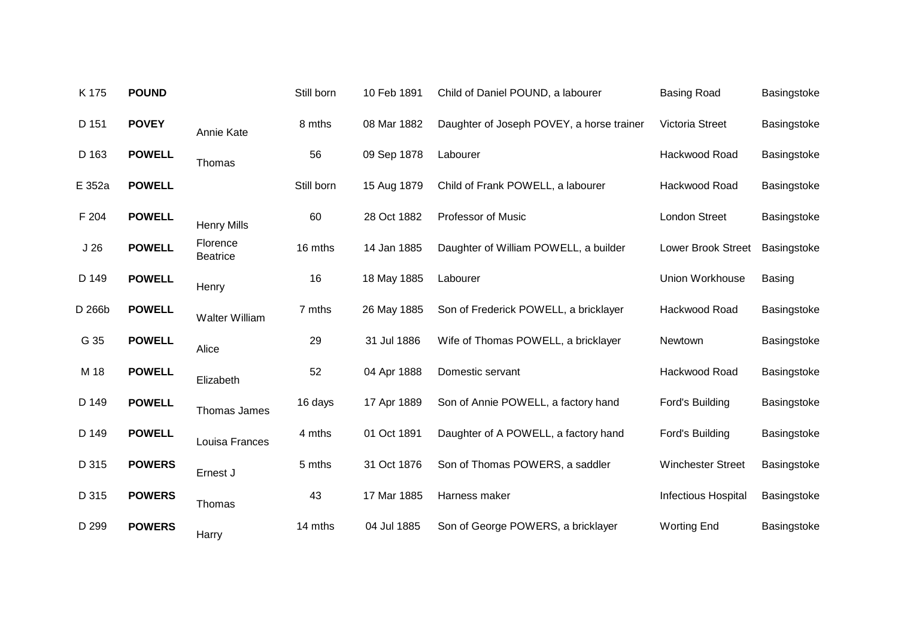| K 175           | <b>POUND</b>  |                             | Still born | 10 Feb 1891 | Child of Daniel POUND, a labourer         | <b>Basing Road</b>         | Basingstoke   |
|-----------------|---------------|-----------------------------|------------|-------------|-------------------------------------------|----------------------------|---------------|
| D 151           | <b>POVEY</b>  | Annie Kate                  | 8 mths     | 08 Mar 1882 | Daughter of Joseph POVEY, a horse trainer | Victoria Street            | Basingstoke   |
| D 163           | <b>POWELL</b> | Thomas                      | 56         | 09 Sep 1878 | Labourer                                  | Hackwood Road              | Basingstoke   |
| E 352a          | <b>POWELL</b> |                             | Still born | 15 Aug 1879 | Child of Frank POWELL, a labourer         | Hackwood Road              | Basingstoke   |
| F 204           | <b>POWELL</b> | <b>Henry Mills</b>          | 60         | 28 Oct 1882 | <b>Professor of Music</b>                 | <b>London Street</b>       | Basingstoke   |
| J <sub>26</sub> | <b>POWELL</b> | Florence<br><b>Beatrice</b> | 16 mths    | 14 Jan 1885 | Daughter of William POWELL, a builder     | <b>Lower Brook Street</b>  | Basingstoke   |
| D 149           | <b>POWELL</b> | Henry                       | 16         | 18 May 1885 | Labourer                                  | <b>Union Workhouse</b>     | <b>Basing</b> |
| D 266b          | <b>POWELL</b> | <b>Walter William</b>       | 7 mths     | 26 May 1885 | Son of Frederick POWELL, a bricklayer     | Hackwood Road              | Basingstoke   |
| G 35            | <b>POWELL</b> | Alice                       | 29         | 31 Jul 1886 | Wife of Thomas POWELL, a bricklayer       | Newtown                    | Basingstoke   |
| M 18            | <b>POWELL</b> | Elizabeth                   | 52         | 04 Apr 1888 | Domestic servant                          | Hackwood Road              | Basingstoke   |
| D 149           | <b>POWELL</b> | Thomas James                | 16 days    | 17 Apr 1889 | Son of Annie POWELL, a factory hand       | Ford's Building            | Basingstoke   |
| D 149           | <b>POWELL</b> | Louisa Frances              | 4 mths     | 01 Oct 1891 | Daughter of A POWELL, a factory hand      | Ford's Building            | Basingstoke   |
| D 315           | <b>POWERS</b> | Ernest J                    | 5 mths     | 31 Oct 1876 | Son of Thomas POWERS, a saddler           | <b>Winchester Street</b>   | Basingstoke   |
| D 315           | <b>POWERS</b> | Thomas                      | 43         | 17 Mar 1885 | Harness maker                             | <b>Infectious Hospital</b> | Basingstoke   |
| D 299           | <b>POWERS</b> | Harry                       | 14 mths    | 04 Jul 1885 | Son of George POWERS, a bricklayer        | <b>Worting End</b>         | Basingstoke   |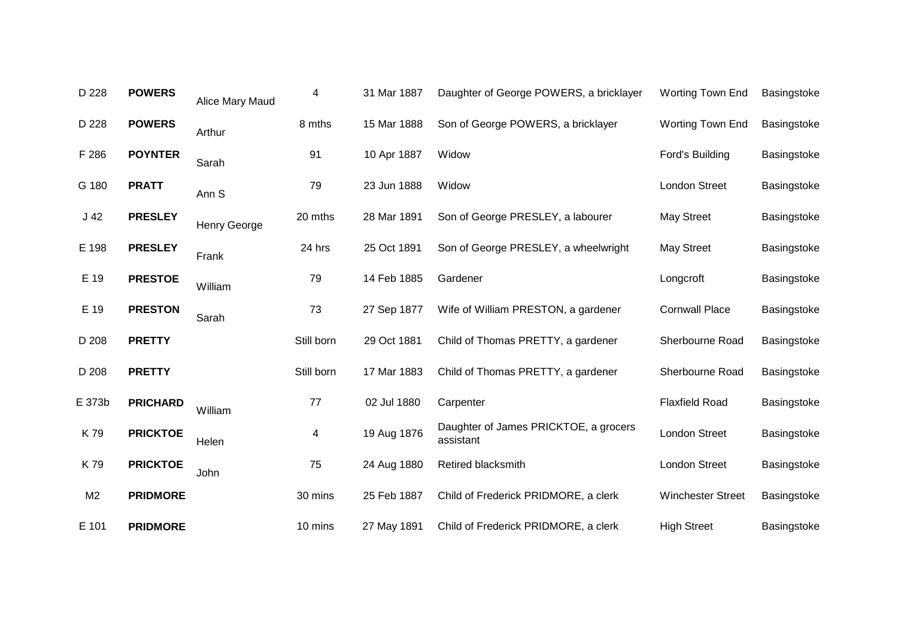| D 228           | <b>POWERS</b>   | Alice Mary Maud     | 4          | 31 Mar 1887 | Daughter of George POWERS, a bricklayer            | <b>Worting Town End</b>  | Basingstoke |
|-----------------|-----------------|---------------------|------------|-------------|----------------------------------------------------|--------------------------|-------------|
| D 228           | <b>POWERS</b>   | Arthur              | 8 mths     | 15 Mar 1888 | Son of George POWERS, a bricklayer                 | <b>Worting Town End</b>  | Basingstoke |
| F 286           | <b>POYNTER</b>  | Sarah               | 91         | 10 Apr 1887 | Widow                                              | Ford's Building          | Basingstoke |
| G 180           | <b>PRATT</b>    | Ann <sub>S</sub>    | 79         | 23 Jun 1888 | Widow                                              | <b>London Street</b>     | Basingstoke |
| J <sub>42</sub> | <b>PRESLEY</b>  | <b>Henry George</b> | 20 mths    | 28 Mar 1891 | Son of George PRESLEY, a labourer                  | May Street               | Basingstoke |
| E 198           | <b>PRESLEY</b>  | Frank               | 24 hrs     | 25 Oct 1891 | Son of George PRESLEY, a wheelwright               | <b>May Street</b>        | Basingstoke |
| E 19            | <b>PRESTOE</b>  | William             | 79         | 14 Feb 1885 | Gardener                                           | Longcroft                | Basingstoke |
| E 19            | <b>PRESTON</b>  | Sarah               | 73         | 27 Sep 1877 | Wife of William PRESTON, a gardener                | <b>Cornwall Place</b>    | Basingstoke |
| D 208           | <b>PRETTY</b>   |                     | Still born | 29 Oct 1881 | Child of Thomas PRETTY, a gardener                 | Sherbourne Road          | Basingstoke |
| D 208           | <b>PRETTY</b>   |                     | Still born | 17 Mar 1883 | Child of Thomas PRETTY, a gardener                 | Sherbourne Road          | Basingstoke |
| E 373b          | <b>PRICHARD</b> | William             | 77         | 02 Jul 1880 | Carpenter                                          | <b>Flaxfield Road</b>    | Basingstoke |
| K79             | <b>PRICKTOE</b> | Helen               | 4          | 19 Aug 1876 | Daughter of James PRICKTOE, a grocers<br>assistant | <b>London Street</b>     | Basingstoke |
| K79             | <b>PRICKTOE</b> | John                | 75         | 24 Aug 1880 | Retired blacksmith                                 | <b>London Street</b>     | Basingstoke |
| M <sub>2</sub>  | <b>PRIDMORE</b> |                     | 30 mins    | 25 Feb 1887 | Child of Frederick PRIDMORE, a clerk               | <b>Winchester Street</b> | Basingstoke |
| E 101           | <b>PRIDMORE</b> |                     | 10 mins    | 27 May 1891 | Child of Frederick PRIDMORE, a clerk               | <b>High Street</b>       | Basingstoke |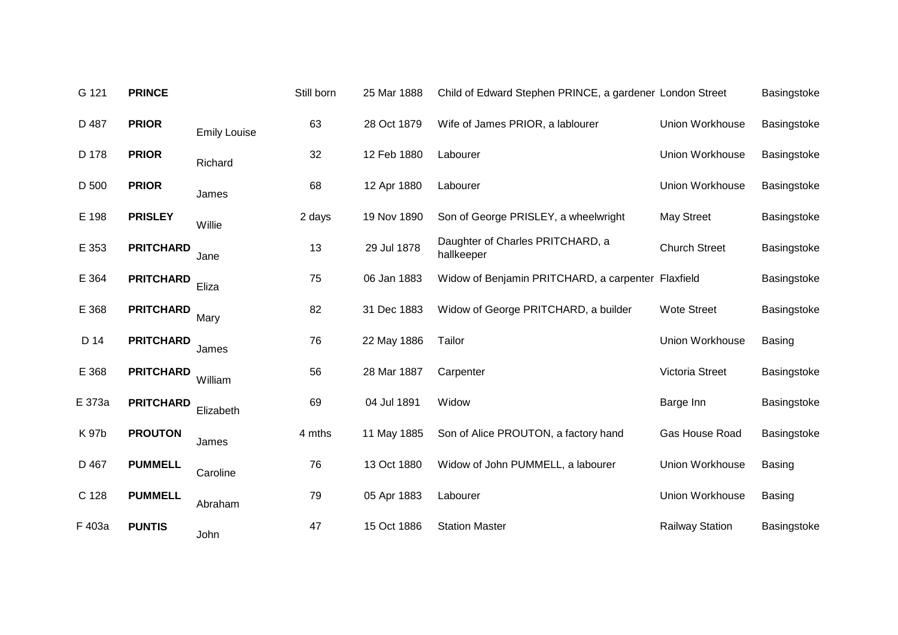| G 121  | <b>PRINCE</b>    |                     | Still born | 25 Mar 1888 | Child of Edward Stephen PRINCE, a gardener London Street |                        | Basingstoke   |
|--------|------------------|---------------------|------------|-------------|----------------------------------------------------------|------------------------|---------------|
| D 487  | <b>PRIOR</b>     | <b>Emily Louise</b> | 63         | 28 Oct 1879 | Wife of James PRIOR, a lablourer                         | Union Workhouse        | Basingstoke   |
| D 178  | <b>PRIOR</b>     | Richard             | 32         | 12 Feb 1880 | Labourer                                                 | Union Workhouse        | Basingstoke   |
| D 500  | <b>PRIOR</b>     | James               | 68         | 12 Apr 1880 | Labourer                                                 | Union Workhouse        | Basingstoke   |
| E 198  | <b>PRISLEY</b>   | Willie              | 2 days     | 19 Nov 1890 | Son of George PRISLEY, a wheelwright                     | May Street             | Basingstoke   |
| E 353  | <b>PRITCHARD</b> | Jane                | 13         | 29 Jul 1878 | Daughter of Charles PRITCHARD, a<br>hallkeeper           | <b>Church Street</b>   | Basingstoke   |
| E 364  | <b>PRITCHARD</b> | Eliza               | 75         | 06 Jan 1883 | Widow of Benjamin PRITCHARD, a carpenter Flaxfield       |                        | Basingstoke   |
| E 368  | <b>PRITCHARD</b> | Mary                | 82         | 31 Dec 1883 | Widow of George PRITCHARD, a builder                     | <b>Wote Street</b>     | Basingstoke   |
| D 14   | <b>PRITCHARD</b> | James               | 76         | 22 May 1886 | Tailor                                                   | Union Workhouse        | <b>Basing</b> |
| E 368  | <b>PRITCHARD</b> | William             | 56         | 28 Mar 1887 | Carpenter                                                | Victoria Street        | Basingstoke   |
| E 373a | <b>PRITCHARD</b> | Elizabeth           | 69         | 04 Jul 1891 | Widow                                                    | Barge Inn              | Basingstoke   |
| K 97b  | <b>PROUTON</b>   | James               | 4 mths     | 11 May 1885 | Son of Alice PROUTON, a factory hand                     | Gas House Road         | Basingstoke   |
| D 467  | <b>PUMMELL</b>   | Caroline            | 76         | 13 Oct 1880 | Widow of John PUMMELL, a labourer                        | Union Workhouse        | <b>Basing</b> |
| C 128  | <b>PUMMELL</b>   | Abraham             | 79         | 05 Apr 1883 | Labourer                                                 | Union Workhouse        | <b>Basing</b> |
| F 403a | <b>PUNTIS</b>    | John                | 47         | 15 Oct 1886 | <b>Station Master</b>                                    | <b>Railway Station</b> | Basingstoke   |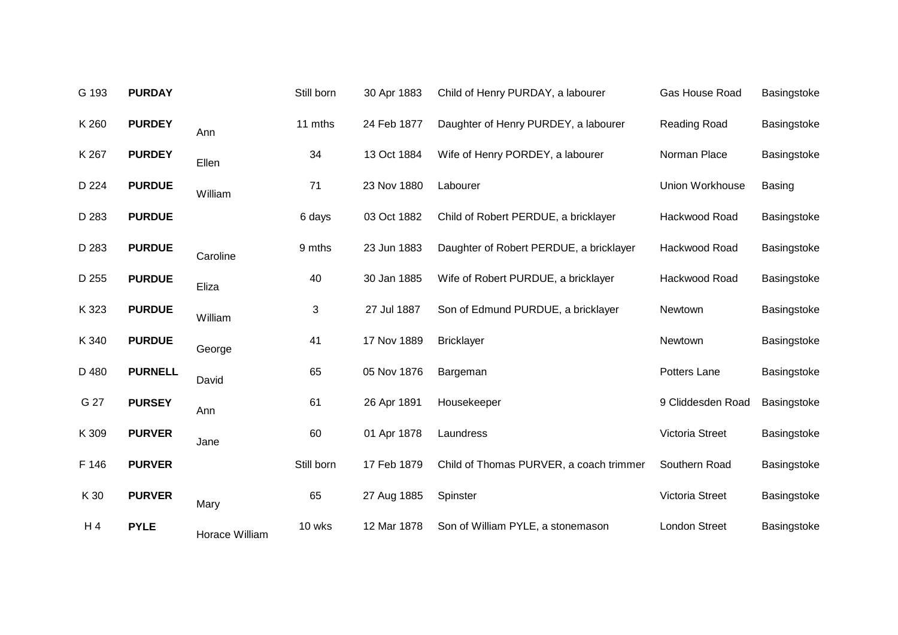| G 193 | <b>PURDAY</b>  |                | Still born | 30 Apr 1883 | Child of Henry PURDAY, a labourer       | Gas House Road       | Basingstoke   |
|-------|----------------|----------------|------------|-------------|-----------------------------------------|----------------------|---------------|
| K 260 | <b>PURDEY</b>  | Ann            | 11 mths    | 24 Feb 1877 | Daughter of Henry PURDEY, a labourer    | Reading Road         | Basingstoke   |
| K 267 | <b>PURDEY</b>  | Ellen          | 34         | 13 Oct 1884 | Wife of Henry PORDEY, a labourer        | Norman Place         | Basingstoke   |
| D 224 | <b>PURDUE</b>  | William        | 71         | 23 Nov 1880 | Labourer                                | Union Workhouse      | <b>Basing</b> |
| D 283 | <b>PURDUE</b>  |                | 6 days     | 03 Oct 1882 | Child of Robert PERDUE, a bricklayer    | Hackwood Road        | Basingstoke   |
| D 283 | <b>PURDUE</b>  | Caroline       | 9 mths     | 23 Jun 1883 | Daughter of Robert PERDUE, a bricklayer | Hackwood Road        | Basingstoke   |
| D 255 | <b>PURDUE</b>  | Eliza          | 40         | 30 Jan 1885 | Wife of Robert PURDUE, a bricklayer     | Hackwood Road        | Basingstoke   |
| K 323 | <b>PURDUE</b>  | William        | 3          | 27 Jul 1887 | Son of Edmund PURDUE, a bricklayer      | Newtown              | Basingstoke   |
| K 340 | <b>PURDUE</b>  | George         | 41         | 17 Nov 1889 | <b>Bricklayer</b>                       | Newtown              | Basingstoke   |
| D 480 | <b>PURNELL</b> | David          | 65         | 05 Nov 1876 | Bargeman                                | Potters Lane         | Basingstoke   |
| G 27  | <b>PURSEY</b>  | Ann            | 61         | 26 Apr 1891 | Housekeeper                             | 9 Cliddesden Road    | Basingstoke   |
| K 309 | <b>PURVER</b>  | Jane           | 60         | 01 Apr 1878 | Laundress                               | Victoria Street      | Basingstoke   |
| F 146 | <b>PURVER</b>  |                | Still born | 17 Feb 1879 | Child of Thomas PURVER, a coach trimmer | Southern Road        | Basingstoke   |
| K 30  | <b>PURVER</b>  | Mary           | 65         | 27 Aug 1885 | Spinster                                | Victoria Street      | Basingstoke   |
| H 4   | <b>PYLE</b>    | Horace William | 10 wks     | 12 Mar 1878 | Son of William PYLE, a stonemason       | <b>London Street</b> | Basingstoke   |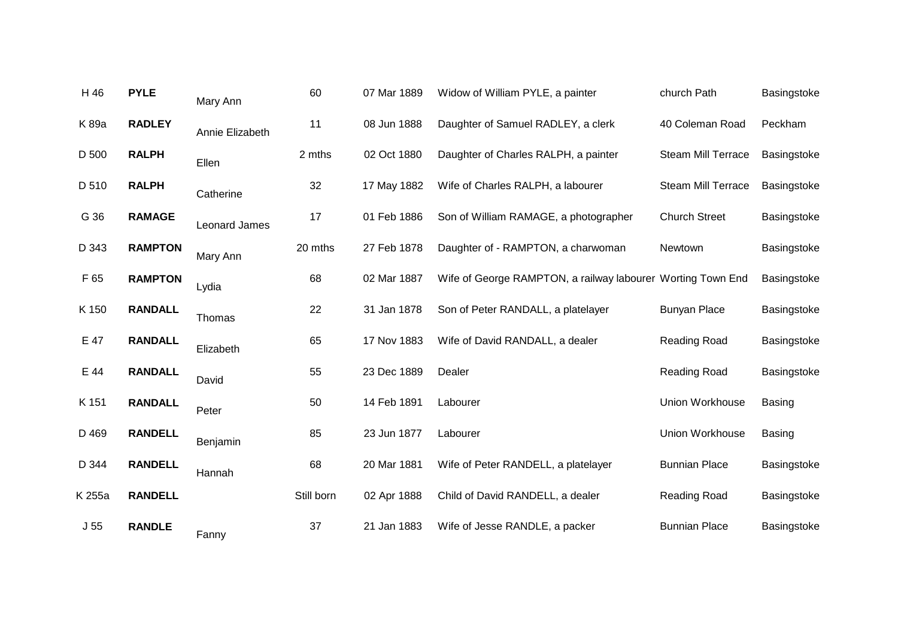| <b>PYLE</b>    | Mary Ann        | 60         | 07 Mar 1889 | Widow of William PYLE, a painter      | church Path               | Basingstoke                                                 |
|----------------|-----------------|------------|-------------|---------------------------------------|---------------------------|-------------------------------------------------------------|
| <b>RADLEY</b>  | Annie Elizabeth | 11         | 08 Jun 1888 | Daughter of Samuel RADLEY, a clerk    | 40 Coleman Road           | Peckham                                                     |
| <b>RALPH</b>   | Ellen           | 2 mths     | 02 Oct 1880 | Daughter of Charles RALPH, a painter  | <b>Steam Mill Terrace</b> | Basingstoke                                                 |
| <b>RALPH</b>   | Catherine       | 32         | 17 May 1882 | Wife of Charles RALPH, a labourer     | <b>Steam Mill Terrace</b> | Basingstoke                                                 |
| <b>RAMAGE</b>  | Leonard James   | 17         | 01 Feb 1886 | Son of William RAMAGE, a photographer | <b>Church Street</b>      | Basingstoke                                                 |
| <b>RAMPTON</b> | Mary Ann        | 20 mths    | 27 Feb 1878 | Daughter of - RAMPTON, a charwoman    | Newtown                   | Basingstoke                                                 |
| <b>RAMPTON</b> | Lydia           | 68         | 02 Mar 1887 |                                       |                           | Basingstoke                                                 |
| <b>RANDALL</b> | Thomas          | 22         | 31 Jan 1878 | Son of Peter RANDALL, a platelayer    | <b>Bunyan Place</b>       | Basingstoke                                                 |
| <b>RANDALL</b> | Elizabeth       | 65         | 17 Nov 1883 | Wife of David RANDALL, a dealer       | Reading Road              | Basingstoke                                                 |
| <b>RANDALL</b> | David           | 55         | 23 Dec 1889 | Dealer                                | Reading Road              | Basingstoke                                                 |
| <b>RANDALL</b> | Peter           | 50         | 14 Feb 1891 | Labourer                              | <b>Union Workhouse</b>    | <b>Basing</b>                                               |
| <b>RANDELL</b> | Benjamin        | 85         | 23 Jun 1877 | Labourer                              | Union Workhouse           | <b>Basing</b>                                               |
| <b>RANDELL</b> | Hannah          | 68         | 20 Mar 1881 | Wife of Peter RANDELL, a platelayer   | <b>Bunnian Place</b>      | Basingstoke                                                 |
| <b>RANDELL</b> |                 | Still born | 02 Apr 1888 | Child of David RANDELL, a dealer      | Reading Road              | Basingstoke                                                 |
| <b>RANDLE</b>  | Fanny           | 37         | 21 Jan 1883 | Wife of Jesse RANDLE, a packer        | <b>Bunnian Place</b>      | Basingstoke                                                 |
|                |                 |            |             |                                       |                           | Wife of George RAMPTON, a railway labourer Worting Town End |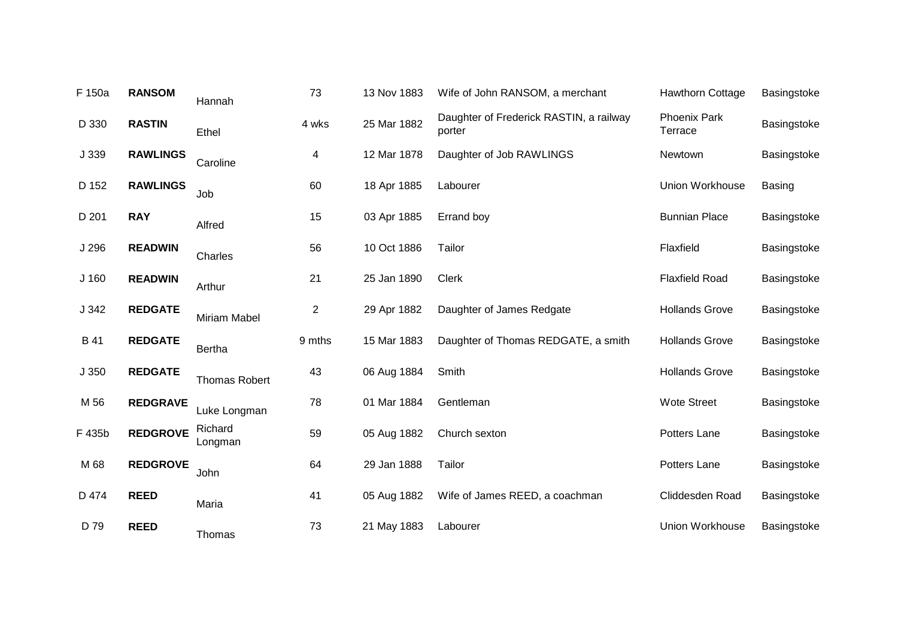| F 150a | <b>RANSOM</b>   | Hannah               | 73             | 13 Nov 1883 | Wife of John RANSOM, a merchant                   | <b>Hawthorn Cottage</b>        | Basingstoke   |
|--------|-----------------|----------------------|----------------|-------------|---------------------------------------------------|--------------------------------|---------------|
| D 330  | <b>RASTIN</b>   | Ethel                | 4 wks          | 25 Mar 1882 | Daughter of Frederick RASTIN, a railway<br>porter | <b>Phoenix Park</b><br>Terrace | Basingstoke   |
| J 339  | <b>RAWLINGS</b> | Caroline             | 4              | 12 Mar 1878 | Daughter of Job RAWLINGS                          | Newtown                        | Basingstoke   |
| D 152  | <b>RAWLINGS</b> | Job                  | 60             | 18 Apr 1885 | Labourer                                          | Union Workhouse                | <b>Basing</b> |
| D 201  | <b>RAY</b>      | Alfred               | 15             | 03 Apr 1885 | Errand boy                                        | <b>Bunnian Place</b>           | Basingstoke   |
| J 296  | <b>READWIN</b>  | Charles              | 56             | 10 Oct 1886 | Tailor                                            | Flaxfield                      | Basingstoke   |
| J 160  | <b>READWIN</b>  | Arthur               | 21             | 25 Jan 1890 | <b>Clerk</b>                                      | <b>Flaxfield Road</b>          | Basingstoke   |
| J 342  | <b>REDGATE</b>  | <b>Miriam Mabel</b>  | $\overline{c}$ | 29 Apr 1882 | Daughter of James Redgate                         | <b>Hollands Grove</b>          | Basingstoke   |
| B 41   | <b>REDGATE</b>  | <b>Bertha</b>        | 9 mths         | 15 Mar 1883 | Daughter of Thomas REDGATE, a smith               | <b>Hollands Grove</b>          | Basingstoke   |
| J 350  | <b>REDGATE</b>  | <b>Thomas Robert</b> | 43             | 06 Aug 1884 | Smith                                             | <b>Hollands Grove</b>          | Basingstoke   |
| M 56   | <b>REDGRAVE</b> | Luke Longman         | 78             | 01 Mar 1884 | Gentleman                                         | <b>Wote Street</b>             | Basingstoke   |
| F 435b | <b>REDGROVE</b> | Richard<br>Longman   | 59             | 05 Aug 1882 | Church sexton                                     | Potters Lane                   | Basingstoke   |
| M 68   | <b>REDGROVE</b> | John                 | 64             | 29 Jan 1888 | Tailor                                            | Potters Lane                   | Basingstoke   |
| D 474  | <b>REED</b>     | Maria                | 41             | 05 Aug 1882 | Wife of James REED, a coachman                    | Cliddesden Road                | Basingstoke   |
| D 79   | <b>REED</b>     | Thomas               | 73             | 21 May 1883 | Labourer                                          | Union Workhouse                | Basingstoke   |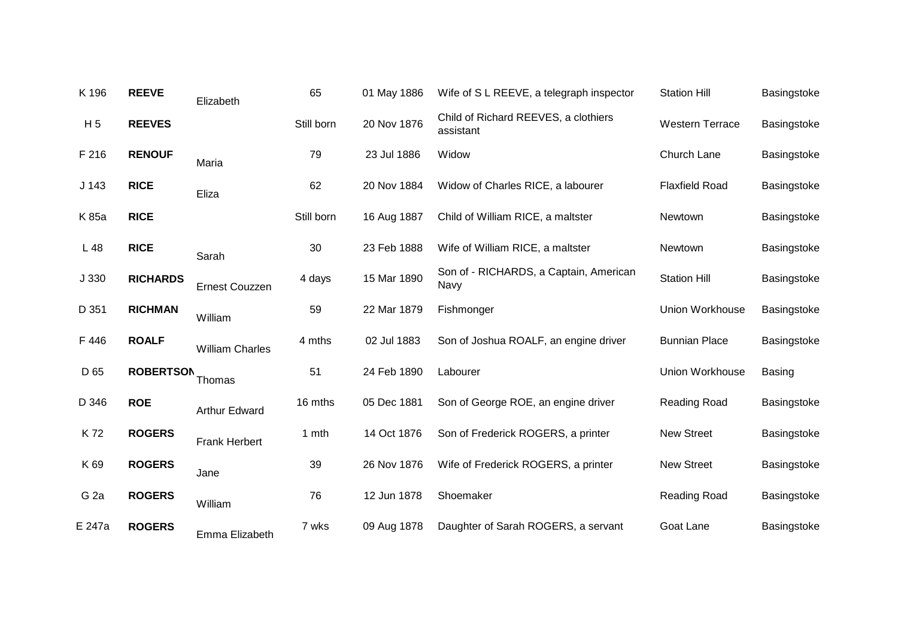| K 196            | <b>REEVE</b>     | Elizabeth              | 65         | 01 May 1886 | Wife of S L REEVE, a telegraph inspector          | <b>Station Hill</b>    | Basingstoke   |
|------------------|------------------|------------------------|------------|-------------|---------------------------------------------------|------------------------|---------------|
| H <sub>5</sub>   | <b>REEVES</b>    |                        | Still born | 20 Nov 1876 | Child of Richard REEVES, a clothiers<br>assistant | <b>Western Terrace</b> | Basingstoke   |
| F 216            | <b>RENOUF</b>    | Maria                  | 79         | 23 Jul 1886 | Widow                                             | Church Lane            | Basingstoke   |
| J <sub>143</sub> | <b>RICE</b>      | Eliza                  | 62         | 20 Nov 1884 | Widow of Charles RICE, a labourer                 | <b>Flaxfield Road</b>  | Basingstoke   |
| K 85a            | <b>RICE</b>      |                        | Still born | 16 Aug 1887 | Child of William RICE, a maltster                 | Newtown                | Basingstoke   |
| L 48             | <b>RICE</b>      | Sarah                  | 30         | 23 Feb 1888 | Wife of William RICE, a maltster                  | Newtown                | Basingstoke   |
| J 330            | <b>RICHARDS</b>  | <b>Ernest Couzzen</b>  | 4 days     | 15 Mar 1890 | Son of - RICHARDS, a Captain, American<br>Navy    | <b>Station Hill</b>    | Basingstoke   |
| D 351            | <b>RICHMAN</b>   | William                | 59         | 22 Mar 1879 | Fishmonger                                        | Union Workhouse        | Basingstoke   |
| F446             | <b>ROALF</b>     | <b>William Charles</b> | 4 mths     | 02 Jul 1883 | Son of Joshua ROALF, an engine driver             | <b>Bunnian Place</b>   | Basingstoke   |
| D 65             | <b>ROBERTSON</b> | Thomas                 | 51         | 24 Feb 1890 | Labourer                                          | Union Workhouse        | <b>Basing</b> |
| D 346            | <b>ROE</b>       | Arthur Edward          | 16 mths    | 05 Dec 1881 | Son of George ROE, an engine driver               | <b>Reading Road</b>    | Basingstoke   |
| K72              | <b>ROGERS</b>    | <b>Frank Herbert</b>   | 1 mth      | 14 Oct 1876 | Son of Frederick ROGERS, a printer                | <b>New Street</b>      | Basingstoke   |
| K 69             | <b>ROGERS</b>    | Jane                   | 39         | 26 Nov 1876 | Wife of Frederick ROGERS, a printer               | <b>New Street</b>      | Basingstoke   |
| G <sub>2a</sub>  | <b>ROGERS</b>    | William                | 76         | 12 Jun 1878 | Shoemaker                                         | <b>Reading Road</b>    | Basingstoke   |
| E 247a           | <b>ROGERS</b>    | Emma Elizabeth         | 7 wks      | 09 Aug 1878 | Daughter of Sarah ROGERS, a servant               | Goat Lane              | Basingstoke   |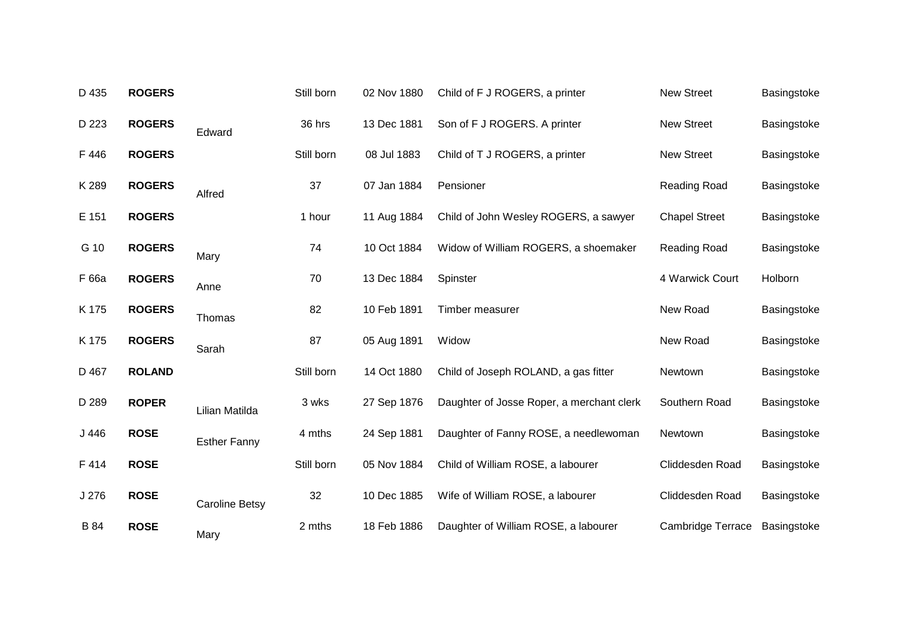| D 435       | <b>ROGERS</b> |                       | Still born | 02 Nov 1880 | Child of F J ROGERS, a printer            | <b>New Street</b>        | Basingstoke |
|-------------|---------------|-----------------------|------------|-------------|-------------------------------------------|--------------------------|-------------|
| D 223       | <b>ROGERS</b> | Edward                | 36 hrs     | 13 Dec 1881 | Son of F J ROGERS. A printer              | <b>New Street</b>        | Basingstoke |
| F446        | <b>ROGERS</b> |                       | Still born | 08 Jul 1883 | Child of T J ROGERS, a printer            | <b>New Street</b>        | Basingstoke |
| K 289       | <b>ROGERS</b> | Alfred                | 37         | 07 Jan 1884 | Pensioner                                 | Reading Road             | Basingstoke |
| E 151       | <b>ROGERS</b> |                       | 1 hour     | 11 Aug 1884 | Child of John Wesley ROGERS, a sawyer     | <b>Chapel Street</b>     | Basingstoke |
| G 10        | <b>ROGERS</b> | Mary                  | 74         | 10 Oct 1884 | Widow of William ROGERS, a shoemaker      | Reading Road             | Basingstoke |
| F 66a       | <b>ROGERS</b> | Anne                  | 70         | 13 Dec 1884 | Spinster                                  | 4 Warwick Court          | Holborn     |
| K 175       | <b>ROGERS</b> | Thomas                | 82         | 10 Feb 1891 | Timber measurer                           | New Road                 | Basingstoke |
| K 175       | <b>ROGERS</b> | Sarah                 | 87         | 05 Aug 1891 | Widow                                     | New Road                 | Basingstoke |
| D 467       | <b>ROLAND</b> |                       | Still born | 14 Oct 1880 | Child of Joseph ROLAND, a gas fitter      | Newtown                  | Basingstoke |
| D 289       | <b>ROPER</b>  | Lilian Matilda        | 3 wks      | 27 Sep 1876 | Daughter of Josse Roper, a merchant clerk | Southern Road            | Basingstoke |
| J446        | <b>ROSE</b>   | <b>Esther Fanny</b>   | 4 mths     | 24 Sep 1881 | Daughter of Fanny ROSE, a needlewoman     | Newtown                  | Basingstoke |
| F414        | <b>ROSE</b>   |                       | Still born | 05 Nov 1884 | Child of William ROSE, a labourer         | Cliddesden Road          | Basingstoke |
| J 276       | <b>ROSE</b>   | <b>Caroline Betsy</b> | 32         | 10 Dec 1885 | Wife of William ROSE, a labourer          | Cliddesden Road          | Basingstoke |
| <b>B</b> 84 | <b>ROSE</b>   | Mary                  | 2 mths     | 18 Feb 1886 | Daughter of William ROSE, a labourer      | <b>Cambridge Terrace</b> | Basingstoke |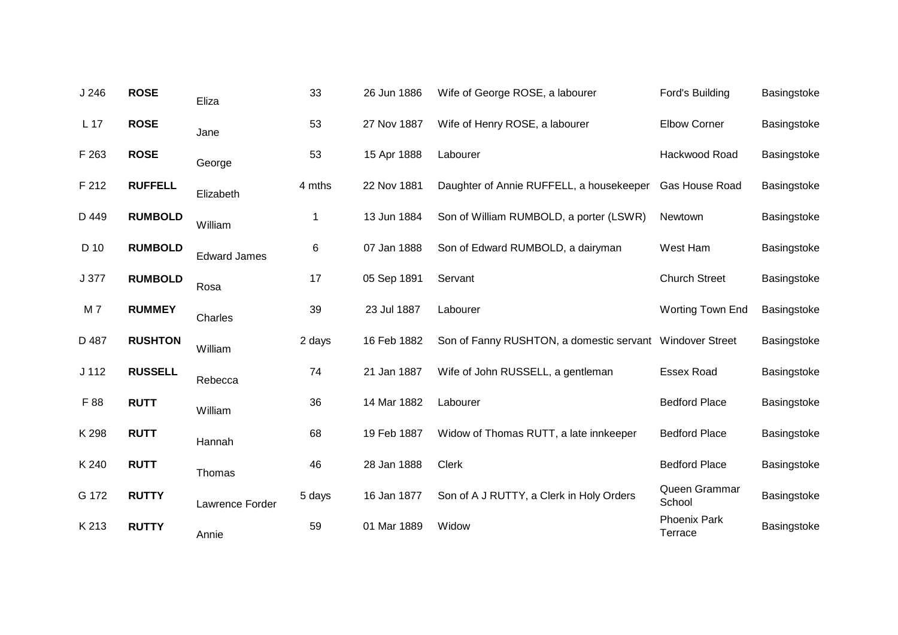| J246             | <b>ROSE</b>    | Eliza               | 33     | 26 Jun 1886 | Wife of George ROSE, a labourer                          | Ford's Building                | Basingstoke |
|------------------|----------------|---------------------|--------|-------------|----------------------------------------------------------|--------------------------------|-------------|
| L 17             | <b>ROSE</b>    | Jane                | 53     | 27 Nov 1887 | Wife of Henry ROSE, a labourer                           | <b>Elbow Corner</b>            | Basingstoke |
| F 263            | <b>ROSE</b>    | George              | 53     | 15 Apr 1888 | Labourer                                                 | Hackwood Road                  | Basingstoke |
| F 212            | <b>RUFFELL</b> | Elizabeth           | 4 mths | 22 Nov 1881 | Daughter of Annie RUFFELL, a housekeeper                 | Gas House Road                 | Basingstoke |
| D 449            | <b>RUMBOLD</b> | William             | 1      | 13 Jun 1884 | Son of William RUMBOLD, a porter (LSWR)                  | Newtown                        | Basingstoke |
| D 10             | <b>RUMBOLD</b> | <b>Edward James</b> | 6      | 07 Jan 1888 | Son of Edward RUMBOLD, a dairyman                        | West Ham                       | Basingstoke |
| J 377            | <b>RUMBOLD</b> | Rosa                | 17     | 05 Sep 1891 | Servant                                                  | <b>Church Street</b>           | Basingstoke |
| M 7              | <b>RUMMEY</b>  | Charles             | 39     | 23 Jul 1887 | Labourer                                                 | <b>Worting Town End</b>        | Basingstoke |
| D 487            | <b>RUSHTON</b> | William             | 2 days | 16 Feb 1882 | Son of Fanny RUSHTON, a domestic servant Windover Street |                                | Basingstoke |
| J <sub>112</sub> | <b>RUSSELL</b> | Rebecca             | 74     | 21 Jan 1887 | Wife of John RUSSELL, a gentleman                        | <b>Essex Road</b>              | Basingstoke |
| F 88             | <b>RUTT</b>    | William             | 36     | 14 Mar 1882 | Labourer                                                 | <b>Bedford Place</b>           | Basingstoke |
| K 298            | <b>RUTT</b>    | Hannah              | 68     | 19 Feb 1887 | Widow of Thomas RUTT, a late innkeeper                   | <b>Bedford Place</b>           | Basingstoke |
| K 240            | <b>RUTT</b>    | Thomas              | 46     | 28 Jan 1888 | <b>Clerk</b>                                             | <b>Bedford Place</b>           | Basingstoke |
| G 172            | <b>RUTTY</b>   | Lawrence Forder     | 5 days | 16 Jan 1877 | Son of A J RUTTY, a Clerk in Holy Orders                 | Queen Grammar<br>School        | Basingstoke |
| K 213            | <b>RUTTY</b>   | Annie               | 59     | 01 Mar 1889 | Widow                                                    | <b>Phoenix Park</b><br>Terrace | Basingstoke |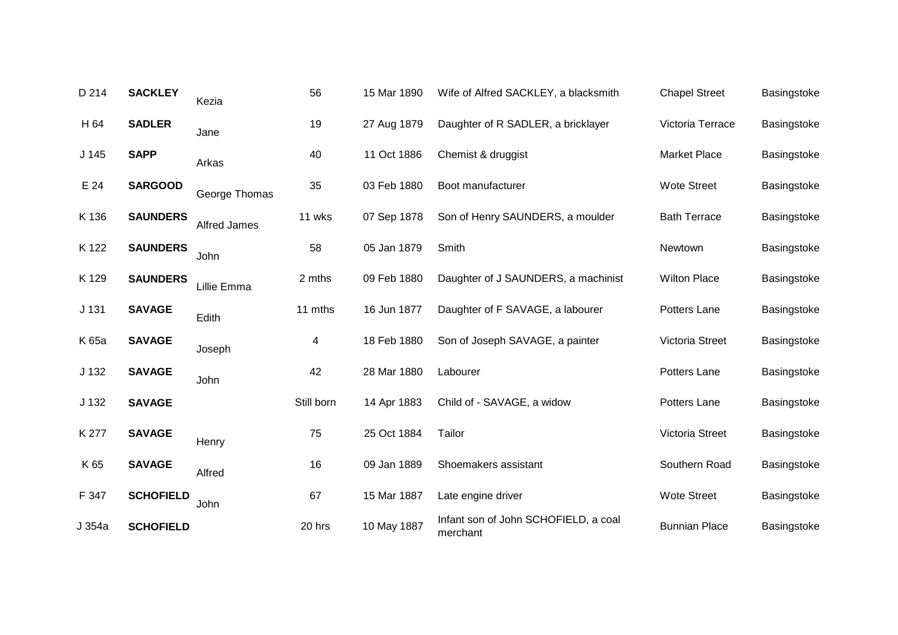| D 214            | <b>SACKLEY</b>   | Kezia               | 56         | 15 Mar 1890 | Wife of Alfred SACKLEY, a blacksmith             | <b>Chapel Street</b> | Basingstoke |
|------------------|------------------|---------------------|------------|-------------|--------------------------------------------------|----------------------|-------------|
| H 64             | <b>SADLER</b>    | Jane                | 19         | 27 Aug 1879 | Daughter of R SADLER, a bricklayer               | Victoria Terrace     | Basingstoke |
| J <sub>145</sub> | <b>SAPP</b>      | Arkas               | 40         | 11 Oct 1886 | Chemist & druggist                               | <b>Market Place</b>  | Basingstoke |
| E 24             | <b>SARGOOD</b>   | George Thomas       | 35         | 03 Feb 1880 | Boot manufacturer                                | <b>Wote Street</b>   | Basingstoke |
| K 136            | <b>SAUNDERS</b>  | <b>Alfred James</b> | 11 wks     | 07 Sep 1878 | Son of Henry SAUNDERS, a moulder                 | <b>Bath Terrace</b>  | Basingstoke |
| K 122            | <b>SAUNDERS</b>  | John                | 58         | 05 Jan 1879 | Smith                                            | Newtown              | Basingstoke |
| K 129            | <b>SAUNDERS</b>  | Lillie Emma         | 2 mths     | 09 Feb 1880 | Daughter of J SAUNDERS, a machinist              | <b>Wilton Place</b>  | Basingstoke |
| J <sub>131</sub> | <b>SAVAGE</b>    | Edith               | 11 mths    | 16 Jun 1877 | Daughter of F SAVAGE, a labourer                 | Potters Lane         | Basingstoke |
| K 65a            | <b>SAVAGE</b>    | Joseph              | 4          | 18 Feb 1880 | Son of Joseph SAVAGE, a painter                  | Victoria Street      | Basingstoke |
| J <sub>132</sub> | <b>SAVAGE</b>    | John                | 42         | 28 Mar 1880 | Labourer                                         | Potters Lane         | Basingstoke |
| J 132            | <b>SAVAGE</b>    |                     | Still born | 14 Apr 1883 | Child of - SAVAGE, a widow                       | Potters Lane         | Basingstoke |
| K 277            | <b>SAVAGE</b>    | Henry               | 75         | 25 Oct 1884 | Tailor                                           | Victoria Street      | Basingstoke |
| K 65             | <b>SAVAGE</b>    | Alfred              | 16         | 09 Jan 1889 | Shoemakers assistant                             | Southern Road        | Basingstoke |
| F 347            | <b>SCHOFIELD</b> | John                | 67         | 15 Mar 1887 | Late engine driver                               | <b>Wote Street</b>   | Basingstoke |
| J 354a           | <b>SCHOFIELD</b> |                     | 20 hrs     | 10 May 1887 | Infant son of John SCHOFIELD, a coal<br>merchant | <b>Bunnian Place</b> | Basingstoke |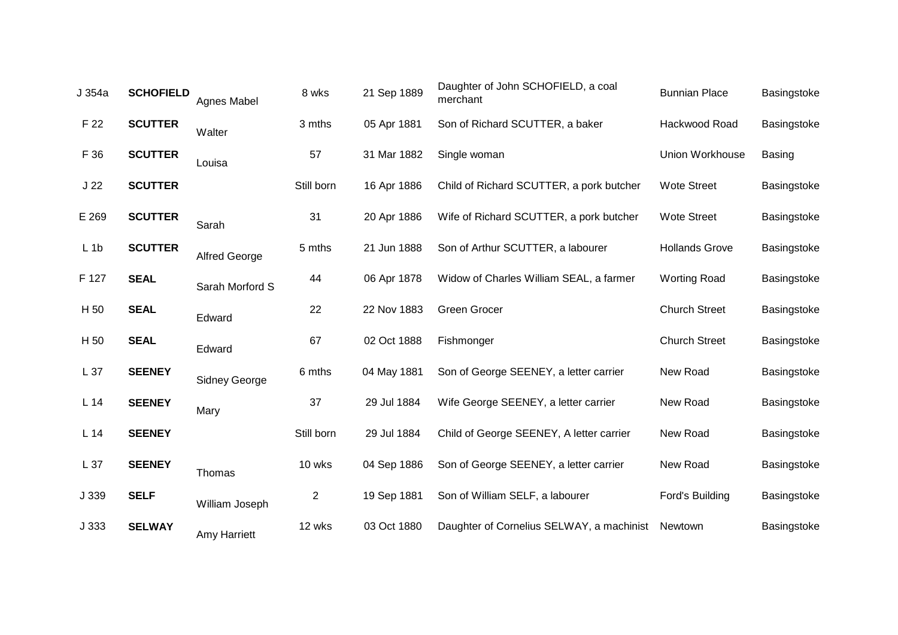| J 354a          | <b>SCHOFIELD</b> | Agnes Mabel          | 8 wks          | 21 Sep 1889 | Daughter of John SCHOFIELD, a coal<br>merchant | <b>Bunnian Place</b>  | Basingstoke |
|-----------------|------------------|----------------------|----------------|-------------|------------------------------------------------|-----------------------|-------------|
| F 22            | <b>SCUTTER</b>   | Walter               | 3 mths         | 05 Apr 1881 | Son of Richard SCUTTER, a baker                | Hackwood Road         | Basingstoke |
| F 36            | <b>SCUTTER</b>   | Louisa               | 57             | 31 Mar 1882 | Single woman                                   | Union Workhouse       | Basing      |
| J <sub>22</sub> | <b>SCUTTER</b>   |                      | Still born     | 16 Apr 1886 | Child of Richard SCUTTER, a pork butcher       | <b>Wote Street</b>    | Basingstoke |
| E 269           | <b>SCUTTER</b>   | Sarah                | 31             | 20 Apr 1886 | Wife of Richard SCUTTER, a pork butcher        | <b>Wote Street</b>    | Basingstoke |
| $L$ 1 $b$       | <b>SCUTTER</b>   | <b>Alfred George</b> | 5 mths         | 21 Jun 1888 | Son of Arthur SCUTTER, a labourer              | <b>Hollands Grove</b> | Basingstoke |
| F 127           | <b>SEAL</b>      | Sarah Morford S      | 44             | 06 Apr 1878 | Widow of Charles William SEAL, a farmer        | <b>Worting Road</b>   | Basingstoke |
| H 50            | <b>SEAL</b>      | Edward               | 22             | 22 Nov 1883 | Green Grocer                                   | <b>Church Street</b>  | Basingstoke |
| H 50            | <b>SEAL</b>      | Edward               | 67             | 02 Oct 1888 | Fishmonger                                     | <b>Church Street</b>  | Basingstoke |
| L 37            | <b>SEENEY</b>    | <b>Sidney George</b> | 6 mths         | 04 May 1881 | Son of George SEENEY, a letter carrier         | New Road              | Basingstoke |
| L14             | <b>SEENEY</b>    | Mary                 | 37             | 29 Jul 1884 | Wife George SEENEY, a letter carrier           | New Road              | Basingstoke |
| L14             | <b>SEENEY</b>    |                      | Still born     | 29 Jul 1884 | Child of George SEENEY, A letter carrier       | New Road              | Basingstoke |
| L37             | <b>SEENEY</b>    | Thomas               | 10 wks         | 04 Sep 1886 | Son of George SEENEY, a letter carrier         | New Road              | Basingstoke |
| J 339           | <b>SELF</b>      | William Joseph       | $\overline{c}$ | 19 Sep 1881 | Son of William SELF, a labourer                | Ford's Building       | Basingstoke |
| J 333           | <b>SELWAY</b>    | Amy Harriett         | 12 wks         | 03 Oct 1880 | Daughter of Cornelius SELWAY, a machinist      | Newtown               | Basingstoke |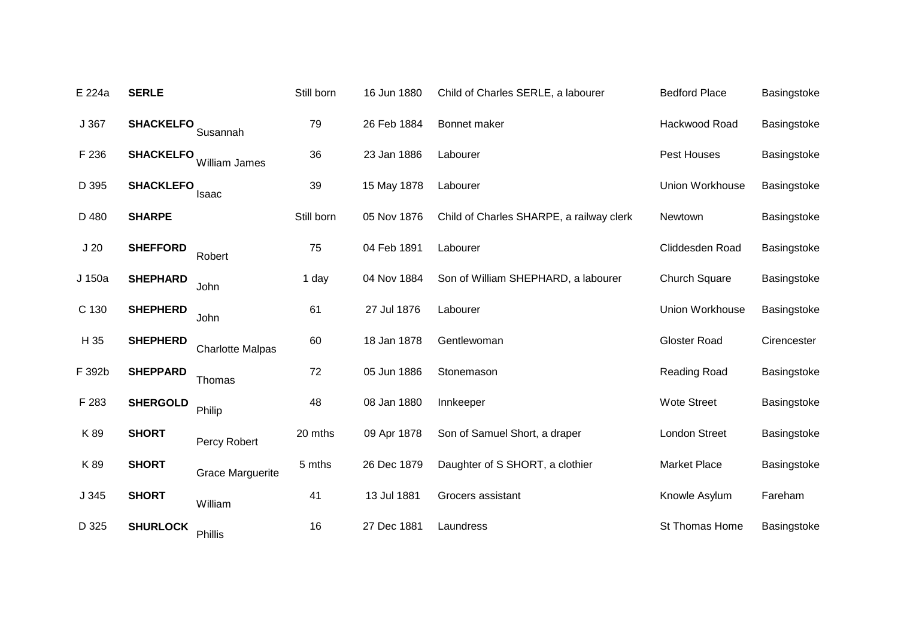| E 224a          | <b>SERLE</b>     |                         | Still born | 16 Jun 1880 | Child of Charles SERLE, a labourer       | <b>Bedford Place</b> | Basingstoke |
|-----------------|------------------|-------------------------|------------|-------------|------------------------------------------|----------------------|-------------|
| J367            | <b>SHACKELFO</b> | Susannah                | 79         | 26 Feb 1884 | Bonnet maker                             | Hackwood Road        | Basingstoke |
| F 236           | <b>SHACKELFO</b> | William James           | 36         | 23 Jan 1886 | Labourer                                 | Pest Houses          | Basingstoke |
| D 395           | <b>SHACKLEFO</b> | Isaac                   | 39         | 15 May 1878 | Labourer                                 | Union Workhouse      | Basingstoke |
| D 480           | <b>SHARPE</b>    |                         | Still born | 05 Nov 1876 | Child of Charles SHARPE, a railway clerk | Newtown              | Basingstoke |
| J <sub>20</sub> | <b>SHEFFORD</b>  | Robert                  | 75         | 04 Feb 1891 | Labourer                                 | Cliddesden Road      | Basingstoke |
| J 150a          | <b>SHEPHARD</b>  | John                    | 1 day      | 04 Nov 1884 | Son of William SHEPHARD, a labourer      | <b>Church Square</b> | Basingstoke |
| C 130           | <b>SHEPHERD</b>  | John                    | 61         | 27 Jul 1876 | Labourer                                 | Union Workhouse      | Basingstoke |
| H 35            | <b>SHEPHERD</b>  | <b>Charlotte Malpas</b> | 60         | 18 Jan 1878 | Gentlewoman                              | <b>Gloster Road</b>  | Cirencester |
| F 392b          | <b>SHEPPARD</b>  | Thomas                  | 72         | 05 Jun 1886 | Stonemason                               | Reading Road         | Basingstoke |
| F 283           | <b>SHERGOLD</b>  | Philip                  | 48         | 08 Jan 1880 | Innkeeper                                | <b>Wote Street</b>   | Basingstoke |
| K89             | <b>SHORT</b>     | Percy Robert            | 20 mths    | 09 Apr 1878 | Son of Samuel Short, a draper            | <b>London Street</b> | Basingstoke |
| K89             | <b>SHORT</b>     | <b>Grace Marguerite</b> | 5 mths     | 26 Dec 1879 | Daughter of S SHORT, a clothier          | <b>Market Place</b>  | Basingstoke |
| J345            | <b>SHORT</b>     | William                 | 41         | 13 Jul 1881 | Grocers assistant                        | Knowle Asylum        | Fareham     |
| D 325           | <b>SHURLOCK</b>  | Phillis                 | 16         | 27 Dec 1881 | Laundress                                | St Thomas Home       | Basingstoke |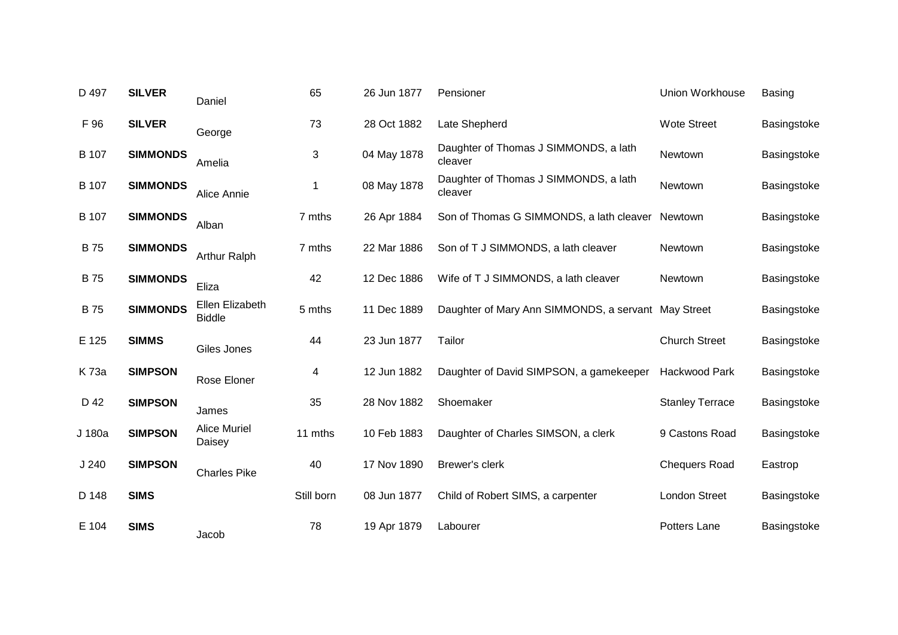| D 497        | <b>SILVER</b>   | Daniel                           | 65         | 26 Jun 1877 | Pensioner                                           | Union Workhouse        | <b>Basing</b> |
|--------------|-----------------|----------------------------------|------------|-------------|-----------------------------------------------------|------------------------|---------------|
| F 96         | <b>SILVER</b>   | George                           | 73         | 28 Oct 1882 | Late Shepherd                                       | <b>Wote Street</b>     | Basingstoke   |
| <b>B</b> 107 | <b>SIMMONDS</b> | Amelia                           | 3          | 04 May 1878 | Daughter of Thomas J SIMMONDS, a lath<br>cleaver    | Newtown                | Basingstoke   |
| B 107        | <b>SIMMONDS</b> | Alice Annie                      | 1          | 08 May 1878 | Daughter of Thomas J SIMMONDS, a lath<br>cleaver    | Newtown                | Basingstoke   |
| <b>B</b> 107 | <b>SIMMONDS</b> | Alban                            | 7 mths     | 26 Apr 1884 | Son of Thomas G SIMMONDS, a lath cleaver            | Newtown                | Basingstoke   |
| <b>B75</b>   | <b>SIMMONDS</b> | <b>Arthur Ralph</b>              | 7 mths     | 22 Mar 1886 | Son of T J SIMMONDS, a lath cleaver                 | Newtown                | Basingstoke   |
| <b>B75</b>   | <b>SIMMONDS</b> | Eliza                            | 42         | 12 Dec 1886 | Wife of T J SIMMONDS, a lath cleaver                | Newtown                | Basingstoke   |
| <b>B75</b>   | <b>SIMMONDS</b> | Ellen Elizabeth<br><b>Biddle</b> | 5 mths     | 11 Dec 1889 | Daughter of Mary Ann SIMMONDS, a servant May Street |                        | Basingstoke   |
| E 125        | <b>SIMMS</b>    | Giles Jones                      | 44         | 23 Jun 1877 | Tailor                                              | <b>Church Street</b>   | Basingstoke   |
| K 73a        | <b>SIMPSON</b>  | Rose Eloner                      | 4          | 12 Jun 1882 | Daughter of David SIMPSON, a gamekeeper             | Hackwood Park          | Basingstoke   |
| D 42         | <b>SIMPSON</b>  | James                            | 35         | 28 Nov 1882 | Shoemaker                                           | <b>Stanley Terrace</b> | Basingstoke   |
| J 180a       | <b>SIMPSON</b>  | <b>Alice Muriel</b><br>Daisey    | 11 mths    | 10 Feb 1883 | Daughter of Charles SIMSON, a clerk                 | 9 Castons Road         | Basingstoke   |
| J240         | <b>SIMPSON</b>  | <b>Charles Pike</b>              | 40         | 17 Nov 1890 | Brewer's clerk                                      | <b>Chequers Road</b>   | Eastrop       |
| D 148        | <b>SIMS</b>     |                                  | Still born | 08 Jun 1877 | Child of Robert SIMS, a carpenter                   | <b>London Street</b>   | Basingstoke   |
| E 104        | <b>SIMS</b>     | Jacob                            | 78         | 19 Apr 1879 | Labourer                                            | Potters Lane           | Basingstoke   |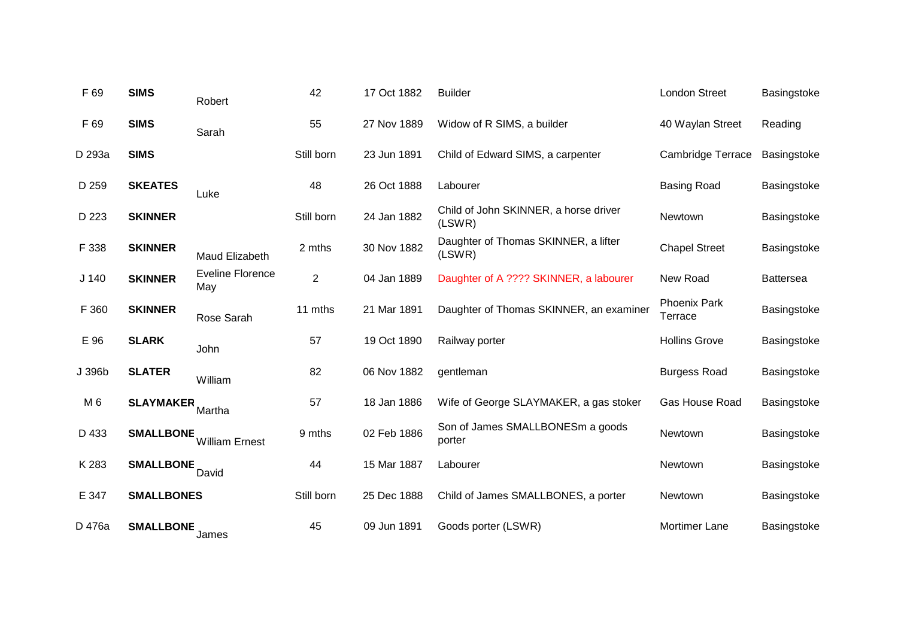| F 69             | <b>SIMS</b>       | Robert                         | 42             | 17 Oct 1882 | <b>Builder</b>                                  | London Street                  | Basingstoke      |
|------------------|-------------------|--------------------------------|----------------|-------------|-------------------------------------------------|--------------------------------|------------------|
| F 69             | <b>SIMS</b>       | Sarah                          | 55             | 27 Nov 1889 | Widow of R SIMS, a builder                      | 40 Waylan Street               | Reading          |
| D 293a           | <b>SIMS</b>       |                                | Still born     | 23 Jun 1891 | Child of Edward SIMS, a carpenter               | Cambridge Terrace              | Basingstoke      |
| D 259            | <b>SKEATES</b>    | Luke                           | 48             | 26 Oct 1888 | Labourer                                        | <b>Basing Road</b>             | Basingstoke      |
| D 223            | <b>SKINNER</b>    |                                | Still born     | 24 Jan 1882 | Child of John SKINNER, a horse driver<br>(LSWR) | Newtown                        | Basingstoke      |
| F 338            | <b>SKINNER</b>    | Maud Elizabeth                 | 2 mths         | 30 Nov 1882 | Daughter of Thomas SKINNER, a lifter<br>(LSWR)  | <b>Chapel Street</b>           | Basingstoke      |
| J <sub>140</sub> | <b>SKINNER</b>    | <b>Eveline Florence</b><br>May | $\overline{2}$ | 04 Jan 1889 | Daughter of A ???? SKINNER, a labourer          | New Road                       | <b>Battersea</b> |
| F 360            | <b>SKINNER</b>    | Rose Sarah                     | 11 mths        | 21 Mar 1891 | Daughter of Thomas SKINNER, an examiner         | <b>Phoenix Park</b><br>Terrace | Basingstoke      |
| E 96             | <b>SLARK</b>      | John                           | 57             | 19 Oct 1890 | Railway porter                                  | <b>Hollins Grove</b>           | Basingstoke      |
| J 396b           | <b>SLATER</b>     | William                        | 82             | 06 Nov 1882 | gentleman                                       | <b>Burgess Road</b>            | Basingstoke      |
| M <sub>6</sub>   | <b>SLAYMAKER</b>  | Martha                         | 57             | 18 Jan 1886 | Wife of George SLAYMAKER, a gas stoker          | Gas House Road                 | Basingstoke      |
| D 433            | <b>SMALLBONE</b>  | <b>William Ernest</b>          | 9 mths         | 02 Feb 1886 | Son of James SMALLBONESm a goods<br>porter      | Newtown                        | Basingstoke      |
| K 283            | <b>SMALLBONE</b>  | David                          | 44             | 15 Mar 1887 | Labourer                                        | Newtown                        | Basingstoke      |
| E 347            | <b>SMALLBONES</b> |                                | Still born     | 25 Dec 1888 | Child of James SMALLBONES, a porter             | Newtown                        | Basingstoke      |
| D 476a           | <b>SMALLBONE</b>  | James                          | 45             | 09 Jun 1891 | Goods porter (LSWR)                             | Mortimer Lane                  | Basingstoke      |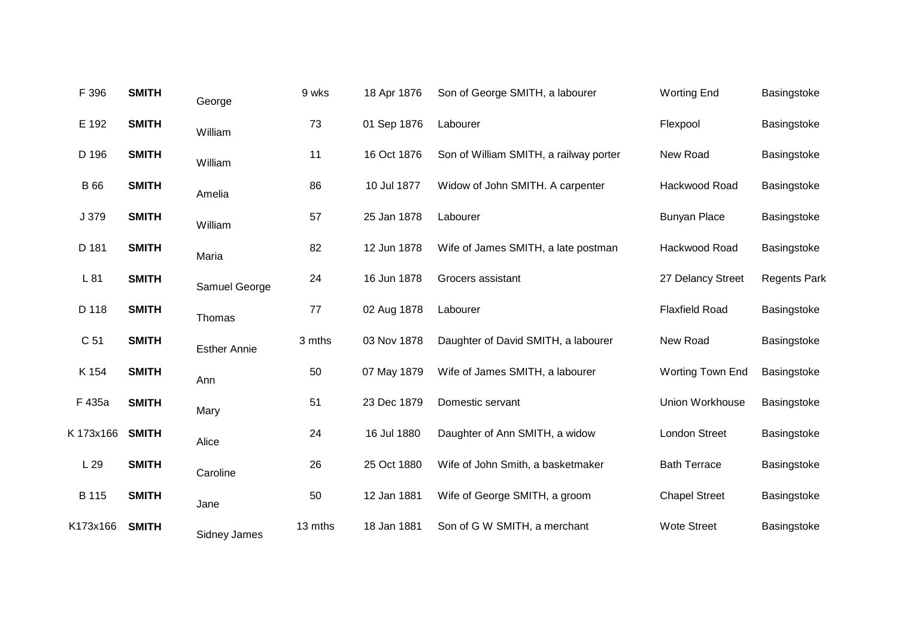| F 396           | <b>SMITH</b> | George              | 9 wks   | 18 Apr 1876 | Son of George SMITH, a labourer        | <b>Worting End</b>    | Basingstoke         |
|-----------------|--------------|---------------------|---------|-------------|----------------------------------------|-----------------------|---------------------|
| E 192           | <b>SMITH</b> | William             | 73      | 01 Sep 1876 | Labourer                               | Flexpool              | Basingstoke         |
| D 196           | <b>SMITH</b> | William             | 11      | 16 Oct 1876 | Son of William SMITH, a railway porter | New Road              | Basingstoke         |
| <b>B</b> 66     | <b>SMITH</b> | Amelia              | 86      | 10 Jul 1877 | Widow of John SMITH. A carpenter       | Hackwood Road         | Basingstoke         |
| J 379           | <b>SMITH</b> | William             | 57      | 25 Jan 1878 | Labourer                               | <b>Bunyan Place</b>   | Basingstoke         |
| D 181           | <b>SMITH</b> | Maria               | 82      | 12 Jun 1878 | Wife of James SMITH, a late postman    | Hackwood Road         | Basingstoke         |
| L 81            | <b>SMITH</b> | Samuel George       | 24      | 16 Jun 1878 | Grocers assistant                      | 27 Delancy Street     | <b>Regents Park</b> |
| D 118           | <b>SMITH</b> | Thomas              | 77      | 02 Aug 1878 | Labourer                               | <b>Flaxfield Road</b> | Basingstoke         |
| C <sub>51</sub> | <b>SMITH</b> | <b>Esther Annie</b> | 3 mths  | 03 Nov 1878 | Daughter of David SMITH, a labourer    | New Road              | Basingstoke         |
| K 154           | <b>SMITH</b> | Ann                 | 50      | 07 May 1879 | Wife of James SMITH, a labourer        | Worting Town End      | Basingstoke         |
| F 435a          | <b>SMITH</b> | Mary                | 51      | 23 Dec 1879 | Domestic servant                       | Union Workhouse       | Basingstoke         |
| K 173x166       | <b>SMITH</b> | Alice               | 24      | 16 Jul 1880 | Daughter of Ann SMITH, a widow         | <b>London Street</b>  | Basingstoke         |
| L29             | <b>SMITH</b> | Caroline            | 26      | 25 Oct 1880 | Wife of John Smith, a basketmaker      | <b>Bath Terrace</b>   | Basingstoke         |
| B 115           | <b>SMITH</b> | Jane                | 50      | 12 Jan 1881 | Wife of George SMITH, a groom          | <b>Chapel Street</b>  | Basingstoke         |
| K173x166        | <b>SMITH</b> | <b>Sidney James</b> | 13 mths | 18 Jan 1881 | Son of G W SMITH, a merchant           | <b>Wote Street</b>    | Basingstoke         |
|                 |              |                     |         |             |                                        |                       |                     |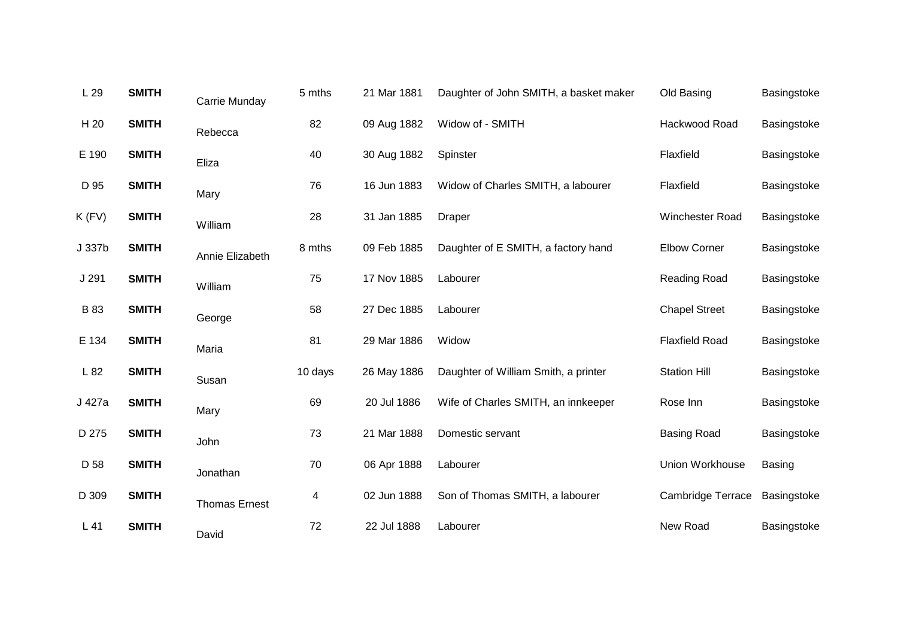| L 29        | <b>SMITH</b> | Carrie Munday        | 5 mths  | 21 Mar 1881 | Daughter of John SMITH, a basket maker | Old Basing               | Basingstoke |
|-------------|--------------|----------------------|---------|-------------|----------------------------------------|--------------------------|-------------|
| H 20        | <b>SMITH</b> | Rebecca              | 82      | 09 Aug 1882 | Widow of - SMITH                       | Hackwood Road            | Basingstoke |
| E 190       | <b>SMITH</b> | Eliza                | 40      | 30 Aug 1882 | Spinster                               | Flaxfield                | Basingstoke |
| D 95        | <b>SMITH</b> | Mary                 | 76      | 16 Jun 1883 | Widow of Charles SMITH, a labourer     | Flaxfield                | Basingstoke |
| $K$ (FV)    | <b>SMITH</b> | William              | 28      | 31 Jan 1885 | Draper                                 | Winchester Road          | Basingstoke |
| J 337b      | <b>SMITH</b> | Annie Elizabeth      | 8 mths  | 09 Feb 1885 | Daughter of E SMITH, a factory hand    | <b>Elbow Corner</b>      | Basingstoke |
| J 291       | <b>SMITH</b> | William              | 75      | 17 Nov 1885 | Labourer                               | <b>Reading Road</b>      | Basingstoke |
| <b>B</b> 83 | <b>SMITH</b> | George               | 58      | 27 Dec 1885 | Labourer                               | <b>Chapel Street</b>     | Basingstoke |
| E 134       | <b>SMITH</b> | Maria                | 81      | 29 Mar 1886 | Widow                                  | <b>Flaxfield Road</b>    | Basingstoke |
| L 82        | <b>SMITH</b> | Susan                | 10 days | 26 May 1886 | Daughter of William Smith, a printer   | <b>Station Hill</b>      | Basingstoke |
| J 427a      | <b>SMITH</b> | Mary                 | 69      | 20 Jul 1886 | Wife of Charles SMITH, an innkeeper    | Rose Inn                 | Basingstoke |
| D 275       | <b>SMITH</b> | John                 | 73      | 21 Mar 1888 | Domestic servant                       | <b>Basing Road</b>       | Basingstoke |
| D 58        | <b>SMITH</b> | Jonathan             | 70      | 06 Apr 1888 | Labourer                               | Union Workhouse          | Basing      |
| D 309       | <b>SMITH</b> | <b>Thomas Ernest</b> | 4       | 02 Jun 1888 | Son of Thomas SMITH, a labourer        | <b>Cambridge Terrace</b> | Basingstoke |
| L41         | <b>SMITH</b> | David                | 72      | 22 Jul 1888 | Labourer                               | New Road                 | Basingstoke |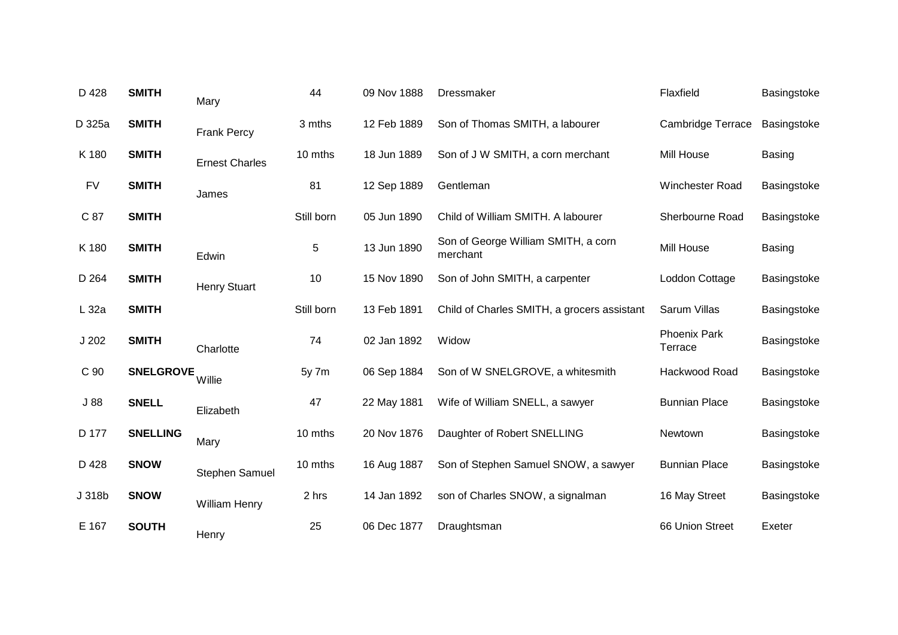| D 428     | <b>SMITH</b>     | Mary                  | 44         | 09 Nov 1888 | Dressmaker                                      | Flaxfield                      | Basingstoke   |
|-----------|------------------|-----------------------|------------|-------------|-------------------------------------------------|--------------------------------|---------------|
| D 325a    | <b>SMITH</b>     | <b>Frank Percy</b>    | 3 mths     | 12 Feb 1889 | Son of Thomas SMITH, a labourer                 | <b>Cambridge Terrace</b>       | Basingstoke   |
| K 180     | <b>SMITH</b>     | <b>Ernest Charles</b> | 10 mths    | 18 Jun 1889 | Son of J W SMITH, a corn merchant               | Mill House                     | <b>Basing</b> |
| <b>FV</b> | <b>SMITH</b>     | James                 | 81         | 12 Sep 1889 | Gentleman                                       | Winchester Road                | Basingstoke   |
| C 87      | <b>SMITH</b>     |                       | Still born | 05 Jun 1890 | Child of William SMITH. A labourer              | Sherbourne Road                | Basingstoke   |
| K 180     | <b>SMITH</b>     | Edwin                 | 5          | 13 Jun 1890 | Son of George William SMITH, a corn<br>merchant | Mill House                     | <b>Basing</b> |
| D 264     | <b>SMITH</b>     | <b>Henry Stuart</b>   | 10         | 15 Nov 1890 | Son of John SMITH, a carpenter                  | Loddon Cottage                 | Basingstoke   |
| L 32a     | <b>SMITH</b>     |                       | Still born | 13 Feb 1891 | Child of Charles SMITH, a grocers assistant     | Sarum Villas                   | Basingstoke   |
| J202      | <b>SMITH</b>     | Charlotte             | 74         | 02 Jan 1892 | Widow                                           | <b>Phoenix Park</b><br>Terrace | Basingstoke   |
| C 90      | <b>SNELGROVE</b> | Willie                | 5y 7m      | 06 Sep 1884 | Son of W SNELGROVE, a whitesmith                | Hackwood Road                  | Basingstoke   |
| J88       | <b>SNELL</b>     | Elizabeth             | 47         | 22 May 1881 | Wife of William SNELL, a sawyer                 | <b>Bunnian Place</b>           | Basingstoke   |
| D 177     | <b>SNELLING</b>  | Mary                  | 10 mths    | 20 Nov 1876 | Daughter of Robert SNELLING                     | Newtown                        | Basingstoke   |
| D 428     | <b>SNOW</b>      | Stephen Samuel        | 10 mths    | 16 Aug 1887 | Son of Stephen Samuel SNOW, a sawyer            | <b>Bunnian Place</b>           | Basingstoke   |
| J 318b    | <b>SNOW</b>      | <b>William Henry</b>  | 2 hrs      | 14 Jan 1892 | son of Charles SNOW, a signalman                | 16 May Street                  | Basingstoke   |
| E 167     | <b>SOUTH</b>     | Henry                 | 25         | 06 Dec 1877 | Draughtsman                                     | 66 Union Street                | Exeter        |
|           |                  |                       |            |             |                                                 |                                |               |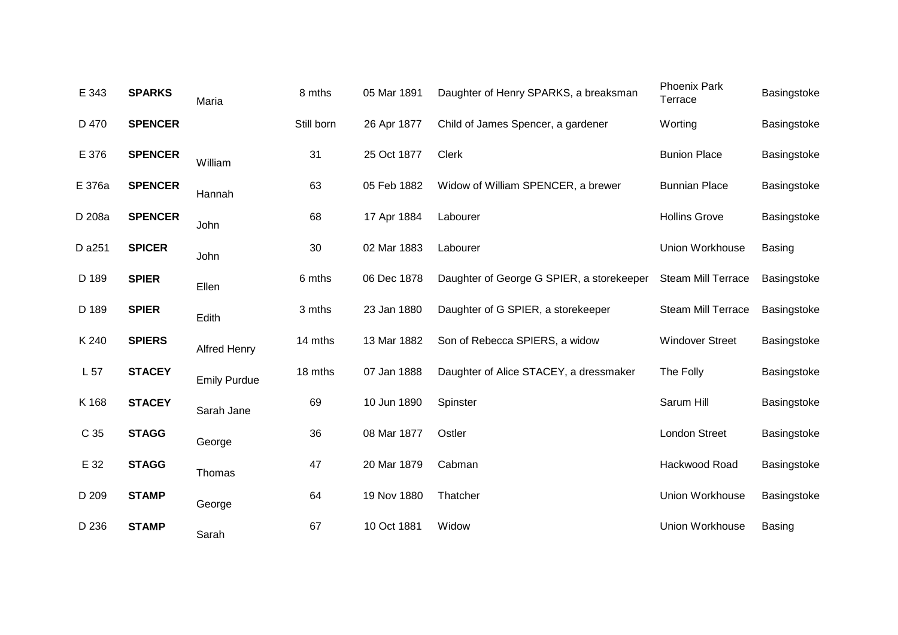| E 343  | <b>SPARKS</b>  | Maria               | 8 mths     | 05 Mar 1891 | Daughter of Henry SPARKS, a breaksman     | <b>Phoenix Park</b><br>Terrace | Basingstoke   |
|--------|----------------|---------------------|------------|-------------|-------------------------------------------|--------------------------------|---------------|
| D 470  | <b>SPENCER</b> |                     | Still born | 26 Apr 1877 | Child of James Spencer, a gardener        | Worting                        | Basingstoke   |
| E 376  | <b>SPENCER</b> | William             | 31         | 25 Oct 1877 | <b>Clerk</b>                              | <b>Bunion Place</b>            | Basingstoke   |
| E 376a | <b>SPENCER</b> | Hannah              | 63         | 05 Feb 1882 | Widow of William SPENCER, a brewer        | <b>Bunnian Place</b>           | Basingstoke   |
| D 208a | <b>SPENCER</b> | John                | 68         | 17 Apr 1884 | Labourer                                  | <b>Hollins Grove</b>           | Basingstoke   |
| D a251 | <b>SPICER</b>  | John                | 30         | 02 Mar 1883 | Labourer                                  | Union Workhouse                | <b>Basing</b> |
| D 189  | <b>SPIER</b>   | Ellen               | 6 mths     | 06 Dec 1878 | Daughter of George G SPIER, a storekeeper | <b>Steam Mill Terrace</b>      | Basingstoke   |
| D 189  | <b>SPIER</b>   | Edith               | 3 mths     | 23 Jan 1880 | Daughter of G SPIER, a storekeeper        | <b>Steam Mill Terrace</b>      | Basingstoke   |
| K 240  | <b>SPIERS</b>  | <b>Alfred Henry</b> | 14 mths    | 13 Mar 1882 | Son of Rebecca SPIERS, a widow            | <b>Windover Street</b>         | Basingstoke   |
| L 57   | <b>STACEY</b>  | <b>Emily Purdue</b> | 18 mths    | 07 Jan 1888 | Daughter of Alice STACEY, a dressmaker    | The Folly                      | Basingstoke   |
| K 168  | <b>STACEY</b>  | Sarah Jane          | 69         | 10 Jun 1890 | Spinster                                  | Sarum Hill                     | Basingstoke   |
| C 35   | <b>STAGG</b>   | George              | 36         | 08 Mar 1877 | Ostler                                    | <b>London Street</b>           | Basingstoke   |
| E 32   | <b>STAGG</b>   | Thomas              | 47         | 20 Mar 1879 | Cabman                                    | Hackwood Road                  | Basingstoke   |
| D 209  | <b>STAMP</b>   | George              | 64         | 19 Nov 1880 | Thatcher                                  | Union Workhouse                | Basingstoke   |
| D 236  | <b>STAMP</b>   | Sarah               | 67         | 10 Oct 1881 | Widow                                     | Union Workhouse                | Basing        |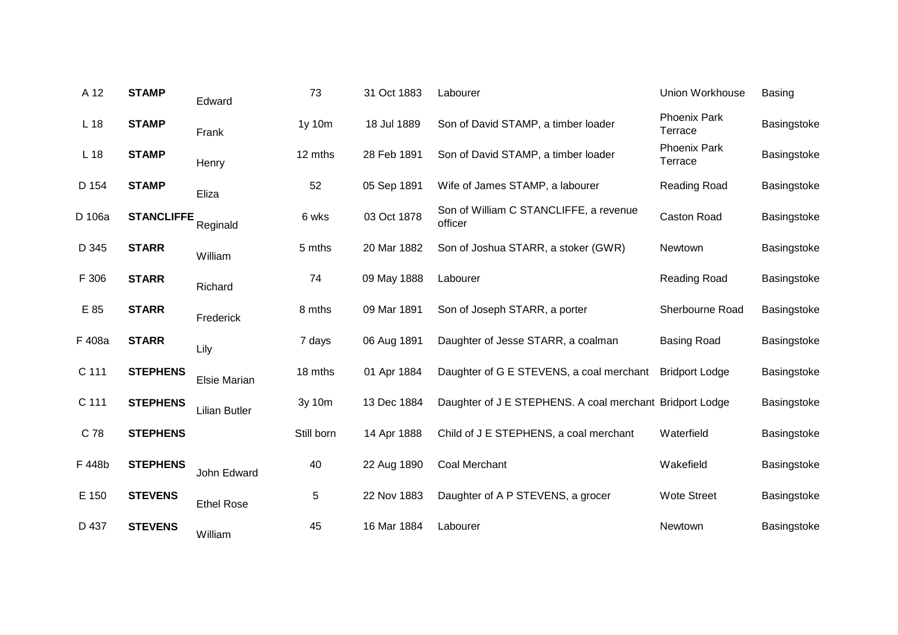| A 12            | <b>STAMP</b>      | Edward               | 73         | 31 Oct 1883 | Labourer                                                 | Union Workhouse                | <b>Basing</b> |
|-----------------|-------------------|----------------------|------------|-------------|----------------------------------------------------------|--------------------------------|---------------|
| L <sub>18</sub> | <b>STAMP</b>      | Frank                | 1y 10m     | 18 Jul 1889 | Son of David STAMP, a timber loader                      | <b>Phoenix Park</b><br>Terrace | Basingstoke   |
| L <sub>18</sub> | <b>STAMP</b>      | Henry                | 12 mths    | 28 Feb 1891 | Son of David STAMP, a timber loader                      | <b>Phoenix Park</b><br>Terrace | Basingstoke   |
| D 154           | <b>STAMP</b>      | Eliza                | 52         | 05 Sep 1891 | Wife of James STAMP, a labourer                          | Reading Road                   | Basingstoke   |
| D 106a          | <b>STANCLIFFE</b> | Reginald             | 6 wks      | 03 Oct 1878 | Son of William C STANCLIFFE, a revenue<br>officer        | <b>Caston Road</b>             | Basingstoke   |
| D 345           | <b>STARR</b>      | William              | 5 mths     | 20 Mar 1882 | Son of Joshua STARR, a stoker (GWR)                      | Newtown                        | Basingstoke   |
| F 306           | <b>STARR</b>      | Richard              | 74         | 09 May 1888 | Labourer                                                 | Reading Road                   | Basingstoke   |
| E 85            | <b>STARR</b>      | Frederick            | 8 mths     | 09 Mar 1891 | Son of Joseph STARR, a porter                            | Sherbourne Road                | Basingstoke   |
| F 408a          | <b>STARR</b>      | Lily                 | 7 days     | 06 Aug 1891 | Daughter of Jesse STARR, a coalman                       | <b>Basing Road</b>             | Basingstoke   |
| C 111           | <b>STEPHENS</b>   | <b>Elsie Marian</b>  | 18 mths    | 01 Apr 1884 | Daughter of G E STEVENS, a coal merchant                 | <b>Bridport Lodge</b>          | Basingstoke   |
| C 111           | <b>STEPHENS</b>   | <b>Lilian Butler</b> | 3y 10m     | 13 Dec 1884 | Daughter of J E STEPHENS. A coal merchant Bridport Lodge |                                | Basingstoke   |
| C 78            | <b>STEPHENS</b>   |                      | Still born | 14 Apr 1888 | Child of J E STEPHENS, a coal merchant                   | Waterfield                     | Basingstoke   |
| F 448b          | <b>STEPHENS</b>   | John Edward          | 40         | 22 Aug 1890 | <b>Coal Merchant</b>                                     | Wakefield                      | Basingstoke   |
| E 150           | <b>STEVENS</b>    | <b>Ethel Rose</b>    | 5          | 22 Nov 1883 | Daughter of A P STEVENS, a grocer                        | <b>Wote Street</b>             | Basingstoke   |
| D 437           | <b>STEVENS</b>    | William              | 45         | 16 Mar 1884 | Labourer                                                 | Newtown                        | Basingstoke   |
|                 |                   |                      |            |             |                                                          |                                |               |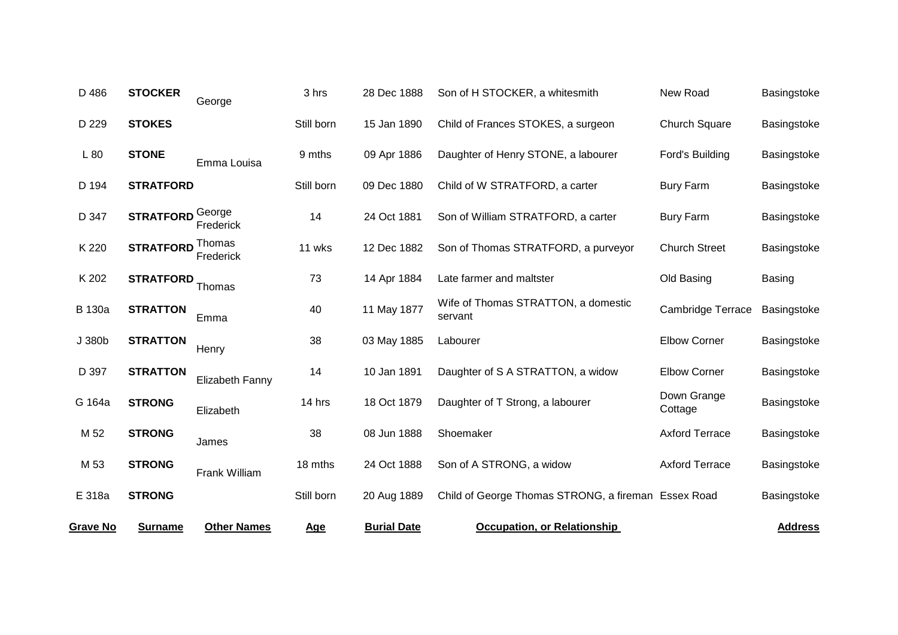| <b>Grave No</b> | <b>Surname</b>   | <b>Other Names</b>  | <u>Age</u> | <b>Burial Date</b> | <b>Occupation, or Relationship</b>                  |                          | <b>Address</b> |
|-----------------|------------------|---------------------|------------|--------------------|-----------------------------------------------------|--------------------------|----------------|
| E 318a          | <b>STRONG</b>    |                     | Still born | 20 Aug 1889        | Child of George Thomas STRONG, a fireman Essex Road |                          | Basingstoke    |
| M 53            | <b>STRONG</b>    | Frank William       | 18 mths    | 24 Oct 1888        | Son of A STRONG, a widow                            | <b>Axford Terrace</b>    | Basingstoke    |
| M 52            | <b>STRONG</b>    | James               | 38         | 08 Jun 1888        | Shoemaker                                           | <b>Axford Terrace</b>    | Basingstoke    |
| G 164a          | <b>STRONG</b>    | Elizabeth           | 14 hrs     | 18 Oct 1879        | Daughter of T Strong, a labourer                    | Down Grange<br>Cottage   | Basingstoke    |
| D 397           | <b>STRATTON</b>  | Elizabeth Fanny     | 14         | 10 Jan 1891        | Daughter of S A STRATTON, a widow                   | <b>Elbow Corner</b>      | Basingstoke    |
| J 380b          | <b>STRATTON</b>  | Henry               | 38         | 03 May 1885        | Labourer                                            | <b>Elbow Corner</b>      | Basingstoke    |
| <b>B</b> 130a   | <b>STRATTON</b>  | Emma                | 40         | 11 May 1877        | Wife of Thomas STRATTON, a domestic<br>servant      | <b>Cambridge Terrace</b> | Basingstoke    |
| K 202           | <b>STRATFORD</b> | Thomas              | 73         | 14 Apr 1884        | Late farmer and maltster                            | Old Basing               | <b>Basing</b>  |
| K 220           | <b>STRATFORD</b> | Thomas<br>Frederick | 11 wks     | 12 Dec 1882        | Son of Thomas STRATFORD, a purveyor                 | <b>Church Street</b>     | Basingstoke    |
| D 347           | <b>STRATFORD</b> | George<br>Frederick | 14         | 24 Oct 1881        | Son of William STRATFORD, a carter                  | <b>Bury Farm</b>         | Basingstoke    |
| D 194           | <b>STRATFORD</b> |                     | Still born | 09 Dec 1880        | Child of W STRATFORD, a carter                      | <b>Bury Farm</b>         | Basingstoke    |
| L80             | <b>STONE</b>     | Emma Louisa         | 9 mths     | 09 Apr 1886        | Daughter of Henry STONE, a labourer                 | Ford's Building          | Basingstoke    |
| D 229           | <b>STOKES</b>    |                     | Still born | 15 Jan 1890        | Child of Frances STOKES, a surgeon                  | <b>Church Square</b>     | Basingstoke    |
| D 486           | <b>STOCKER</b>   | George              | 3 hrs      | 28 Dec 1888        | Son of H STOCKER, a whitesmith                      | New Road                 | Basingstoke    |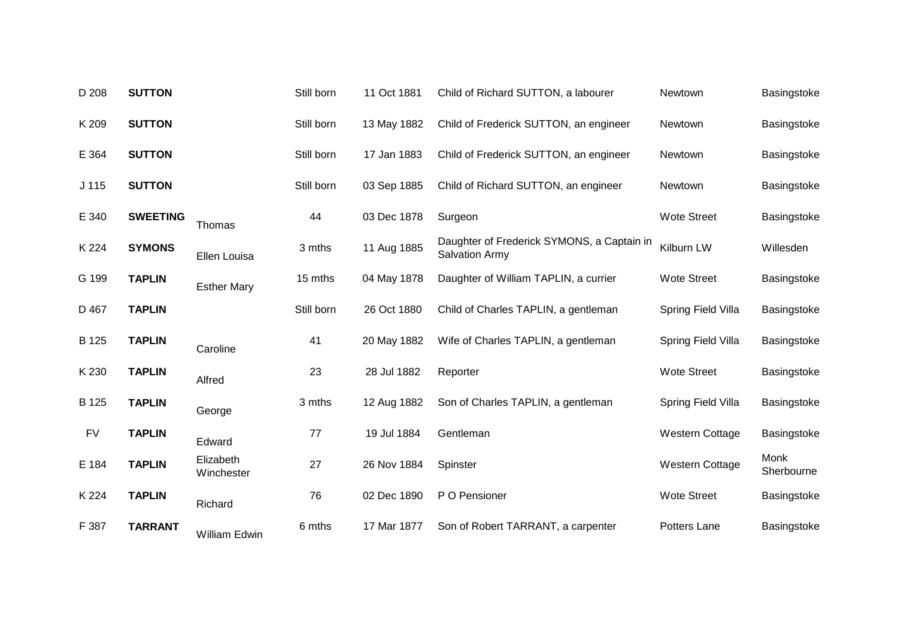| D 208            | <b>SUTTON</b>   |                         | Still born | 11 Oct 1881 | Child of Richard SUTTON, a labourer                                 | Newtown                | Basingstoke        |
|------------------|-----------------|-------------------------|------------|-------------|---------------------------------------------------------------------|------------------------|--------------------|
| K 209            | <b>SUTTON</b>   |                         | Still born | 13 May 1882 | Child of Frederick SUTTON, an engineer                              | Newtown                | Basingstoke        |
| E 364            | <b>SUTTON</b>   |                         | Still born | 17 Jan 1883 | Child of Frederick SUTTON, an engineer                              | Newtown                | Basingstoke        |
| J <sub>115</sub> | <b>SUTTON</b>   |                         | Still born | 03 Sep 1885 | Child of Richard SUTTON, an engineer                                | Newtown                | Basingstoke        |
| E 340            | <b>SWEETING</b> | Thomas                  | 44         | 03 Dec 1878 | Surgeon                                                             | <b>Wote Street</b>     | Basingstoke        |
| K 224            | <b>SYMONS</b>   | Ellen Louisa            | 3 mths     | 11 Aug 1885 | Daughter of Frederick SYMONS, a Captain in<br><b>Salvation Army</b> | Kilburn LW             | Willesden          |
| G 199            | <b>TAPLIN</b>   | <b>Esther Mary</b>      | 15 mths    | 04 May 1878 | Daughter of William TAPLIN, a currier                               | <b>Wote Street</b>     | Basingstoke        |
| D 467            | <b>TAPLIN</b>   |                         | Still born | 26 Oct 1880 | Child of Charles TAPLIN, a gentleman                                | Spring Field Villa     | Basingstoke        |
| B 125            | <b>TAPLIN</b>   | Caroline                | 41         | 20 May 1882 | Wife of Charles TAPLIN, a gentleman                                 | Spring Field Villa     | Basingstoke        |
| K 230            | <b>TAPLIN</b>   | Alfred                  | 23         | 28 Jul 1882 | Reporter                                                            | <b>Wote Street</b>     | Basingstoke        |
| B 125            | <b>TAPLIN</b>   | George                  | 3 mths     | 12 Aug 1882 | Son of Charles TAPLIN, a gentleman                                  | Spring Field Villa     | Basingstoke        |
| <b>FV</b>        | <b>TAPLIN</b>   | Edward                  | 77         | 19 Jul 1884 | Gentleman                                                           | <b>Western Cottage</b> | Basingstoke        |
| E 184            | <b>TAPLIN</b>   | Elizabeth<br>Winchester | 27         | 26 Nov 1884 | Spinster                                                            | <b>Western Cottage</b> | Monk<br>Sherbourne |
| K 224            | <b>TAPLIN</b>   | Richard                 | 76         | 02 Dec 1890 | P O Pensioner                                                       | <b>Wote Street</b>     | Basingstoke        |
| F 387            | <b>TARRANT</b>  | <b>William Edwin</b>    | 6 mths     | 17 Mar 1877 | Son of Robert TARRANT, a carpenter                                  | Potters Lane           | Basingstoke        |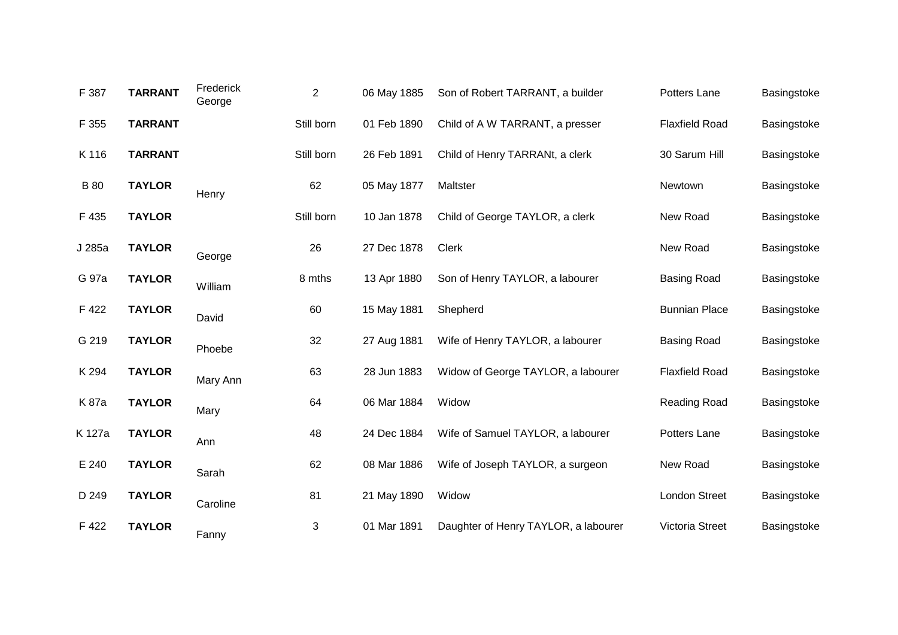| F 387       | <b>TARRANT</b> | Frederick<br>George | $\overline{2}$ | 06 May 1885 | Son of Robert TARRANT, a builder     | Potters Lane          | Basingstoke |
|-------------|----------------|---------------------|----------------|-------------|--------------------------------------|-----------------------|-------------|
| F 355       | <b>TARRANT</b> |                     | Still born     | 01 Feb 1890 | Child of A W TARRANT, a presser      | <b>Flaxfield Road</b> | Basingstoke |
| K 116       | <b>TARRANT</b> |                     | Still born     | 26 Feb 1891 | Child of Henry TARRANt, a clerk      | 30 Sarum Hill         | Basingstoke |
| <b>B</b> 80 | <b>TAYLOR</b>  | Henry               | 62             | 05 May 1877 | Maltster                             | Newtown               | Basingstoke |
| F 435       | <b>TAYLOR</b>  |                     | Still born     | 10 Jan 1878 | Child of George TAYLOR, a clerk      | New Road              | Basingstoke |
| J 285a      | <b>TAYLOR</b>  | George              | 26             | 27 Dec 1878 | <b>Clerk</b>                         | New Road              | Basingstoke |
| G 97a       | <b>TAYLOR</b>  | William             | 8 mths         | 13 Apr 1880 | Son of Henry TAYLOR, a labourer      | <b>Basing Road</b>    | Basingstoke |
| F 422       | <b>TAYLOR</b>  | David               | 60             | 15 May 1881 | Shepherd                             | <b>Bunnian Place</b>  | Basingstoke |
| G 219       | <b>TAYLOR</b>  | Phoebe              | 32             | 27 Aug 1881 | Wife of Henry TAYLOR, a labourer     | <b>Basing Road</b>    | Basingstoke |
| K 294       | <b>TAYLOR</b>  | Mary Ann            | 63             | 28 Jun 1883 | Widow of George TAYLOR, a labourer   | <b>Flaxfield Road</b> | Basingstoke |
| K 87a       | <b>TAYLOR</b>  | Mary                | 64             | 06 Mar 1884 | Widow                                | Reading Road          | Basingstoke |
| K 127a      | <b>TAYLOR</b>  | Ann                 | 48             | 24 Dec 1884 | Wife of Samuel TAYLOR, a labourer    | Potters Lane          | Basingstoke |
| E 240       | <b>TAYLOR</b>  | Sarah               | 62             | 08 Mar 1886 | Wife of Joseph TAYLOR, a surgeon     | New Road              | Basingstoke |
| D 249       | <b>TAYLOR</b>  | Caroline            | 81             | 21 May 1890 | Widow                                | <b>London Street</b>  | Basingstoke |
| F 422       | <b>TAYLOR</b>  | Fanny               | 3              | 01 Mar 1891 | Daughter of Henry TAYLOR, a labourer | Victoria Street       | Basingstoke |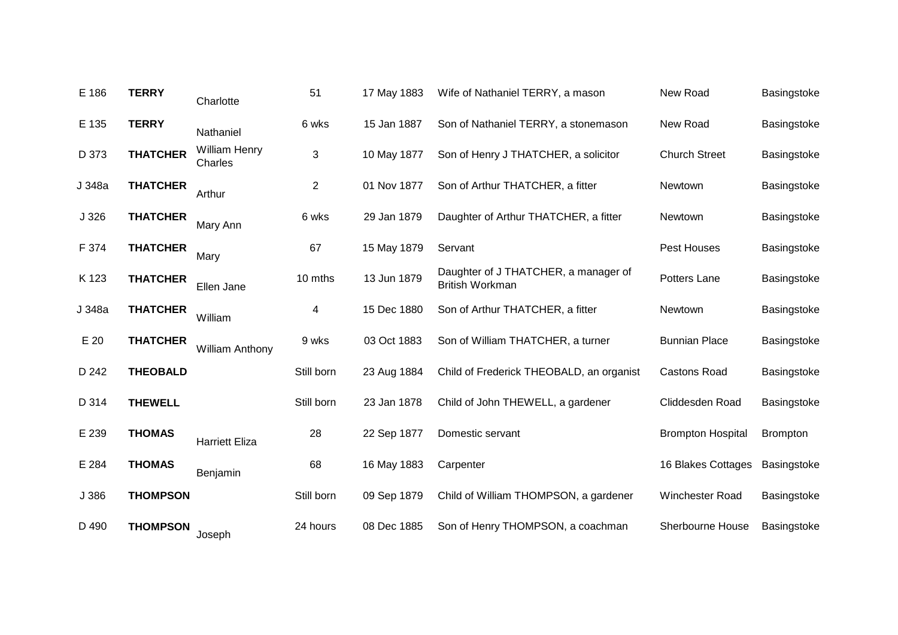| E 186            | <b>TERRY</b>    | Charlotte                       | 51             | 17 May 1883 | Wife of Nathaniel TERRY, a mason                               | New Road                 | Basingstoke     |
|------------------|-----------------|---------------------------------|----------------|-------------|----------------------------------------------------------------|--------------------------|-----------------|
| E 135            | <b>TERRY</b>    | Nathaniel                       | 6 wks          | 15 Jan 1887 | Son of Nathaniel TERRY, a stonemason                           | New Road                 | Basingstoke     |
| D 373            | <b>THATCHER</b> | <b>William Henry</b><br>Charles | 3              | 10 May 1877 | Son of Henry J THATCHER, a solicitor                           | <b>Church Street</b>     | Basingstoke     |
| J 348a           | <b>THATCHER</b> | Arthur                          | $\overline{c}$ | 01 Nov 1877 | Son of Arthur THATCHER, a fitter                               | Newtown                  | Basingstoke     |
| J <sub>326</sub> | <b>THATCHER</b> | Mary Ann                        | 6 wks          | 29 Jan 1879 | Daughter of Arthur THATCHER, a fitter                          | Newtown                  | Basingstoke     |
| F 374            | <b>THATCHER</b> | Mary                            | 67             | 15 May 1879 | Servant                                                        | Pest Houses              | Basingstoke     |
| K 123            | <b>THATCHER</b> | Ellen Jane                      | 10 mths        | 13 Jun 1879 | Daughter of J THATCHER, a manager of<br><b>British Workman</b> | Potters Lane             | Basingstoke     |
| J 348a           | <b>THATCHER</b> | William                         | 4              | 15 Dec 1880 | Son of Arthur THATCHER, a fitter                               | Newtown                  | Basingstoke     |
| E 20             | <b>THATCHER</b> | <b>William Anthony</b>          | 9 wks          | 03 Oct 1883 | Son of William THATCHER, a turner                              | <b>Bunnian Place</b>     | Basingstoke     |
| D 242            | <b>THEOBALD</b> |                                 | Still born     | 23 Aug 1884 | Child of Frederick THEOBALD, an organist                       | <b>Castons Road</b>      | Basingstoke     |
| D 314            | <b>THEWELL</b>  |                                 | Still born     | 23 Jan 1878 | Child of John THEWELL, a gardener                              | Cliddesden Road          | Basingstoke     |
| E 239            | <b>THOMAS</b>   | <b>Harriett Eliza</b>           | 28             | 22 Sep 1877 | Domestic servant                                               | <b>Brompton Hospital</b> | <b>Brompton</b> |
| E 284            | <b>THOMAS</b>   | Benjamin                        | 68             | 16 May 1883 | Carpenter                                                      | 16 Blakes Cottages       | Basingstoke     |
| J 386            | <b>THOMPSON</b> |                                 | Still born     | 09 Sep 1879 | Child of William THOMPSON, a gardener                          | Winchester Road          | Basingstoke     |
| D 490            | <b>THOMPSON</b> | Joseph                          | 24 hours       | 08 Dec 1885 | Son of Henry THOMPSON, a coachman                              | Sherbourne House         | Basingstoke     |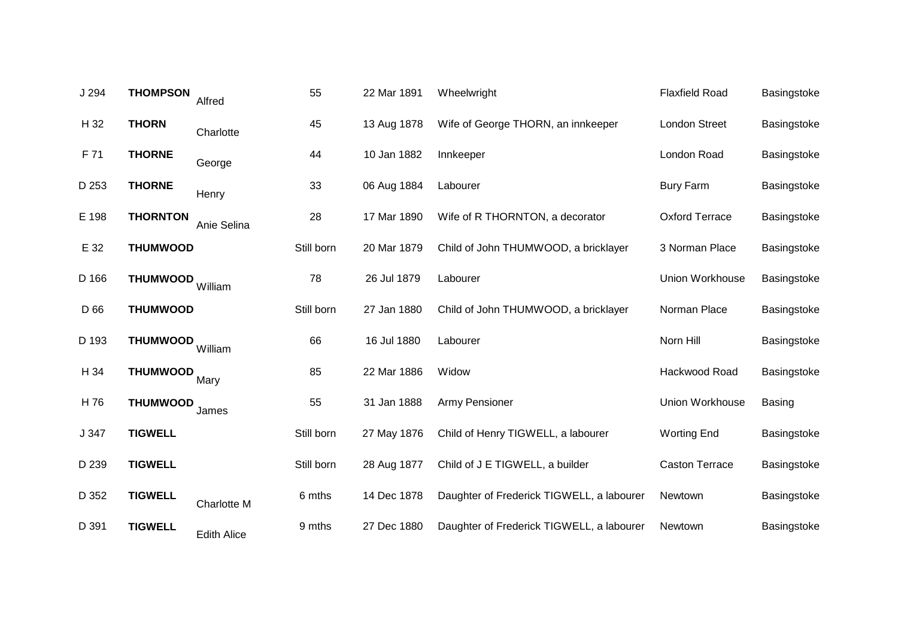| J 294 | <b>THOMPSON</b> | Alfred             | 55         | 22 Mar 1891 | Wheelwright                               | <b>Flaxfield Road</b> | Basingstoke   |
|-------|-----------------|--------------------|------------|-------------|-------------------------------------------|-----------------------|---------------|
| H 32  | <b>THORN</b>    | Charlotte          | 45         | 13 Aug 1878 | Wife of George THORN, an innkeeper        | <b>London Street</b>  | Basingstoke   |
| F 71  | <b>THORNE</b>   | George             | 44         | 10 Jan 1882 | Innkeeper                                 | London Road           | Basingstoke   |
| D 253 | <b>THORNE</b>   | Henry              | 33         | 06 Aug 1884 | Labourer                                  | <b>Bury Farm</b>      | Basingstoke   |
| E 198 | <b>THORNTON</b> | Anie Selina        | 28         | 17 Mar 1890 | Wife of R THORNTON, a decorator           | <b>Oxford Terrace</b> | Basingstoke   |
| E 32  | <b>THUMWOOD</b> |                    | Still born | 20 Mar 1879 | Child of John THUMWOOD, a bricklayer      | 3 Norman Place        | Basingstoke   |
| D 166 | <b>THUMWOOD</b> | William            | 78         | 26 Jul 1879 | Labourer                                  | Union Workhouse       | Basingstoke   |
| D 66  | <b>THUMWOOD</b> |                    | Still born | 27 Jan 1880 | Child of John THUMWOOD, a bricklayer      | Norman Place          | Basingstoke   |
| D 193 | <b>THUMWOOD</b> | William            | 66         | 16 Jul 1880 | Labourer                                  | Norn Hill             | Basingstoke   |
| H 34  | <b>THUMWOOD</b> | Mary               | 85         | 22 Mar 1886 | Widow                                     | Hackwood Road         | Basingstoke   |
| H 76  | <b>THUMWOOD</b> | James              | 55         | 31 Jan 1888 | <b>Army Pensioner</b>                     | Union Workhouse       | <b>Basing</b> |
| J 347 | <b>TIGWELL</b>  |                    | Still born | 27 May 1876 | Child of Henry TIGWELL, a labourer        | <b>Worting End</b>    | Basingstoke   |
| D 239 | <b>TIGWELL</b>  |                    | Still born | 28 Aug 1877 | Child of J E TIGWELL, a builder           | <b>Caston Terrace</b> | Basingstoke   |
| D 352 | <b>TIGWELL</b>  | Charlotte M        | 6 mths     | 14 Dec 1878 | Daughter of Frederick TIGWELL, a labourer | Newtown               | Basingstoke   |
| D 391 | <b>TIGWELL</b>  | <b>Edith Alice</b> | 9 mths     | 27 Dec 1880 | Daughter of Frederick TIGWELL, a labourer | Newtown               | Basingstoke   |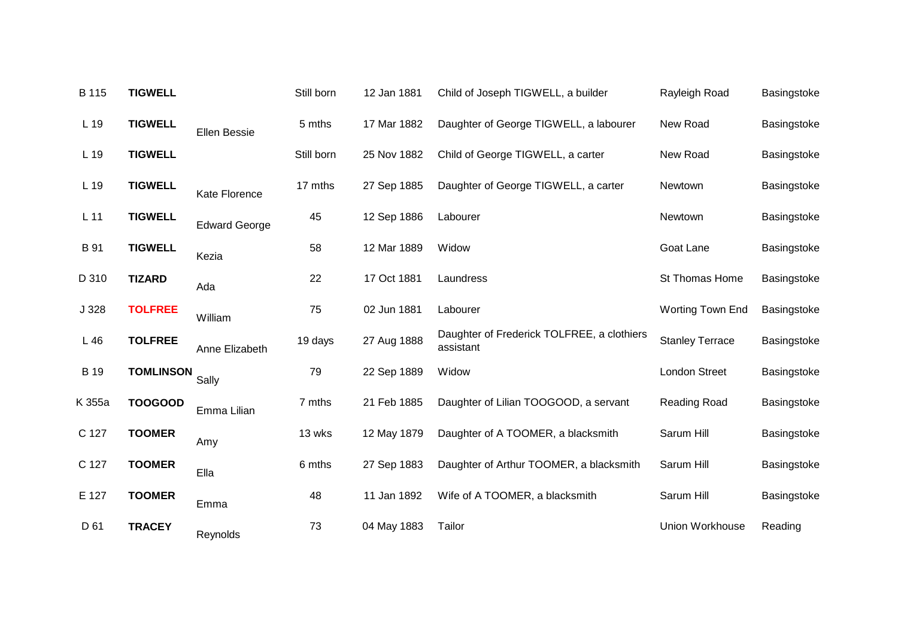| B 115       | <b>TIGWELL</b>   |                      | Still born | 12 Jan 1881 | Child of Joseph TIGWELL, a builder                      | Rayleigh Road           | Basingstoke |
|-------------|------------------|----------------------|------------|-------------|---------------------------------------------------------|-------------------------|-------------|
| L 19        | <b>TIGWELL</b>   | Ellen Bessie         | 5 mths     | 17 Mar 1882 | Daughter of George TIGWELL, a labourer                  | New Road                | Basingstoke |
| L 19        | <b>TIGWELL</b>   |                      | Still born | 25 Nov 1882 | Child of George TIGWELL, a carter                       | New Road                | Basingstoke |
| L 19        | <b>TIGWELL</b>   | Kate Florence        | 17 mths    | 27 Sep 1885 | Daughter of George TIGWELL, a carter                    | Newtown                 | Basingstoke |
| $L$ 11      | <b>TIGWELL</b>   | <b>Edward George</b> | 45         | 12 Sep 1886 | Labourer                                                | Newtown                 | Basingstoke |
| B 91        | <b>TIGWELL</b>   | Kezia                | 58         | 12 Mar 1889 | Widow                                                   | Goat Lane               | Basingstoke |
| D 310       | <b>TIZARD</b>    | Ada                  | 22         | 17 Oct 1881 | Laundress                                               | St Thomas Home          | Basingstoke |
| J 328       | <b>TOLFREE</b>   | William              | 75         | 02 Jun 1881 | Labourer                                                | <b>Worting Town End</b> | Basingstoke |
| L46         | <b>TOLFREE</b>   | Anne Elizabeth       | 19 days    | 27 Aug 1888 | Daughter of Frederick TOLFREE, a clothiers<br>assistant | <b>Stanley Terrace</b>  | Basingstoke |
| <b>B</b> 19 | <b>TOMLINSON</b> | Sally                | 79         | 22 Sep 1889 | Widow                                                   | <b>London Street</b>    | Basingstoke |
| K 355a      | <b>TOOGOOD</b>   | Emma Lilian          | 7 mths     | 21 Feb 1885 | Daughter of Lilian TOOGOOD, a servant                   | Reading Road            | Basingstoke |
| C 127       | <b>TOOMER</b>    | Amy                  | 13 wks     | 12 May 1879 | Daughter of A TOOMER, a blacksmith                      | Sarum Hill              | Basingstoke |
| C 127       | <b>TOOMER</b>    | Ella                 | 6 mths     | 27 Sep 1883 | Daughter of Arthur TOOMER, a blacksmith                 | Sarum Hill              | Basingstoke |
| E 127       | <b>TOOMER</b>    | Emma                 | 48         | 11 Jan 1892 | Wife of A TOOMER, a blacksmith                          | Sarum Hill              | Basingstoke |
| D 61        | <b>TRACEY</b>    | Reynolds             | 73         | 04 May 1883 | Tailor                                                  | Union Workhouse         | Reading     |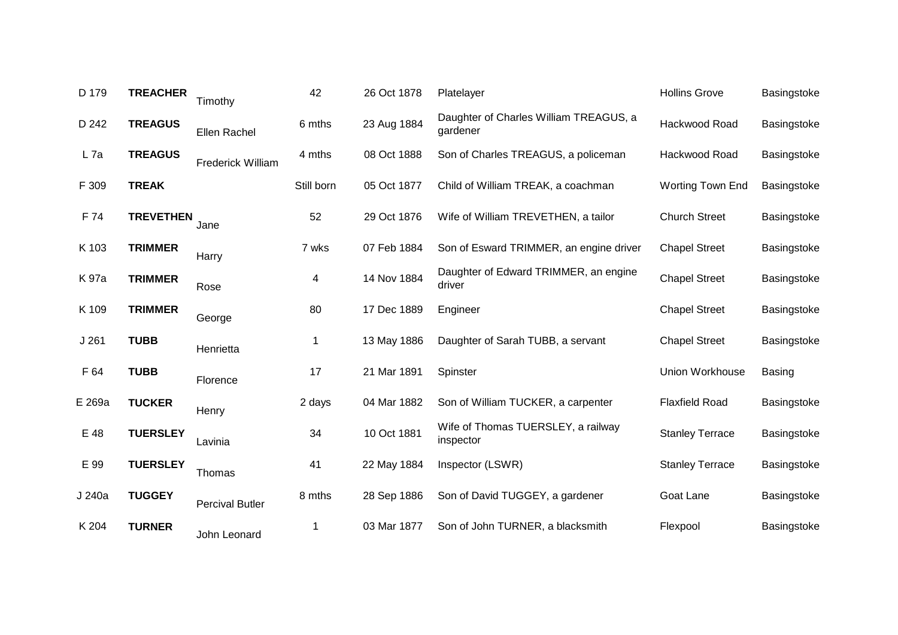| D 179  | <b>TREACHER</b>  | Timothy                | 42         | 26 Oct 1878 | Platelayer                                         | <b>Hollins Grove</b>   | Basingstoke   |
|--------|------------------|------------------------|------------|-------------|----------------------------------------------------|------------------------|---------------|
| D 242  | <b>TREAGUS</b>   | Ellen Rachel           | 6 mths     | 23 Aug 1884 | Daughter of Charles William TREAGUS, a<br>gardener | Hackwood Road          | Basingstoke   |
| $L$ 7a | <b>TREAGUS</b>   | Frederick William      | 4 mths     | 08 Oct 1888 | Son of Charles TREAGUS, a policeman                | Hackwood Road          | Basingstoke   |
| F 309  | <b>TREAK</b>     |                        | Still born | 05 Oct 1877 | Child of William TREAK, a coachman                 | Worting Town End       | Basingstoke   |
| F 74   | <b>TREVETHEN</b> | Jane                   | 52         | 29 Oct 1876 | Wife of William TREVETHEN, a tailor                | <b>Church Street</b>   | Basingstoke   |
| K 103  | <b>TRIMMER</b>   | Harry                  | 7 wks      | 07 Feb 1884 | Son of Esward TRIMMER, an engine driver            | <b>Chapel Street</b>   | Basingstoke   |
| K 97a  | <b>TRIMMER</b>   | Rose                   | 4          | 14 Nov 1884 | Daughter of Edward TRIMMER, an engine<br>driver    | <b>Chapel Street</b>   | Basingstoke   |
| K 109  | <b>TRIMMER</b>   | George                 | 80         | 17 Dec 1889 | Engineer                                           | <b>Chapel Street</b>   | Basingstoke   |
| J261   | <b>TUBB</b>      | Henrietta              | 1          | 13 May 1886 | Daughter of Sarah TUBB, a servant                  | <b>Chapel Street</b>   | Basingstoke   |
| F 64   | <b>TUBB</b>      | Florence               | 17         | 21 Mar 1891 | Spinster                                           | Union Workhouse        | <b>Basing</b> |
| E 269a | <b>TUCKER</b>    | Henry                  | 2 days     | 04 Mar 1882 | Son of William TUCKER, a carpenter                 | <b>Flaxfield Road</b>  | Basingstoke   |
| E 48   | <b>TUERSLEY</b>  | Lavinia                | 34         | 10 Oct 1881 | Wife of Thomas TUERSLEY, a railway<br>inspector    | <b>Stanley Terrace</b> | Basingstoke   |
| E 99   | <b>TUERSLEY</b>  | Thomas                 | 41         | 22 May 1884 | Inspector (LSWR)                                   | <b>Stanley Terrace</b> | Basingstoke   |
| J 240a | <b>TUGGEY</b>    | <b>Percival Butler</b> | 8 mths     | 28 Sep 1886 | Son of David TUGGEY, a gardener                    | Goat Lane              | Basingstoke   |
| K 204  | <b>TURNER</b>    | John Leonard           | 1          | 03 Mar 1877 | Son of John TURNER, a blacksmith                   | Flexpool               | Basingstoke   |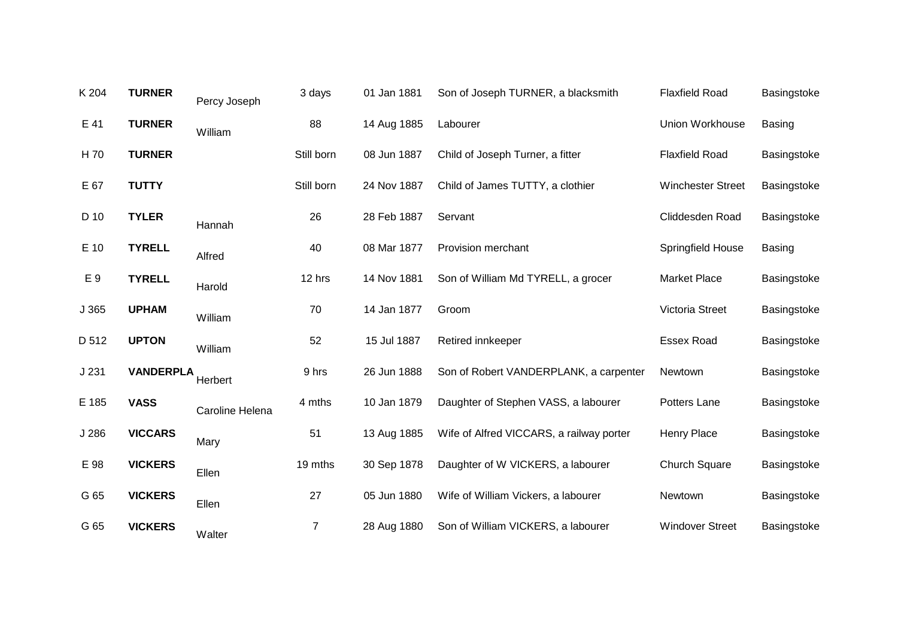| K 204 | <b>TURNER</b>    | Percy Joseph    | 3 days         | 01 Jan 1881 | Son of Joseph TURNER, a blacksmith       | <b>Flaxfield Road</b>    | Basingstoke   |
|-------|------------------|-----------------|----------------|-------------|------------------------------------------|--------------------------|---------------|
| E 41  | <b>TURNER</b>    | William         | 88             | 14 Aug 1885 | Labourer                                 | Union Workhouse          | <b>Basing</b> |
| H 70  | <b>TURNER</b>    |                 | Still born     | 08 Jun 1887 | Child of Joseph Turner, a fitter         | <b>Flaxfield Road</b>    | Basingstoke   |
| E 67  | <b>TUTTY</b>     |                 | Still born     | 24 Nov 1887 | Child of James TUTTY, a clothier         | <b>Winchester Street</b> | Basingstoke   |
| D 10  | <b>TYLER</b>     | Hannah          | 26             | 28 Feb 1887 | Servant                                  | Cliddesden Road          | Basingstoke   |
| E 10  | <b>TYRELL</b>    | Alfred          | 40             | 08 Mar 1877 | Provision merchant                       | Springfield House        | <b>Basing</b> |
| E 9   | <b>TYRELL</b>    | Harold          | 12 hrs         | 14 Nov 1881 | Son of William Md TYRELL, a grocer       | <b>Market Place</b>      | Basingstoke   |
| J 365 | <b>UPHAM</b>     | William         | 70             | 14 Jan 1877 | Groom                                    | Victoria Street          | Basingstoke   |
| D 512 | <b>UPTON</b>     | William         | 52             | 15 Jul 1887 | Retired innkeeper                        | <b>Essex Road</b>        | Basingstoke   |
| J231  | <b>VANDERPLA</b> | Herbert         | 9 hrs          | 26 Jun 1888 | Son of Robert VANDERPLANK, a carpenter   | Newtown                  | Basingstoke   |
| E 185 | <b>VASS</b>      | Caroline Helena | 4 mths         | 10 Jan 1879 | Daughter of Stephen VASS, a labourer     | Potters Lane             | Basingstoke   |
| J 286 | <b>VICCARS</b>   | Mary            | 51             | 13 Aug 1885 | Wife of Alfred VICCARS, a railway porter | <b>Henry Place</b>       | Basingstoke   |
| E 98  | <b>VICKERS</b>   | Ellen           | 19 mths        | 30 Sep 1878 | Daughter of W VICKERS, a labourer        | <b>Church Square</b>     | Basingstoke   |
| G 65  | <b>VICKERS</b>   | Ellen           | 27             | 05 Jun 1880 | Wife of William Vickers, a labourer      | Newtown                  | Basingstoke   |
| G 65  | <b>VICKERS</b>   | Walter          | $\overline{7}$ | 28 Aug 1880 | Son of William VICKERS, a labourer       | <b>Windover Street</b>   | Basingstoke   |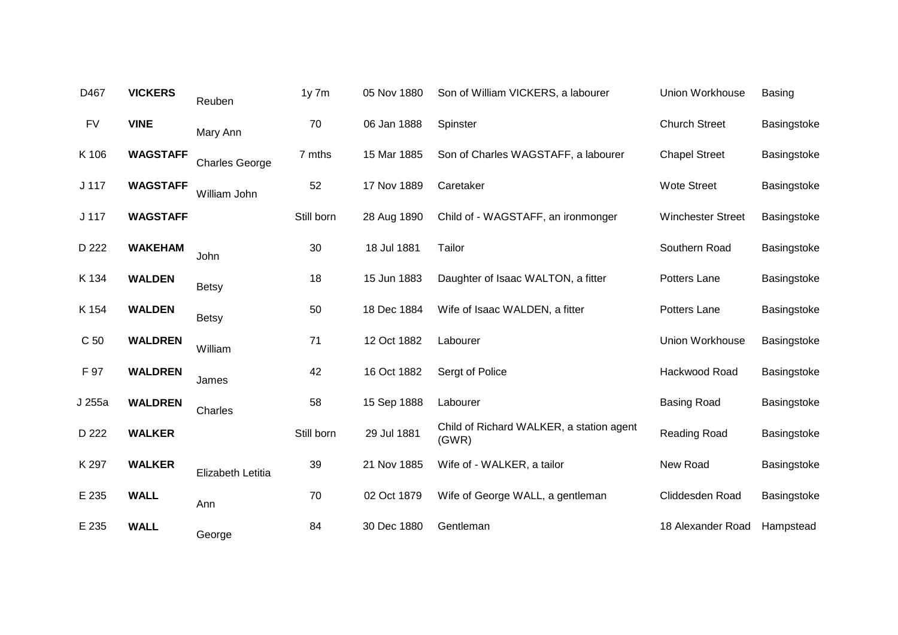| D467             | <b>VICKERS</b>  | Reuben                | $1y$ 7 $m$ | 05 Nov 1880 | Son of William VICKERS, a labourer                | Union Workhouse          | <b>Basing</b> |
|------------------|-----------------|-----------------------|------------|-------------|---------------------------------------------------|--------------------------|---------------|
| <b>FV</b>        | <b>VINE</b>     | Mary Ann              | 70         | 06 Jan 1888 | Spinster                                          | <b>Church Street</b>     | Basingstoke   |
| K 106            | <b>WAGSTAFF</b> | <b>Charles George</b> | 7 mths     | 15 Mar 1885 | Son of Charles WAGSTAFF, a labourer               | <b>Chapel Street</b>     | Basingstoke   |
| J <sub>117</sub> | <b>WAGSTAFF</b> | William John          | 52         | 17 Nov 1889 | Caretaker                                         | <b>Wote Street</b>       | Basingstoke   |
| J 117            | <b>WAGSTAFF</b> |                       | Still born | 28 Aug 1890 | Child of - WAGSTAFF, an ironmonger                | <b>Winchester Street</b> | Basingstoke   |
| D 222            | <b>WAKEHAM</b>  | John                  | 30         | 18 Jul 1881 | Tailor                                            | Southern Road            | Basingstoke   |
| K 134            | <b>WALDEN</b>   | <b>Betsy</b>          | 18         | 15 Jun 1883 | Daughter of Isaac WALTON, a fitter                | Potters Lane             | Basingstoke   |
| K 154            | <b>WALDEN</b>   | <b>Betsy</b>          | 50         | 18 Dec 1884 | Wife of Isaac WALDEN, a fitter                    | Potters Lane             | Basingstoke   |
| C 50             | <b>WALDREN</b>  | William               | 71         | 12 Oct 1882 | Labourer                                          | Union Workhouse          | Basingstoke   |
| F 97             | <b>WALDREN</b>  | James                 | 42         | 16 Oct 1882 | Sergt of Police                                   | Hackwood Road            | Basingstoke   |
| J 255a           | <b>WALDREN</b>  | Charles               | 58         | 15 Sep 1888 | Labourer                                          | <b>Basing Road</b>       | Basingstoke   |
| D 222            | <b>WALKER</b>   |                       | Still born | 29 Jul 1881 | Child of Richard WALKER, a station agent<br>(GWR) | Reading Road             | Basingstoke   |
| K 297            | <b>WALKER</b>   | Elizabeth Letitia     | 39         | 21 Nov 1885 | Wife of - WALKER, a tailor                        | New Road                 | Basingstoke   |
| E 235            | <b>WALL</b>     | Ann                   | 70         | 02 Oct 1879 | Wife of George WALL, a gentleman                  | Cliddesden Road          | Basingstoke   |
| E 235            | <b>WALL</b>     | George                | 84         | 30 Dec 1880 | Gentleman                                         | 18 Alexander Road        | Hampstead     |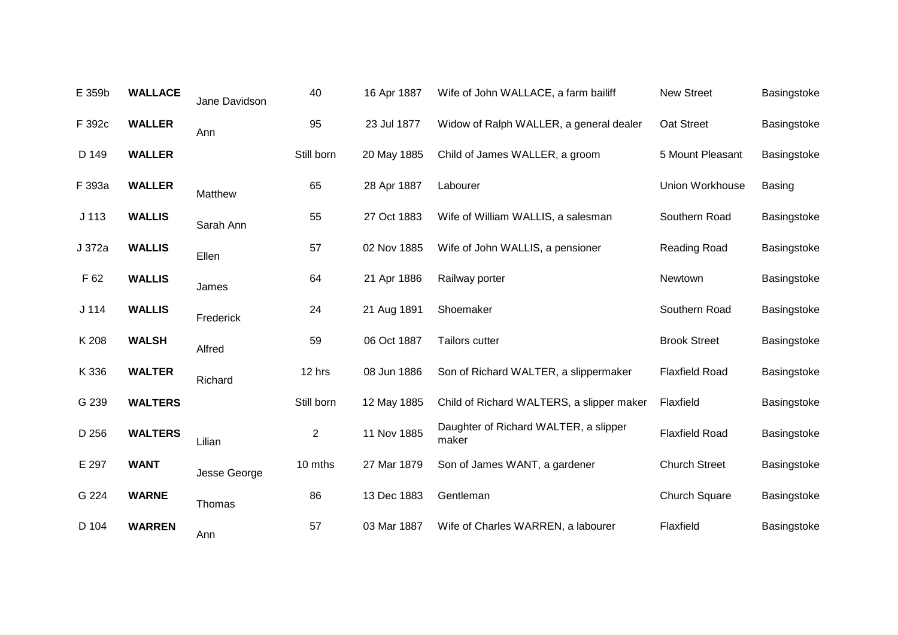| E 359b           | <b>WALLACE</b> | Jane Davidson | 40             | 16 Apr 1887 | Wife of John WALLACE, a farm bailiff           | <b>New Street</b>     | Basingstoke   |
|------------------|----------------|---------------|----------------|-------------|------------------------------------------------|-----------------------|---------------|
| F 392c           | <b>WALLER</b>  | Ann           | 95             | 23 Jul 1877 | Widow of Ralph WALLER, a general dealer        | Oat Street            | Basingstoke   |
| D 149            | <b>WALLER</b>  |               | Still born     | 20 May 1885 | Child of James WALLER, a groom                 | 5 Mount Pleasant      | Basingstoke   |
| F 393a           | <b>WALLER</b>  | Matthew       | 65             | 28 Apr 1887 | Labourer                                       | Union Workhouse       | <b>Basing</b> |
| J <sub>113</sub> | <b>WALLIS</b>  | Sarah Ann     | 55             | 27 Oct 1883 | Wife of William WALLIS, a salesman             | Southern Road         | Basingstoke   |
| J 372a           | <b>WALLIS</b>  | Ellen         | 57             | 02 Nov 1885 | Wife of John WALLIS, a pensioner               | Reading Road          | Basingstoke   |
| F 62             | <b>WALLIS</b>  | James         | 64             | 21 Apr 1886 | Railway porter                                 | Newtown               | Basingstoke   |
| J 114            | <b>WALLIS</b>  | Frederick     | 24             | 21 Aug 1891 | Shoemaker                                      | Southern Road         | Basingstoke   |
| K 208            | <b>WALSH</b>   | Alfred        | 59             | 06 Oct 1887 | Tailors cutter                                 | <b>Brook Street</b>   | Basingstoke   |
| K 336            | <b>WALTER</b>  | Richard       | 12 hrs         | 08 Jun 1886 | Son of Richard WALTER, a slippermaker          | <b>Flaxfield Road</b> | Basingstoke   |
| G 239            | <b>WALTERS</b> |               | Still born     | 12 May 1885 | Child of Richard WALTERS, a slipper maker      | Flaxfield             | Basingstoke   |
| D 256            | <b>WALTERS</b> | Lilian        | $\overline{2}$ | 11 Nov 1885 | Daughter of Richard WALTER, a slipper<br>maker | <b>Flaxfield Road</b> | Basingstoke   |
| E 297            | <b>WANT</b>    | Jesse George  | 10 mths        | 27 Mar 1879 | Son of James WANT, a gardener                  | <b>Church Street</b>  | Basingstoke   |
| G 224            | <b>WARNE</b>   | Thomas        | 86             | 13 Dec 1883 | Gentleman                                      | <b>Church Square</b>  | Basingstoke   |
| D 104            | <b>WARREN</b>  | Ann           | 57             | 03 Mar 1887 | Wife of Charles WARREN, a labourer             | Flaxfield             | Basingstoke   |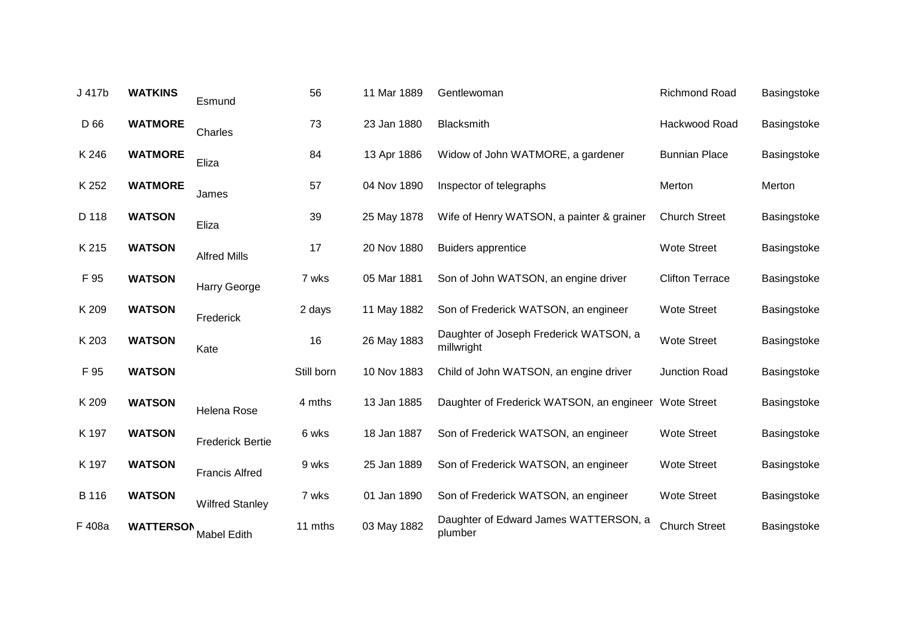| J 417b | <b>WATKINS</b>   | Esmund                  | 56         | 11 Mar 1889 | Gentlewoman                                          | <b>Richmond Road</b>   | Basingstoke |
|--------|------------------|-------------------------|------------|-------------|------------------------------------------------------|------------------------|-------------|
| D 66   | <b>WATMORE</b>   | Charles                 | 73         | 23 Jan 1880 | Blacksmith                                           | Hackwood Road          | Basingstoke |
| K 246  | <b>WATMORE</b>   | Eliza                   | 84         | 13 Apr 1886 | Widow of John WATMORE, a gardener                    | <b>Bunnian Place</b>   | Basingstoke |
| K 252  | <b>WATMORE</b>   | James                   | 57         | 04 Nov 1890 | Inspector of telegraphs                              | Merton                 | Merton      |
| D 118  | <b>WATSON</b>    | Eliza                   | 39         | 25 May 1878 | Wife of Henry WATSON, a painter & grainer            | <b>Church Street</b>   | Basingstoke |
| K 215  | <b>WATSON</b>    | <b>Alfred Mills</b>     | 17         | 20 Nov 1880 | <b>Buiders apprentice</b>                            | <b>Wote Street</b>     | Basingstoke |
| F 95   | <b>WATSON</b>    | Harry George            | 7 wks      | 05 Mar 1881 | Son of John WATSON, an engine driver                 | <b>Clifton Terrace</b> | Basingstoke |
| K 209  | <b>WATSON</b>    | Frederick               | 2 days     | 11 May 1882 | Son of Frederick WATSON, an engineer                 | <b>Wote Street</b>     | Basingstoke |
| K 203  | <b>WATSON</b>    | Kate                    | 16         | 26 May 1883 | Daughter of Joseph Frederick WATSON, a<br>millwright | <b>Wote Street</b>     | Basingstoke |
| F 95   | <b>WATSON</b>    |                         | Still born | 10 Nov 1883 | Child of John WATSON, an engine driver               | <b>Junction Road</b>   | Basingstoke |
| K 209  | <b>WATSON</b>    | Helena Rose             | 4 mths     | 13 Jan 1885 | Daughter of Frederick WATSON, an engineer            | Wote Street            | Basingstoke |
| K 197  | <b>WATSON</b>    | <b>Frederick Bertie</b> | 6 wks      | 18 Jan 1887 | Son of Frederick WATSON, an engineer                 | <b>Wote Street</b>     | Basingstoke |
| K 197  | <b>WATSON</b>    | <b>Francis Alfred</b>   | 9 wks      | 25 Jan 1889 | Son of Frederick WATSON, an engineer                 | <b>Wote Street</b>     | Basingstoke |
| B 116  | <b>WATSON</b>    | <b>Wilfred Stanley</b>  | 7 wks      | 01 Jan 1890 | Son of Frederick WATSON, an engineer                 | <b>Wote Street</b>     | Basingstoke |
| F 408a | <b>WATTERSON</b> | <b>Mabel Edith</b>      | 11 mths    | 03 May 1882 | Daughter of Edward James WATTERSON, a<br>plumber     | <b>Church Street</b>   | Basingstoke |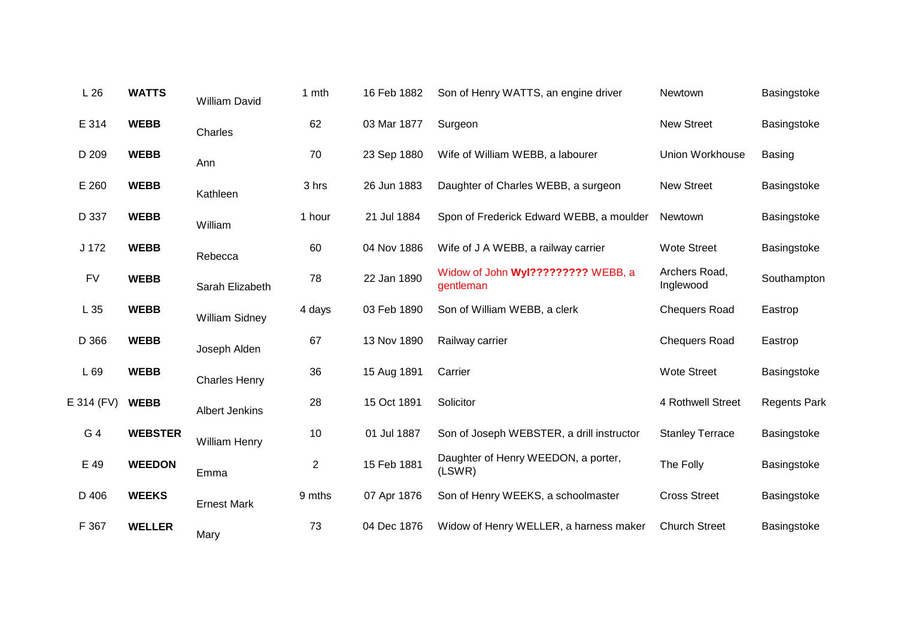| L26        | <b>WATTS</b>   | William David         | 1 mth          | 16 Feb 1882 | Son of Henry WATTS, an engine driver            | Newtown                    | Basingstoke         |
|------------|----------------|-----------------------|----------------|-------------|-------------------------------------------------|----------------------------|---------------------|
| E 314      | <b>WEBB</b>    | Charles               | 62             | 03 Mar 1877 | Surgeon                                         | <b>New Street</b>          | Basingstoke         |
| D 209      | <b>WEBB</b>    | Ann                   | 70             | 23 Sep 1880 | Wife of William WEBB, a labourer                | Union Workhouse            | Basing              |
| E 260      | <b>WEBB</b>    | Kathleen              | 3 hrs          | 26 Jun 1883 | Daughter of Charles WEBB, a surgeon             | <b>New Street</b>          | Basingstoke         |
| D 337      | <b>WEBB</b>    | William               | 1 hour         | 21 Jul 1884 | Spon of Frederick Edward WEBB, a moulder        | Newtown                    | Basingstoke         |
| J 172      | <b>WEBB</b>    | Rebecca               | 60             | 04 Nov 1886 | Wife of J A WEBB, a railway carrier             | <b>Wote Street</b>         | Basingstoke         |
| <b>FV</b>  | <b>WEBB</b>    | Sarah Elizabeth       | 78             | 22 Jan 1890 | Widow of John Wyl????????? WEBB, a<br>gentleman | Archers Road,<br>Inglewood | Southampton         |
| L 35       | <b>WEBB</b>    | <b>William Sidney</b> | 4 days         | 03 Feb 1890 | Son of William WEBB, a clerk                    | <b>Chequers Road</b>       | Eastrop             |
| D 366      | <b>WEBB</b>    | Joseph Alden          | 67             | 13 Nov 1890 | Railway carrier                                 | <b>Chequers Road</b>       | Eastrop             |
| L 69       | <b>WEBB</b>    | <b>Charles Henry</b>  | 36             | 15 Aug 1891 | Carrier                                         | <b>Wote Street</b>         | Basingstoke         |
| E 314 (FV) | <b>WEBB</b>    | <b>Albert Jenkins</b> | 28             | 15 Oct 1891 | Solicitor                                       | 4 Rothwell Street          | <b>Regents Park</b> |
| G 4        | <b>WEBSTER</b> | <b>William Henry</b>  | 10             | 01 Jul 1887 | Son of Joseph WEBSTER, a drill instructor       | <b>Stanley Terrace</b>     | Basingstoke         |
| E 49       | <b>WEEDON</b>  | Emma                  | $\overline{2}$ | 15 Feb 1881 | Daughter of Henry WEEDON, a porter,<br>(LSWR)   | The Folly                  | Basingstoke         |
| D 406      | <b>WEEKS</b>   | <b>Ernest Mark</b>    | 9 mths         | 07 Apr 1876 | Son of Henry WEEKS, a schoolmaster              | <b>Cross Street</b>        | Basingstoke         |
| F 367      | <b>WELLER</b>  | Mary                  | 73             | 04 Dec 1876 | Widow of Henry WELLER, a harness maker          | <b>Church Street</b>       | Basingstoke         |
|            |                |                       |                |             |                                                 |                            |                     |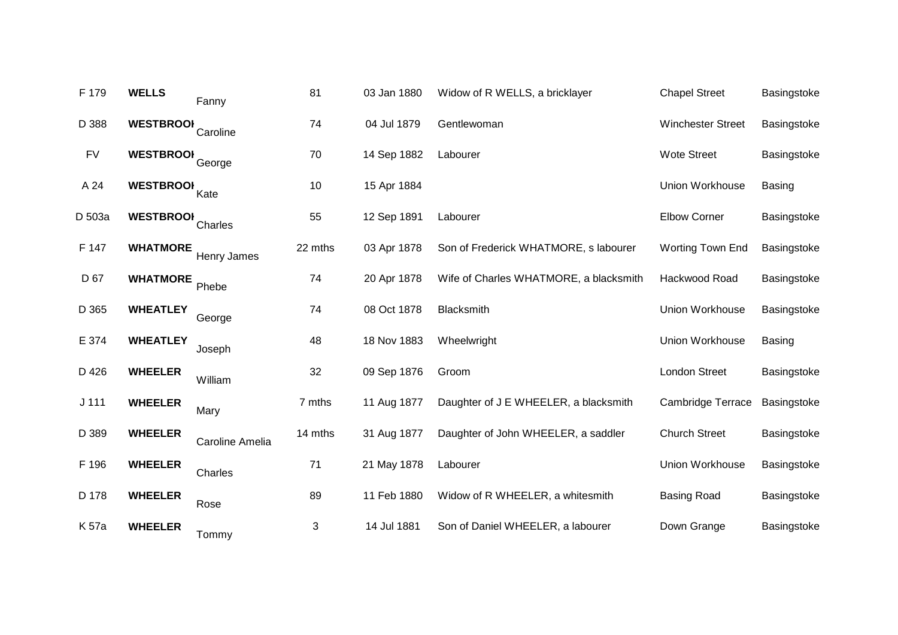| F 179     | <b>WELLS</b>     | Fanny           | 81      | 03 Jan 1880 | Widow of R WELLS, a bricklayer         | <b>Chapel Street</b>     | Basingstoke   |
|-----------|------------------|-----------------|---------|-------------|----------------------------------------|--------------------------|---------------|
| D 388     | <b>WESTBROOK</b> | Caroline        | 74      | 04 Jul 1879 | Gentlewoman                            | <b>Winchester Street</b> | Basingstoke   |
| <b>FV</b> | <b>WESTBROOK</b> | George          | 70      | 14 Sep 1882 | Labourer                               | <b>Wote Street</b>       | Basingstoke   |
| A 24      | <b>WESTBROOK</b> | Kate            | 10      | 15 Apr 1884 |                                        | Union Workhouse          | <b>Basing</b> |
| D 503a    | <b>WESTBROOI</b> | Charles         | 55      | 12 Sep 1891 | Labourer                               | <b>Elbow Corner</b>      | Basingstoke   |
| F 147     | <b>WHATMORE</b>  | Henry James     | 22 mths | 03 Apr 1878 | Son of Frederick WHATMORE, s labourer  | Worting Town End         | Basingstoke   |
| D 67      | <b>WHATMORE</b>  | Phebe           | 74      | 20 Apr 1878 | Wife of Charles WHATMORE, a blacksmith | Hackwood Road            | Basingstoke   |
| D 365     | <b>WHEATLEY</b>  | George          | 74      | 08 Oct 1878 | Blacksmith                             | <b>Union Workhouse</b>   | Basingstoke   |
| E 374     | <b>WHEATLEY</b>  | Joseph          | 48      | 18 Nov 1883 | Wheelwright                            | Union Workhouse          | <b>Basing</b> |
| D 426     | <b>WHEELER</b>   | William         | 32      | 09 Sep 1876 | Groom                                  | <b>London Street</b>     | Basingstoke   |
| $J$ 111   | <b>WHEELER</b>   | Mary            | 7 mths  | 11 Aug 1877 | Daughter of J E WHEELER, a blacksmith  | Cambridge Terrace        | Basingstoke   |
| D 389     | <b>WHEELER</b>   | Caroline Amelia | 14 mths | 31 Aug 1877 | Daughter of John WHEELER, a saddler    | <b>Church Street</b>     | Basingstoke   |
| F 196     | <b>WHEELER</b>   | Charles         | 71      | 21 May 1878 | Labourer                               | <b>Union Workhouse</b>   | Basingstoke   |
| D 178     | <b>WHEELER</b>   | Rose            | 89      | 11 Feb 1880 | Widow of R WHEELER, a whitesmith       | <b>Basing Road</b>       | Basingstoke   |
| K 57a     | <b>WHEELER</b>   | Tommy           | 3       | 14 Jul 1881 | Son of Daniel WHEELER, a labourer      | Down Grange              | Basingstoke   |
|           |                  |                 |         |             |                                        |                          |               |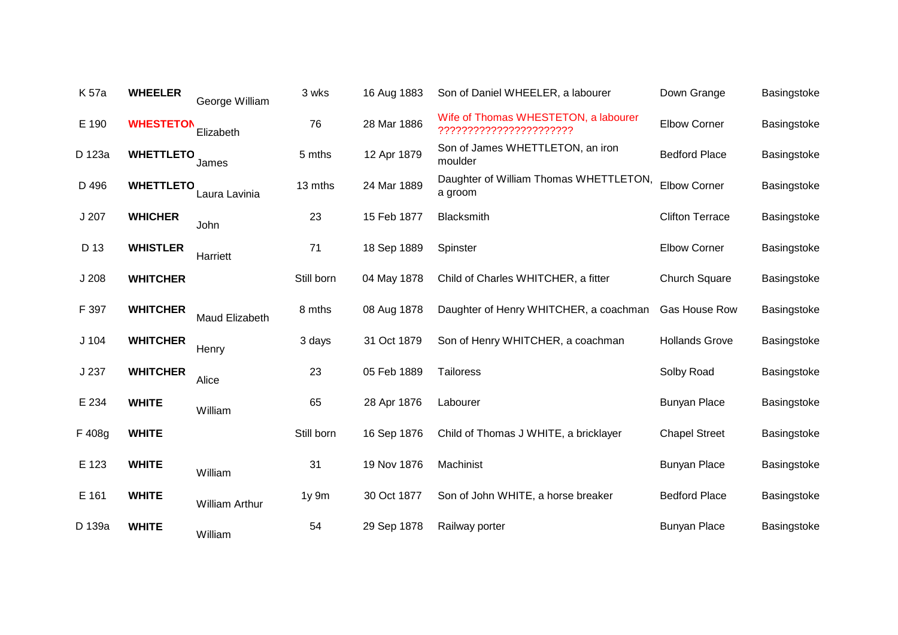| K 57a            | <b>WHEELER</b>   | George William        | 3 wks      | 16 Aug 1883 | Son of Daniel WHEELER, a labourer                               | Down Grange            | Basingstoke |
|------------------|------------------|-----------------------|------------|-------------|-----------------------------------------------------------------|------------------------|-------------|
| E 190            | <b>WHESTETON</b> | Elizabeth             | 76         | 28 Mar 1886 | Wife of Thomas WHESTETON, a labourer<br>??????????????????????? | <b>Elbow Corner</b>    | Basingstoke |
| D 123a           | <b>WHETTLETO</b> | James                 | 5 mths     | 12 Apr 1879 | Son of James WHETTLETON, an iron<br>moulder                     | <b>Bedford Place</b>   | Basingstoke |
| D 496            | <b>WHETTLETO</b> | Laura Lavinia         | 13 mths    | 24 Mar 1889 | Daughter of William Thomas WHETTLETON,<br>a groom               | <b>Elbow Corner</b>    | Basingstoke |
| J 207            | <b>WHICHER</b>   | John                  | 23         | 15 Feb 1877 | Blacksmith                                                      | <b>Clifton Terrace</b> | Basingstoke |
| D 13             | <b>WHISTLER</b>  | Harriett              | 71         | 18 Sep 1889 | Spinster                                                        | <b>Elbow Corner</b>    | Basingstoke |
| J <sub>208</sub> | <b>WHITCHER</b>  |                       | Still born | 04 May 1878 | Child of Charles WHITCHER, a fitter                             | <b>Church Square</b>   | Basingstoke |
| F 397            | <b>WHITCHER</b>  | Maud Elizabeth        | 8 mths     | 08 Aug 1878 | Daughter of Henry WHITCHER, a coachman                          | Gas House Row          | Basingstoke |
| J <sub>104</sub> | <b>WHITCHER</b>  | Henry                 | 3 days     | 31 Oct 1879 | Son of Henry WHITCHER, a coachman                               | <b>Hollands Grove</b>  | Basingstoke |
| J 237            | <b>WHITCHER</b>  | Alice                 | 23         | 05 Feb 1889 | <b>Tailoress</b>                                                | Solby Road             | Basingstoke |
| E 234            | <b>WHITE</b>     | William               | 65         | 28 Apr 1876 | Labourer                                                        | <b>Bunyan Place</b>    | Basingstoke |
| F 408g           | <b>WHITE</b>     |                       | Still born | 16 Sep 1876 | Child of Thomas J WHITE, a bricklayer                           | <b>Chapel Street</b>   | Basingstoke |
| E 123            | <b>WHITE</b>     | William               | 31         | 19 Nov 1876 | Machinist                                                       | <b>Bunyan Place</b>    | Basingstoke |
| E 161            | <b>WHITE</b>     | <b>William Arthur</b> | 1y 9m      | 30 Oct 1877 | Son of John WHITE, a horse breaker                              | <b>Bedford Place</b>   | Basingstoke |
| D 139a           | <b>WHITE</b>     | William               | 54         | 29 Sep 1878 | Railway porter                                                  | <b>Bunyan Place</b>    | Basingstoke |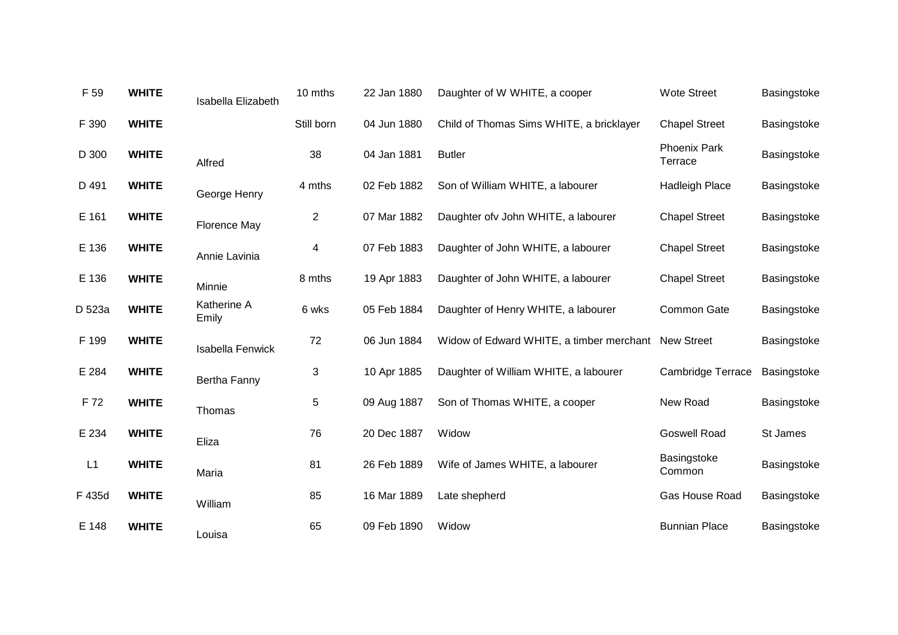| F 59   | <b>WHITE</b> | Isabella Elizabeth   | 10 mths        | 22 Jan 1880 | Daughter of W WHITE, a cooper            | <b>Wote Street</b>             | Basingstoke |
|--------|--------------|----------------------|----------------|-------------|------------------------------------------|--------------------------------|-------------|
| F 390  | <b>WHITE</b> |                      | Still born     | 04 Jun 1880 | Child of Thomas Sims WHITE, a bricklayer | <b>Chapel Street</b>           | Basingstoke |
| D 300  | <b>WHITE</b> | Alfred               | 38             | 04 Jan 1881 | <b>Butler</b>                            | <b>Phoenix Park</b><br>Terrace | Basingstoke |
| D 491  | <b>WHITE</b> | George Henry         | 4 mths         | 02 Feb 1882 | Son of William WHITE, a labourer         | <b>Hadleigh Place</b>          | Basingstoke |
| E 161  | <b>WHITE</b> | <b>Florence May</b>  | $\overline{2}$ | 07 Mar 1882 | Daughter of v John WHITE, a labourer     | <b>Chapel Street</b>           | Basingstoke |
| E 136  | <b>WHITE</b> | Annie Lavinia        | 4              | 07 Feb 1883 | Daughter of John WHITE, a labourer       | <b>Chapel Street</b>           | Basingstoke |
| E 136  | <b>WHITE</b> | Minnie               | 8 mths         | 19 Apr 1883 | Daughter of John WHITE, a labourer       | <b>Chapel Street</b>           | Basingstoke |
| D 523a | <b>WHITE</b> | Katherine A<br>Emily | 6 wks          | 05 Feb 1884 | Daughter of Henry WHITE, a labourer      | Common Gate                    | Basingstoke |
| F 199  | <b>WHITE</b> | Isabella Fenwick     | 72             | 06 Jun 1884 | Widow of Edward WHITE, a timber merchant | <b>New Street</b>              | Basingstoke |
| E 284  | <b>WHITE</b> | Bertha Fanny         | 3              | 10 Apr 1885 | Daughter of William WHITE, a labourer    | <b>Cambridge Terrace</b>       | Basingstoke |
| F 72   | <b>WHITE</b> | Thomas               | 5              | 09 Aug 1887 | Son of Thomas WHITE, a cooper            | New Road                       | Basingstoke |
| E 234  | <b>WHITE</b> | Eliza                | 76             | 20 Dec 1887 | Widow                                    | <b>Goswell Road</b>            | St James    |
| L1     | <b>WHITE</b> | Maria                | 81             | 26 Feb 1889 | Wife of James WHITE, a labourer          | Basingstoke<br>Common          | Basingstoke |
| F 435d | <b>WHITE</b> | William              | 85             | 16 Mar 1889 | Late shepherd                            | Gas House Road                 | Basingstoke |
| E 148  | <b>WHITE</b> | Louisa               | 65             | 09 Feb 1890 | Widow                                    | <b>Bunnian Place</b>           | Basingstoke |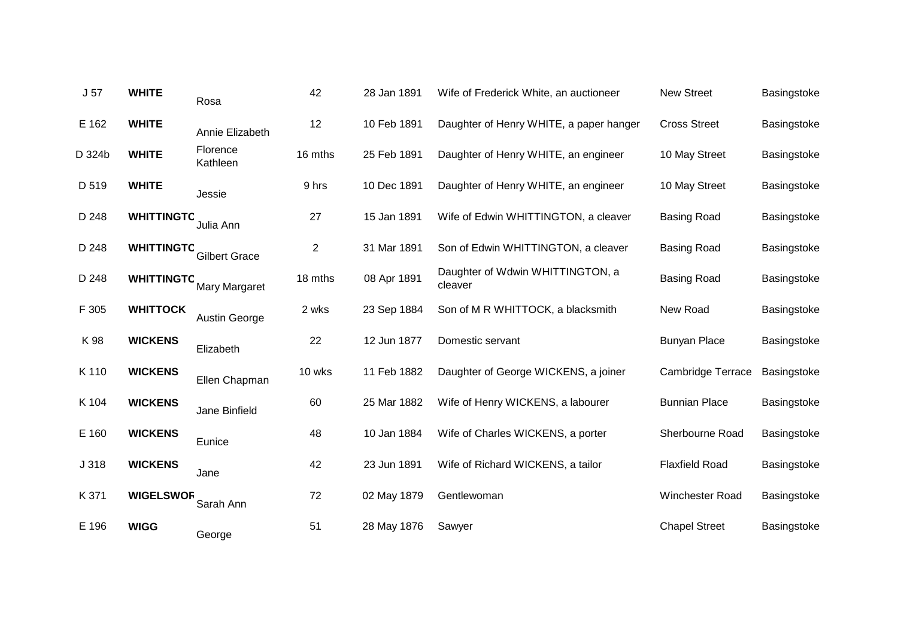| J <sub>57</sub> | <b>WHITE</b>      | Rosa                 | 42             | 28 Jan 1891 | Wife of Frederick White, an auctioneer      | <b>New Street</b>        | Basingstoke |
|-----------------|-------------------|----------------------|----------------|-------------|---------------------------------------------|--------------------------|-------------|
| E 162           | <b>WHITE</b>      | Annie Elizabeth      | 12             | 10 Feb 1891 | Daughter of Henry WHITE, a paper hanger     | <b>Cross Street</b>      | Basingstoke |
| D 324b          | <b>WHITE</b>      | Florence<br>Kathleen | 16 mths        | 25 Feb 1891 | Daughter of Henry WHITE, an engineer        | 10 May Street            | Basingstoke |
| D 519           | <b>WHITE</b>      | Jessie               | 9 hrs          | 10 Dec 1891 | Daughter of Henry WHITE, an engineer        | 10 May Street            | Basingstoke |
| D 248           | <b>WHITTINGTO</b> | Julia Ann            | 27             | 15 Jan 1891 | Wife of Edwin WHITTINGTON, a cleaver        | <b>Basing Road</b>       | Basingstoke |
| D 248           | <b>WHITTINGTC</b> | <b>Gilbert Grace</b> | $\overline{c}$ | 31 Mar 1891 | Son of Edwin WHITTINGTON, a cleaver         | <b>Basing Road</b>       | Basingstoke |
| D 248           | <b>WHITTINGTO</b> | <b>Mary Margaret</b> | 18 mths        | 08 Apr 1891 | Daughter of Wdwin WHITTINGTON, a<br>cleaver | <b>Basing Road</b>       | Basingstoke |
| F 305           | <b>WHITTOCK</b>   | Austin George        | 2 wks          | 23 Sep 1884 | Son of M R WHITTOCK, a blacksmith           | New Road                 | Basingstoke |
| K 98            | <b>WICKENS</b>    | Elizabeth            | 22             | 12 Jun 1877 | Domestic servant                            | <b>Bunyan Place</b>      | Basingstoke |
| K 110           | <b>WICKENS</b>    | Ellen Chapman        | 10 wks         | 11 Feb 1882 | Daughter of George WICKENS, a joiner        | <b>Cambridge Terrace</b> | Basingstoke |
| K 104           | <b>WICKENS</b>    | Jane Binfield        | 60             | 25 Mar 1882 | Wife of Henry WICKENS, a labourer           | <b>Bunnian Place</b>     | Basingstoke |
| E 160           | <b>WICKENS</b>    | Eunice               | 48             | 10 Jan 1884 | Wife of Charles WICKENS, a porter           | Sherbourne Road          | Basingstoke |
| J 318           | <b>WICKENS</b>    | Jane                 | 42             | 23 Jun 1891 | Wife of Richard WICKENS, a tailor           | <b>Flaxfield Road</b>    | Basingstoke |
| K 371           | <b>WIGELSWOR</b>  | Sarah Ann            | 72             | 02 May 1879 | Gentlewoman                                 | Winchester Road          | Basingstoke |
| E 196           | <b>WIGG</b>       | George               | 51             | 28 May 1876 | Sawyer                                      | <b>Chapel Street</b>     | Basingstoke |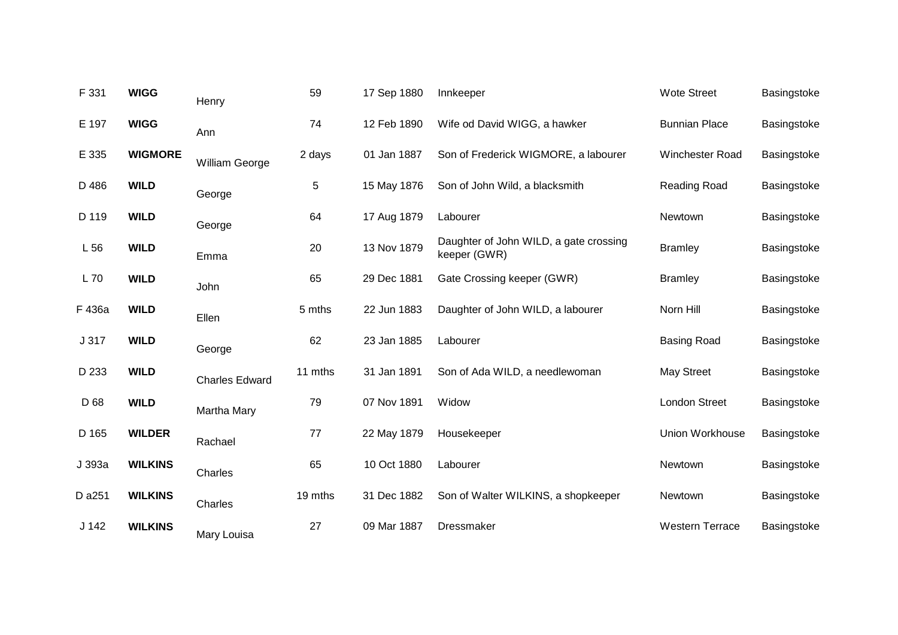| F 331            | <b>WIGG</b>    | Henry                 | 59      | 17 Sep 1880 | Innkeeper                                              | <b>Wote Street</b>     | Basingstoke |
|------------------|----------------|-----------------------|---------|-------------|--------------------------------------------------------|------------------------|-------------|
| E 197            | <b>WIGG</b>    | Ann                   | 74      | 12 Feb 1890 | Wife od David WIGG, a hawker                           | <b>Bunnian Place</b>   | Basingstoke |
| E 335            | <b>WIGMORE</b> | William George        | 2 days  | 01 Jan 1887 | Son of Frederick WIGMORE, a labourer                   | <b>Winchester Road</b> | Basingstoke |
| D 486            | <b>WILD</b>    | George                | 5       | 15 May 1876 | Son of John Wild, a blacksmith                         | Reading Road           | Basingstoke |
| D 119            | <b>WILD</b>    | George                | 64      | 17 Aug 1879 | Labourer                                               | Newtown                | Basingstoke |
| L56              | <b>WILD</b>    | Emma                  | 20      | 13 Nov 1879 | Daughter of John WILD, a gate crossing<br>keeper (GWR) | <b>Bramley</b>         | Basingstoke |
| L 70             | <b>WILD</b>    | John                  | 65      | 29 Dec 1881 | Gate Crossing keeper (GWR)                             | <b>Bramley</b>         | Basingstoke |
| F 436a           | <b>WILD</b>    | Ellen                 | 5 mths  | 22 Jun 1883 | Daughter of John WILD, a labourer                      | Norn Hill              | Basingstoke |
| J 317            | <b>WILD</b>    | George                | 62      | 23 Jan 1885 | Labourer                                               | <b>Basing Road</b>     | Basingstoke |
| D 233            | <b>WILD</b>    | <b>Charles Edward</b> | 11 mths | 31 Jan 1891 | Son of Ada WILD, a needlewoman                         | <b>May Street</b>      | Basingstoke |
| D 68             | <b>WILD</b>    | Martha Mary           | 79      | 07 Nov 1891 | Widow                                                  | <b>London Street</b>   | Basingstoke |
| D 165            | <b>WILDER</b>  | Rachael               | 77      | 22 May 1879 | Housekeeper                                            | Union Workhouse        | Basingstoke |
| J 393a           | <b>WILKINS</b> | Charles               | 65      | 10 Oct 1880 | Labourer                                               | Newtown                | Basingstoke |
| D a251           | <b>WILKINS</b> | Charles               | 19 mths | 31 Dec 1882 | Son of Walter WILKINS, a shopkeeper                    | Newtown                | Basingstoke |
| J <sub>142</sub> | <b>WILKINS</b> | Mary Louisa           | 27      | 09 Mar 1887 | <b>Dressmaker</b>                                      | <b>Western Terrace</b> | Basingstoke |
|                  |                |                       |         |             |                                                        |                        |             |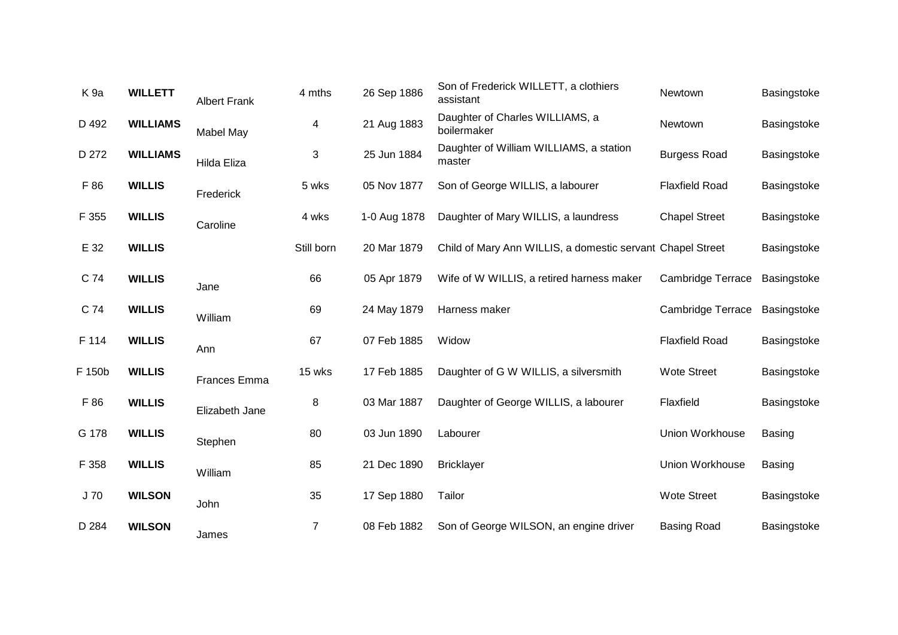| K <sub>9a</sub> | <b>WILLETT</b>  | <b>Albert Frank</b> | 4 mths         | 26 Sep 1886  | Son of Frederick WILLETT, a clothiers<br>assistant         | Newtown                  | Basingstoke   |
|-----------------|-----------------|---------------------|----------------|--------------|------------------------------------------------------------|--------------------------|---------------|
| D 492           | <b>WILLIAMS</b> | Mabel May           | 4              | 21 Aug 1883  | Daughter of Charles WILLIAMS, a<br>boilermaker             | Newtown                  | Basingstoke   |
| D 272           | <b>WILLIAMS</b> | Hilda Eliza         | 3              | 25 Jun 1884  | Daughter of William WILLIAMS, a station<br>master          | <b>Burgess Road</b>      | Basingstoke   |
| F 86            | <b>WILLIS</b>   | Frederick           | 5 wks          | 05 Nov 1877  | Son of George WILLIS, a labourer                           | <b>Flaxfield Road</b>    | Basingstoke   |
| F 355           | <b>WILLIS</b>   | Caroline            | 4 wks          | 1-0 Aug 1878 | Daughter of Mary WILLIS, a laundress                       | <b>Chapel Street</b>     | Basingstoke   |
| E 32            | <b>WILLIS</b>   |                     | Still born     | 20 Mar 1879  | Child of Mary Ann WILLIS, a domestic servant Chapel Street |                          | Basingstoke   |
| C 74            | <b>WILLIS</b>   | Jane                | 66             | 05 Apr 1879  | Wife of W WILLIS, a retired harness maker                  | <b>Cambridge Terrace</b> | Basingstoke   |
| C 74            | <b>WILLIS</b>   | William             | 69             | 24 May 1879  | Harness maker                                              | <b>Cambridge Terrace</b> | Basingstoke   |
| F 114           | <b>WILLIS</b>   | Ann                 | 67             | 07 Feb 1885  | Widow                                                      | <b>Flaxfield Road</b>    | Basingstoke   |
| F 150b          | <b>WILLIS</b>   | <b>Frances Emma</b> | 15 wks         | 17 Feb 1885  | Daughter of G W WILLIS, a silversmith                      | <b>Wote Street</b>       | Basingstoke   |
| F 86            | <b>WILLIS</b>   | Elizabeth Jane      | 8              | 03 Mar 1887  | Daughter of George WILLIS, a labourer                      | Flaxfield                | Basingstoke   |
| G 178           | <b>WILLIS</b>   | Stephen             | 80             | 03 Jun 1890  | Labourer                                                   | Union Workhouse          | <b>Basing</b> |
| F 358           | <b>WILLIS</b>   | William             | 85             | 21 Dec 1890  | <b>Bricklayer</b>                                          | Union Workhouse          | Basing        |
| J 70            | <b>WILSON</b>   | John                | 35             | 17 Sep 1880  | Tailor                                                     | <b>Wote Street</b>       | Basingstoke   |
| D 284           | <b>WILSON</b>   | James               | $\overline{7}$ | 08 Feb 1882  | Son of George WILSON, an engine driver                     | <b>Basing Road</b>       | Basingstoke   |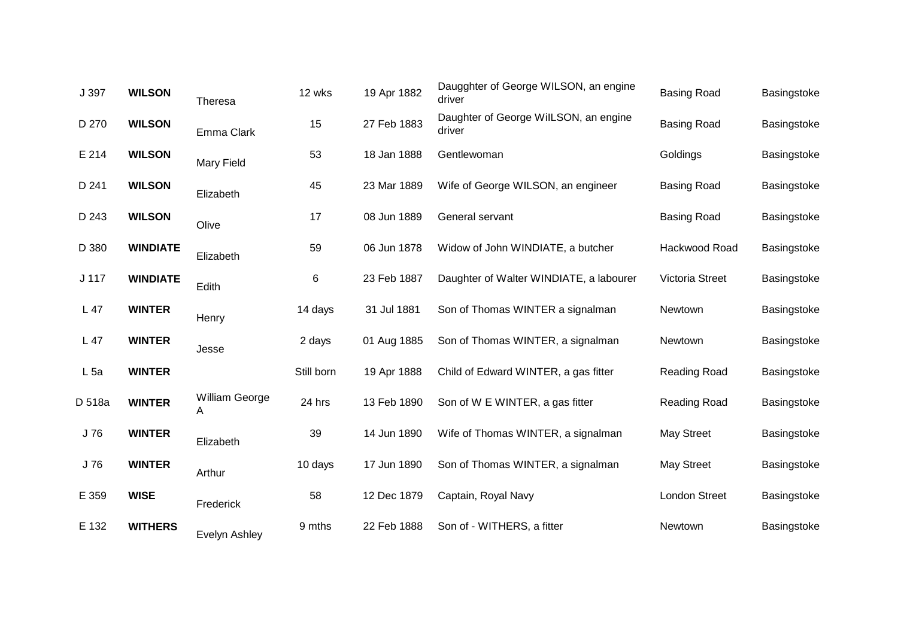| J 397            | <b>WILSON</b>   | Theresa             | 12 wks     | 19 Apr 1882 | Daugghter of George WILSON, an engine<br>driver | <b>Basing Road</b>   | Basingstoke |
|------------------|-----------------|---------------------|------------|-------------|-------------------------------------------------|----------------------|-------------|
| D 270            | <b>WILSON</b>   | Emma Clark          | 15         | 27 Feb 1883 | Daughter of George WilLSON, an engine<br>driver | <b>Basing Road</b>   | Basingstoke |
| E 214            | <b>WILSON</b>   | <b>Mary Field</b>   | 53         | 18 Jan 1888 | Gentlewoman                                     | Goldings             | Basingstoke |
| D 241            | <b>WILSON</b>   | Elizabeth           | 45         | 23 Mar 1889 | Wife of George WILSON, an engineer              | <b>Basing Road</b>   | Basingstoke |
| D 243            | <b>WILSON</b>   | Olive               | 17         | 08 Jun 1889 | General servant                                 | <b>Basing Road</b>   | Basingstoke |
| D 380            | <b>WINDIATE</b> | Elizabeth           | 59         | 06 Jun 1878 | Widow of John WINDIATE, a butcher               | Hackwood Road        | Basingstoke |
| J <sub>117</sub> | <b>WINDIATE</b> | Edith               | 6          | 23 Feb 1887 | Daughter of Walter WINDIATE, a labourer         | Victoria Street      | Basingstoke |
| L 47             | <b>WINTER</b>   | Henry               | 14 days    | 31 Jul 1881 | Son of Thomas WINTER a signalman                | Newtown              | Basingstoke |
| L 47             | <b>WINTER</b>   | Jesse               | 2 days     | 01 Aug 1885 | Son of Thomas WINTER, a signalman               | Newtown              | Basingstoke |
| L5a              | <b>WINTER</b>   |                     | Still born | 19 Apr 1888 | Child of Edward WINTER, a gas fitter            | <b>Reading Road</b>  | Basingstoke |
| D 518a           | <b>WINTER</b>   | William George<br>A | 24 hrs     | 13 Feb 1890 | Son of W E WINTER, a gas fitter                 | Reading Road         | Basingstoke |
| J76              | <b>WINTER</b>   | Elizabeth           | 39         | 14 Jun 1890 | Wife of Thomas WINTER, a signalman              | <b>May Street</b>    | Basingstoke |
| J 76             | <b>WINTER</b>   | Arthur              | 10 days    | 17 Jun 1890 | Son of Thomas WINTER, a signalman               | <b>May Street</b>    | Basingstoke |
| E 359            | <b>WISE</b>     | Frederick           | 58         | 12 Dec 1879 | Captain, Royal Navy                             | <b>London Street</b> | Basingstoke |
| E 132            | <b>WITHERS</b>  | Evelyn Ashley       | 9 mths     | 22 Feb 1888 | Son of - WITHERS, a fitter                      | Newtown              | Basingstoke |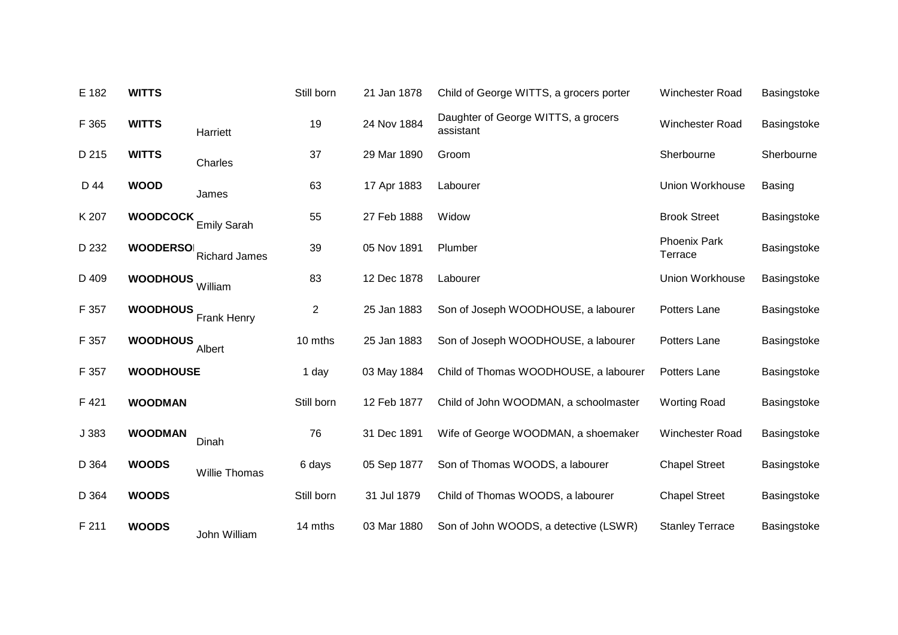| E 182 | <b>WITTS</b>     |                      | Still born     | 21 Jan 1878 | Child of George WITTS, a grocers porter          | <b>Winchester Road</b>  | Basingstoke   |
|-------|------------------|----------------------|----------------|-------------|--------------------------------------------------|-------------------------|---------------|
| F 365 | <b>WITTS</b>     | Harriett             | 19             | 24 Nov 1884 | Daughter of George WITTS, a grocers<br>assistant | Winchester Road         | Basingstoke   |
| D 215 | <b>WITTS</b>     | Charles              | 37             | 29 Mar 1890 | Groom                                            | Sherbourne              | Sherbourne    |
| D 44  | <b>WOOD</b>      | James                | 63             | 17 Apr 1883 | Labourer                                         | Union Workhouse         | <b>Basing</b> |
| K 207 | <b>WOODCOCK</b>  | <b>Emily Sarah</b>   | 55             | 27 Feb 1888 | Widow                                            | <b>Brook Street</b>     | Basingstoke   |
| D 232 | <b>WOODERSO</b>  | <b>Richard James</b> | 39             | 05 Nov 1891 | Plumber                                          | Phoenix Park<br>Terrace | Basingstoke   |
| D 409 | <b>WOODHOUS</b>  | William              | 83             | 12 Dec 1878 | Labourer                                         | Union Workhouse         | Basingstoke   |
| F 357 | <b>WOODHOUS</b>  | <b>Frank Henry</b>   | $\overline{c}$ | 25 Jan 1883 | Son of Joseph WOODHOUSE, a labourer              | Potters Lane            | Basingstoke   |
| F 357 | <b>WOODHOUS</b>  | Albert               | 10 mths        | 25 Jan 1883 | Son of Joseph WOODHOUSE, a labourer              | Potters Lane            | Basingstoke   |
| F 357 | <b>WOODHOUSE</b> |                      | 1 day          | 03 May 1884 | Child of Thomas WOODHOUSE, a labourer            | Potters Lane            | Basingstoke   |
| F421  | <b>WOODMAN</b>   |                      | Still born     | 12 Feb 1877 | Child of John WOODMAN, a schoolmaster            | <b>Worting Road</b>     | Basingstoke   |
| J 383 | <b>WOODMAN</b>   | Dinah                | 76             | 31 Dec 1891 | Wife of George WOODMAN, a shoemaker              | Winchester Road         | Basingstoke   |
| D 364 | <b>WOODS</b>     | <b>Willie Thomas</b> | 6 days         | 05 Sep 1877 | Son of Thomas WOODS, a labourer                  | <b>Chapel Street</b>    | Basingstoke   |
| D 364 | <b>WOODS</b>     |                      | Still born     | 31 Jul 1879 | Child of Thomas WOODS, a labourer                | <b>Chapel Street</b>    | Basingstoke   |
| F 211 | <b>WOODS</b>     | John William         | 14 mths        | 03 Mar 1880 | Son of John WOODS, a detective (LSWR)            | <b>Stanley Terrace</b>  | Basingstoke   |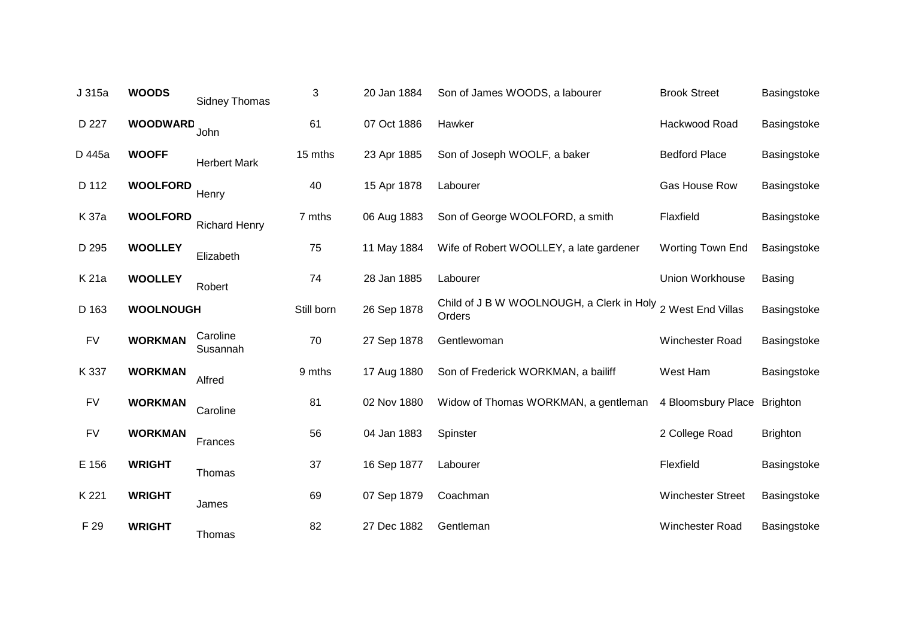| J 315a    | <b>WOODS</b>     | Sidney Thomas        | 3          | 20 Jan 1884 | Son of James WOODS, a labourer                                        | <b>Brook Street</b>      | Basingstoke     |
|-----------|------------------|----------------------|------------|-------------|-----------------------------------------------------------------------|--------------------------|-----------------|
| D 227     | <b>WOODWARD</b>  | John                 | 61         | 07 Oct 1886 | Hawker                                                                | Hackwood Road            | Basingstoke     |
| D 445a    | <b>WOOFF</b>     | <b>Herbert Mark</b>  | 15 mths    | 23 Apr 1885 | Son of Joseph WOOLF, a baker                                          | <b>Bedford Place</b>     | Basingstoke     |
| D 112     | <b>WOOLFORD</b>  | Henry                | 40         | 15 Apr 1878 | Labourer                                                              | Gas House Row            | Basingstoke     |
| K 37a     | <b>WOOLFORD</b>  | <b>Richard Henry</b> | 7 mths     | 06 Aug 1883 | Son of George WOOLFORD, a smith                                       | Flaxfield                | Basingstoke     |
| D 295     | <b>WOOLLEY</b>   | Elizabeth            | 75         | 11 May 1884 | Wife of Robert WOOLLEY, a late gardener                               | Worting Town End         | Basingstoke     |
| K 21a     | <b>WOOLLEY</b>   | Robert               | 74         | 28 Jan 1885 | Labourer                                                              | Union Workhouse          | <b>Basing</b>   |
| D 163     | <b>WOOLNOUGH</b> |                      | Still born | 26 Sep 1878 | Child of J B W WOOLNOUGH, a Clerk in Holy 2 West End Villas<br>Orders |                          | Basingstoke     |
| <b>FV</b> | <b>WORKMAN</b>   | Caroline<br>Susannah | 70         | 27 Sep 1878 | Gentlewoman                                                           | Winchester Road          | Basingstoke     |
| K 337     | <b>WORKMAN</b>   | Alfred               | 9 mths     | 17 Aug 1880 | Son of Frederick WORKMAN, a bailiff                                   | West Ham                 | Basingstoke     |
| <b>FV</b> | <b>WORKMAN</b>   | Caroline             | 81         | 02 Nov 1880 | Widow of Thomas WORKMAN, a gentleman                                  | 4 Bloomsbury Place       | <b>Brighton</b> |
| <b>FV</b> | <b>WORKMAN</b>   | Frances              | 56         | 04 Jan 1883 | Spinster                                                              | 2 College Road           | <b>Brighton</b> |
| E 156     | <b>WRIGHT</b>    | Thomas               | 37         | 16 Sep 1877 | Labourer                                                              | Flexfield                | Basingstoke     |
| K 221     | <b>WRIGHT</b>    | James                | 69         | 07 Sep 1879 | Coachman                                                              | <b>Winchester Street</b> | Basingstoke     |
| F 29      | <b>WRIGHT</b>    | Thomas               | 82         | 27 Dec 1882 | Gentleman                                                             | Winchester Road          | Basingstoke     |